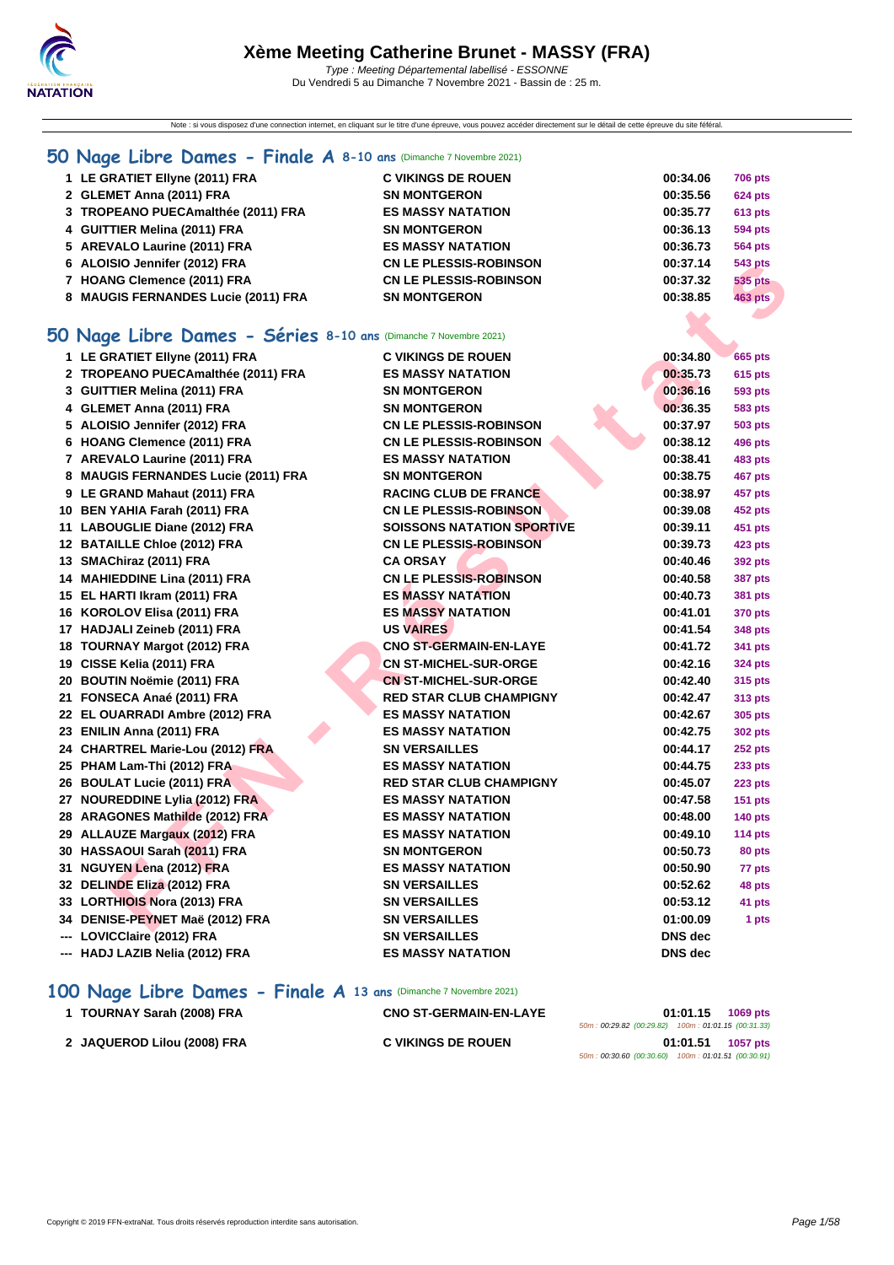

Note : si vous disposez d'une connection internet, en cliquant sur le titre d'une épreuve, vous pouvez accéder directement sur le détail de cette épreuve du site féféral.

#### **[50 Na](http://www.ffnatation.fr/webffn/index.php)ge Libre Dames - Finale A 8-10 ans** (Dimanche 7 Novembre 2021)

| 1 LE GRATIET Ellyne (2011) FRA      | <b>C VIKINGS DE ROUEN</b>     | 00:34.06 | <b>706 pts</b> |
|-------------------------------------|-------------------------------|----------|----------------|
| 2 GLEMET Anna (2011) FRA            | <b>SN MONTGERON</b>           | 00:35.56 | <b>624 pts</b> |
| 3 TROPEANO PUECAmalthée (2011) FRA  | <b>ES MASSY NATATION</b>      | 00:35.77 | <b>613 pts</b> |
| 4 GUITTIER Melina (2011) FRA        | <b>SN MONTGERON</b>           | 00:36.13 | <b>594 pts</b> |
| 5 AREVALO Laurine (2011) FRA        | <b>ES MASSY NATATION</b>      | 00:36.73 | <b>564 pts</b> |
| 6 ALOISIO Jennifer (2012) FRA       | <b>CN LE PLESSIS-ROBINSON</b> | 00:37.14 | 543 pts        |
| 7 HOANG Clemence (2011) FRA         | <b>CN LE PLESSIS-ROBINSON</b> | 00:37.32 | 535 pts        |
| 8 MAUGIS FERNANDES Lucie (2011) FRA | <b>SN MONTGERON</b>           | 00:38.85 | <b>463 pts</b> |

#### **50 Nage Libre Dames - Séries 8-10 ans** (Dimanche 7 Novembre 2021)

| 6 ALOISIO Jennifer (2012) FRA                                           | <b>CN LE PLESSIS-ROBINSON</b>     | 00:37.14       | 543 pts        |
|-------------------------------------------------------------------------|-----------------------------------|----------------|----------------|
| 7 HOANG Clemence (2011) FRA                                             | <b>CN LE PLESSIS-ROBINSON</b>     | 00:37.32       | <b>535 pts</b> |
| 8 MAUGIS FERNANDES Lucie (2011) FRA                                     | <b>SN MONTGERON</b>               | 00:38.85       | <b>463 pts</b> |
|                                                                         |                                   |                |                |
| <b>iO Nage Libre Dames - Séries 8-10 ans (Dimanche 7 Novembre 2021)</b> |                                   |                |                |
| 1 LE GRATIET Ellyne (2011) FRA                                          | <b>C VIKINGS DE ROUEN</b>         | 00:34.80       | <b>665 pts</b> |
| 2 TROPEANO PUECAmalthée (2011) FRA                                      | <b>ES MASSY NATATION</b>          | 00:35.73       | <b>615 pts</b> |
| 3 GUITTIER Melina (2011) FRA                                            | <b>SN MONTGERON</b>               | 00:36.16       | 593 pts        |
| 4 GLEMET Anna (2011) FRA                                                | <b>SN MONTGERON</b>               | 00:36.35       | <b>583 pts</b> |
| 5 ALOISIO Jennifer (2012) FRA                                           | <b>CN LE PLESSIS-ROBINSON</b>     | 00:37.97       | 503 pts        |
| 6 HOANG Clemence (2011) FRA                                             | <b>CN LE PLESSIS-ROBINSON</b>     | 00:38.12       | 496 pts        |
| 7 AREVALO Laurine (2011) FRA                                            | <b>ES MASSY NATATION</b>          | 00:38.41       | <b>483 pts</b> |
| 8 MAUGIS FERNANDES Lucie (2011) FRA                                     | <b>SN MONTGERON</b>               | 00:38.75       | <b>467 pts</b> |
| 9 LE GRAND Mahaut (2011) FRA                                            | <b>RACING CLUB DE FRANCE</b>      | 00:38.97       | 457 pts        |
| 10 BEN YAHIA Farah (2011) FRA                                           | <b>CN LE PLESSIS-ROBINSON</b>     | 00:39.08       | 452 pts        |
| 11 LABOUGLIE Diane (2012) FRA                                           | <b>SOISSONS NATATION SPORTIVE</b> | 00:39.11       | 451 pts        |
| 12 BATAILLE Chloe (2012) FRA                                            | <b>CN LE PLESSIS-ROBINSON</b>     | 00:39.73       | 423 pts        |
| 13 SMAChiraz (2011) FRA                                                 | <b>CA ORSAY</b>                   | 00:40.46       | 392 pts        |
| 14 MAHIEDDINE Lina (2011) FRA                                           | <b>CN LE PLESSIS-ROBINSON</b>     | 00:40.58       | <b>387 pts</b> |
| 15 EL HARTI Ikram (2011) FRA                                            | <b>ES MASSY NATATION</b>          | 00:40.73       | <b>381 pts</b> |
| 16 KOROLOV Elisa (2011) FRA                                             | <b>ES MASSY NATATION</b>          | 00:41.01       | 370 pts        |
| 17 HADJALI Zeineb (2011) FRA                                            | <b>US VAIRES</b>                  | 00:41.54       | <b>348 pts</b> |
| 18 TOURNAY Margot (2012) FRA                                            | <b>CNO ST-GERMAIN-EN-LAYE</b>     | 00:41.72       | 341 pts        |
| 19 CISSE Kelia (2011) FRA                                               | <b>CN ST-MICHEL-SUR-ORGE</b>      | 00:42.16       | <b>324 pts</b> |
| 20 BOUTIN Noëmie (2011) FRA                                             | <b>CN ST-MICHEL-SUR-ORGE</b>      | 00:42.40       | 315 pts        |
| 21 FONSECA Anaé (2011) FRA                                              | <b>RED STAR CLUB CHAMPIGNY</b>    | 00:42.47       | 313 pts        |
| 22 EL OUARRADI Ambre (2012) FRA                                         | <b>ES MASSY NATATION</b>          | 00:42.67       | 305 pts        |
| 23 ENILIN Anna (2011) FRA                                               | <b>ES MASSY NATATION</b>          | 00:42.75       | <b>302 pts</b> |
| 24 CHARTREL Marie-Lou (2012) FRA                                        | <b>SN VERSAILLES</b>              | 00:44.17       | 252 pts        |
| 25 PHAM Lam-Thi (2012) FRA                                              | <b>ES MASSY NATATION</b>          | 00:44.75       | 233 pts        |
| 26 BOULAT Lucie (2011) FRA                                              | <b>RED STAR CLUB CHAMPIGNY</b>    | 00:45.07       | <b>223 pts</b> |
| 27 NOUREDDINE Lylia (2012) FRA                                          | <b>ES MASSY NATATION</b>          | 00:47.58       | <b>151 pts</b> |
| 28 ARAGONES Mathilde (2012) FRA                                         | <b>ES MASSY NATATION</b>          | 00:48.00       | 140 pts        |
| 29 ALLAUZE Margaux (2012) FRA                                           | <b>ES MASSY NATATION</b>          | 00:49.10       | <b>114 pts</b> |
| 30 HASSAOUI Sarah (2011) FRA                                            | <b>SN MONTGERON</b>               | 00:50.73       | 80 pts         |
| 31 NGUYEN Lena (2012) FRA                                               | <b>ES MASSY NATATION</b>          | 00:50.90       | 77 pts         |
| 32 DELINDE Eliza (2012) FRA                                             | <b>SN VERSAILLES</b>              | 00:52.62       | 48 pts         |
| 33 LORTHIOIS Nora (2013) FRA                                            | <b>SN VERSAILLES</b>              | 00:53.12       | 41 pts         |
| 34 DENISE-PEYNET Maë (2012) FRA                                         | <b>SN VERSAILLES</b>              | 01:00.09       | 1 pts          |
| --- LOVICClaire (2012) FRA                                              | <b>SN VERSAILLES</b>              | <b>DNS</b> dec |                |
| --- HADJ LAZIB Nelia (2012) FRA                                         | <b>ES MASSY NATATION</b>          | <b>DNS dec</b> |                |
|                                                                         |                                   |                |                |

#### **100 Nage Libre Dames - Finale A 13 ans** (Dimanche 7 Novembre 2021)

| 1 TOURNAY Sarah (2008) FRA  | <b>CNO ST-GERMAIN-EN-LAYE</b> | 01:01.15<br>1069 pts                               |
|-----------------------------|-------------------------------|----------------------------------------------------|
|                             |                               | 50m: 00:29.82 (00:29.82) 100m: 01:01.15 (00:31.33) |
| 2 JAQUEROD Lilou (2008) FRA | <b>C VIKINGS DE ROUEN</b>     | 01:01.51<br>1057 pts                               |
|                             |                               | 50m: 00:30.60 (00:30.60) 100m: 01:01.51 (00:30.91) |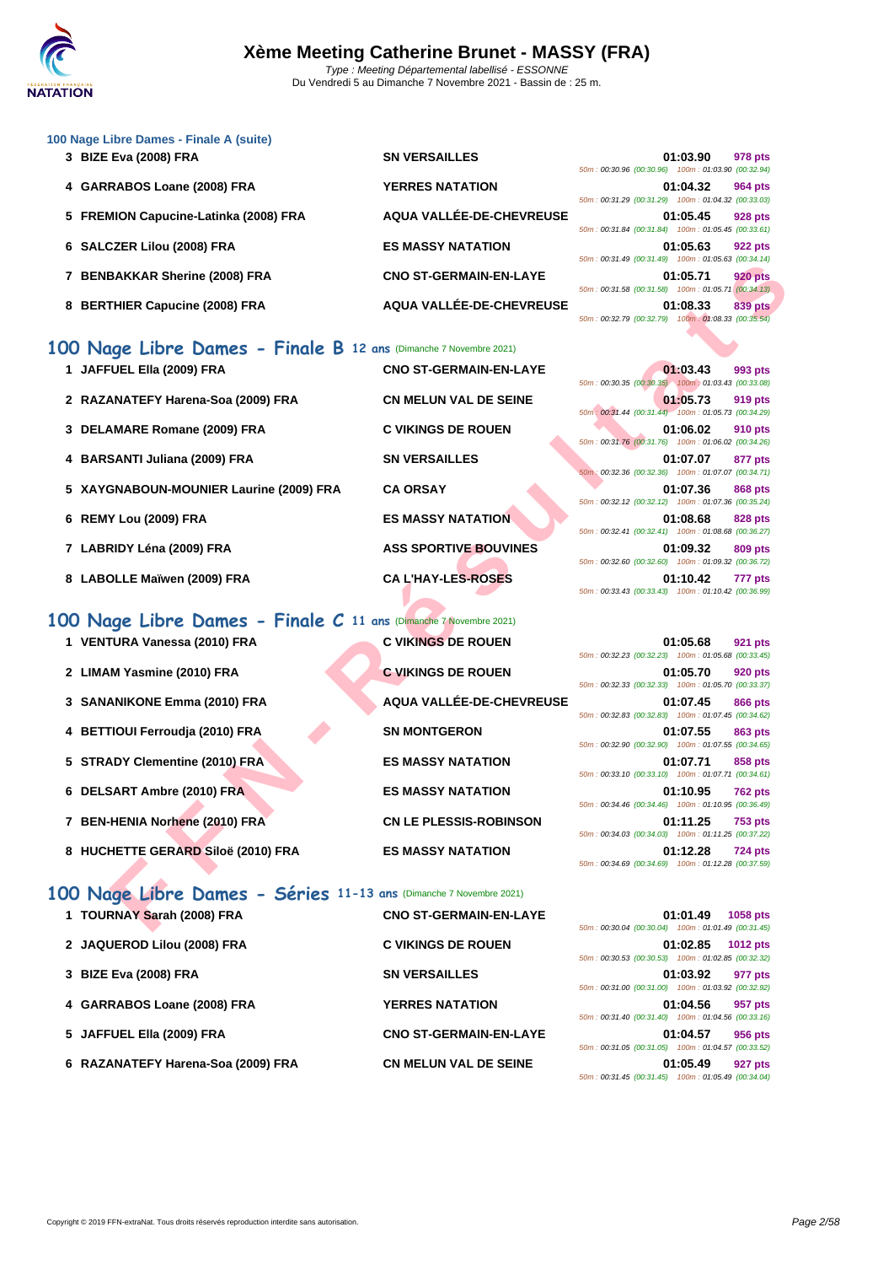

| 100 Nage Libre Dames - Finale A (suite)  |                               |                                                        |
|------------------------------------------|-------------------------------|--------------------------------------------------------|
| 3 BIZE Eva (2008) FRA                    | <b>SN VERSAILLES</b>          | 01:03.90<br>978 pts                                    |
|                                          |                               | 50m: 00:30.96 (00:30.96) 100m: 01:03.90 (00:32.94)     |
| 4 GARRABOS Loane (2008) FRA              | <b>YERRES NATATION</b>        | 01:04.32<br>964 pts                                    |
|                                          |                               | 50m: 00:31.29 (00:31.29) 100m: 01:04.32 (00:33.03)     |
| 5 FREMION Capucine-Latinka (2008) FRA    | AQUA VALLÉE-DE-CHEVREUSE      | 01:05.45<br><b>928 pts</b>                             |
|                                          |                               | 50m: 00:31.84 (00:31.84) 100m: 01:05.45 (00:33.61)     |
| 6 SALCZER Lilou (2008) FRA               | <b>ES MASSY NATATION</b>      | 01:05.63<br><b>922 pts</b>                             |
|                                          |                               | 50m: 00:31.49 (00:31.49) 100m: 01:05.63 (00:34.14)     |
| <b>BENBAKKAR Sherine (2008) FRA</b>      | <b>CNO ST-GERMAIN-EN-LAYE</b> | 01:05.71<br><b>920 pts</b>                             |
|                                          |                               | 50m: 00:31.58 (00:31.58) 100m: 01:05.71 (00:34.13)     |
| <b>BERTHIER Capucine (2008) FRA</b><br>8 | AQUA VALLÉE-DE-CHEVREUSE      | 01:08.33<br>839 pts                                    |
|                                          |                               | $50m: 00:32.79$ (00:32.79) $100m: 01:08.33$ (00:35.54) |

#### **100 Nage Libre Dames - Finale B 12 ans** (Dimanche 7 Novembre 2021)

|                                                                   |                               | <u>JUIL OU.JI.43</u> (UU.JI.43) TUUIL UT.UJ.UJ (UU.J4.14)                                                                              |
|-------------------------------------------------------------------|-------------------------------|----------------------------------------------------------------------------------------------------------------------------------------|
| 7 BENBAKKAR Sherine (2008) FRA                                    | <b>CNO ST-GERMAIN-EN-LAYE</b> | 01:05.71<br><b>920 pts</b><br>50m: 00:31.58 (00:31.58) 100m: 01:05.71 (00:34.13)                                                       |
| 8 BERTHIER Capucine (2008) FRA                                    | AQUA VALLÉE-DE-CHEVREUSE      | 01:08.33<br><b>839 pts</b><br>50m: 00:32.79 (00:32.79) 100m: 01:08.33 (00:35.54)                                                       |
| 00 Nage Libre Dames - Finale B 12 ans (Dimanche 7 Novembre 2021)  |                               |                                                                                                                                        |
| 1 JAFFUEL Ella (2009) FRA                                         | <b>CNO ST-GERMAIN-EN-LAYE</b> | 01:03.43<br>993 pts<br>50m: 00:30.35 (00:30.35) 100m: 01:03.43 (00:33.08)                                                              |
| 2 RAZANATEFY Harena-Soa (2009) FRA                                | <b>CN MELUN VAL DE SEINE</b>  | 01:05.73<br>919 pts                                                                                                                    |
| 3 DELAMARE Romane (2009) FRA                                      | <b>C VIKINGS DE ROUEN</b>     | 50m: 00:31.44 (00:31.44) 100m: 01:05.73 (00:34.29)<br>01:06.02<br>910 pts                                                              |
| 4 BARSANTI Juliana (2009) FRA                                     | <b>SN VERSAILLES</b>          | 50m: 00:31.76 (00:31.76) 100m: 01:06.02 (00:34.26)<br>01:07.07<br>877 pts                                                              |
| 5 XAYGNABOUN-MOUNIER Laurine (2009) FRA                           | <b>CA ORSAY</b>               | 50m: 00:32.36 (00:32.36) 100m: 01:07.07 (00:34.71)<br>01:07.36<br><b>868 pts</b><br>50m: 00:32.12 (00:32.12) 100m: 01:07.36 (00:35.24) |
| 6 REMY Lou (2009) FRA                                             | <b>ES MASSY NATATION</b>      | 01:08.68<br>828 pts<br>50m: 00:32.41 (00:32.41) 100m: 01:08.68 (00:36.27)                                                              |
| 7 LABRIDY Léna (2009) FRA                                         | <b>ASS SPORTIVE BOUVINES</b>  | 01:09.32<br>809 pts<br>50m: 00:32.60 (00:32.60) 100m: 01:09.32 (00:36.72)                                                              |
| 8 LABOLLE Maïwen (2009) FRA                                       | <b>CA L'HAY-LES-ROSES</b>     | 01:10.42<br>777 pts<br>50m: 00:33.43 (00:33.43) 100m: 01:10.42 (00:36.99)                                                              |
| 00 Nage Libre Dames - Finale C 11 ans (Dimanche 7 Novembre 2021)  |                               |                                                                                                                                        |
| 1 VENTURA Vanessa (2010) FRA                                      | <b>C VIKINGS DE ROUEN</b>     | 01:05.68<br>921 pts                                                                                                                    |
| 2 LIMAM Yasmine (2010) FRA                                        | <b>C VIKINGS DE ROUEN</b>     | 50m: 00:32.23 (00:32.23) 100m: 01:05.68 (00:33.45)<br>01:05.70<br><b>920 pts</b>                                                       |
| 3 SANANIKONE Emma (2010) FRA                                      | AQUA VALLÉE-DE-CHEVREUSE      | 50m: 00:32.33 (00:32.33) 100m: 01:05.70 (00:33.37)<br>01:07.45<br>866 pts                                                              |
| 4 BETTIOUI Ferroudja (2010) FRA                                   | <b>SN MONTGERON</b>           | 50m: 00:32.83 (00:32.83) 100m: 01:07.45 (00:34.62)<br>01:07.55<br>863 pts<br>50m: 00:32.90 (00:32.90) 100m: 01:07.55 (00:34.65)        |
| 5 STRADY Clementine (2010) FRA                                    | <b>ES MASSY NATATION</b>      | 01:07.71<br>858 pts<br>50m: 00:33.10 (00:33.10) 100m: 01:07.71 (00:34.61)                                                              |
| 6 DELSART Ambre (2010) FRA                                        | <b>ES MASSY NATATION</b>      | 01:10.95<br><b>762 pts</b>                                                                                                             |
| 7 BEN-HENIA Norhene (2010) FRA                                    | <b>CN LE PLESSIS-ROBINSON</b> | 50m: 00:34.46 (00:34.46) 100m: 01:10.95 (00:36.49)<br>01:11.25<br><b>753 pts</b>                                                       |
| 8 HUCHETTE GERARD Siloë (2010) FRA                                | <b>ES MASSY NATATION</b>      | 50m: 00:34.03 (00:34.03) 100m: 01:11.25 (00:37.22)<br>01:12.28<br><b>724 pts</b><br>50m: 00:34.69 (00:34.69) 100m: 01:12.28 (00:37.59) |
| 00 Nage Libre Dames - Séries 11-13 ans (Dimanche 7 Novembre 2021) |                               |                                                                                                                                        |
| 1 TOURNAY Sarah (2008) FRA                                        | <b>CNO ST-GERMAIN-EN-LAYE</b> | 01:01.49<br>1058 pts<br>50m: 00:30.04 (00:30.04) 100m: 01:01.49 (00:31.45)                                                             |

## **100 Nage Libre Dames - Finale C 11 ans** (Dimanche 7 Novembre 2021)

| 1 VENTURA Vanessa (2010) FRA       | <b>C VIKINGS DE ROUEN</b>     |
|------------------------------------|-------------------------------|
| 2 LIMAM Yasmine (2010) FRA         | <b>C VIKINGS DE ROUEN</b>     |
| 3 SANANIKONE Emma (2010) FRA       | AQUA VALLÉE-DE-CHEVREUSE      |
| 4 BETTIOUI Ferroudia (2010) FRA    | <b>SN MONTGERON</b>           |
| 5 STRADY Clementine (2010) FRA     | <b>ES MASSY NATATION</b>      |
| 6 DELSART Ambre (2010) FRA         | <b>ES MASSY NATATION</b>      |
| 7 BEN-HENIA Norhene (2010) FRA     | <b>CN LE PLESSIS-ROBINSON</b> |
| 8 HUCHETTE GERARD Siloë (2010) FRA | <b>ES MASSY NATATION</b>      |
|                                    |                               |

|  |                                                    |  | 01:03.43 993 pts |  |  |
|--|----------------------------------------------------|--|------------------|--|--|
|  | 50m: 00:30.35 (00:30.35) 100m: 01:03.43 (00:33.08) |  |                  |  |  |
|  |                                                    |  | 01:05.73 919 pts |  |  |
|  | 50m: 00:31.44 (00:31.44) 100m: 01:05.73 (00:34.29) |  |                  |  |  |
|  |                                                    |  | 01:06.02 910 pts |  |  |
|  | 50m: 00:31.76 (00:31.76) 100m: 01:06.02 (00:34.26) |  |                  |  |  |
|  |                                                    |  | 01:07.07 877 pts |  |  |
|  | 50m: 00:32.36 (00:32.36) 100m: 01:07.07 (00:34.71) |  |                  |  |  |
|  |                                                    |  | 01:07.36 868 pts |  |  |
|  | 50m: 00:32.12 (00:32.12) 100m: 01:07.36 (00:35.24) |  |                  |  |  |
|  |                                                    |  | 01:08.68 828 pts |  |  |
|  | 50m: 00:32.41 (00:32.41) 100m: 01:08.68 (00:36.27) |  |                  |  |  |
|  |                                                    |  | 01:09.32 809 pts |  |  |
|  | 50m: 00:32.60 (00:32.60) 100m: 01:09.32 (00:36.72) |  |                  |  |  |
|  |                                                    |  | 01:10.42 777 pts |  |  |
|  | 50m: 00:33.43 (00:33.43) 100m: 01:10.42 (00:36.99) |  |                  |  |  |

|                                                    | 01:05.68 921 pts |  |
|----------------------------------------------------|------------------|--|
| 50m: 00:32.23 (00:32.23) 100m: 01:05.68 (00:33.45) |                  |  |
|                                                    | 01:05.70 920 pts |  |
| 50m: 00:32.33 (00:32.33) 100m: 01:05.70 (00:33.37) |                  |  |
|                                                    | 01:07.45 866 pts |  |
| 50m: 00:32.83 (00:32.83) 100m: 01:07.45 (00:34.62) |                  |  |
|                                                    | 01:07.55 863 pts |  |
| 50m: 00:32.90 (00:32.90) 100m: 01:07.55 (00:34.65) |                  |  |
|                                                    |                  |  |
|                                                    | 01:07.71 858 pts |  |
| 50m: 00:33.10 (00:33.10) 100m: 01:07.71 (00:34.61) |                  |  |
|                                                    | 01:10.95 762 pts |  |
| 50m: 00:34.46 (00:34.46) 100m: 01:10.95 (00:36.49) |                  |  |
|                                                    | 01:11.25 753 pts |  |
| 50m: 00:34.03 (00:34.03) 100m: 01:11.25 (00:37.22) |                  |  |
|                                                    | 01:12.28 724 pts |  |

| 100 Nage Libre Dames - Séries 11-13 ans (Dimanche 7 Novembre 2021) |                               |                                                                            |
|--------------------------------------------------------------------|-------------------------------|----------------------------------------------------------------------------|
| TOURNAY Sarah (2008) FRA                                           | <b>CNO ST-GERMAIN-EN-LAYE</b> | 1058 pts<br>01:01.49<br>50m: 00:30.04 (00:30.04) 100m: 01:01.49 (00:31.45) |
| 2 JAQUEROD Lilou (2008) FRA                                        | <b>C VIKINGS DE ROUEN</b>     | 01:02.85<br>1012 pts<br>50m: 00:30.53 (00:30.53) 100m: 01:02.85 (00:32.32) |
| 3 BIZE Eva (2008) FRA                                              | <b>SN VERSAILLES</b>          | 01:03.92<br>977 pts<br>50m: 00:31.00 (00:31.00) 100m: 01:03.92 (00:32.92)  |
| 4 GARRABOS Loane (2008) FRA                                        | <b>YERRES NATATION</b>        | 01:04.56<br>957 pts<br>50m: 00:31.40 (00:31.40) 100m: 01:04.56 (00:33.16)  |
| 5 JAFFUEL Ella (2009) FRA                                          | <b>CNO ST-GERMAIN-EN-LAYE</b> | 01:04.57<br>956 pts<br>50m: 00:31.05 (00:31.05) 100m: 01:04.57 (00:33.52)  |
| 6 RAZANATEFY Harena-Soa (2009) FRA                                 | <b>CN MELUN VAL DE SEINE</b>  | 01:05.49<br>927 pts                                                        |

|  | 01:01.49 1058 pts<br>50m: 00:30.04 (00:30.04) 100m: 01:01.49 (00:31.45) |  |
|--|-------------------------------------------------------------------------|--|
|  | 01:02.85 1012 pts<br>50m: 00:30.53 (00:30.53) 100m: 01:02.85 (00:32.32) |  |
|  | 01:03.92 977 pts<br>50m: 00:31.00 (00:31.00) 100m: 01:03.92 (00:32.92)  |  |
|  | 01:04.56 957 pts<br>50m: 00:31.40 (00:31.40) 100m: 01:04.56 (00:33.16)  |  |
|  | 01:04.57 956 pts<br>50m: 00:31.05 (00:31.05) 100m: 01:04.57 (00:33.52)  |  |
|  | 01:05.49 927 pts<br>50m: 00:31.45 (00:31.45) 100m: 01:05.49 (00:34.04)  |  |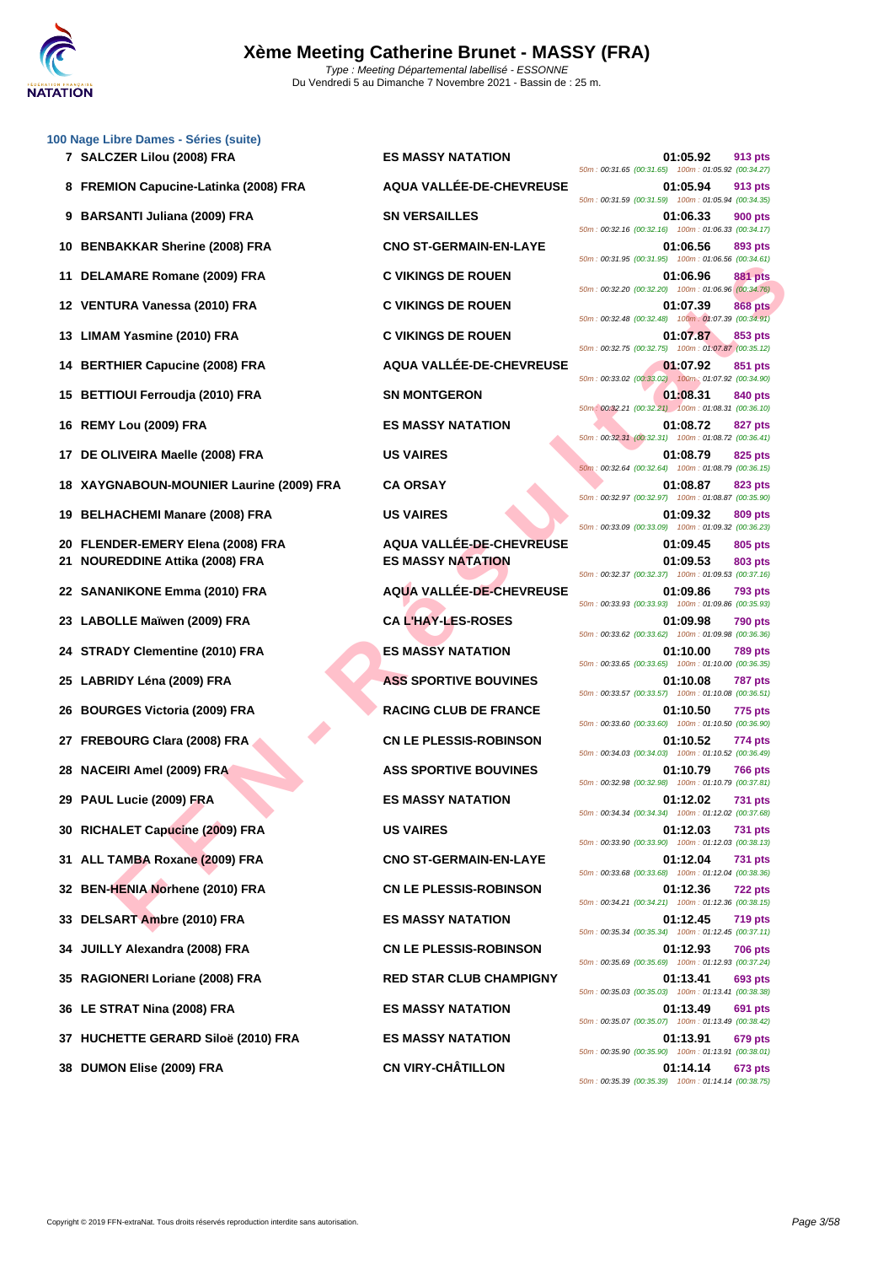

| 100 Nage Libre Dames - Séries (suite)<br>7 SALCZER Lilou (2008) FRA | <b>ES MASSY NATATION</b>       | 01:05.92<br>913 pts                                                                                                             |
|---------------------------------------------------------------------|--------------------------------|---------------------------------------------------------------------------------------------------------------------------------|
| 8 FREMION Capucine-Latinka (2008) FRA                               | AQUA VALLÉE-DE-CHEVREUSE       | 50m: 00:31.65 (00:31.65) 100m: 01:05.92 (00:34.27)<br>01:05.94<br>913 pts                                                       |
| <b>BARSANTI Juliana (2009) FRA</b><br>9                             | <b>SN VERSAILLES</b>           | 50m: 00:31.59 (00:31.59) 100m: 01:05.94 (00:34.35)<br>01:06.33<br><b>900 pts</b>                                                |
| <b>BENBAKKAR Sherine (2008) FRA</b><br>10                           | <b>CNO ST-GERMAIN-EN-LAYE</b>  | 50m: 00:32.16 (00:32.16) 100m: 01:06.33 (00:34.17)<br>01:06.56<br>893 pts                                                       |
| DELAMARE Romane (2009) FRA<br>11                                    | <b>C VIKINGS DE ROUEN</b>      | 50m : 00:31.95 (00:31.95) 100m : 01:06.56 (00:34.61)<br>01:06.96<br><b>881 pts</b>                                              |
| 12 VENTURA Vanessa (2010) FRA                                       | <b>C VIKINGS DE ROUEN</b>      | 50m: 00:32.20 (00:32.20) 100m: 01:06.96 (00:34.76)<br>01:07.39<br><b>868 pts</b>                                                |
| 13 LIMAM Yasmine (2010) FRA                                         | <b>C VIKINGS DE ROUEN</b>      | 50m: 00:32.48 (00:32.48) 100m: 01:07.39 (00:34.91)<br>01:07.87<br>853 pts                                                       |
| 14 BERTHIER Capucine (2008) FRA                                     | AQUA VALLÉE-DE-CHEVREUSE       | 50m: 00:32.75 (00:32.75) 100m: 01:07.87 (00:35.12)<br>01:07.92<br>851 pts                                                       |
| <b>BETTIOUI Ferroudja (2010) FRA</b><br>15                          | <b>SN MONTGERON</b>            | 50m: 00:33.02 (00:33.02) 100m: 01:07.92 (00:34.90)<br>01:08.31<br>840 pts                                                       |
| REMY Lou (2009) FRA<br>16                                           | <b>ES MASSY NATATION</b>       | 50m: 00:32.21 (00:32.21) 100m: 01:08.31 (00:36.10)<br>01:08.72<br><b>827 pts</b>                                                |
| DE OLIVEIRA Maelle (2008) FRA<br>17                                 | <b>US VAIRES</b>               | 50m: 00:32.31 (00:32.31) 100m: 01:08.72 (00:36.41)<br>01:08.79<br>825 pts                                                       |
| 18 XAYGNABOUN-MOUNIER Laurine (2009) FRA                            | <b>CA ORSAY</b>                | 50m: 00:32.64 (00:32.64) 100m: 01:08.79 (00:36.15)<br>01:08.87<br>823 pts<br>50m: 00:32.97 (00:32.97) 100m: 01:08.87 (00:35.90) |
| <b>BELHACHEMI Manare (2008) FRA</b><br>19                           | <b>US VAIRES</b>               | 01:09.32<br>809 pts<br>50m: 00:33.09 (00:33.09) 100m: 01:09.32 (00:36.23)                                                       |
| FLENDER-EMERY Elena (2008) FRA<br>20                                | AQUA VALLÉE-DE-CHEVREUSE       | 01:09.45<br>805 pts                                                                                                             |
| <b>NOUREDDINE Attika (2008) FRA</b><br>21                           | <b>ES MASSY NATATION</b>       | 01:09.53<br>803 pts<br>50m: 00:32.37 (00:32.37) 100m: 01:09.53 (00:37.16)                                                       |
| 22 SANANIKONE Emma (2010) FRA                                       | AQUA VALLÉE-DE-CHEVREUSE       | 01:09.86<br><b>793 pts</b><br>50m: 00:33.93 (00:33.93) 100m: 01:09.86 (00:35.93)                                                |
| LABOLLE Maïwen (2009) FRA<br>23                                     | <b>CA L'HAY-LES-ROSES</b>      | 01:09.98<br><b>790 pts</b><br>50m: 00:33.62 (00:33.62) 100m: 01:09.98 (00:36.36)                                                |
| <b>STRADY Clementine (2010) FRA</b><br>24                           | <b>ES MASSY NATATION</b>       | 01:10.00<br>789 pts<br>50m: 00:33.65 (00:33.65) 100m: 01:10.00 (00:36.35)                                                       |
| 25 LABRIDY Léna (2009) FRA                                          | <b>ASS SPORTIVE BOUVINES</b>   | 01:10.08<br>787 pts<br>50m: 00:33.57 (00:33.57) 100m: 01:10.08 (00:36.51)                                                       |
| <b>BOURGES Victoria (2009) FRA</b><br>26                            | <b>RACING CLUB DE FRANCE</b>   | 01:10.50<br>775 pts<br>50m: 00:33.60 (00:33.60) 100m: 01:10.50 (00:36.90)                                                       |
| <b>FREBOURG Clara (2008) FRA</b><br>27                              | <b>CN LE PLESSIS-ROBINSON</b>  | 01:10.52<br>774 pts<br>50m: 00:34.03 (00:34.03) 100m: 01:10.52 (00:36.49)                                                       |
| 28 NACEIRI Amel (2009) FRA                                          | <b>ASS SPORTIVE BOUVINES</b>   | 01:10.79<br>766 pts<br>50m: 00:32.98 (00:32.98) 100m: 01:10.79 (00:37.81)                                                       |
| 29 PAUL Lucie (2009) FRA                                            | <b>ES MASSY NATATION</b>       | 01:12.02<br><b>731 pts</b><br>50m: 00:34.34 (00:34.34) 100m: 01:12.02 (00:37.68)                                                |
| 30 RICHALET Capucine (2009) FRA                                     | <b>US VAIRES</b>               | 01:12.03<br>731 pts<br>50m: 00:33.90 (00:33.90) 100m: 01:12.03 (00:38.13)                                                       |
| 31 ALL TAMBA Roxane (2009) FRA                                      | <b>CNO ST-GERMAIN-EN-LAYE</b>  | 01:12.04<br><b>731 pts</b><br>50m: 00:33.68 (00:33.68) 100m: 01:12.04 (00:38.36)                                                |
| 32 BEN-HENIA Norhene (2010) FRA                                     | <b>CN LE PLESSIS-ROBINSON</b>  | 01:12.36<br>722 pts<br>50m: 00:34.21 (00:34.21) 100m: 01:12.36 (00:38.15)                                                       |
| 33 DELSART Ambre (2010) FRA                                         | <b>ES MASSY NATATION</b>       | 01:12.45<br><b>719 pts</b><br>50m: 00:35.34 (00:35.34) 100m: 01:12.45 (00:37.11)                                                |
| 34 JUILLY Alexandra (2008) FRA                                      | <b>CN LE PLESSIS-ROBINSON</b>  | 01:12.93<br><b>706 pts</b><br>50m: 00:35.69 (00:35.69) 100m: 01:12.93 (00:37.24)                                                |
| 35 RAGIONERI Loriane (2008) FRA                                     | <b>RED STAR CLUB CHAMPIGNY</b> | 01:13.41<br>693 pts<br>50m: 00:35.03 (00:35.03) 100m: 01:13.41 (00:38.38)                                                       |
| 36 LE STRAT Nina (2008) FRA                                         | <b>ES MASSY NATATION</b>       | 01:13.49<br>691 pts<br>50m: 00:35.07 (00:35.07) 100m: 01:13.49 (00:38.42)                                                       |
| 37 HUCHETTE GERARD Siloë (2010) FRA                                 | <b>ES MASSY NATATION</b>       | 01:13.91<br>679 pts<br>50m: 00:35.90 (00:35.90) 100m: 01:13.91 (00:38.01)                                                       |
| 38 DUMON Elise (2009) FRA                                           | <b>CN VIRY-CHÂTILLON</b>       | 01:14.14<br>673 pts<br>50m: 00:35.39 (00:35.39) 100m: 01:14.14 (00:38.75)                                                       |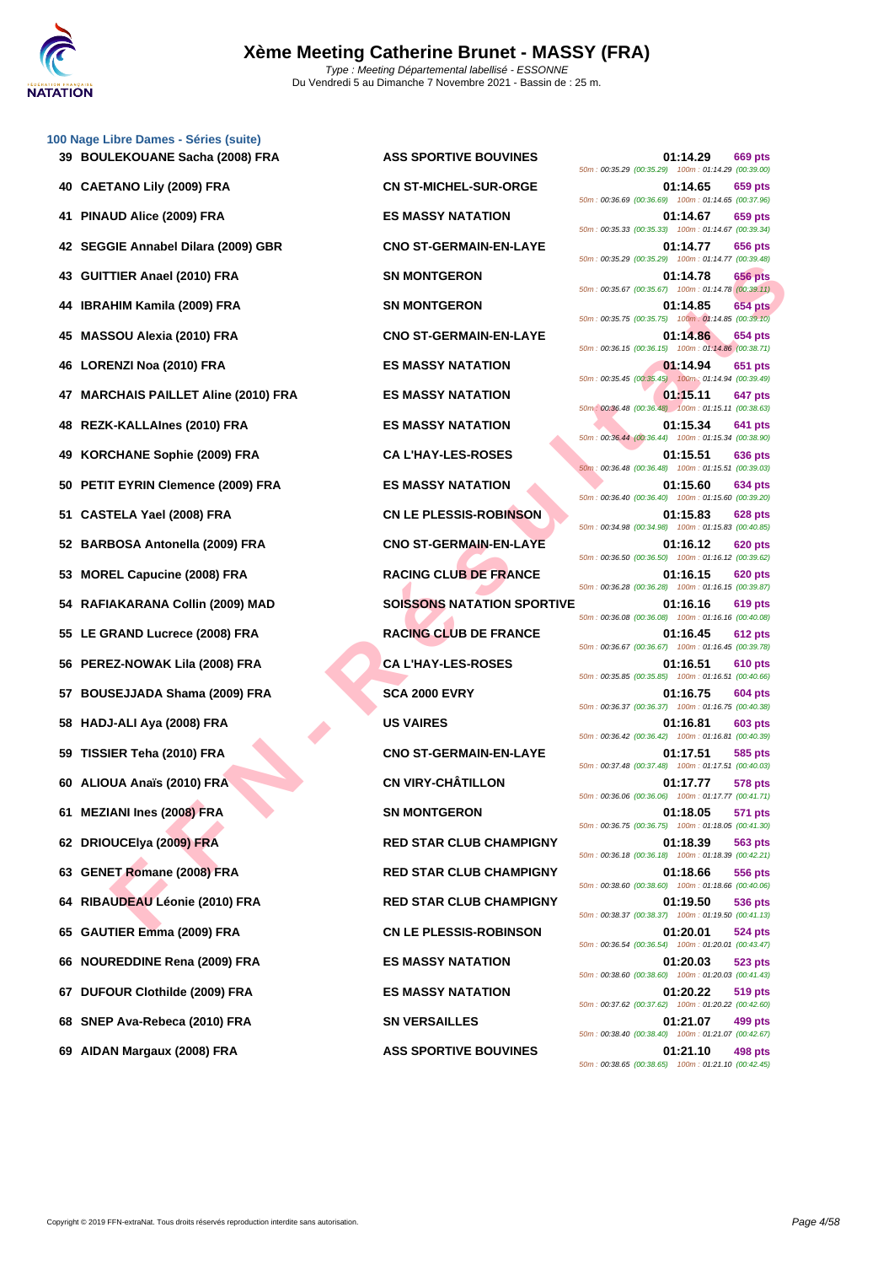

**[100 Nage](http://www.ffnatation.fr/webffn/index.php) Libre Dames - Séries (suite)**

| 39 BOULEKOUANE Sacha (2008) FRA      | <b>ASS SPORTIVE BOUVINES</b>      | 01:14.29<br>669 pts<br>50m: 00:35.29 (00:35.29) 100m: 01:14.29 (00:39.00)        |
|--------------------------------------|-----------------------------------|----------------------------------------------------------------------------------|
| 40 CAETANO Lily (2009) FRA           | <b>CN ST-MICHEL-SUR-ORGE</b>      | 01:14.65<br>659 pts<br>50m: 00:36.69 (00:36.69) 100m: 01:14.65 (00:37.96)        |
| 41 PINAUD Alice (2009) FRA           | <b>ES MASSY NATATION</b>          | 659 pts<br>01:14.67<br>50m: 00:35.33 (00:35.33) 100m: 01:14.67 (00:39.34)        |
| 42 SEGGIE Annabel Dilara (2009) GBR  | <b>CNO ST-GERMAIN-EN-LAYE</b>     | 656 pts<br>01:14.77<br>50m: 00:35.29 (00:35.29) 100m: 01:14.77 (00:39.48)        |
| 43 GUITTIER Anael (2010) FRA         | <b>SN MONTGERON</b>               | 656 pts<br>01:14.78<br>50m: 00:35.67 (00:35.67) 100m: 01:14.78 (00:39.11)        |
| 44 IBRAHIM Kamila (2009) FRA         | <b>SN MONTGERON</b>               | 01:14.85<br><b>654 pts</b><br>50m: 00:35.75 (00:35.75) 100m: 01:14.85 (00:39.10) |
| 45 MASSOU Alexia (2010) FRA          | <b>CNO ST-GERMAIN-EN-LAYE</b>     | 654 pts<br>01:14.86<br>50m: 00:36.15 (00:36.15) 100m: 01:14.86 (00:38.71)        |
| 46 LORENZI Noa (2010) FRA            | <b>ES MASSY NATATION</b>          | 01:14.94<br>651 pts<br>50m : 00:35.45 (00:35.45) 100m : 01:14.94 (00:39.49)      |
| 47 MARCHAIS PAILLET Aline (2010) FRA | <b>ES MASSY NATATION</b>          | 01:15.11<br>647 pts<br>50m: 00:36.48 (00:36.48) 100m: 01:15.11 (00:38.63)        |
| 48 REZK-KALLAInes (2010) FRA         | <b>ES MASSY NATATION</b>          | 01:15.34<br>641 pts<br>50m: 00:36.44 (00:36.44) 100m: 01:15.34 (00:38.90)        |
| 49 KORCHANE Sophie (2009) FRA        | <b>CA L'HAY-LES-ROSES</b>         | 01:15.51<br>636 pts<br>50m: 00:36.48 (00:36.48) 100m: 01:15.51 (00:39.03)        |
| 50 PETIT EYRIN Clemence (2009) FRA   | <b>ES MASSY NATATION</b>          | 01:15.60<br><b>634 pts</b><br>50m: 00:36.40 (00:36.40) 100m: 01:15.60 (00:39.20) |
| 51 CASTELA Yael (2008) FRA           | <b>CN LE PLESSIS-ROBINSON</b>     | 01:15.83<br>628 pts<br>50m: 00:34.98 (00:34.98) 100m: 01:15.83 (00:40.85)        |
| 52 BARBOSA Antonella (2009) FRA      | <b>CNO ST-GERMAIN-EN-LAYE</b>     | 620 pts<br>01:16.12<br>50m: 00:36.50 (00:36.50) 100m: 01:16.12 (00:39.62)        |
| 53 MOREL Capucine (2008) FRA         | <b>RACING CLUB DE FRANCE</b>      | 01:16.15<br><b>620 pts</b><br>50m: 00:36.28 (00:36.28) 100m: 01:16.15 (00:39.87) |
| 54 RAFIAKARANA Collin (2009) MAD     | <b>SOISSONS NATATION SPORTIVE</b> | 619 pts<br>01:16.16<br>50m: 00:36.08 (00:36.08) 100m: 01:16.16 (00:40.08)        |
| 55 LE GRAND Lucrece (2008) FRA       | <b>RACING CLUB DE FRANCE</b>      | 612 pts<br>01:16.45<br>50m: 00:36.67 (00:36.67) 100m: 01:16.45 (00:39.78)        |
| 56 PEREZ-NOWAK Lila (2008) FRA       | <b>CA L'HAY-LES-ROSES</b>         | <b>610 pts</b><br>01:16.51<br>50m: 00:35.85 (00:35.85) 100m: 01:16.51 (00:40.66) |
| 57 BOUSEJJADA Shama (2009) FRA       | <b>SCA 2000 EVRY</b>              | 01:16.75<br>604 pts<br>50m: 00:36.37 (00:36.37) 100m: 01:16.75 (00:40.38)        |
| 58 HADJ-ALI Aya (2008) FRA           | <b>US VAIRES</b>                  | 01:16.81<br>603 pts<br>50m: 00:36.42 (00:36.42) 100m: 01:16.81 (00:40.39)        |
| 59 TISSIER Teha (2010) FRA           | <b>CNO ST-GERMAIN-EN-LAYE</b>     | 01:17.51<br>585 pts<br>50m: 00:37.48 (00:37.48) 100m: 01:17.51 (00:40.03)        |
| 60 ALIOUA Anaïs (2010) FRA           | <b>CN VIRY-CHÂTILLON</b>          | 01:17.77<br>578 pts<br>50m: 00:36.06 (00:36.06) 100m: 01:17.77 (00:41.71)        |
| 61 MEZIANI Ines (2008) FRA           | <b>SN MONTGERON</b>               | 01:18.05<br>571 pts<br>50m: 00:36.75 (00:36.75) 100m: 01:18.05 (00:41.30)        |
| 62 DRIOUCEIya (2009) FRA             | <b>RED STAR CLUB CHAMPIGNY</b>    | 01:18.39<br>563 pts<br>50m: 00:36.18 (00:36.18) 100m: 01:18.39 (00:42.21)        |
| 63 GENET Romane (2008) FRA           | <b>RED STAR CLUB CHAMPIGNY</b>    | 01:18.66<br>556 pts<br>50m: 00:38.60 (00:38.60) 100m: 01:18.66 (00:40.06)        |
| 64 RIBAUDEAU Léonie (2010) FRA       | <b>RED STAR CLUB CHAMPIGNY</b>    | 01:19.50<br>536 pts<br>50m: 00:38.37 (00:38.37) 100m: 01:19.50 (00:41.13)        |
| 65 GAUTIER Emma (2009) FRA           | <b>CN LE PLESSIS-ROBINSON</b>     | 01:20.01<br>524 pts<br>50m: 00:36.54 (00:36.54) 100m: 01:20.01 (00:43.47)        |
| 66 NOUREDDINE Rena (2009) FRA        | <b>ES MASSY NATATION</b>          | 01:20.03<br>523 pts<br>50m: 00:38.60 (00:38.60) 100m: 01:20.03 (00:41.43)        |
| 67 DUFOUR Clothilde (2009) FRA       | <b>ES MASSY NATATION</b>          | 01:20.22<br>519 pts<br>50m: 00:37.62 (00:37.62) 100m: 01:20.22 (00:42.60)        |
| 68 SNEP Ava-Rebeca (2010) FRA        | <b>SN VERSAILLES</b>              | 499 pts<br>01:21.07<br>50m: 00:38.40 (00:38.40) 100m: 01:21.07 (00:42.67)        |
| 69 AIDAN Margaux (2008) FRA          | <b>ASS SPORTIVE BOUVINES</b>      | 01:21.10<br>498 pts<br>50m: 00:38.65 (00:38.65) 100m: 01:21.10 (00:42.45)        |

**FINE ARABIT (2019) FRA**<br> **FER TAND (2019) FRA**<br> **FERD TAND ENDIREGENTS AND CONSUMER ARENT AND CONSUMER ARENT ASSOCIATES AND CONSUMER SOLUTION CONSUMERANT CONSUMERANT CONSUMERANT CONSUMER CONSUMERANT CONSUMERS CONSUMER CON ASS SPORTIVE BOUVINES** 01:14.29 669 pts 50m : 00:35.29 (00:35.29) 100m : 01:14.29 (00:39.00) **40 CAETANO Lily (2009) FRA CN ST-MICHEL-SUR-ORGE 01:14.65 659 pts** 50m : 00:36.69 (00:36.69) 100m : 01:14.65 (00:37.96) **41 PINAUD Alice (2009) FRA ES MASSY NATATION 01:14.67 659 pts** 50m : 00:35.33 (00:35.33) 100m : 01:14.67 (00:39.34) **422 CNO ST-GERMAIN-EN-LAYE CNO ST-GERMAIN-EN-LAYE** 50m : 00:35.29 (00:35.29) 100m : 01:14.77 (00:39.48) **43 656 pts 656 pts 656 pts** 50m : 00:35.67 (00:35.67) 100m : 01:14.78 (00:39.11) **444 144 144 CONSIDER SN MONTGERON 01:14.85 654 pts** 50m : 00:35.75 (00:35.75) 100m : 01:14.85 (00:39.10) **4556 CNO ST-GERMAIN-EN-LAYE 11:14.86 654 pts** 50m : 00:36.15 (00:36.15) 100m : 01:14.86 (00:38.71) **4651 <b>LORENZI NOA (2010)** FRANCISCO **01:14.94 651 pts** 50m : 00:35.45 (00:35.45) 100m : 01:14.94 (00:39.49) **47 MASSY NATATION 11:15.11 647 pts** 50m : 00:36.48 (00:36.48) 100m : 01:15.11 (00:38.63) **48 RES MASSY NATATION 01:15.34 641 pts** 50m : 00:36.44 (00:36.44) 100m : 01:15.34 (00:38.90) **49 CA L'HAY-LES-ROSES 01:15.51 636 pts** 50m : 00:36.48 (00:36.48) 100m : 01:15.51 (00:39.03) **500 ES MASSY NATATION CONSUMING CONSUMING CONSUMING CONSUMING CONSUMING CONSUMING CONSUMING CONSUMING CONSUMING CONSUMING CONSUMING CONSUMING CONSUMING CONSUMING CONSUMING CONSUMING CONSUMING CONSUMING CONSUMING CONSUMI** 50m : 00:36.40 (00:36.40) 100m : 01:15.60 (00:39.20) **528 pts CN LE PLESSIS-ROBINSON 628 pts** 50m : 00:34.98 (00:34.98) 100m : 01:15.83 (00:40.85) **52 BARBOSA Antonella (2009) FRA CNO ST-GERMAIN-EN-LAYE 01:16.12 620 pts** 50m : 00:36.50 (00:36.50) 100m : 01:16.12 (00:39.62) **533 RACING CLUB DE FRANCE 620 pts** 50m : 00:36.28 (00:36.28) 100m : 01:16.15 (00:39.87) **50ISSONS NATATION SPORTIVE 01:16.16** 619 pts 50m : 00:36.08 (00:36.08) 100m : 01:16.16 (00:40.08) **55 CLUB DE FRANCE 01:16.45 612 pts** 50m : 00:36.67 (00:36.67) 100m : 01:16.45 (00:39.78) **56 PEREZ-NOWAK Lila (2008) FRA CA L'HAY-LES-ROSES 01:16.51 610 pts** 50m : 00:35.85 (00:35.85) 100m : 01:16.51 (00:40.66) **5CA 2000 EVRY 01:16.75 604 pts** 50m : 00:36.37 (00:36.37) 100m : 01:16.75 (00:40.38) 50m : 00:36.42 (00:36.42) 100m : 01:16.81 (00:40.39) **59 TISSIER Teha (2010) FRA CNO ST-GERMAIN-EN-LAYE 01:17.51 585 pts** 50m : 00:37.48 (00:37.48) 100m : 01:17.51 (00:40.03) **60 ALIOUA Anaïs (2010) FRA CN VIRY-CHÂTILLON 01:17.77 578 pts** 50m : 00:36.06 (00:36.06) 100m : 01:17.77 (00:41.71) **61118.05 671 pts** 50m : 00:36.75 (00:36.75) 100m : 01:18.05 (00:41.30) **62 DRIOUCElya (2009) FRA RED STAR CLUB CHAMPIGNY 01:18.39 563 pts** 50m : 00:36.18 (00:36.18) 100m : 01:18.39 (00:42.21) **63 63 63 63 64 64 64 64 656 64 656 656 656 656 656 656 656 656 656 656 656 656 656 656 656 656 656 656 656 656 656 656 656 656 656 656 656 656 65** 50m : 00:38.60 (00:38.60) 100m : 01:18.66 (00:40.06) **644 RED STAR CLUB CHAMPIGNY 01:19.50 536 pts** 50m : 00:38.37 (00:38.37) 100m : 01:19.50 (00:41.13) **65 GAUTIER Emma (2009) FRA CN LE PLESSIS-ROBINSON 01:20.01 524 pts** 50m : 00:36.54 (00:36.54) 100m : 01:20.01 (00:43.47) **66 66 120.03 623 pts** 50m : 00:38.60 (00:38.60) 100m : 01:20.03 (00:41.43) **67 DUFOUR Clothilde (2009) FRA ES MASSY NATATION 01:20.22 519 pts** 50m : 00:37.62 (00:37.62) 100m : 01:20.22 (00:42.60) **688 688 <b>691:21.07 499 pts** 50m : 00:38.40 (00:38.40) 100m : 01:21.07 (00:42.67) **698 699 121.10 ASS SPORTIVE BOUVINES 121.10 121.10 498 pts** 50m : 00:38.65 (00:38.65) 100m : 01:21.10 (00:42.45)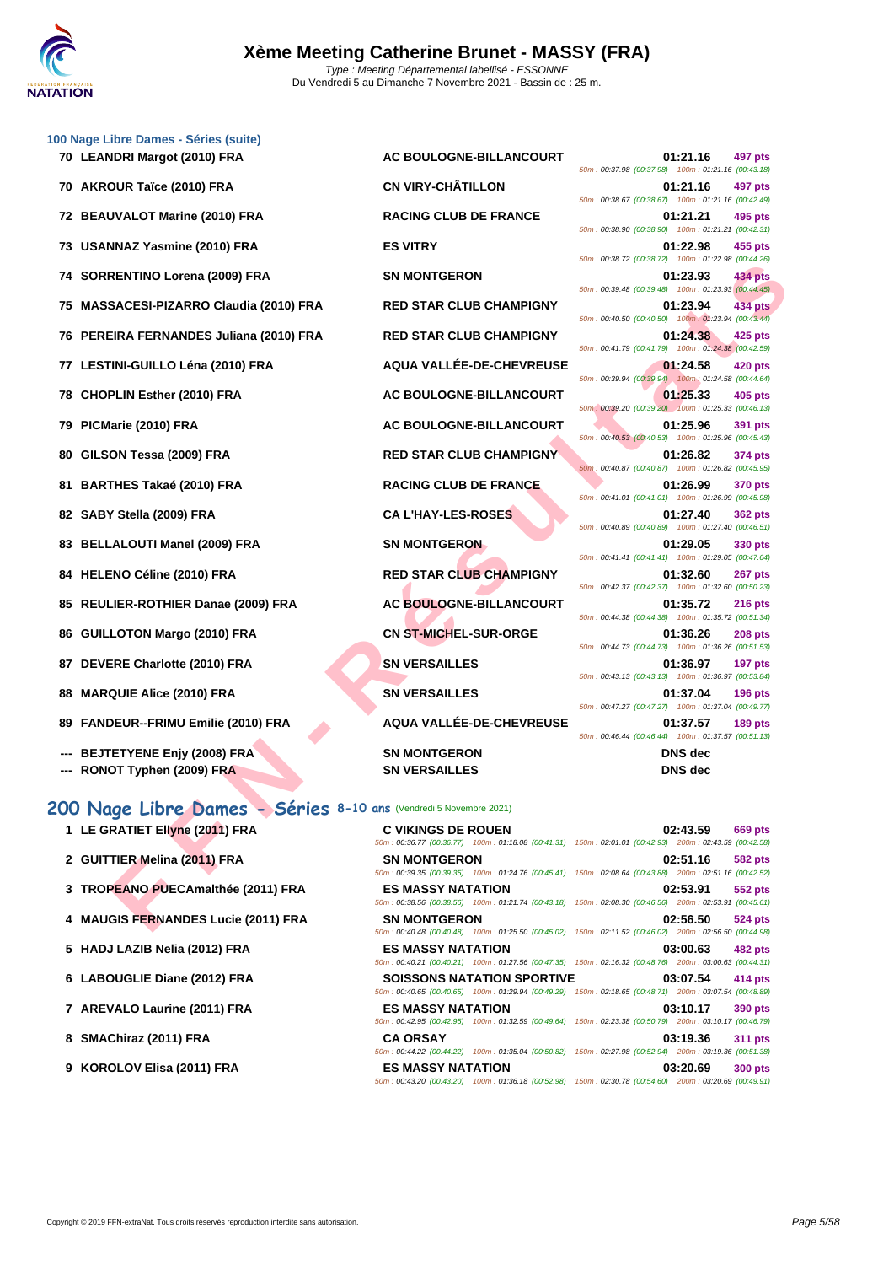

|    | 100 Nage Libre Dames - Séries (suite)                             |                                |                                                                                                                                          |
|----|-------------------------------------------------------------------|--------------------------------|------------------------------------------------------------------------------------------------------------------------------------------|
|    | 70 LEANDRI Margot (2010) FRA                                      | AC BOULOGNE-BILLANCOURT        | 01:21.16<br>497 pts<br>50m: 00:37.98 (00:37.98) 100m: 01:21.16 (00:43.18)                                                                |
|    | 70 AKROUR Taïce (2010) FRA                                        | <b>CN VIRY-CHÂTILLON</b>       | 01:21.16<br>497 pts<br>50m: 00:38.67 (00:38.67) 100m: 01:21.16 (00:42.49)                                                                |
|    | 72 BEAUVALOT Marine (2010) FRA                                    | <b>RACING CLUB DE FRANCE</b>   | 01:21.21<br>495 pts<br>50m: 00:38.90 (00:38.90) 100m: 01:21.21 (00:42.31)                                                                |
|    | 73 USANNAZ Yasmine (2010) FRA                                     | <b>ES VITRY</b>                | 01:22.98<br>455 pts<br>50m: 00:38.72 (00:38.72) 100m: 01:22.98 (00:44.26)                                                                |
|    | 74 SORRENTINO Lorena (2009) FRA                                   | <b>SN MONTGERON</b>            | 01:23.93<br>434 pts<br>50m: 00:39.48 (00:39.48) 100m: 01:23.93 (00:44.45)                                                                |
|    | 75 MASSACESI-PIZARRO Claudia (2010) FRA                           | <b>RED STAR CLUB CHAMPIGNY</b> | 01:23.94<br>434 pts<br>50m: 00:40.50 (00:40.50) 100m: 01:23.94 (00:43.44)                                                                |
|    | 76 PEREIRA FERNANDES Juliana (2010) FRA                           | <b>RED STAR CLUB CHAMPIGNY</b> | 01:24.38<br>425 pts                                                                                                                      |
|    | 77 LESTINI-GUILLO Léna (2010) FRA                                 | AQUA VALLÉE-DE-CHEVREUSE       | 50m: 00:41.79 (00:41.79) 100m: 01:24.38 (00:42.59)<br>01:24.58<br>420 pts                                                                |
|    | 78 CHOPLIN Esther (2010) FRA                                      | AC BOULOGNE-BILLANCOURT        | 50m: 00:39.94 (00:39.94) 100m: 01:24.58 (00:44.64)<br>01:25.33<br>405 pts                                                                |
|    | 79 PICMarie (2010) FRA                                            | AC BOULOGNE-BILLANCOURT        | 50m: 00:39.20 (00:39.20) 100m: 01:25.33 (00:46.13)<br>01:25.96<br>391 pts                                                                |
| 80 | GILSON Tessa (2009) FRA                                           | <b>RED STAR CLUB CHAMPIGNY</b> | 50m: 00:40.53 (00:40.53) 100m: 01:25.96 (00:45.43)<br>01:26.82<br>374 pts                                                                |
|    | 81 BARTHES Takaé (2010) FRA                                       | <b>RACING CLUB DE FRANCE</b>   | 50m: 00:40.87 (00:40.87) 100m: 01:26.82 (00:45.95)<br>01:26.99<br><b>370 pts</b>                                                         |
|    | 82 SABY Stella (2009) FRA                                         | <b>CA L'HAY-LES-ROSES</b>      | 50m: 00:41.01 (00:41.01) 100m: 01:26.99 (00:45.98)<br>01:27.40<br><b>362 pts</b>                                                         |
|    | 83 BELLALOUTI Manel (2009) FRA                                    | <b>SN MONTGERON</b>            | 50m: 00:40.89 (00:40.89) 100m: 01:27.40 (00:46.51)<br>01:29.05<br>330 pts                                                                |
|    | 84 HELENO Céline (2010) FRA                                       | <b>RED STAR CLUB CHAMPIGNY</b> | 50m: 00:41.41 (00:41.41) 100m: 01:29.05 (00:47.64)<br>01:32.60<br>267 pts                                                                |
|    | 85 REULIER-ROTHIER Danae (2009) FRA                               | AC BOULOGNE-BILLANCOURT        | 50m: 00:42.37 (00:42.37) 100m: 01:32.60 (00:50.23)<br>01:35.72<br><b>216 pts</b>                                                         |
|    | 86 GUILLOTON Margo (2010) FRA                                     | <b>CN ST-MICHEL-SUR-ORGE</b>   | 50m: 00:44.38 (00:44.38) 100m: 01:35.72 (00:51.34)<br>01:36.26<br><b>208 pts</b>                                                         |
|    | 87 DEVERE Charlotte (2010) FRA                                    | <b>SN VERSAILLES</b>           | 50m: 00:44.73 (00:44.73) 100m: 01:36.26 (00:51.53)<br>01:36.97<br>197 pts                                                                |
|    | 88 MARQUIE Alice (2010) FRA                                       | <b>SN VERSAILLES</b>           | 50m: 00:43.13 (00:43.13) 100m: 01:36.97 (00:53.84)<br>01:37.04<br><b>196 pts</b>                                                         |
|    | 89 FANDEUR--FRIMU Emilie (2010) FRA                               | AQUA VALLÉE-DE-CHEVREUSE       | 50m: 00:47.27 (00:47.27) 100m: 01:37.04 (00:49.77)<br>01:37.57<br><b>189 pts</b>                                                         |
|    | <b>BEJTETYENE Enjy (2008) FRA</b>                                 | <b>SN MONTGERON</b>            | 50m: 00:46.44 (00:46.44) 100m: 01:37.57 (00:51.13)<br><b>DNS</b> dec                                                                     |
|    | --- RONOT Typhen (2009) FRA                                       | <b>SN VERSAILLES</b>           | <b>DNS</b> dec                                                                                                                           |
|    | 200 Nage Libre Dames - Séries 8-10 ans (Vendredi 5 Novembre 2021) |                                |                                                                                                                                          |
|    | 1 LE GRATIET Ellyne (2011) FRA                                    | <b>C VIKINGS DE ROUEN</b>      | 02:43.59<br><b>669 pts</b><br>50m: 00:36.77 (00:36.77) 100m: 01:18.08 (00:41.31) 150m: 02:01.01 (00:42.93) 200m: 02:43.59 (00:42.58)     |
|    | 2 GUITTIER Melina (2011) FRA                                      | <b>SN MONTGERON</b>            | 02:51.16<br>582 pts                                                                                                                      |
|    | 3 TROPEANO PUECAmalthée (2011) FRA                                | <b>ES MASSY NATATION</b>       | 50m: 00:39.35 (00:39.35) 100m: 01:24.76 (00:45.41) 150m: 02:08.64 (00:43.88) 200m: 02:51.16 (00:42.52)<br>02:53.91<br>552 pts            |
|    | 4 MAUGIS FERNANDES Lucie (2011) FRA                               | <b>SN MONTGERON</b>            | 50m : 00:38.56 (00:38.56) 100m : 01:21.74 (00:43.18) 150m : 02:08.30 (00:46.56) 200m : 02:53.91 (00:45.61)<br>02:56.50<br><b>524 pts</b> |
|    |                                                                   |                                |                                                                                                                                          |

| 50m: 00:37.98 (00:37.98) 100m: 01:21.16 (00:43.18)   | 01:21.16       | 497 pts        |
|------------------------------------------------------|----------------|----------------|
|                                                      | 01:21.16       | 497 pts        |
| 50m: 00:38.67 (00:38.67) 100m: 01:21.16 (00:42.49)   |                |                |
| 50m: 00:38.90 (00:38.90) 100m: 01:21.21 (00:42.31)   | 01:21.21       | 495 pts        |
|                                                      | 01:22.98       | 455 pts        |
| 50m: 00:38.72 (00:38.72) 100m: 01:22.98 (00:44.26)   |                |                |
|                                                      | 01:23.93       | <b>434 pts</b> |
| 50m: 00:39.48 (00:39.48) 100m: 01:23.93 (00:44.45)   | 01:23.94       | <b>434 pts</b> |
| 50m: 00:40.50 (00:40.50) 100m: 01:23.94 (00:43.44)   |                |                |
|                                                      | 01:24.38       | 425 pts        |
| 50m: 00:41.79 (00:41.79) 100m: 01:24.38 (00:42.59)   |                |                |
| 50m : 00:39.94 (00:39.94) 100m : 01:24.58 (00:44.64) | 01:24.58       | 420 pts        |
|                                                      | 01:25.33       | <b>405 pts</b> |
| 50m: 00:39.20 (00:39.20) 100m: 01:25.33 (00:46.13)   |                |                |
|                                                      | 01:25.96       | <b>391 pts</b> |
| 50m: 00:40.53 (00:40.53) 100m: 01:25.96 (00:45.43)   |                |                |
| 50m: 00:40.87 (00:40.87) 100m: 01:26.82 (00:45.95)   | 01:26.82       | 374 pts        |
|                                                      | 01:26.99       | 370 pts        |
| 50m: 00:41.01 (00:41.01) 100m: 01:26.99 (00:45.98)   |                |                |
|                                                      | 01:27.40       | <b>362 pts</b> |
| 50m: 00:40.89 (00:40.89) 100m: 01:27.40 (00:46.51)   | 01:29.05       | 330 pts        |
| 50m: 00:41.41 (00:41.41) 100m: 01:29.05 (00:47.64)   |                |                |
|                                                      | 01:32.60       | 267 pts        |
| 50m: 00:42.37 (00:42.37) 100m: 01:32.60 (00:50.23)   |                |                |
| 50m: 00:44.38 (00:44.38) 100m: 01:35.72 (00:51.34)   | 01:35.72       | <b>216 pts</b> |
|                                                      | 01:36.26       | <b>208 pts</b> |
| 50m: 00:44.73 (00:44.73) 100m: 01:36.26 (00:51.53)   |                |                |
|                                                      | 01:36.97       | 197 pts        |
| 50m: 00:43.13 (00:43.13) 100m: 01:36.97 (00:53.84)   |                |                |
| 50m: 00:47.27 (00:47.27) 100m: 01:37.04 (00:49.77)   | 01:37.04       | 196 pts        |
|                                                      | 01:37.57       | 189 pts        |
| 50m: 00:46.44 (00:46.44) 100m: 01:37.57 (00:51.13)   |                |                |
|                                                      | <b>DNS</b> dec |                |

## **200 Nage Libre Dames - Séries 8-10 ans** (Vendredi 5 Novembre 2021)

| 1 LE GRATIET Ellyne (2011) FRA      | <b>C VIKINGS DE ROUEN</b>                                                                                  | 02:43.59 | <b>669 pts</b> |
|-------------------------------------|------------------------------------------------------------------------------------------------------------|----------|----------------|
|                                     | 50m: 00:36.77 (00:36.77) 100m: 01:18.08 (00:41.31) 150m: 02:01.01 (00:42.93) 200m: 02:43.59 (00:42.58)     |          |                |
| 2 GUITTIER Melina (2011) FRA        | <b>SN MONTGERON</b>                                                                                        | 02:51.16 | 582 pts        |
|                                     | 50m: 00:39.35 (00:39.35) 100m: 01:24.76 (00:45.41) 150m: 02:08.64 (00:43.88) 200m: 02:51.16 (00:42.52)     |          |                |
| 3 TROPEANO PUECAmalthée (2011) FRA  | <b>ES MASSY NATATION</b>                                                                                   | 02:53.91 | 552 pts        |
|                                     | 50m: 00:38.56 (00:38.56) 100m: 01:21.74 (00:43.18) 150m: 02:08.30 (00:46.56) 200m: 02:53.91 (00:45.61)     |          |                |
| 4 MAUGIS FERNANDES Lucie (2011) FRA | <b>SN MONTGERON</b>                                                                                        | 02:56.50 | <b>524 pts</b> |
|                                     | 50m : 00:40.48 (00:40.48) 100m : 01:25.50 (00:45.02) 150m : 02:11.52 (00:46.02) 200m : 02:56.50 (00:44.98) |          |                |
| 5 HADJ LAZIB Nelia (2012) FRA       | <b>ES MASSY NATATION</b>                                                                                   | 03:00.63 | 482 pts        |
|                                     | 50m: 00:40.21 (00:40.21) 100m: 01:27.56 (00:47.35) 150m: 02:16.32 (00:48.76) 200m: 03:00.63 (00:44.31)     |          |                |
| 6 LABOUGLIE Diane (2012) FRA        | <b>SOISSONS NATATION SPORTIVE</b>                                                                          | 03:07.54 | 414 pts        |
|                                     | 50m: 00:40.65 (00:40.65) 100m: 01:29.94 (00:49.29) 150m: 02:18.65 (00:48.71) 200m: 03:07.54 (00:48.89)     |          |                |
| 7 AREVALO Laurine (2011) FRA        | <b>ES MASSY NATATION</b>                                                                                   | 03:10.17 | 390 pts        |
|                                     | 50m: 00:42.95 (00:42.95) 100m: 01:32.59 (00:49.64) 150m: 02:23.38 (00:50.79) 200m: 03:10.17 (00:46.79)     |          |                |
| 8 SMAChiraz (2011) FRA              | <b>CA ORSAY</b>                                                                                            | 03:19.36 | 311 pts        |
|                                     | 50m : 00:44.22 (00:44.22) 100m : 01:35.04 (00:50.82) 150m : 02:27.98 (00:52.94) 200m : 03:19.36 (00:51.38) |          |                |
| 9 KOROLOV Elisa (2011) FRA          | <b>ES MASSY NATATION</b>                                                                                   | 03:20.69 | <b>300 pts</b> |
|                                     | 50m: 00:43.20 (00:43.20) 100m: 01:36.18 (00:52.98) 150m: 02:30.78 (00:54.60) 200m: 03:20.69 (00:49.91)     |          |                |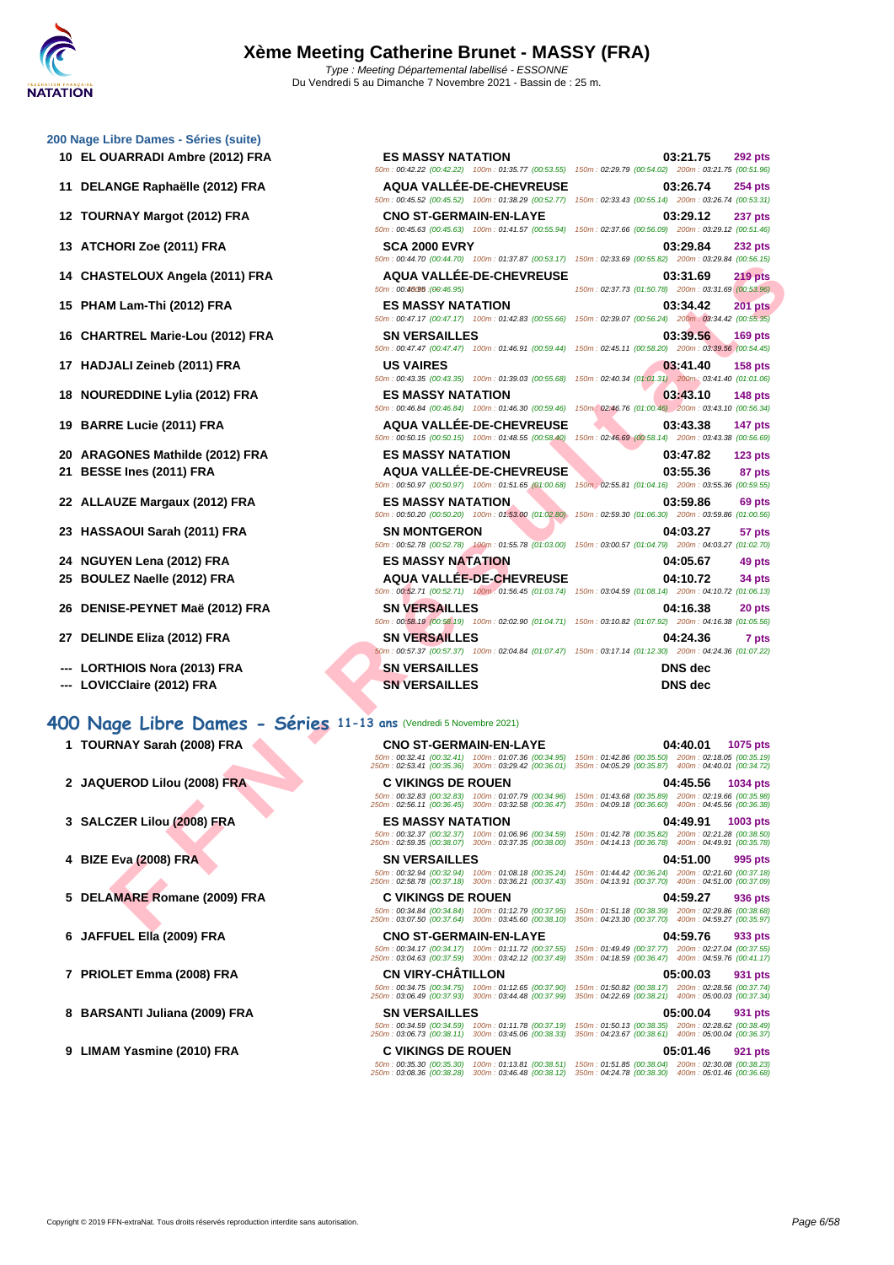|  | 200 Nage Libre Dames - Séries (suite) |  |
|--|---------------------------------------|--|

- 
- 
- 
- 
- 
- 
- 
- 
- 
- 
- 
- 
- 
- 
- 
- 
- 
- **--- LORTHIOIS Nora (2013) FRA SN**
- **--- LOVICClaire (2012) FRA SN**

#### **400 Nage Libre Dames - Séries 11-13 ans** (Vendredi 5 Novembre 2021)

- 
- **2 JAQUEROD Lilou (2008) FRA C VIKINGS DE ROUEN 04:45.56 1034 pts**
- 
- 
- **5 DELAMARE Romane (2009) FRA C VIKINGS DE ROUEN 04:59.27 936 pts**
- 
- **7 PRIOLET Emma (2008) FRA CN VIRY-CHÂTILLON 05:00.03 931 pts**
- **8 BARSANTI Juliana (2009) FRA SN VERSAILLES 05:00.04 931 pts**
- **9 LIMAM Yasmine (2010) FRA C VIKINGS DE ROUEN 05:01.46 921 pts**

| 10 EL OUARRADI Ambre (2012) FRA                                   | <b>ES MASSY NATATION</b>                                                                                                                                      | 03:21.75<br><b>292 pts</b><br>50m: 00:42.22 (00:42.22) 100m: 01:35.77 (00:53.55) 150m: 02:29.79 (00:54.02) 200m: 03:21.75 (00:51.96)     |
|-------------------------------------------------------------------|---------------------------------------------------------------------------------------------------------------------------------------------------------------|------------------------------------------------------------------------------------------------------------------------------------------|
| 11 DELANGE Raphaëlle (2012) FRA                                   | <b>AQUA VALLEE-DE-CHEVREUSE</b>                                                                                                                               | 03:26.74<br><b>254 pts</b><br>50m: 00:45.52 (00:45.52) 100m: 01:38.29 (00:52.77) 150m: 02:33.43 (00:55.14) 200m: 03:26.74 (00:53.31)     |
| 12 TOURNAY Margot (2012) FRA                                      | <b>CNO ST-GERMAIN-EN-LAYE</b>                                                                                                                                 | 03:29.12<br><b>237 pts</b><br>50m : 00:45.63 (00:45.63) 100m : 01:41.57 (00:55.94) 150m : 02:37.66 (00:56.09) 200m : 03:29.12 (00:51.46) |
| 13 ATCHORI Zoe (2011) FRA                                         | <b>SCA 2000 EVRY</b>                                                                                                                                          | 03:29.84<br><b>232 pts</b><br>50m : 00:44.70 (00:44.70) 100m : 01:37.87 (00:53.17) 150m : 02:33.69 (00:55.82) 200m : 03:29.84 (00:56.15) |
| 14 CHASTELOUX Angela (2011) FRA                                   | <b>AQUA VALLEE-DE-CHEVREUSE</b><br>50m: 00:46095 : (00:46.95)                                                                                                 | 219 pts<br>03:31.69<br>150m: 02:37.73 (01:50.78) 200m: 03:31.69 (00:53.96)                                                               |
| 15 PHAM Lam-Thi (2012) FRA                                        | <b>ES MASSY NATATION</b>                                                                                                                                      | 03:34.42<br><b>201 pts</b><br>50m: 00:47.17 (00:47.17) 100m: 01:42.83 (00:55.66) 150m: 02:39.07 (00:56.24) 200m: 03:34.42 (00:55.35)     |
| 16 CHARTREL Marie-Lou (2012) FRA                                  | <b>SN VERSAILLES</b>                                                                                                                                          | 03:39.56<br>169 pts<br>50m : 00:47.47 (00:47.47) 100m : 01:46.91 (00:59.44) 150m : 02:45.11 (00:58.20) 200m : 03:39.56 (00:54.45)        |
| 17 HADJALI Zeineb (2011) FRA                                      | <b>US VAIRES</b>                                                                                                                                              | 03:41.40<br><b>158 pts</b><br>50m : 00:43.35 (00:43.35) 100m : 01:39.03 (00:55.68) 150m : 02:40.34 (01:01.31) 200m : 03:41.40 (01:01.06) |
| 18 NOUREDDINE Lylia (2012) FRA                                    | <b>ES MASSY NATATION</b><br>50m: 00:46.84 (00:46.84) 100m: 01:46.30 (00:59.46)                                                                                | 03:43.10<br><b>148 pts</b><br>150m: 02:46.76 (01:00.46) 200m: 03:43.10 (00:56.34)                                                        |
| 19 BARRE Lucie (2011) FRA                                         | <b>AQUA VALLÉE-DE-CHEVREUSE</b><br>50m: 00:50.15 (00:50.15) 100m: 01:48.55 (00:58.40)                                                                         | 03:43.38<br>147 pts<br>150m: 02:46.69 (00:58.14) 200m: 03:43.38 (00:56.69)                                                               |
| 20 ARAGONES Mathilde (2012) FRA                                   | <b>ES MASSY NATATION</b>                                                                                                                                      | 03:47.82<br>$123$ pts                                                                                                                    |
| 21 BESSE Ines (2011) FRA                                          | <b>AQUA VALLEE-DE-CHEVREUSE</b>                                                                                                                               | 03:55.36<br>87 pts<br>50m : 00:50.97 (00:50.97) 100m : 01:51.65 (01:00.68) 150m : 02:55.81 (01:04.16) 200m : 03:55.36 (00:59.55)         |
| 22 ALLAUZE Margaux (2012) FRA                                     | <b>ES MASSY NATATION</b><br>50m: 00:50.20 (00:50.20) 100m: 01:53.00 (01:02.80)                                                                                | 03:59.86<br>69 pts<br>150m: 02:59.30 (01:06.30) 200m: 03:59.86 (01:00.56)                                                                |
| 23 HASSAOUI Sarah (2011) FRA                                      | <b>SN MONTGERON</b>                                                                                                                                           | 04:03.27<br>57 pts<br>50m: 00:52.78 (00:52.78) 100m: 01:55.78 (01:03.00) 150m: 03:00.57 (01:04.79) 200m: 04:03.27 (01:02.70)             |
| 24 NGUYEN Lena (2012) FRA                                         | <b>ES MASSY NATATION</b>                                                                                                                                      | 04:05.67<br>49 pts                                                                                                                       |
| 25 BOULEZ Naelle (2012) FRA                                       | <b>AQUA VALLEE-DE-CHEVREUSE</b>                                                                                                                               | 04:10.72<br>34 pts<br>50m: 00:52.71 (00:52.71) 100m: 01:56.45 (01:03.74) 150m: 03:04.59 (01:08.14) 200m: 04:10.72 (01:06.13)             |
| 26 DENISE-PEYNET Maë (2012) FRA                                   | <b>SN VERSAILLES</b>                                                                                                                                          | 04:16.38<br>20 pts<br>50m : 00:58.19 (00:58.19) 100m : 02:02.90 (01:04.71) 150m : 03:10.82 (01:07.92) 200m : 04:16.38 (01:05.56)         |
| 27 DELINDE Eliza (2012) FRA                                       | <b>SN VERSAILLES</b>                                                                                                                                          | 04:24.36<br>7 pts<br>50m: 00:57.37 (00:57.37) 100m: 02:04.84 (01:07.47) 150m: 03:17.14 (01:12.30) 200m: 04:24.36 (01:07.22)              |
| <b>LORTHIOIS Nora (2013) FRA</b><br>--- LOVICClaire (2012) FRA    | <b>SN VERSAILLES</b><br><b>SN VERSAILLES</b>                                                                                                                  | <b>DNS</b> dec<br><b>DNS</b> dec                                                                                                         |
| 00 Nage Libre Dames - Séries 11-13 ans (Vendredi 5 Novembre 2021) |                                                                                                                                                               |                                                                                                                                          |
| 1 TOURNAY Sarah (2008) FRA                                        | <b>CNO ST-GERMAIN-EN-LAYE</b><br>250m: 02:53.41 (00:35.36) 300m: 03:29.42 (00:36.01) 350m: 04:05.29 (00:35.87) 400m: 04:40.01 (00:34.72)                      | 04:40.01<br>1075 pts<br>50m : 00:32.41 (00:32.41) 100m : 01:07.36 (00:34.95) 150m : 01:42.86 (00:35.50) 200m : 02:18.05 (00:35.19)       |
| 2 JAQUEROD Lilou (2008) FRA                                       | <b>C VIKINGS DE ROUEN</b><br>50m: 00:32.83 (00:32.83) 100m: 01:07.79 (00:34.96)                                                                               | 04:45.56<br>1034 pts<br>150m: 01:43.68 (00:35.89) 200m: 02:19.66 (00:35.98)                                                              |
|                                                                   | 250m: 02:56.11 (00:36.45) 300m: 03:32.58 (00:36.47)                                                                                                           | 350m: 04:09.18 (00:36.60) 400m: 04:45.56 (00:36.38)                                                                                      |
| 3 SALCZER Lilou (2008) FRA                                        | <b>ES MASSY NATATION</b><br>50m: 00:32.37 (00:32.37) 100m: 01:06.96 (00:34.59)                                                                                | 04:49.91<br>1003 pts<br>150m: 01:42.78 (00:35.82) 200m: 02:21.28 (00:38.50)                                                              |
|                                                                   | 250m: 02:59.35 (00:38.07) 300m: 03:37.35 (00:38.00)                                                                                                           | 350m: 04:14.13 (00:36.78) 400m: 04:49.91 (00:35.78)                                                                                      |
| 4 BIZE Eva (2008) FRA                                             | <b>SN VERSAILLES</b><br>50m: 00:32.94 (00:32.94) 100m: 01:08.18 (00:35.24)<br>250m: 02:58.78 (00:37.18) 300m: 03:36.21 (00:37.43)                             | 04:51.00<br>995 pts<br>150m: 01:44.42 (00:36.24) 200m: 02:21.60 (00:37.18)<br>350m: 04:13.91 (00:37.70) 400m: 04:51.00 (00:37.09)        |
| 5 DELAMARE Romane (2009) FRA                                      | <b>C VIKINGS DE ROUEN</b>                                                                                                                                     | 04:59.27<br>936 pts                                                                                                                      |
|                                                                   | 50m: 00:34.84 (00:34.84) 100m: 01:12.79 (00:37.95)<br>250m: 03:07.50 (00:37.64) 300m: 03:45.60 (00:38.10) 350m: 04:23.30 (00:37.70) 400m: 04:59.27 (00:35.97) | 150m: 01:51.18 (00:38.39) 200m: 02:29.86 (00:38.68)                                                                                      |

- **1 TOURNAY Sarah (2008) FRA CNO ST-GERMAIN-EN-LAYE 04:40.01 1075 pts** 50m : 00:32.41 (00:32.41) 100m : 01:07.36 (00:34.95) 150m : 01:42.86 (00:35.50) 200m : 02:18.05 (00:35.19) 250m : 02:53.41 (00:35.36) 300m : 03:29.42 (00:36.01) 350m : 04:05.29 (00:35.87) 400m : 04:40.01 (00:34.72)
	- 50m : 00:32.83 (00:32.83) 100m : 01:07.79 (00:34.96) 150m : 01:43.68 (00:35.89) 200m : 02:19.66 (00:35.98) 250m : 02:56.11 (00:36.45) 300m : 03:32.58 (00:36.47) 350m : 04:09.18 (00:36.60) 400m : 04:45.56 (00:36.38)
	-
- **4 BIZE Eva (2008) FRA SN VERSAILLES 04:51.00 995 pts** 50m : 00:32.94 (00:32.94) 100m : 01:08.18 (00:35.24) 150m : 01:44.42 (00:36.24) 200m : 02:21.60 (00:37.18) 250m : 02:58.78 (00:37.18) 300m : 03:36.21 (00:37.43) 350m : 04:13.91 (00:37.70) 400m : 04:51.00 (00:37.09)
	- 50m : 00:34.84 (00:34.84) 100m : 01:12.79 (00:37.95) 150m : 01:51.18 (00:38.39) 200m : 02:29.86 (00:38.68) 250m : 03:07.50 (00:37.64) 300m : 03:45.60 (00:38.10) 350m : 04:23.30 (00:37.70) 400m : 04:59.27 (00:35.97)
- **6 JAFFUEL Ella (2009) FRA CNO ST-GERMAIN-EN-LAYE 04:59.76 933 pts**
	- 50m : 00:34.17 (00:34.17) 100m : 01:11.72 (00:37.55) 150m : 01:49.49 (00:37.77) 200m : 02:27.04 (00:37.55) 250m : 03:04.63 (00:37.59) 300m : 03:42.12 (00:37.49) 350m : 04:18.59 (00:36.47) 400m : 04:59.76 (00:41.17)
	- 50m : 00:34.75 (00:34.75) 100m : 01:12.65 (00:37.90) 150m : 01:50.82 (00:38.17) 200m : 02:28.56 (00:37.74) 250m : 03:06.49 (00:37.93) 300m : 03:44.48 (00:37.99) 350m : 04:22.69 (00:38.21) 400m : 05:00.03 (00:37.34)
		-
	-
	-
- **3 SALCZER Lilou (2008) FRA ES MASSY NATATION 04:49.91 1003 pts** 50m : 00:32.37 (00:32.37) 100m : 01:06.96 (00:34.59) 150m : 01:42.78 (00:35.82) 200m : 02:21.28 (00:38.50) 250m : 02:59.35 (00:38.07) 300m : 03:37.35 (00:38.00) 350m : 04:14.13 (00:36.78) 400m : 04:49.91 (00:35.78)
	-
	- -
	-
	- 50m : 00:34.59 (00:34.59) 100m : 01:11.78 (00:37.19) 150m : 01:50.13 (00:38.35) 200m : 02:28.62 (00:38.49) 250m : 03:06.73 (00:38.11) 300m : 03:45.06 (00:38.33) 350m : 04:23.67 (00:38.61) 400m : 05:00.04 (00:36.37)
		-
	- 50m : 00:35.30 (00:35.30) 100m : 01:13.81 (00:38.51) 150m : 01:51.85 (00:38.04) 200m : 02:30.08 (00:38.23) 250m : 03:08.36 (00:38.28) 300m : 03:46.48 (00:38.12) 350m : 04:24.78 (00:38.30) 400m : 05:01.46 (00:36.68)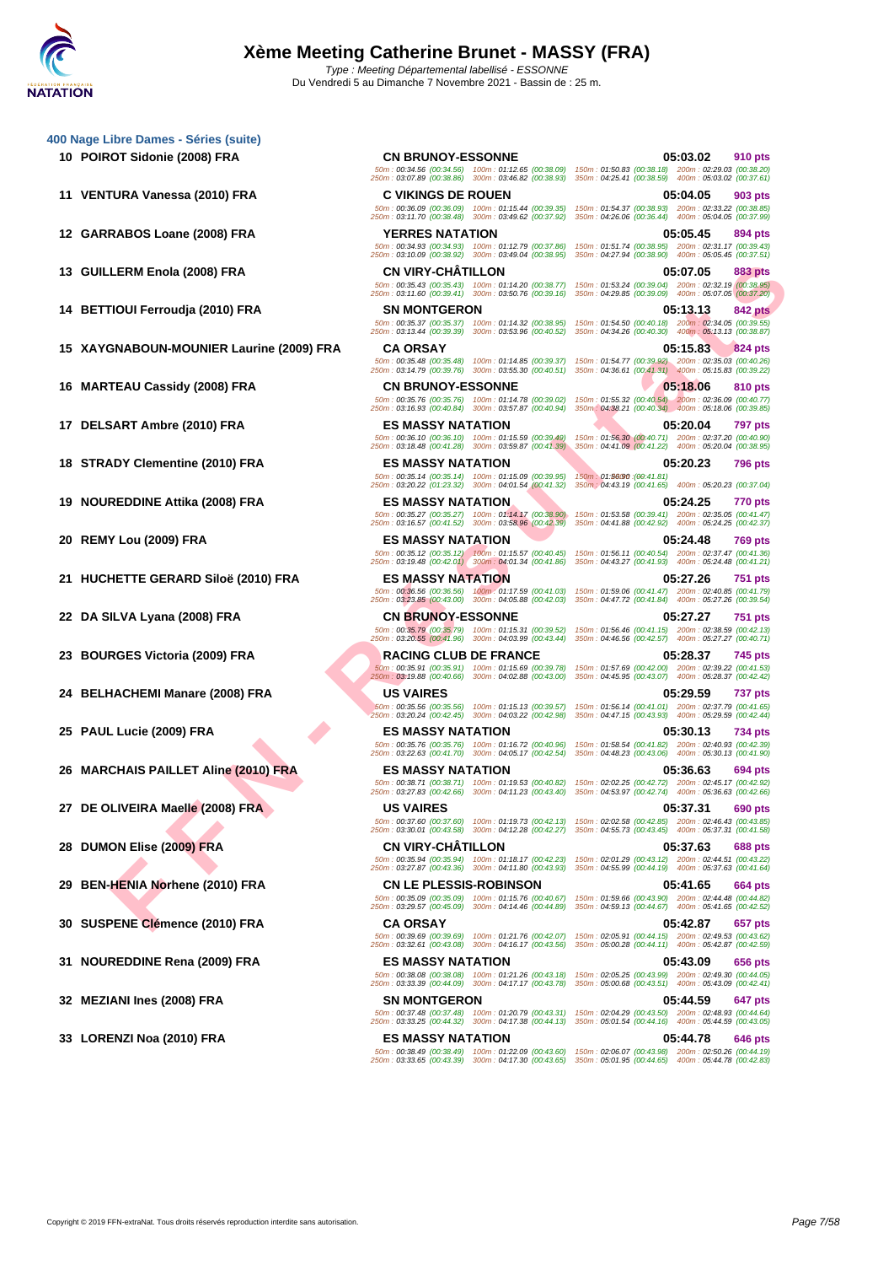**[400 Nage](http://www.ffnatation.fr/webffn/index.php) Libre Dames - Séries (suite)**

- 
- 
- 

LERM ENDIG (2009) FRA<br>
FIND (2009) FRA - CAN CHE THEST CENT AND CONTRACT CONTRACT CONTRACT CONTRACT CONTRACT CONTRACT CONTRACT CONTRA<br>
FEAD (2010) FRA - SAN ANAFORD CONTRACT CONTRACT CONTRACT CONTRACT CONTRACT CONTRACT CON **10 POIROT Sidonie (2008) FRA CN BRUNOY-ESSONNE 05:03.02 910 pts** 50m : 00:34.56 (00:34.56) 100m : 01:12.65 (00:38.09) 150m : 01:50.83 (00:38.18) 200m : 02:29.03 (00:38.20) 250m : 03:07.89 (00:38.86) 300m : 03:46.82 (00:38.93) 350m : 04:25.41 (00:38.59) 400m : 05:03.02 (00:37.61) **11 VENTURA Vanessa (2010) FRA C VIKINGS DE ROUEN 05:04.05 903 pts** 50m : 00:36.09 (00:36.09) 100m : 01:15.44 (00:39.35) 150m : 01:54.37 (00:38.93) 200m : 02:33.22 (00:38.85) 250m : 03:11.70 (00:38.48) 300m : 03:49.62 (00:37.92) 350m : 04:26.06 (00:36.44) 400m : 05:04.05 (00:37.99) **12 GARRABOS Loane (2008) FRA YERRES NATATION 05:05.45 894 pts** 50m : 00:34.93 (00:34.93) 100m : 01:12.79 (00:37.86) 150m : 01:51.74 (00:38.95) 200m : 02:31.17 (00:39.43) 250m : 03:10.09 (00:38.92) 300m : 03:49.04 (00:38.95) 350m : 04:27.94 (00:38.90) 400m : 05:05.45 (00:37.51) **13 GUILLERM Enola (2008) FRA CN VIRY-CHÂTILLON 05:07.05 883 pts** 50m : 00:35.43 (00:35.43) 100m : 01:14.20 (00:38.77) 150m : 01:53.24 (00:39.04) 200m : 02:32.19 (00:38.95) 250m : 03:11.60 (00:39.41) 300m : 03:50.76 (00:39.16) 350m : 04:29.85 (00:39.09) 400m : 05:07.05 (00:37.20) **14 BETTIOUI Ferroudja (2010) FRA SN MONTGERON 05:13.13 842 pts** 50m : 00:35.37 (00:35.37) 100m : 01:14.32 (00:38.95) 150m : 01:54.50 (00:40.18) 200m : 02:34.05 (00:39.55) 250m : 03:13.44 (00:39.39) 300m : 03:53.96 (00:40.52) 350m : 04:34.26 (00:40.30) 400m : 05:13.13 (00:38.87) **15 XAYGNABOUN-MOUNIER Laurine (2009) FRA CA ORSAY 05:15.83 824 pts** 50m : 00:35.48 (00:35.48) 100m : 01:14.85 (00:39.37) 150m : 01:54.77 (00:39.92) 200m : 02:35.03 (00:40.26) 250m : 03:14.79 (00:39.76) 300m : 03:55.30 (00:40.51) 350m : 04:36.61 (00:41.31) 400m : 05:15.83 (00:39.22) **16 MARTEAU Cassidy (2008) FRA CN BRUNOY-ESSONNE 05:18.06 810 pts** 50m : 00:35.76 (00:35.76) 100m : 01:14.78 (00:39.02) 150m : 01:55.32 (00:40.54) 200m : 02:36.09 (00:40.77) 250m : 03:16.93 (00:40.84) 300m : 03:57.87 (00:40.94) 350m : 04:38.21 (00:40.34) 400m : 05:18.06 (00:39.85) **17 DELSART Ambre (2010) FRA ES MASSY NATATION 05:20.04 797 pts** 50m : 00:36.10 (00:36.10) 100m : 01:15.59 (00:39.49) 150m : 01:56.30 (00:40.71) 200m : 02:37.20 (00:40.90) 250m : 03:18.48 (00:41.28) 300m : 03:59.87 (00:41.39) 350m : 04:41.09 (00:41.22) 400m : 05:20.04 (00:38.95) **18 STRADY Clementine (2010) FRA ES MASSY NATATION 05:20.23 796 pts** .50m : 00:35.14 (00:35.14) 100m : 01:15.09 (00:39.95) 150m : 01:56090 :(00:41.81)<br>250m : 03:20.22 (01:23.32) 300m : 04:01.54 (00:41.32) 350m : 04:43.19 (00:41.65) 400m : 05:20.23 (00:37.04) **19 NOUREDDINE Attika (2008) FRA ES MASSY NATATION 05:24.25 170 pts**<br> **19 NOUREDDINE Attika (2008) FRA ESPIN 1999 100m**: 03:527 (00:35.27) 100m: 01:14.17 (00:38.90) 150m: 01:53.58 (00:39.41) 200m: 02:35.05 (0 50m : 00:35.27 (00:35.27) 100m : 01:14.17 (00:38.90) 150m : 01:53.58 (00:39.41) 200m : 02:35.05 (00:41.47) 250m : 03:16.57 (00:41.52) 300m : 03:58.96 (00:42.39) 350m : 04:41.88 (00:42.92) 400m : 05:24.25 (00:42.37) **20 REMY Lou (2009) FRA ES MASSY NATATION 05:24.48 769 pts** 50m : 00:35.12 (00:35.12) 100m : 01:15.57 (00:40.45) 150m : 01:56.11 (00:40.54) 200m : 02:37.47 (00:41.36) 250m : 03:19.48 (00:42.01) 300m : 04:01.34 (00:41.86) 350m : 04:43.27 (00:41.93) 400m : 05:24.48 (00:41.21) **21 HUCHETTE GERARD Siloë (2010) FRA ES MASSY NATATION 05:27.26 751 pts** 50m : 00:36.56 (00:36.56) 100m : 01:17.59 (00:41.03) 150m : 01:59.06 (00:41.47) 200m : 02:40.85 (00:41.79) 250m : 03:23.85 (00:43.00) 300m : 04:05.88 (00:42.03) 350m : 04:47.72 (00:41.84) 400m : 05:27.26 (00:39.54) **22 DA SILVA Lyana (2008) FRA CN BRUNOY-ESSONNE 05:27.27 751 pts** 50m : 00:35.79 (00:35.79) 100m : 01:15.31 (00:39.52) 150m : 01:56.46 (00:41.15) 200m : 02:38.59 (00:42.13) 250m : 03:20.55 (00:41.96) 300m : 04:03.99 (00:43.44) 350m : 04:46.56 (00:42.57) 400m : 05:27.27 (00:40.71) **23 BOURGES Victoria (2009) FRA RACING CLUB DE FRANCE 05:28.37 745 pts** 50m : 00:35.91 (00:35.91) 100m : 01:15.69 (00:39.78) 150m : 01:57.69 (00:42.00) 200m : 02:39.22 (00:41.53) 250m : 03:19.88 (00:40.66) 300m : 04:02.88 (00:43.00) 350m : 04:45.95 (00:43.07) 400m : 05:28.37 (00:42.42) **24 BELHACHEMI Manare (2008) FRA US VAIRES 05:29.59 737 pts** 50m : 00:35.56 (00:35.56) 100m : 01:15.13 (00:39.57) 150m : 01:56.14 (00:41.01) 200m : 02:37.79 (00:41.65) 250m : 03:20.24 (00:42.45) 300m : 04:03.22 (00:42.98) 350m : 04:47.15 (00:43.93) 400m : 05:29.59 (00:42.44) **25 PAUL Lucie (2009) FRA ES MASSY NATATION 05:30.13 734 pts** 50m : 00:35.76 (00:35.76) 100m : 01:16.72 (00:40.96) 150m : 01:58.54 (00:41.82) 200m : 02:40.93 (00:42.39) 250m : 03:22.63 (00:41.70) 300m : 04:05.17 (00:42.54) 350m : 04:48.23 (00:43.06) 400m : 05:30.13 (00:41.90) **26 MARCHAIS PAILLET Aline (2010) FRA ES MASSY NATATION 05:36.63 694 pts** 50m : 00:38.71 (00:38.71) 100m : 01:19.53 (00:40.82) 150m : 02:02.25 (00:42.72) 200m : 02:45.17 (00:42.92) 250m : 03:27.83 (00:42.66) 300m : 04:11.23 (00:43.40) 350m : 04:53.97 (00:42.74) 400m : 05:36.63 (00:42.66) **27 DE OLIVEIRA Maelle (2008) FRA US VAIRES 05:37.31 690 pts** 50m : 00:37.60 (00:37.60) 100m : 01:19.73 (00:42.13) 150m : 02:02.58 (00:42.85) 200m : 02:46.43 (00:43.85) 250m : 03:30.01 (00:43.58) 300m : 04:12.28 (00:42.27) 350m : 04:55.73 (00:43.45) 400m : 05:37.31 (00:41.58) **28 DUMON Elise (2009) FRA CN VIRY-CHÂTILLON 05:37.63 688 pts** 50m : 00:35.94 (00:35.94) 100m : 01:18.17 (00:42.23) 150m : 02:01.29 (00:43.12) 200m : 02:44.51 (00:43.22) 250m : 03:27.87 (00:43.36) 300m : 04:11.80 (00:43.93) 350m : 04:55.99 (00:44.19) 400m : 05:37.63 (00:41.64) **29 BEN-HENIA Norhene (2010) FRA CN LE PLESSIS-ROBINSON 05:41.65 664 pts** 50m : 00:35.09 (00:35.09) 100m : 01:15.76 (00:40.67) 150m : 01:59.66 (00:43.90) 200m : 02:44.48 (00:44.82) 250m : 03:29.57 (00:45.09) 300m : 04:14.46 (00:44.89) 350m : 04:59.13 (00:44.67) 400m : 05:41.65 (00:42.52) **30 SUSPENE Clémence (2010) FRA CA ORSAY 05:42.87 657 pts** 50m : 00:39.69 (00:39.69) 100m : 01:21.76 (00:42.07) 150m : 02:05.91 (00:44.15) 200m : 02:49.53 (00:43.62) 250m : 03:32.61 (00:43.08) 300m : 04:16.17 (00:43.56) 350m : 05:00.28 (00:44.11) 400m : 05:42.87 (00:42.59) **31 NOUREDDINE Rena (2009) FRA ES MASSY NATATION 05:43.09 656 pts** 50m : 00:38.08 (00:38.08) 100m : 01:21.26 (00:43.18) 150m : 02:05.25 (00:43.99) 200m : 02:49.30 (00:44.05) 250m : 03:33.39 (00:44.09) 300m : 04:17.17 (00:43.78) 350m : 05:00.68 (00:43.51) 400m : 05:43.09 (00:42.41) **32 MEZIANI Ines (2008) FRA SN MONTGERON 05:44.59 647 pts** 50m : 00:37.48 (00:37.48) 100m : 01:20.79 (00:43.31) 150m : 02:04.29 (00:43.50) 200m : 02:48.93 (00:44.64) 250m : 03:33.25 (00:44.32) 300m : 04:17.38 (00:44.13) 350m : 05:01.54 (00:44.16) 400m : 05:44.59 (00:43.05) **33 LORENZI Noa (2010) FRA ES MASSY NATATION 05:44.78 646 pts** 50m : 00:38.49 (00:38.49) 100m : 01:22.09 (00:43.60) 150m : 02:06.07 (00:43.98) 200m : 02:50.26 (00:44.19) 250m : 03:33.65 (00:43.39) 300m : 04:17.30 (00:43.65) 350m : 05:01.95 (00:44.65) 400m : 05:44.78 (00:42.83)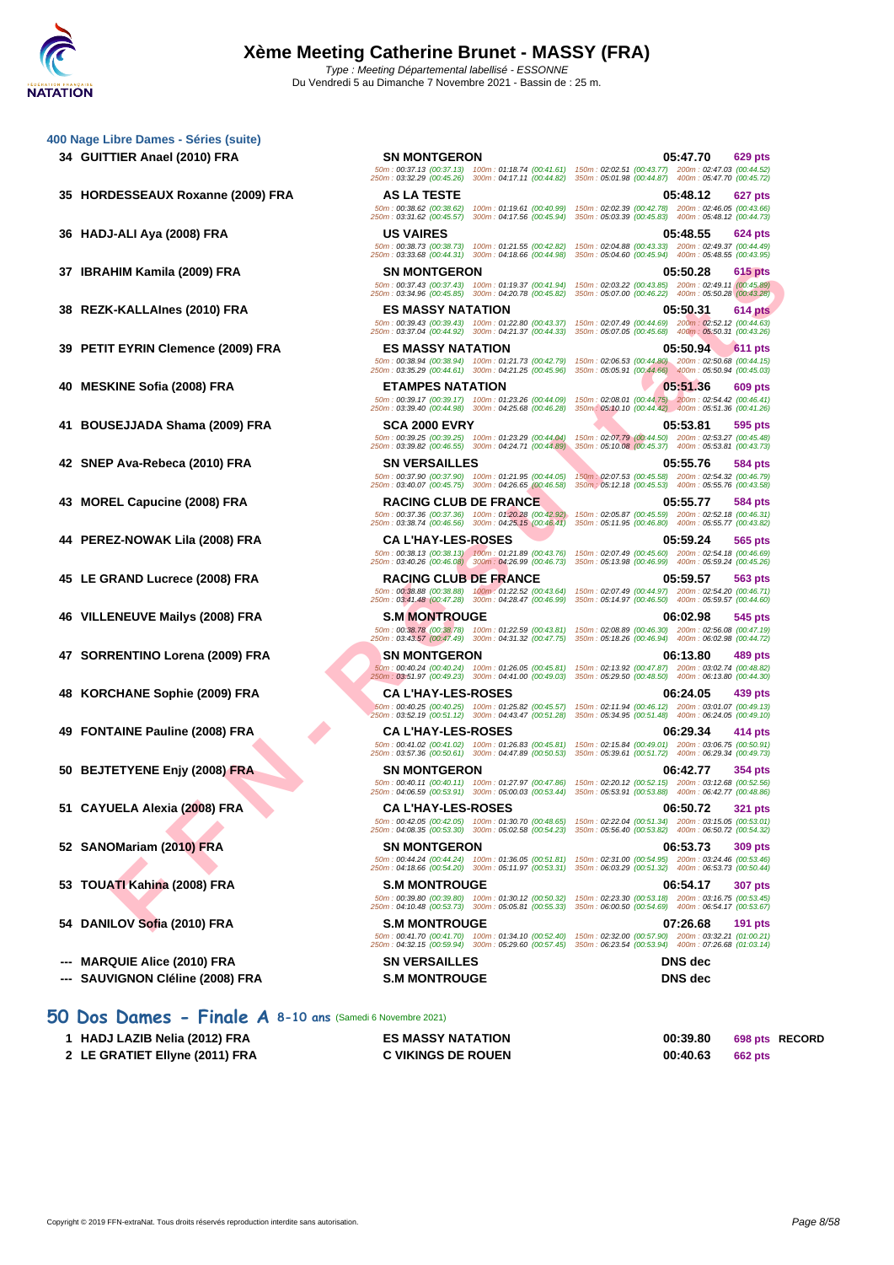|     | 400 Nage Libre Dames - Séries (suite)                                  |                                                                                                                                                        |                                                                                                                                                                                                                                                 |
|-----|------------------------------------------------------------------------|--------------------------------------------------------------------------------------------------------------------------------------------------------|-------------------------------------------------------------------------------------------------------------------------------------------------------------------------------------------------------------------------------------------------|
|     | 34 GUITTIER Anael (2010) FRA                                           | <b>SN MONTGERON</b><br>50m: 00:37.13 (00:37.13) 100m: 01:18.74 (00:41.61)<br>250m: 03:32.29 (00:45.26)<br>300m: 04:17.11 (00:44.82)                    | 05:47.70<br>629 pts<br>150m: 02:02.51 (00:43.77) 200m: 02:47.03 (00:44.52)<br>350m: 05:01.98 (00:44.87) 400m: 05:47.70 (00:45.72)                                                                                                               |
|     | 35 HORDESSEAUX Roxanne (2009) FRA                                      | AS LA TESTE<br>50m: 00:38.62 (00:38.62)<br>100m: 01:19.61 (00:40.99)<br>250m: 03:31.62 (00:45.57) 300m: 04:17.56 (00:45.94)                            | 05:48.12<br>627 pts<br>150m: 02:02.39 (00:42.78) 200m: 02:46.05 (00:43.66)<br>350m: 05:03.39 (00:45.83) 400m: 05:48.12 (00:44.73)                                                                                                               |
| 36  | HADJ-ALI Aya (2008) FRA                                                | <b>US VAIRES</b><br>50m: 00:38.73 (00:38.73) 100m: 01:21.55 (00:42.82)<br>250m: 03:33.68 (00:44.31) 300m: 04:18.66 (00:44.98)                          | 05:48.55<br>624 pts<br>150m: 02:04.88 (00:43.33) 200m: 02:49.37 (00:44.49)<br>350m: 05:04.60 (00:45.94) 400m: 05:48.55 (00:43.95)                                                                                                               |
|     | 37 IBRAHIM Kamila (2009) FRA                                           | <b>SN MONTGERON</b><br>250m: 03:34.96 (00:45.85) 300m: 04:20.78 (00:45.82)                                                                             | 05:50.28<br>615 pts<br>50m : 00:37.43 (00:37.43) 100m : 01:19.37 (00:41.94) 150m : 02:03.22 (00:43.85) 200m : 02:49.11 (00:45.89)<br>350m: 05:07.00 (00:46.22) 400m: 05:50.28 (00:43.28)                                                        |
| 38. | REZK-KALLAInes (2010) FRA                                              | <b>ES MASSY NATATION</b><br>50m: 00:39.43 (00:39.43) 100m: 01:22.80 (00:43.37)<br>250m: 03:37.04 (00:44.92) 300m: 04:21.37 (00:44.33)                  | 05:50.31<br>614 pts<br>150m: 02:07.49 (00:44.69) 200m: 02:52.12 (00:44.63)<br>350m: 05:07.05 (00:45.68) 400m: 05:50.31 (00:43.26)                                                                                                               |
|     | 39 PETIT EYRIN Clemence (2009) FRA                                     | <b>ES MASSY NATATION</b><br>250m: 03:35.29 (00:44.61) 300m: 04:21.25 (00:45.96)                                                                        | 05:50.94<br><b>611 pts</b><br>50m: 00:38.94 (00:38.94) 100m: 01:21.73 (00:42.79) 150m: 02:06.53 (00:44.80) 200m: 02:50.68 (00:44.15)<br>350m: 05:05.91 (00:44.66) 400m: 05:50.94 (00:45.03)                                                     |
| 40  | <b>MESKINE Sofia (2008) FRA</b>                                        | <b>ETAMPES NATATION</b><br>50m: 00:39.17 (00:39.17) 100m: 01:23.26 (00:44.09)<br>250m: 03:39.40 (00:44.98) 300m: 04:25.68 (00:46.28)                   | 05:51.36<br>609 pts<br>150m; 02:08.01 (00:44.75) 200m: 02:54.42 (00:46.41)<br>350m : 05:10.10 (00:44.42)  400m : 05:51.36 (00:41.26)                                                                                                            |
| 41  | <b>BOUSEJJADA Shama (2009) FRA</b>                                     | <b>SCA 2000 EVRY</b><br>50m: 00:39.25 (00:39.25) 100m: 01:23.29 (00:44.04)<br>250m: 03:39.82 (00:46.55) 300m: 04:24.71 (00:44.89)                      | 05:53.81<br>595 pts<br>150m: 02:07.79 (00:44.50) 200m: 02:53.27 (00:45.48)<br>350m: 05:10.08 (00:45.37) 400m: 05:53.81 (00:43.73)                                                                                                               |
|     | 42 SNEP Ava-Rebeca (2010) FRA                                          | <b>SN VERSAILLES</b><br>50m: 00:37.90 (00:37.90) 100m: 01:21.95 (00:44.05)<br>250m: 03:40.07 (00:45.75) 300m: 04:26.65 (00:46.58)                      | 05:55.76<br>584 pts<br>150m: 02:07.53 (00:45.58) 200m: 02:54.32 (00:46.79)<br>350m : 05:12.18 (00:45.53)<br>400m: 05:55.76 (00:43.58)                                                                                                           |
| 43  | <b>MOREL Capucine (2008) FRA</b>                                       | <b>RACING CLUB DE FRANCE</b><br>50m: 00:37.36 (00:37.36) 100m: 01:20.28 (00:42.92)<br>250m: 03:38.74 (00:46.56) 300m: 04:25.15 (00:46.41)              | 05:55.77<br>584 pts<br>150m: 02:05.87 (00:45.59) 200m: 02:52.18 (00:46.31)<br>350m: 05:11.95 (00:46.80) 400m: 05:55.77 (00:43.82)                                                                                                               |
|     | 44 PEREZ-NOWAK Lila (2008) FRA                                         | <b>CA L'HAY-LES-ROSES</b><br>$50m: 00:38.13$ $(00:38.13)$ $100m: 01:21.89$ $(00:43.76)$<br>$250m: 03:40.26$ $(00:46.08)$ $300m: 04:26.99$ $(00:46.73)$ | 05:59.24<br>565 pts<br>150m: 02:07.49 (00:45.60) 200m: 02:54.18 (00:46.69)<br>350m: 05:13.98 (00:46.99) 400m: 05:59.24 (00:45.26)                                                                                                               |
|     | 45 LE GRAND Lucrece (2008) FRA                                         | <b>RACING CLUB DE FRANCE</b><br>50m: 00:38.88 (00:38.88) 100m: 01:22.52 (00:43.64)<br>250m: 03:41.48 (00:47.28) 300m: 04:28.47 (00:46.99)              | 05:59.57<br>563 pts<br>150m: 02:07.49 (00:44.97) 200m: 02:54.20 (00:46.71)<br>350m: 05:14.97 (00:46.50) 400m: 05:59.57 (00:44.60)                                                                                                               |
| 46  | VILLENEUVE Mailys (2008) FRA                                           | <b>S.M MONTROUGE</b><br>50m: 00:38.78 (00:38.78) 100m: 01:22.59 (00:43.81)<br>250m: 03:43.57 (00:47.49) 300m: 04:31.32 (00:47.75)                      | 06:02.98<br>545 pts<br>150m: 02:08.89 (00:46.30) 200m: 02:56.08 (00:47.19)<br>350m: 05:18.26 (00:46.94) 400m: 06:02.98 (00:44.72)                                                                                                               |
|     | 47 SORRENTINO Lorena (2009) FRA                                        | <b>SN MONTGERON</b><br>50m: 00:40.24 (00:40.24) 100m: 01:26.05 (00:45.81)<br>250m: 03:51.97 (00:49.23) 300m: 04:41.00 (00:49.03)                       | 06:13.80<br>489 pts<br>150m: 02:13.92 (00:47.87) 200m: 03:02.74 (00:48.82)<br>350m: 05:29.50 (00:48.50) 400m: 06:13.80 (00:44.30)                                                                                                               |
| 48  | <b>KORCHANE Sophie (2009) FRA</b>                                      | <b>CA L'HAY-LES-ROSES</b><br>50m: 00:40.25 (00:40.25) 100m: 01:25.82 (00:45.57)<br>250m: 03:52.19 (00:51.12) 300m: 04:43.47 (00:51.28)                 | 06:24.05<br>439 pts<br>150m: 02:11.94 (00:46.12) 200m: 03:01.07 (00:49.13)<br>350m: 05:34.95 (00:51.48) 400m: 06:24.05 (00:49.10)                                                                                                               |
| 49  | <b>FONTAINE Pauline (2008) FRA</b>                                     | <b>CA L'HAY-LES-ROSES</b><br>50m: 00:41.02 (00:41.02) 100m: 01:26.83 (00:45.81)<br>250m: 03:57.36 (00:50.61) 300m: 04:47.89 (00:50.53)                 | 06:29.34<br>414 pts<br>150m: 02:15.84 (00:49.01) 200m: 03:06.75 (00:50.91)<br>350m: 05:39.61 (00:51.72) 400m: 06:29.34 (00:49.73)                                                                                                               |
|     | 50 BEJTETYENE Enjy (2008) FRA                                          | <b>SN MONTGERON</b><br>50m: 00:40.11 (00:40.11) 100m: 01:27.97 (00:47.86)<br>250m: 04:06.59 (00:53.91) 300m: 05:00.03 (00:53.44)                       | 06:42.77<br>354 pts<br>150m: 02:20.12 (00:52.15) 200m: 03:12.68 (00:52.56)<br>350m: 05:53.91 (00:53.88) 400m: 06:42.77 (00:48.86)                                                                                                               |
|     | 51 CAYUELA Alexia (2008) FRA                                           | <b>CA L'HAY-LES-ROSES</b>                                                                                                                              | 06:50.72<br><b>321 pts</b><br>50m: 00:42.05 (00:42.05) 100m: 01:30.70 (00:48.65) 150m: 02:22.04 (00:51.34) 200m: 03:15.05 (00:53.01)<br>250m: 04:08.35 (00:53.30) 300m: 05:02.58 (00:54.23) 350m: 05:56.40 (00:53.82) 400m: 06:50.72 (00:54.32) |
|     | 52 SANOMariam (2010) FRA                                               | <b>SN MONTGERON</b><br>50m: 00:44.24 (00:44.24) 100m: 01:36.05 (00:51.81)<br>250m: 04:18.66 (00:54.20) 300m: 05:11.97 (00:53.31)                       | 06:53.73<br><b>309 pts</b><br>150m: 02:31.00 (00:54.95) 200m: 03:24.46 (00:53.46)<br>350m: 06:03.29 (00:51.32) 400m: 06:53.73 (00:50.44)                                                                                                        |
| 53  | TOUATI Kahina (2008) FRA                                               | <b>S.M MONTROUGE</b><br>50m: 00:39.80 (00:39.80) 100m: 01:30.12 (00:50.32)<br>250m: 04:10.48 (00:53.73) 300m: 05:05.81 (00:55.33)                      | 06:54.17<br><b>307 pts</b><br>150m: 02:23.30 (00:53.18) 200m: 03:16.75 (00:53.45)<br>350m: 06:00.50 (00:54.69) 400m: 06:54.17 (00:53.67)                                                                                                        |
|     | 54 DANILOV Sofia (2010) FRA                                            | <b>S.M MONTROUGE</b><br>50m: 00:41.70 (00:41.70) 100m: 01:34.10 (00:52.40)<br>250m: 04:32.15 (00:59.94) 300m: 05:29.60 (00:57.45)                      | 07:26.68<br><b>191 pts</b><br>150m: 02:32.00 (00:57.90) 200m: 03:32.21 (01:00.21)<br>350m: 06:23.54 (00:53.94)<br>400m: 07:26.68 (01:03.14)                                                                                                     |
|     | <b>MARQUIE Alice (2010) FRA</b><br><b>SAUVIGNON Cléline (2008) FRA</b> | <b>SN VERSAILLES</b><br><b>S.M MONTROUGE</b>                                                                                                           | DNS dec<br><b>DNS</b> dec                                                                                                                                                                                                                       |

#### **50 Dos Dames - Finale A 8-10 ans** (Samedi 6 Novembre 2021)

| HADJ LAZIB Nelia (2012) FRA    | <b>ES MASSY NATATION</b>  | 00:39.80 | 698 pts RECORD |
|--------------------------------|---------------------------|----------|----------------|
| 2 LE GRATIET Ellyne (2011) FRA | <b>C VIKINGS DE ROUEN</b> | 00:40.63 | 662 pts        |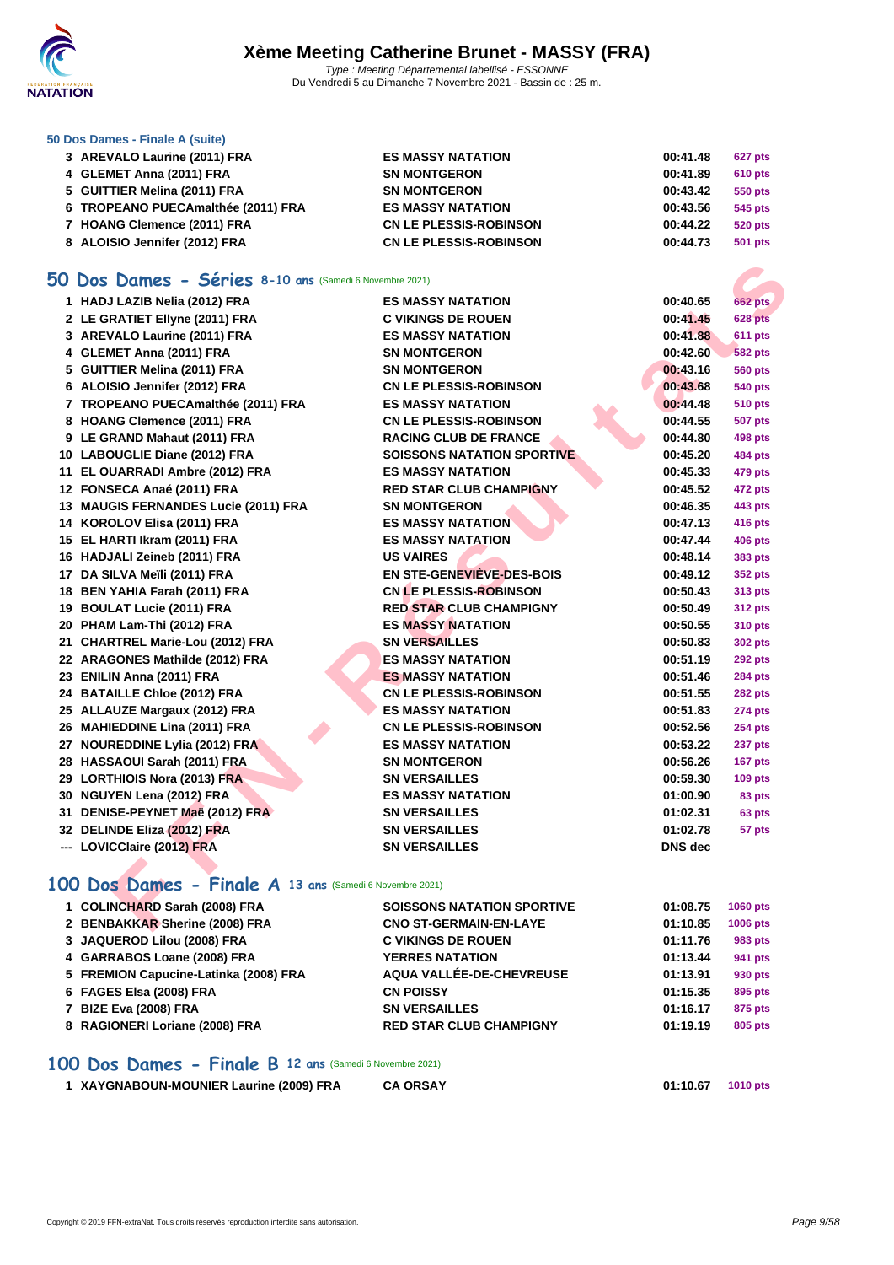

#### **[50 Dos D](http://www.ffnatation.fr/webffn/index.php)ames - Finale A (suite)**

| 3 AREVALO Laurine (2011) FRA       | <b>ES MASSY NATATION</b>      | 00:41.48 | <b>627 pts</b> |
|------------------------------------|-------------------------------|----------|----------------|
| 4 GLEMET Anna (2011) FRA           | <b>SN MONTGERON</b>           | 00:41.89 | <b>610 pts</b> |
| 5 GUITTIER Melina (2011) FRA       | <b>SN MONTGERON</b>           | 00:43.42 | 550 pts        |
| 6 TROPEANO PUECAmalthée (2011) FRA | <b>ES MASSY NATATION</b>      | 00:43.56 | 545 pts        |
| 7 HOANG Clemence (2011) FRA        | <b>CN LE PLESSIS-ROBINSON</b> | 00:44.22 | 520 pts        |
| 8 ALOISIO Jennifer (2012) FRA      | <b>CN LE PLESSIS-ROBINSON</b> | 00:44.73 | 501 pts        |

#### **50 Dos Dames - Séries 8-10 ans** (Samedi 6 Novembre 2021)

| <b>O Dos Dames - Séries 8-10 ans (Samedi 6 Novembre 2021)</b> |                                   |                |                |
|---------------------------------------------------------------|-----------------------------------|----------------|----------------|
| 1 HADJ LAZIB Nelia (2012) FRA                                 | <b>ES MASSY NATATION</b>          | 00:40.65       | <b>662 pts</b> |
| 2 LE GRATIET Ellyne (2011) FRA                                | <b>C VIKINGS DE ROUEN</b>         | 00:41.45       | 628 pts        |
| 3 AREVALO Laurine (2011) FRA                                  | <b>ES MASSY NATATION</b>          | 00:41.88       | 611 pts        |
| 4 GLEMET Anna (2011) FRA                                      | <b>SN MONTGERON</b>               | 00:42.60       | <b>582 pts</b> |
| 5 GUITTIER Melina (2011) FRA                                  | <b>SN MONTGERON</b>               | 00:43.16       | <b>560 pts</b> |
| 6 ALOISIO Jennifer (2012) FRA                                 | <b>CN LE PLESSIS-ROBINSON</b>     | 00:43.68       | 540 pts        |
| 7 TROPEANO PUECAmalthée (2011) FRA                            | <b>ES MASSY NATATION</b>          | 00:44.48       | <b>510 pts</b> |
| 8 HOANG Clemence (2011) FRA                                   | <b>CN LE PLESSIS-ROBINSON</b>     | 00:44.55       | <b>507 pts</b> |
| 9 LE GRAND Mahaut (2011) FRA                                  | <b>RACING CLUB DE FRANCE</b>      | 00:44.80       | 498 pts        |
| 10 LABOUGLIE Diane (2012) FRA                                 | <b>SOISSONS NATATION SPORTIVE</b> | 00:45.20       | 484 pts        |
| 11 EL OUARRADI Ambre (2012) FRA                               | <b>ES MASSY NATATION</b>          | 00:45.33       | 479 pts        |
| 12 FONSECA Anaé (2011) FRA                                    | <b>RED STAR CLUB CHAMPIGNY</b>    | 00:45.52       | 472 pts        |
| 13 MAUGIS FERNANDES Lucie (2011) FRA                          | <b>SN MONTGERON</b>               | 00:46.35       | 443 pts        |
| 14 KOROLOV Elisa (2011) FRA                                   | <b>ES MASSY NATATION</b>          | 00:47.13       | <b>416 pts</b> |
| 15 EL HARTI Ikram (2011) FRA                                  | <b>ES MASSY NATATION</b>          | 00:47.44       | <b>406 pts</b> |
| 16 HADJALI Zeineb (2011) FRA                                  | <b>US VAIRES</b>                  | 00:48.14       | 383 pts        |
| 17 DA SILVA Meïli (2011) FRA                                  | EN STE-GENEVIEVE-DES-BOIS         | 00:49.12       | <b>352 pts</b> |
| 18 BEN YAHIA Farah (2011) FRA                                 | <b>CN LE PLESSIS-ROBINSON</b>     | 00:50.43       | 313 pts        |
| 19 BOULAT Lucie (2011) FRA                                    | <b>RED STAR CLUB CHAMPIGNY</b>    | 00:50.49       | <b>312 pts</b> |
| 20 PHAM Lam-Thi (2012) FRA                                    | <b>ES MASSY NATATION</b>          | 00:50.55       | 310 pts        |
| 21 CHARTREL Marie-Lou (2012) FRA                              | <b>SN VERSAILLES</b>              | 00:50.83       | <b>302 pts</b> |
| 22 ARAGONES Mathilde (2012) FRA                               | <b>ES MASSY NATATION</b>          | 00:51.19       | 292 pts        |
| 23 ENILIN Anna (2011) FRA                                     | <b>ES MASSY NATATION</b>          | 00:51.46       | <b>284 pts</b> |
| 24 BATAILLE Chloe (2012) FRA                                  | <b>CN LE PLESSIS-ROBINSON</b>     | 00:51.55       | 282 pts        |
| 25 ALLAUZE Margaux (2012) FRA                                 | <b>ES MASSY NATATION</b>          | 00:51.83       | <b>274 pts</b> |
| 26 MAHIEDDINE Lina (2011) FRA                                 | <b>CN LE PLESSIS-ROBINSON</b>     | 00:52.56       | <b>254 pts</b> |
| 27 NOUREDDINE Lylia (2012) FRA                                | <b>ES MASSY NATATION</b>          | 00:53.22       | 237 pts        |
| 28 HASSAOUI Sarah (2011) FRA                                  | <b>SN MONTGERON</b>               | 00:56.26       | 167 pts        |
| 29 LORTHIOIS Nora (2013) FRA                                  | <b>SN VERSAILLES</b>              | 00:59.30       | <b>109 pts</b> |
| 30 NGUYEN Lena (2012) FRA                                     | <b>ES MASSY NATATION</b>          | 01:00.90       | 83 pts         |
| 31 DENISE-PEYNET Maë (2012) FRA                               | <b>SN VERSAILLES</b>              | 01:02.31       | 63 pts         |
| 32 DELINDE Eliza (2012) FRA                                   | <b>SN VERSAILLES</b>              | 01:02.78       | 57 pts         |
| --- LOVICClaire (2012) FRA                                    | <b>SN VERSAILLES</b>              | <b>DNS</b> dec |                |
|                                                               |                                   |                |                |
| 00 Dos Dames - Finale A 13 ans (Samedi 6 Novembre 2021)       |                                   |                |                |
| 1 COLINCHARD Sarah (2008) FRA                                 | <b>SOISSONS NATATION SPORTIVE</b> | 01:08.75       | 1060 pts       |
| 2 BENBAKKAR Sherine (2008) FRA                                | <b>CNO ST-GERMAIN-EN-LAYE</b>     | 01:10.85       | 1006 pts       |

#### **100 Dos Dames - Finale A 13 ans** (Samedi 6 Novembre 2021)

| 1 COLINCHARD Sarah (2008) FRA         | <b>SOISSONS NATATION SPORTIVE</b> | 01:08.75 | <b>1060 pts</b> |
|---------------------------------------|-----------------------------------|----------|-----------------|
| 2 BENBAKKAR Sherine (2008) FRA        | <b>CNO ST-GERMAIN-EN-LAYE</b>     | 01:10.85 | <b>1006 pts</b> |
| 3 JAQUEROD Lilou (2008) FRA           | <b>C VIKINGS DE ROUEN</b>         | 01:11.76 | 983 pts         |
| 4 GARRABOS Loane (2008) FRA           | <b>YERRES NATATION</b>            | 01:13.44 | 941 pts         |
| 5 FREMION Capucine-Latinka (2008) FRA | AQUA VALLÉE-DE-CHEVREUSE          | 01:13.91 | 930 pts         |
| 6 FAGES Elsa (2008) FRA               | <b>CN POISSY</b>                  | 01:15.35 | 895 pts         |
| 7 BIZE Eva (2008) FRA                 | <b>SN VERSAILLES</b>              | 01:16.17 | 875 pts         |
| 8 RAGIONERI Loriane (2008) FRA        | <b>RED STAR CLUB CHAMPIGNY</b>    | 01:19.19 | 805 pts         |

#### **100 Dos Dames - Finale B 12 ans** (Samedi 6 Novembre 2021)

| 1 XAYGNABOUN-MOUNIER Laurine (2009) FRA | <b>CA ORSAY</b> |  |
|-----------------------------------------|-----------------|--|
|                                         |                 |  |

**XAYGNABOUN-MOUNIER Laurine (2009) FRA CA ORSAY 01:10.67 1010 pts**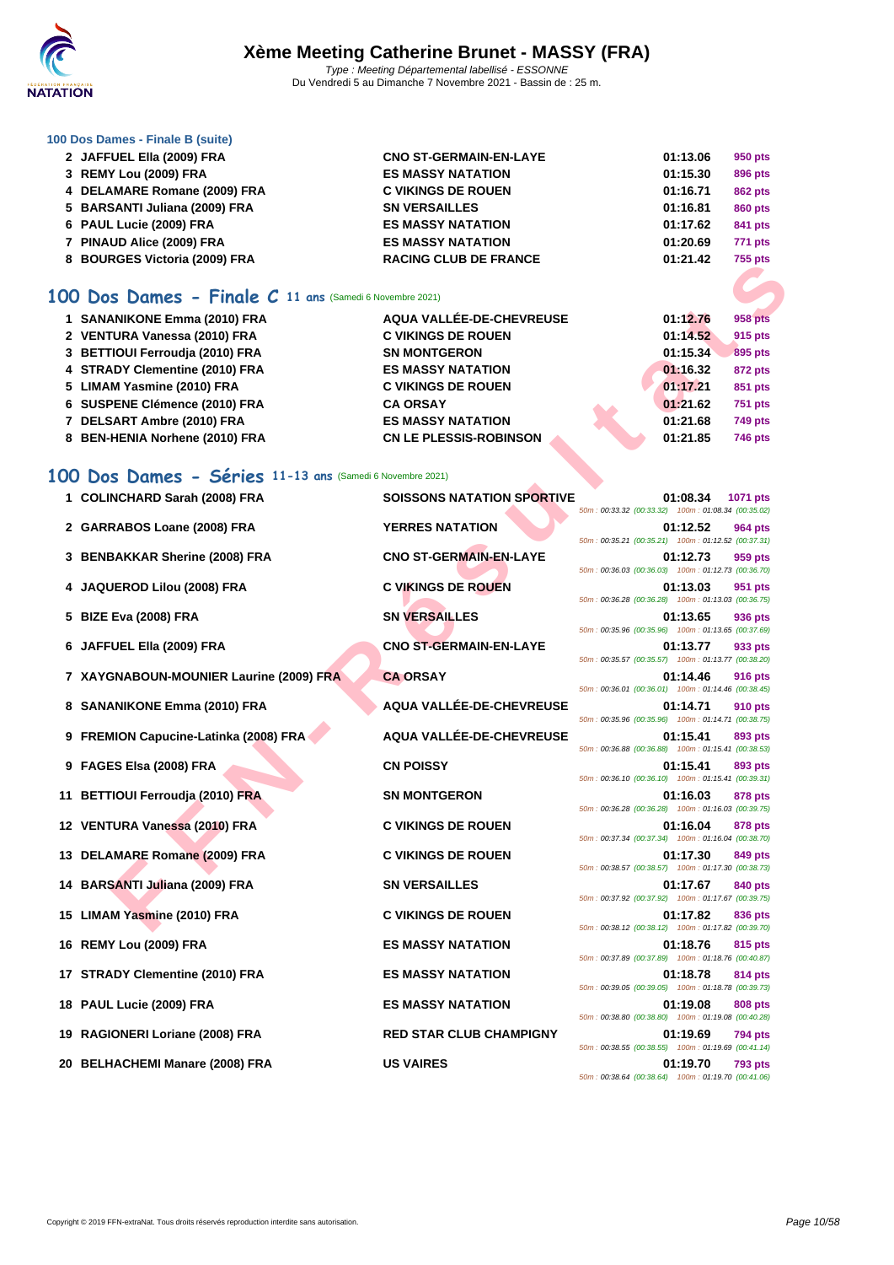

#### **[100 Dos D](http://www.ffnatation.fr/webffn/index.php)ames - Finale B (suite)**

| 2 JAFFUEL Ella (2009) FRA                                  | <b>CNO ST-GERMAIN-EN-LAYE</b> | 01:13.06 | 950 pts        |
|------------------------------------------------------------|-------------------------------|----------|----------------|
| 3 REMY Lou (2009) FRA                                      | <b>ES MASSY NATATION</b>      | 01:15.30 | 896 pts        |
| 4 DELAMARE Romane (2009) FRA                               | <b>C VIKINGS DE ROUEN</b>     | 01:16.71 | <b>862 pts</b> |
| 5 BARSANTI Juliana (2009) FRA                              | <b>SN VERSAILLES</b>          | 01:16.81 | <b>860 pts</b> |
| 6 PAUL Lucie (2009) FRA                                    | <b>ES MASSY NATATION</b>      | 01:17.62 | 841 pts        |
| 7 PINAUD Alice (2009) FRA                                  | <b>ES MASSY NATATION</b>      | 01:20.69 | <b>771 pts</b> |
| 8 BOURGES Victoria (2009) FRA                              | <b>RACING CLUB DE FRANCE</b>  | 01:21.42 | <b>755 pts</b> |
| 100 Dos Dames - Finale $C$ 11 ans (Samedi 6 Novembre 2021) |                               |          |                |
| 1 SANANIKONE Emma (2010) FRA                               | AQUA VALLÉE-DE-CHEVREUSE      | 01:12.76 | 958 pts        |
| 2 VENTURA Vanessa (2010) FRA                               | <b>C VIKINGS DE ROUEN</b>     | 01:14.52 | 915 pts        |
| 3 BETTIOUI Ferroudia (2010) FRA                            | <b>SN MONTGERON</b>           | 01:15.34 | 895 pts        |
| 4 STRADY Clementine (2010) FRA                             | <b>ES MASSY NATATION</b>      | 01:16.32 | 872 pts        |
| 5 LIMAM Yasmine (2010) FRA                                 | <b>C VIKINGS DE ROUEN</b>     | 01:17.21 | 851 pts        |
| 6 SUSPENE Clémence (2010) FRA                              | <b>CA ORSAY</b>               | 01:21.62 | <b>751 pts</b> |
| 7 DELSART Ambre (2010) FRA                                 | <b>ES MASSY NATATION</b>      | 01:21.68 | <b>749 pts</b> |
| 8 BEN-HENIA Norhene (2010) FRA                             | <b>CN LE PLESSIS-ROBINSON</b> | 01:21.85 | <b>746 pts</b> |
|                                                            |                               |          |                |

## **100 Dos Dames - Séries 11-13 ans** (Samedi 6 Novembre 2021)

| <b>DOUNGLO VIGIORS</b> (2003) LINA                             |                                   | <i>າ</i> ລາ hrs                                                           |
|----------------------------------------------------------------|-----------------------------------|---------------------------------------------------------------------------|
| <b>00 Dos Dames - Finale C 11 ans (Samedi 6 Novembre 2021)</b> |                                   |                                                                           |
| 1 SANANIKONE Emma (2010) FRA                                   | AQUA VALLÉE-DE-CHEVREUSE          | 01:12.76<br>958 pts                                                       |
| 2 VENTURA Vanessa (2010) FRA                                   | <b>C VIKINGS DE ROUEN</b>         | 01:14.52<br>915 pts                                                       |
| 3 BETTIOUI Ferroudia (2010) FRA                                | <b>SN MONTGERON</b>               | 01:15.34<br>895 pts                                                       |
| 4 STRADY Clementine (2010) FRA                                 | <b>ES MASSY NATATION</b>          | 01:16.32<br><b>872 pts</b>                                                |
| 5 LIMAM Yasmine (2010) FRA                                     | <b>C VIKINGS DE ROUEN</b>         | 01:17.21<br>851 pts                                                       |
| 6 SUSPENE Clémence (2010) FRA                                  | <b>CA ORSAY</b>                   | 01:21.62<br><b>751 pts</b>                                                |
| 7 DELSART Ambre (2010) FRA                                     | <b>ES MASSY NATATION</b>          | 01:21.68<br><b>749 pts</b>                                                |
| 8 BEN-HENIA Norhene (2010) FRA                                 | <b>CN LE PLESSIS-ROBINSON</b>     | 01:21.85<br>746 pts                                                       |
|                                                                |                                   |                                                                           |
| 00 Dos Dames - Séries 11-13 ans (Samedi 6 Novembre 2021)       |                                   |                                                                           |
| 1 COLINCHARD Sarah (2008) FRA                                  | <b>SOISSONS NATATION SPORTIVE</b> | 01:08.34<br>1071 pts                                                      |
|                                                                |                                   | 50m: 00:33.32 (00:33.32) 100m: 01:08.34 (00:35.02)                        |
| 2 GARRABOS Loane (2008) FRA                                    | <b>YERRES NATATION</b>            | 01:12.52<br>964 pts<br>50m: 00:35.21 (00:35.21) 100m: 01:12.52 (00:37.31) |
| 3 BENBAKKAR Sherine (2008) FRA                                 | <b>CNO ST-GERMAIN-EN-LAYE</b>     | 01:12.73<br>959 pts                                                       |
|                                                                |                                   | 50m: 00:36.03 (00:36.03) 100m: 01:12.73 (00:36.70)                        |
| 4 JAQUEROD Lilou (2008) FRA                                    | <b>C VIKINGS DE ROUEN</b>         | 01:13.03<br>951 pts                                                       |
|                                                                |                                   | 50m: 00:36.28 (00:36.28) 100m: 01:13.03 (00:36.75)                        |
| 5 BIZE Eva (2008) FRA                                          | <b>SN VERSAILLES</b>              | 01:13.65<br>936 pts<br>50m: 00:35.96 (00:35.96) 100m: 01:13.65 (00:37.69) |
| 6 JAFFUEL Ella (2009) FRA                                      | <b>CNO ST-GERMAIN-EN-LAYE</b>     | 01:13.77<br>933 pts                                                       |
|                                                                |                                   | 50m: 00:35.57 (00:35.57) 100m: 01:13.77 (00:38.20)                        |
| 7 XAYGNABOUN-MOUNIER Laurine (2009) FRA                        | <b>CA ORSAY</b>                   | 01:14.46<br>916 pts                                                       |
|                                                                |                                   | 50m: 00:36.01 (00:36.01) 100m: 01:14.46 (00:38.45)                        |
| 8 SANANIKONE Emma (2010) FRA                                   | AQUA VALLÉE-DE-CHEVREUSE          | 01:14.71<br>910 pts<br>50m: 00:35.96 (00:35.96) 100m: 01:14.71 (00:38.75) |
| 9 FREMION Capucine-Latinka (2008) FRA                          | AQUA VALLÉE-DE-CHEVREUSE          | 01:15.41<br>893 pts                                                       |
|                                                                |                                   | 50m: 00:36.88 (00:36.88) 100m: 01:15.41 (00:38.53)                        |
| 9 FAGES Elsa (2008) FRA                                        | <b>CN POISSY</b>                  | 01:15.41<br>893 pts                                                       |
|                                                                |                                   | 50m: 00:36.10 (00:36.10) 100m: 01:15.41 (00:39.31)                        |
| 11 BETTIOUI Ferroudja (2010) FRA                               | <b>SN MONTGERON</b>               | 01:16.03<br>878 pts<br>50m: 00:36.28 (00:36.28) 100m: 01:16.03 (00:39.75) |
| 12 VENTURA Vanessa (2010) FRA                                  | <b>C VIKINGS DE ROUEN</b>         | 01:16.04<br>878 pts                                                       |
|                                                                |                                   | 50m: 00:37.34 (00:37.34) 100m: 01:16.04 (00:38.70)                        |
| 13 DELAMARE Romane (2009) FRA                                  | <b>C VIKINGS DE ROUEN</b>         | 01:17.30<br>849 pts                                                       |
|                                                                |                                   | 50m: 00:38.57 (00:38.57) 100m: 01:17.30 (00:38.73)                        |
| 14 BARSANTI Juliana (2009) FRA                                 | <b>SN VERSAILLES</b>              | 01:17.67<br>840 pts<br>50m: 00:37.92 (00:37.92) 100m: 01:17.67 (00:39.75) |
| 15 LIMAM Yasmine (2010) FRA                                    | <b>C VIKINGS DE ROUEN</b>         | 01:17.82<br>836 pts                                                       |
|                                                                |                                   | 50m: 00:38.12 (00:38.12) 100m: 01:17.82 (00:39.70)                        |
| 16 REMY Lou (2009) FRA                                         | <b>ES MASSY NATATION</b>          | 01:18.76<br>815 pts                                                       |
|                                                                |                                   | 50m: 00:37.89 (00:37.89) 100m: 01:18.76 (00:40.87)                        |
| 17 STRADY Clementine (2010) FRA                                | <b>ES MASSY NATATION</b>          | 01:18.78<br>814 pts                                                       |
| 18 PAUL Lucie (2009) FRA                                       | <b>ES MASSY NATATION</b>          | 50m: 00:39.05 (00:39.05) 100m: 01:18.78 (00:39.73)<br>01:19.08            |
|                                                                |                                   | 808 pts<br>50m: 00:38.80 (00:38.80) 100m: 01:19.08 (00:40.28)             |
| 19 RAGIONERI Loriane (2008) FRA                                | <b>RED STAR CLUB CHAMPIGNY</b>    | 01:19.69<br>794 pts                                                       |
|                                                                |                                   | 50m: 00:38.55 (00:38.55) 100m: 01:19.69 (00:41.14)                        |
| 20 BELHACHEMI Manare (2008) FRA                                | <b>US VAIRES</b>                  | 01:19.70<br><b>793 pts</b>                                                |

50m : 00:38.64 (00:38.64) 100m : 01:19.70 (00:41.06)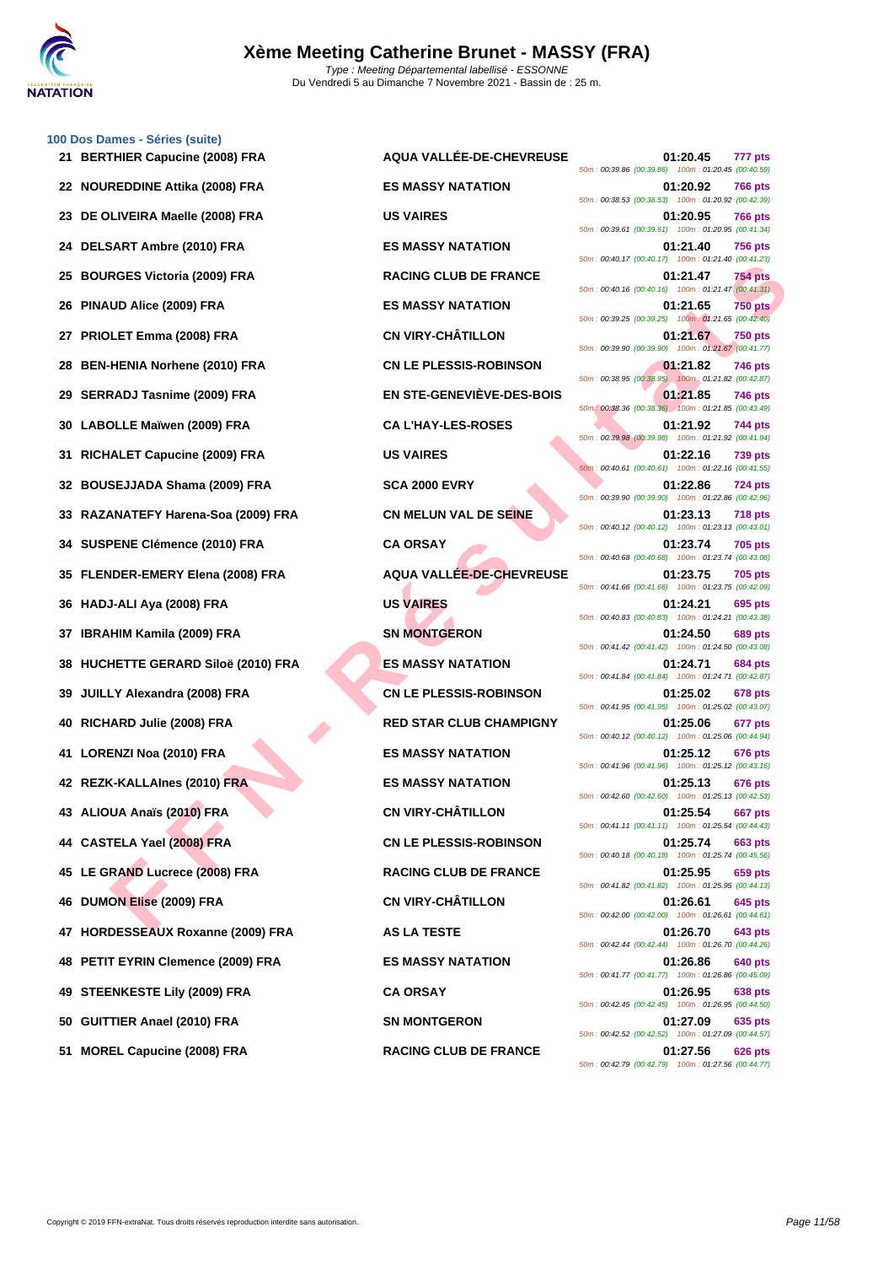

|    | 100 Dos Dames - Séries (suite)      |                                 |                                                                                  |  |
|----|-------------------------------------|---------------------------------|----------------------------------------------------------------------------------|--|
|    | 21 BERTHIER Capucine (2008) FRA     | <b>AQUA VALLÉE-DE-CHEVREUSE</b> | 01:20.45<br>777 pts<br>50m: 00:39.86 (00:39.86) 100m: 01:20.45 (00:40.59)        |  |
|    | 22 NOUREDDINE Attika (2008) FRA     | <b>ES MASSY NATATION</b>        | 01:20.92<br>766 pts<br>50m: 00:38.53 (00:38.53) 100m: 01:20.92 (00:42.39)        |  |
|    | 23 DE OLIVEIRA Maelle (2008) FRA    | <b>US VAIRES</b>                | 01:20.95<br><b>766 pts</b><br>50m: 00:39.61 (00:39.61) 100m: 01:20.95 (00:41.34) |  |
|    | 24 DELSART Ambre (2010) FRA         | <b>ES MASSY NATATION</b>        | 01:21.40<br><b>756 pts</b><br>50m: 00:40.17 (00:40.17) 100m: 01:21.40 (00:41.23) |  |
|    | 25 BOURGES Victoria (2009) FRA      | <b>RACING CLUB DE FRANCE</b>    | 754 pts<br>01:21.47<br>50m: 00:40.16 (00:40.16) 100m: 01:21.47 (00:41.31)        |  |
|    | 26 PINAUD Alice (2009) FRA          | <b>ES MASSY NATATION</b>        | <b>750 pts</b><br>01:21.65<br>50m: 00:39.25 (00:39.25) 100m: 01:21.65 (00:42.40) |  |
|    | 27 PRIOLET Emma (2008) FRA          | <b>CN VIRY-CHÂTILLON</b>        | 01:21.67<br><b>750 pts</b><br>50m: 00:39.90 (00:39.90) 100m: 01:21.67 (00:41.77) |  |
|    | 28 BEN-HENIA Norhene (2010) FRA     | <b>CN LE PLESSIS-ROBINSON</b>   | 01:21.82<br>746 pts<br>50m: 00:38.95 (00:38.95) 100m: 01:21.82 (00:42.87)        |  |
|    | 29 SERRADJ Tasnime (2009) FRA       | EN STE-GENEVIÈVE-DES-BOIS       | 01:21.85<br>746 pts<br>50m: 00:38.36 (00:38.36) 100m: 01:21.85 (00:43.49)        |  |
|    | 30 LABOLLE Maïwen (2009) FRA        | <b>CA L'HAY-LES-ROSES</b>       | 01:21.92<br>744 pts<br>50m: 00:39.98 (00:39.98) 100m: 01:21.92 (00:41.94)        |  |
|    | 31 RICHALET Capucine (2009) FRA     | <b>US VAIRES</b>                | 01:22.16<br>739 pts<br>50m: 00:40.61 (00:40.61) 100m: 01:22.16 (00:41.55)        |  |
|    | 32 BOUSEJJADA Shama (2009) FRA      | <b>SCA 2000 EVRY</b>            | 01:22.86<br>724 pts<br>50m: 00:39.90 (00:39.90) 100m: 01:22.86 (00:42.96)        |  |
|    | 33 RAZANATEFY Harena-Soa (2009) FRA | <b>CN MELUN VAL DE SEINE</b>    | 01:23.13<br><b>718 pts</b><br>50m: 00:40.12 (00:40.12) 100m: 01:23.13 (00:43.01) |  |
|    | 34 SUSPENE Clémence (2010) FRA      | <b>CA ORSAY</b>                 | 01:23.74<br><b>705 pts</b><br>50m: 00:40.68 (00:40.68) 100m: 01:23.74 (00:43.06) |  |
|    | 35 FLENDER-EMERY Elena (2008) FRA   | AQUA VALLÉE-DE-CHEVREUSE        | 01:23.75<br><b>705 pts</b><br>50m: 00:41.66 (00:41.66) 100m: 01:23.75 (00:42.09) |  |
|    | 36 HADJ-ALI Aya (2008) FRA          | <b>US VAIRES</b>                | 01:24.21<br>695 pts<br>50m: 00:40.83 (00:40.83) 100m: 01:24.21 (00:43.38)        |  |
|    | 37 IBRAHIM Kamila (2009) FRA        | <b>SN MONTGERON</b>             | 01:24.50<br>689 pts<br>50m: 00:41.42 (00:41.42) 100m: 01:24.50 (00:43.08)        |  |
|    | 38 HUCHETTE GERARD Siloë (2010) FRA | <b>ES MASSY NATATION</b>        | 01:24.71<br>684 pts<br>50m: 00:41.84 (00:41.84) 100m: 01:24.71 (00:42.87)        |  |
| 39 | JUILLY Alexandra (2008) FRA         | <b>CN LE PLESSIS-ROBINSON</b>   | 01:25.02<br>678 pts<br>50m: 00:41.95 (00:41.95) 100m: 01:25.02 (00:43.07)        |  |
|    | 40 RICHARD Julie (2008) FRA         | <b>RED STAR CLUB CHAMPIGNY</b>  | 01:25.06<br>677 pts<br>50m: 00:40.12 (00:40.12) 100m: 01:25.06 (00:44.94)        |  |
|    | 41 LORENZI Noa (2010) FRA           | <b>ES MASSY NATATION</b>        | 01:25.12<br>676 pts<br>50m: 00:41.96 (00:41.96) 100m: 01:25.12 (00:43.16)        |  |
|    | 42 REZK-KALLAInes (2010) FRA        | <b>ES MASSY NATATION</b>        | 01:25.13<br>676 pts<br>50m: 00:42.60 (00:42.60) 100m: 01:25.13 (00:42.53)        |  |
|    | 43 ALIOUA Anaïs (2010) FRA          | <b>CN VIRY-CHÂTILLON</b>        | 01:25.54<br>667 pts<br>50m: 00:41.11 (00:41.11) 100m: 01:25.54 (00:44.43)        |  |
|    | 44 CASTELA Yael (2008) FRA          | <b>CN LE PLESSIS-ROBINSON</b>   | 01:25.74<br>663 pts<br>50m: 00:40.18 (00:40.18) 100m: 01:25.74 (00:45.56)        |  |
|    | 45 LE GRAND Lucrece (2008) FRA      | <b>RACING CLUB DE FRANCE</b>    | 01:25.95<br>659 pts<br>50m: 00:41.82 (00:41.82) 100m: 01:25.95 (00:44.13)        |  |
|    | 46 DUMON Elise (2009) FRA           | <b>CN VIRY-CHÂTILLON</b>        | 645 pts<br>01:26.61<br>50m: 00:42.00 (00:42.00) 100m: 01:26.61 (00:44.61)        |  |
|    | 47 HORDESSEAUX Roxanne (2009) FRA   | <b>AS LA TESTE</b>              | 01:26.70<br>643 pts<br>50m: 00:42.44 (00:42.44) 100m: 01:26.70 (00:44.26)        |  |
|    | 48 PETIT EYRIN Clemence (2009) FRA  | <b>ES MASSY NATATION</b>        | 01:26.86<br><b>640 pts</b><br>50m: 00:41.77 (00:41.77) 100m: 01:26.86 (00:45.09) |  |
|    | 49 STEENKESTE Lily (2009) FRA       | <b>CA ORSAY</b>                 | <b>638 pts</b><br>01:26.95<br>50m: 00:42.45 (00:42.45) 100m: 01:26.95 (00:44.50) |  |
|    | 50 GUITTIER Anael (2010) FRA        | <b>SN MONTGERON</b>             | 01:27.09<br>635 pts<br>50m: 00:42.52 (00:42.52) 100m: 01:27.09 (00:44.57)        |  |
|    |                                     |                                 |                                                                                  |  |

**FIGE VICENT (2009) FRA**<br> **FRACING CUIS DE FRANCE<br>
LUD AIICO (2009) FRA

ES MASSY NATATION<br>
ENERT REMAN (2009) FRA

CALLE PERSIS ROBINSON<br>
THE TERM IS VIRTE-CONFIDENT CONTINUES TO DETAIL ON THE SAME RESSURED AND TRANCE<br>
FR 21 BERTHIER Capucine (2008) FRA AQUA VALLÉE-DE-CHEVREUSE 01:20.45 777 pts** 50m : 00:39.86 (00:39.86) 100m : 01:20.45 (00:40.59) **22 NOUREDDINE Attika (2008) FRA ES MASSY NATATION 01:20.92 766 pts** 50m : 00:38.53 (00:38.53) 100m : 01:20.92 (00:42.39) 50m : 00:39.61 (00:39.61) 100m : 01:20.95 (00:41.34) **24 DELSART Ambre (2010) FRA ES MASSY NATATION 01:21.40 756 pts** 50m : 00:40.17 (00:40.17) 100m : 01:21.40 (00:41.23) **254 RACING CLUB DE FRANCE 01:21.47 754 pts** 50m : 00:40.16 (00:40.16) 100m : 01:21.47 (00:41.31) **26 PINAUD Alice (2009) FRA ES MASSY NATATION 01:21.65 750 pts** 50m : 00:39.25 (00:39.25) 100m : 01:21.65 (00:42.40) **27 CN VIRY-CHÂTILLON 21.67 PM 21.67 250 pts** 50m : 00:39.90 (00:39.90) 100m : 01:21.67 (00:41.77) **28 BEN-HENIA NORME (2010) FRANCH CN LE PLESSIS-ROBINSON** 50m : 00:38.95 (00:38.95) 100m : 01:21.82 (00:42.87) **29 ISSNIME (2009) FRACTION EN STE-GENEVIÈVE-DES-BOIS EN STE-GENEVIÈVE-DES-BOIS** 50m : 00:38.36 (00:38.36) 100m : 01:21.85 (00:43.49) **300 CA L'HAY-LES-ROSES 01:21.92 744 pts** 50m : 00:39.98 (00:39.98) 100m : 01:21.92 (00:41.94) 50m : 00:40.61 (00:40.61) 100m : 01:22.16 (00:41.55) **322.86 724 pts** 50m : 00:39.90 (00:39.90) 100m : 01:22.86 (00:42.96) **33.13 CN MELUN VAL DE SEINE 01:23.13 718 pts** 50m : 00:40.12 (00:40.12) 100m : 01:23.13 (00:43.01) 50m : 00:40.68 (00:40.68) 100m : 01:23.74 (00:43.06) **35 FLENDER-EMERY Elena (2008) FRA AQUA VALLÉE-DE-CHEVREUSE 01:23.75 705 pts** 50m : 00:41.66 (00:41.66) 100m : 01:23.75 (00:42.09) 50m : 00:40.83 (00:40.83) 100m : 01:24.21 (00:43.38) **37 IBRAHIM CONTGERON 01:24.50 689 pts** 50m : 00:41.42 (00:41.42) 100m : 01:24.50 (00:43.08) **38 HUCHETTE GERARD Siloë (2010) FRA ES MASSY NATATION 01:24.71 684 pts** 50m : 00:41.84 (00:41.84) 100m : 01:24.71 (00:42.87) **39 CN LE PLESSIS-ROBINSON 01:25.02 678 pts** 50m : 00:41.95 (00:41.95) 100m : 01:25.02 (00:43.07) **RED STAR CLUB CHAMPIGNY 01:25.06 677 pts** 50m : 00:40.12 (00:40.12) 100m : 01:25.06 (00:44.94) **41 LORENZI Noa (2010) FRA ES MASSY NATATION 01:25.12 676 pts** 50m : 00:41.96 (00:41.96) 100m : 01:25.12 (00:43.16) **42 REZK-KALLAInes (2010) FRA ES MASSY NATATION 01:25.13 676 pts** 50m : 00:42.60 (00:42.60) 100m : 01:25.13 (00:42.53) **43 ALIOUA Anaïs (2010) FRA CN VIRY-CHÂTILLON 01:25.54 667 pts** 50m : 00:41.11 (00:41.11) 100m : 01:25.54 (00:44.43) **444 CN LE PLESSIS-ROBINSON 01:25.74 663 pts** 50m : 00:40.18 (00:40.18) 100m : 01:25.74 (00:45.56) **455 RACING CLUB DE FRANCE 125.95 659 pts** 50m : 00:41.82 (00:41.82) 100m : 01:25.95 (00:44.13) **46 DUMON Elise (2009) FRA CN VIRY-CHÂTILLON 01:26.61 645 pts** 50m : 00:42.00 (00:42.00) 100m : 01:26.61 (00:44.61) 50m : 00:42.44 (00:42.44) 100m : 01:26.70 (00:44.26) **48 PES MASSY NATATION 126.86 640 pts** 50m : 00:41.77 (00:41.77) 100m : 01:26.86 (00:45.09) 50m : 00:42.45 (00:42.45) 100m : 01:26.95 (00:44.50) **500 11:27.09 635 pts** 50m : 00:42.52 (00:42.52) 100m : 01:27.09 (00:44.57) **51 MOREL Capucine (2008) FRA RACING CLUB DE FRANCE 01:27.56 626 pts** 50m : 00:42.79 (00:42.79) 100m : 01:27.56 (00:44.77)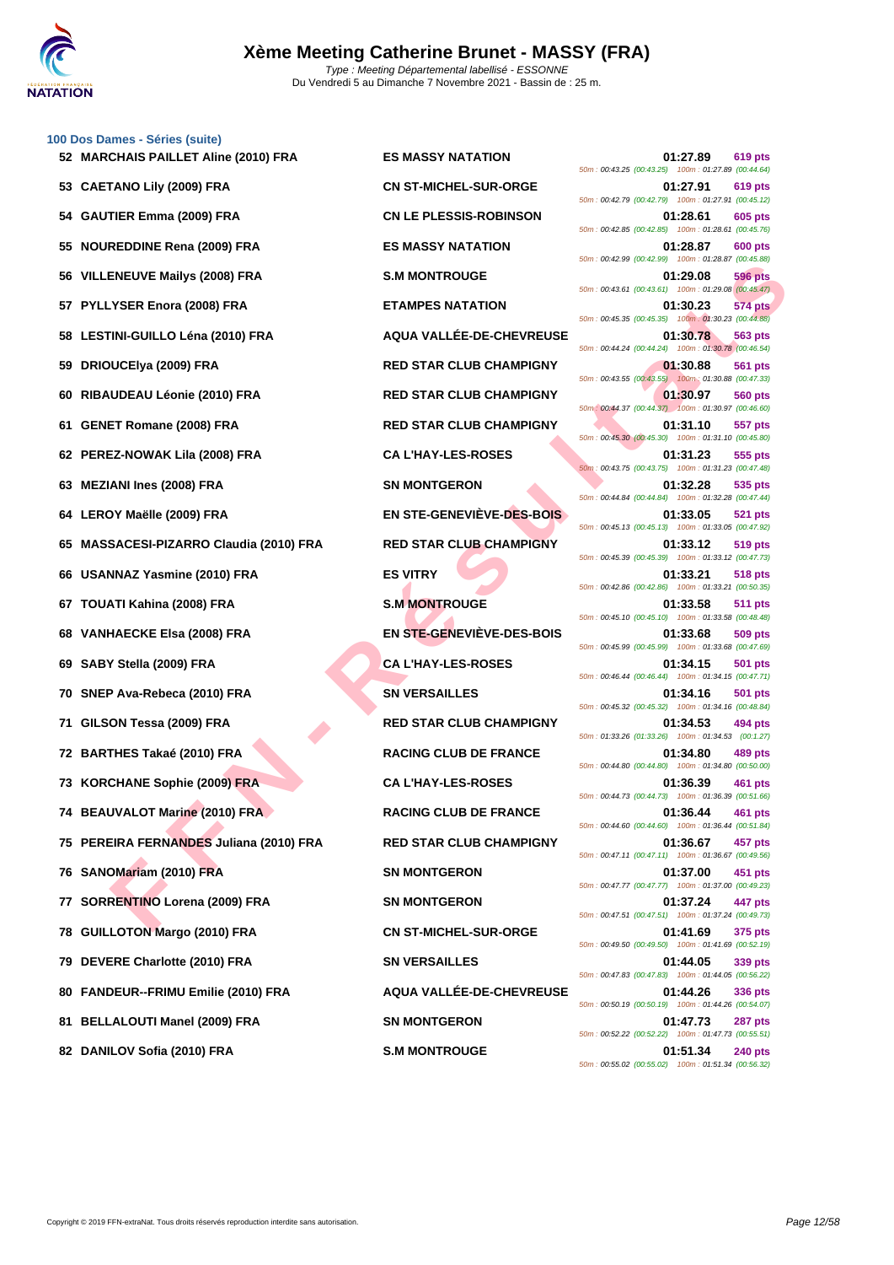

**[100 Dos D](http://www.ffnatation.fr/webffn/index.php)ames - Séries (suite)**

| 52 MARCHAIS PAILLET Aline (2010) FRA    | <b>ES MASSY NATATION</b>       | 01:27.89<br>619 pts<br>50m: 00:43.25 (00:43.25) 100m: 01:27.89 (00:44.64)        |
|-----------------------------------------|--------------------------------|----------------------------------------------------------------------------------|
| 53 CAETANO Lily (2009) FRA              | <b>CN ST-MICHEL-SUR-ORGE</b>   | 01:27.91<br>619 pts<br>50m: 00:42.79 (00:42.79) 100m: 01:27.91 (00:45.12)        |
| 54 GAUTIER Emma (2009) FRA              | <b>CN LE PLESSIS-ROBINSON</b>  | 01:28.61<br>605 pts<br>50m: 00:42.85 (00:42.85) 100m: 01:28.61 (00:45.76)        |
| 55 NOUREDDINE Rena (2009) FRA           | <b>ES MASSY NATATION</b>       | 01:28.87<br>600 pts<br>50m: 00:42.99 (00:42.99) 100m: 01:28.87 (00:45.88)        |
| 56 VILLENEUVE Mailys (2008) FRA         | <b>S.M MONTROUGE</b>           | 01:29.08<br>596 pts<br>50m: 00:43.61 (00:43.61) 100m: 01:29.08 (00:45.47)        |
| 57 PYLLYSER Enora (2008) FRA            | <b>ETAMPES NATATION</b>        | 01:30.23<br><b>574 pts</b><br>50m: 00:45.35 (00:45.35) 100m: 01:30.23 (00:44.88) |
| 58 LESTINI-GUILLO Léna (2010) FRA       | AQUA VALLÉE-DE-CHEVREUSE       | 01:30.78<br>563 pts<br>50m: 00:44.24 (00:44.24) 100m: 01:30.78 (00:46.54)        |
| 59 DRIOUCEIya (2009) FRA                | <b>RED STAR CLUB CHAMPIGNY</b> | 01:30.88<br>561 pts<br>50m: 00:43.55 (00:43.55) 100m: 01:30.88 (00:47.33)        |
| 60 RIBAUDEAU Léonie (2010) FRA          | <b>RED STAR CLUB CHAMPIGNY</b> | 01:30.97<br><b>560 pts</b><br>50m: 00:44.37 (00:44.37) 100m: 01:30.97 (00:46.60) |
| 61 GENET Romane (2008) FRA              | <b>RED STAR CLUB CHAMPIGNY</b> | 01:31.10<br>557 pts<br>50m: 00:45.30 (00:45.30) 100m: 01:31.10 (00:45.80)        |
| 62 PEREZ-NOWAK Lila (2008) FRA          | <b>CA L'HAY-LES-ROSES</b>      | 01:31.23<br>555 pts<br>50m: 00:43.75 (00:43.75) 100m: 01:31.23 (00:47.48)        |
| 63 MEZIANI Ines (2008) FRA              | <b>SN MONTGERON</b>            | 01:32.28<br>535 pts<br>50m: 00:44.84 (00:44.84) 100m: 01:32.28 (00:47.44)        |
| 64 LEROY Maëlle (2009) FRA              | EN STE-GENEVIÈVE-DES-BOIS      | 01:33.05<br><b>521 pts</b><br>50m: 00:45.13 (00:45.13) 100m: 01:33.05 (00:47.92) |
| 65 MASSACESI-PIZARRO Claudia (2010) FRA | <b>RED STAR CLUB CHAMPIGNY</b> | 01:33.12<br>519 pts<br>50m: 00:45.39 (00:45.39) 100m: 01:33.12 (00:47.73)        |
| 66 USANNAZ Yasmine (2010) FRA           | <b>ES VITRY</b>                | 01:33.21<br><b>518 pts</b><br>50m: 00:42.86 (00:42.86) 100m: 01:33.21 (00:50.35) |
| 67 TOUATI Kahina (2008) FRA             | <b>S.M MONTROUGE</b>           | 01:33.58<br>511 pts<br>50m: 00:45.10 (00:45.10) 100m: 01:33.58 (00:48.48)        |
| 68 VANHAECKE Elsa (2008) FRA            | EN STE-GENEVIÈVE-DES-BOIS      | 01:33.68<br>509 pts<br>50m: 00:45.99 (00:45.99) 100m: 01:33.68 (00:47.69)        |
| 69 SABY Stella (2009) FRA               | <b>CA L'HAY-LES-ROSES</b>      | 01:34.15<br>501 pts<br>50m: 00:46.44 (00:46.44) 100m: 01:34.15 (00:47.71)        |
| 70 SNEP Ava-Rebeca (2010) FRA           | <b>SN VERSAILLES</b>           | 01:34.16<br>501 pts<br>50m: 00:45.32 (00:45.32) 100m: 01:34.16 (00:48.84)        |
| 71 GILSON Tessa (2009) FRA              | <b>RED STAR CLUB CHAMPIGNY</b> | 01:34.53<br>494 pts<br>50m: 01:33.26 (01:33.26) 100m: 01:34.53 (00:1.27)         |
| 72 BARTHES Takaé (2010) FRA             | <b>RACING CLUB DE FRANCE</b>   | 01:34.80<br>489 pts<br>50m: 00:44.80 (00:44.80) 100m: 01:34.80 (00:50.00)        |
| 73 KORCHANE Sophie (2009) FRA           | <b>CA L'HAY-LES-ROSES</b>      | 01:36.39<br>461 pts<br>50m: 00:44.73 (00:44.73) 100m: 01:36.39 (00:51.66)        |
| 74 BEAUVALOT Marine (2010) FRA          | <b>RACING CLUB DE FRANCE</b>   | 01:36.44<br>461 pts<br>50m: 00:44.60 (00:44.60) 100m: 01:36.44 (00:51.84)        |
| 75 PEREIRA FERNANDES Juliana (2010) FRA | <b>RED STAR CLUB CHAMPIGNY</b> | 01:36.67<br>457 pts<br>50m: 00:47.11 (00:47.11) 100m: 01:36.67 (00:49.56)        |
| 76 SANOMariam (2010) FRA                | <b>SN MONTGERON</b>            | 01:37.00<br>451 pts<br>50m: 00:47.77 (00:47.77) 100m: 01:37.00 (00:49.23)        |
| 77 SORRENTINO Lorena (2009) FRA         | <b>SN MONTGERON</b>            | 01:37.24<br>447 pts<br>50m: 00:47.51 (00:47.51) 100m: 01:37.24 (00:49.73)        |
| 78 GUILLOTON Margo (2010) FRA           | <b>CN ST-MICHEL-SUR-ORGE</b>   | 01:41.69<br>375 pts<br>50m: 00:49.50 (00:49.50) 100m: 01:41.69 (00:52.19)        |
| 79 DEVERE Charlotte (2010) FRA          | <b>SN VERSAILLES</b>           | 01:44.05<br>339 pts<br>50m: 00:47.83 (00:47.83) 100m: 01:44.05 (00:56.22)        |
| 80 FANDEUR--FRIMU Emilie (2010) FRA     | AQUA VALLÉE-DE-CHEVREUSE       | 01:44.26<br>336 pts<br>50m: 00:50.19 (00:50.19) 100m: 01:44.26 (00:54.07)        |
| 81 BELLALOUTI Manel (2009) FRA          | <b>SN MONTGERON</b>            | 01:47.73<br>287 pts<br>50m: 00:52.22 (00:52.22) 100m: 01:47.73 (00:55.51)        |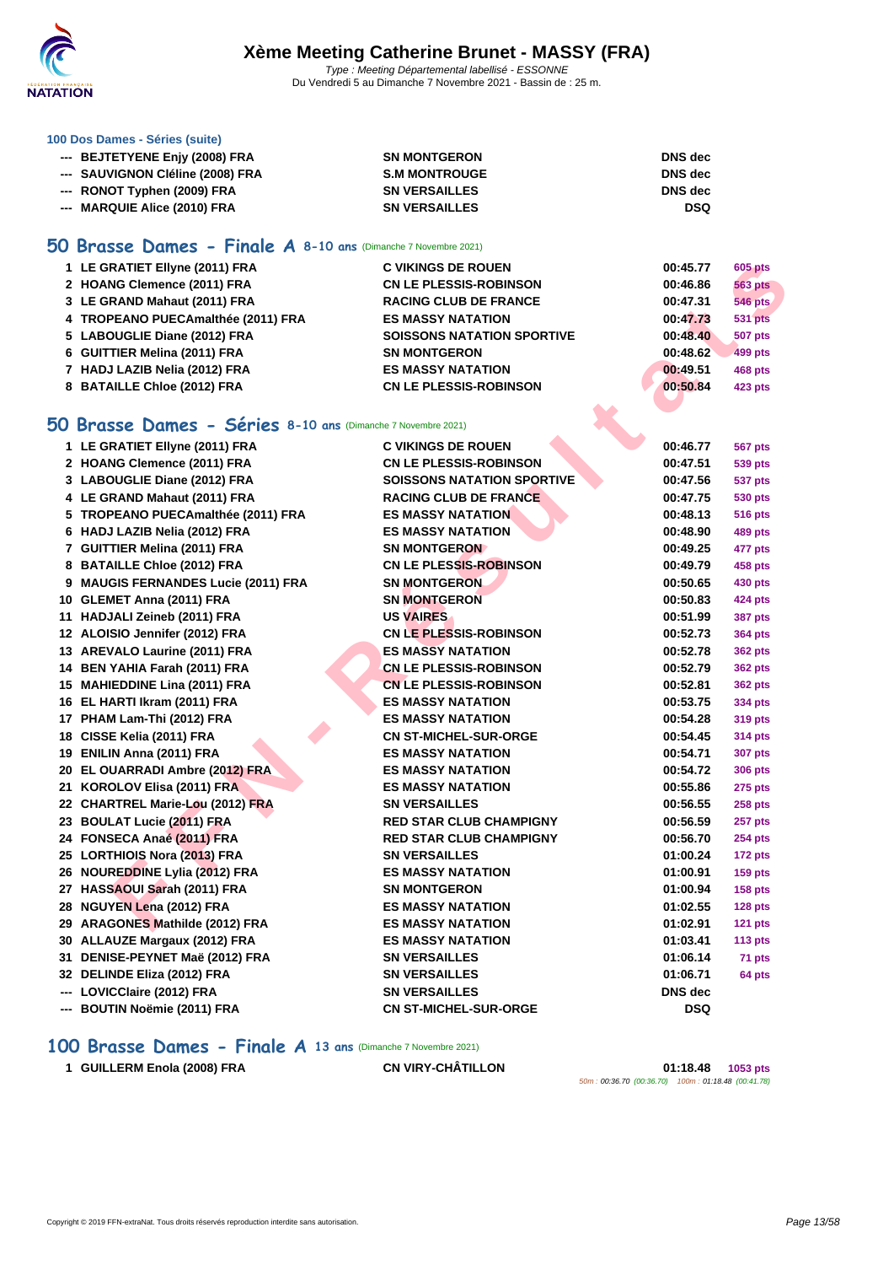

#### **[100 Dos D](http://www.ffnatation.fr/webffn/index.php)ames - Séries (suite)**

| --- BEJTETYENE Eniy (2008) FRA   | <b>SN MONTGERON</b>  | DNS dec        |
|----------------------------------|----------------------|----------------|
| --- SAUVIGNON Cléline (2008) FRA | <b>S.M MONTROUGE</b> | <b>DNS</b> dec |
| --- RONOT Typhen (2009) FRA      | <b>SN VERSAILLES</b> | <b>DNS</b> dec |
| --- MARQUIE Alice (2010) FRA     | <b>SN VERSAILLES</b> | <b>DSQ</b>     |

#### **50 Brasse Dames - Finale A 8-10 ans** (Dimanche 7 Novembre 2021)

| 1 LE GRATIET Ellyne (2011) FRA     | <b>C VIKINGS DE ROUEN</b>         | 00:45.77 | <b>605 pts</b> |
|------------------------------------|-----------------------------------|----------|----------------|
| 2 HOANG Clemence (2011) FRA        | <b>CN LE PLESSIS-ROBINSON</b>     | 00:46.86 | <b>563 pts</b> |
| 3 LE GRAND Mahaut (2011) FRA       | <b>RACING CLUB DE FRANCE</b>      | 00:47.31 | <b>546 pts</b> |
| 4 TROPEANO PUECAmalthée (2011) FRA | <b>ES MASSY NATATION</b>          | 00:47.73 | <b>531 pts</b> |
| 5 LABOUGLIE Diane (2012) FRA       | <b>SOISSONS NATATION SPORTIVE</b> | 00:48.40 | <b>507 pts</b> |
| 6 GUITTIER Melina (2011) FRA       | <b>SN MONTGERON</b>               | 00:48.62 | 499 pts        |
| 7 HADJ LAZIB Nelia (2012) FRA      | <b>ES MASSY NATATION</b>          | 00:49.51 | <b>468 pts</b> |
| 8 BATAILLE Chloe (2012) FRA        | <b>CN LE PLESSIS-ROBINSON</b>     | 00:50.84 | 423 pts        |
|                                    |                                   |          |                |

#### **50 Brasse Dames - Séries 8-10 ans** (Dimanche 7 Novembre 2021)

| 1 LE GRATIET Ellyne (2011) FRA                                      | <b>C VIKINGS DE ROUEN</b>         | 00:45.77   | <b>605 pts</b> |
|---------------------------------------------------------------------|-----------------------------------|------------|----------------|
| 2 HOANG Clemence (2011) FRA                                         | <b>CN LE PLESSIS-ROBINSON</b>     | 00:46.86   | <b>563 pts</b> |
| 3 LE GRAND Mahaut (2011) FRA                                        | <b>RACING CLUB DE FRANCE</b>      | 00:47.31   | <b>546 pts</b> |
| 4 TROPEANO PUECAmalthée (2011) FRA                                  | <b>ES MASSY NATATION</b>          | 00:47.73   | <b>531 pts</b> |
| 5 LABOUGLIE Diane (2012) FRA                                        | <b>SOISSONS NATATION SPORTIVE</b> | 00:48.40   | <b>507 pts</b> |
| 6 GUITTIER Melina (2011) FRA                                        | <b>SN MONTGERON</b>               | 00:48.62   | <b>499 pts</b> |
| 7 HADJ LAZIB Nelia (2012) FRA                                       | <b>ES MASSY NATATION</b>          | 00:49.51   | 468 pts        |
| 8 BATAILLE Chloe (2012) FRA                                         | <b>CN LE PLESSIS-ROBINSON</b>     | 00:50.84   | <b>423 pts</b> |
|                                                                     |                                   |            |                |
| <b>iO Brasse Dames - Séries 8-10 ans (Dimanche 7 Novembre 2021)</b> |                                   |            |                |
| 1 LE GRATIET Ellyne (2011) FRA                                      | <b>C VIKINGS DE ROUEN</b>         | 00:46.77   | 567 pts        |
| 2 HOANG Clemence (2011) FRA                                         | <b>CN LE PLESSIS-ROBINSON</b>     | 00:47.51   | <b>539 pts</b> |
| 3 LABOUGLIE Diane (2012) FRA                                        | <b>SOISSONS NATATION SPORTIVE</b> | 00:47.56   | <b>537 pts</b> |
| 4 LE GRAND Mahaut (2011) FRA                                        | <b>RACING CLUB DE FRANCE</b>      | 00:47.75   | 530 pts        |
| 5 TROPEANO PUECAmalthée (2011) FRA                                  | <b>ES MASSY NATATION</b>          | 00:48.13   | <b>516 pts</b> |
| 6 HADJ LAZIB Nelia (2012) FRA                                       | <b>ES MASSY NATATION</b>          | 00:48.90   | 489 pts        |
| 7 GUITTIER Melina (2011) FRA                                        | <b>SN MONTGERON</b>               | 00:49.25   | 477 pts        |
| 8 BATAILLE Chloe (2012) FRA                                         | CN LE PLESSIS-ROBINSON            | 00:49.79   | 458 pts        |
| 9 MAUGIS FERNANDES Lucie (2011) FRA                                 | <b>SN MONTGERON</b>               | 00:50.65   | 430 pts        |
| 10 GLEMET Anna (2011) FRA                                           | <b>SN MONTGERON</b>               | 00:50.83   | 424 pts        |
| 11 HADJALI Zeineb (2011) FRA                                        | <b>US VAIRES</b>                  | 00:51.99   | <b>387 pts</b> |
| 12 ALOISIO Jennifer (2012) FRA                                      | <b>CN LE PLESSIS-ROBINSON</b>     | 00:52.73   | <b>364 pts</b> |
| 13 AREVALO Laurine (2011) FRA                                       | <b>ES MASSY NATATION</b>          | 00:52.78   | <b>362 pts</b> |
| 14 BEN YAHIA Farah (2011) FRA                                       | <b>CN LE PLESSIS-ROBINSON</b>     | 00:52.79   | <b>362 pts</b> |
| 15 MAHIEDDINE Lina (2011) FRA                                       | <b>CN LE PLESSIS-ROBINSON</b>     | 00:52.81   | <b>362 pts</b> |
| 16 EL HARTI Ikram (2011) FRA                                        | <b>ES MASSY NATATION</b>          | 00:53.75   | 334 pts        |
| 17 PHAM Lam-Thi (2012) FRA                                          | <b>ES MASSY NATATION</b>          | 00:54.28   | <b>319 pts</b> |
| 18 CISSE Kelia (2011) FRA                                           | <b>CN ST-MICHEL-SUR-ORGE</b>      | 00:54.45   | <b>314 pts</b> |
| 19 ENILIN Anna (2011) FRA                                           | <b>ES MASSY NATATION</b>          | 00:54.71   | <b>307 pts</b> |
| 20 EL OUARRADI Ambre (2012) FRA                                     | <b>ES MASSY NATATION</b>          | 00:54.72   | <b>306 pts</b> |
| 21 KOROLOV Elisa (2011) FRA                                         | <b>ES MASSY NATATION</b>          | 00:55.86   | 275 pts        |
| 22 CHARTREL Marie-Lou (2012) FRA                                    | <b>SN VERSAILLES</b>              | 00:56.55   | <b>258 pts</b> |
| 23 BOULAT Lucie (2011) FRA                                          | <b>RED STAR CLUB CHAMPIGNY</b>    | 00:56.59   | <b>257 pts</b> |
| 24 FONSECA Anaé (2011) FRA                                          | <b>RED STAR CLUB CHAMPIGNY</b>    | 00:56.70   | <b>254 pts</b> |
| 25 LORTHIOIS Nora (2013) FRA                                        | <b>SN VERSAILLES</b>              | 01:00.24   | 172 pts        |
| 26 NOUREDDINE Lylia (2012) FRA                                      | <b>ES MASSY NATATION</b>          | 01:00.91   | <b>159 pts</b> |
| 27 HASSAOUI Sarah (2011) FRA                                        | <b>SN MONTGERON</b>               | 01:00.94   | <b>158 pts</b> |
| 28 NGUYEN Lena (2012) FRA                                           | <b>ES MASSY NATATION</b>          | 01:02.55   | 128 pts        |
| 29 ARAGONES Mathilde (2012) FRA                                     | <b>ES MASSY NATATION</b>          | 01:02.91   | 121 pts        |
| 30 ALLAUZE Margaux (2012) FRA                                       | <b>ES MASSY NATATION</b>          | 01:03.41   | <b>113 pts</b> |
| 31 DENISE-PEYNET Maë (2012) FRA                                     | <b>SN VERSAILLES</b>              | 01:06.14   | 71 pts         |
| 32 DELINDE Eliza (2012) FRA                                         | <b>SN VERSAILLES</b>              | 01:06.71   | 64 pts         |
| --- LOVICClaire (2012) FRA                                          | <b>SN VERSAILLES</b>              | DNS dec    |                |
| --- BOUTIN Noëmie (2011) FRA                                        | <b>CN ST-MICHEL-SUR-ORGE</b>      | <b>DSQ</b> |                |

#### **100 Brasse Dames - Finale A 13 ans** (Dimanche 7 Novembre 2021)

**GUILLERM Enola (2008) FRA CN VIRY-CHÂTILLON 01:18.48 1053 pts**

50m : 00:36.70 (00:36.70) 100m : 01:18.48 (00:41.78)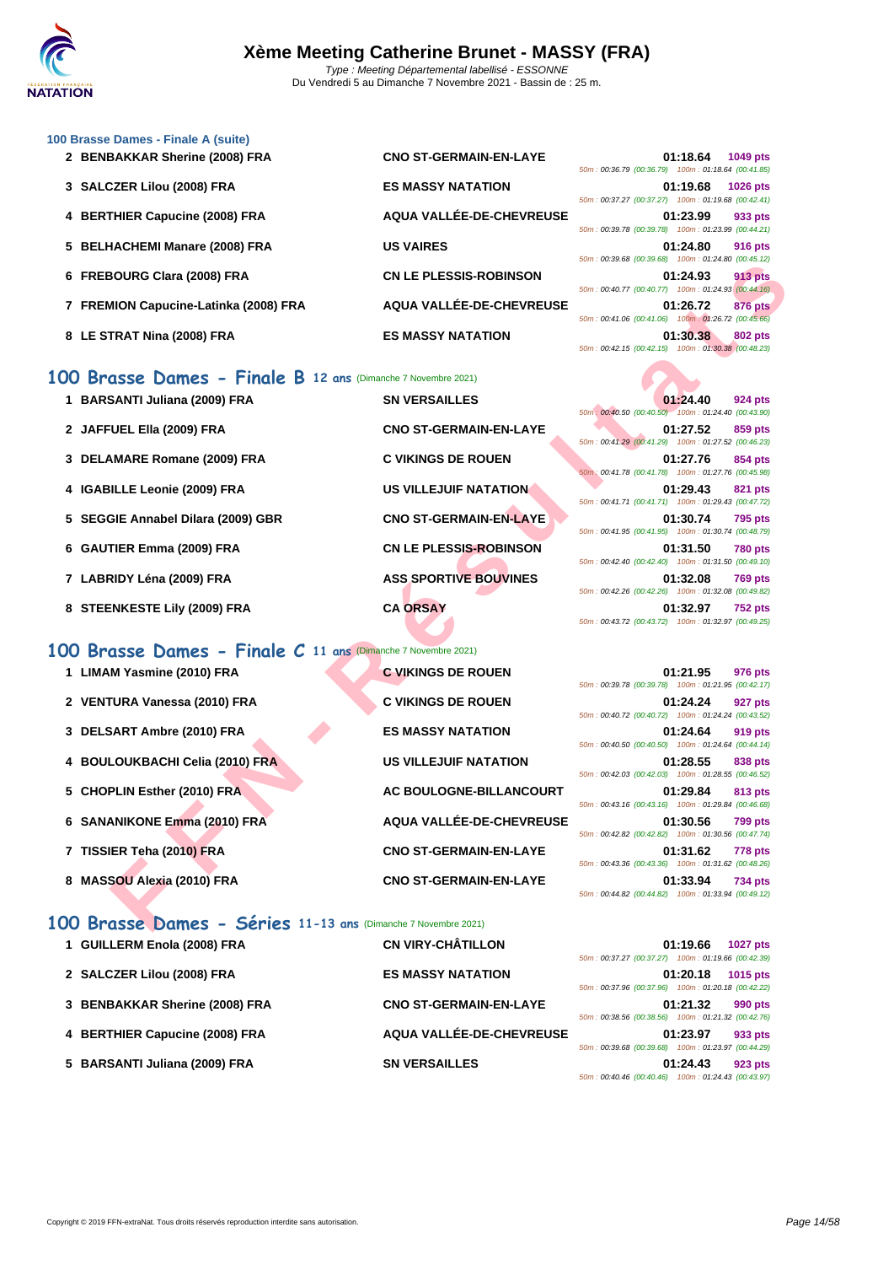#### **[100 Brass](http://www.ffnatation.fr/webffn/index.php)e Dames - Finale A (suite)**

- **2 BENBAKKAR Sherine (2008) FRA**
- **3 SALCZER Lilou (2008) FRA ES MASSY NATATION 01:19.68 1026 pts**
- **4 BERTHIER Capucine (2008) FRA**
- **5 BELHACHEMI Manare (2008) FRA**
- **6 FREBOURG Clara (2008) FRA**
- **7 FREMION Capucine-Latinka (2008) FRA**
- **8** LE STRAT Nina (2008) FRA

#### **100 Brasse Dames - Finale B 12 ans** (Dimanche 7 Novembre 2021)

- 1 **BARSANTI Juliana (2009) FRA** SN VERSAILLES **2 JAFFUEL Ella (2009) FRA CNO ST-GERMAIN-EN-LAYE 01:27.52 859 pts 3 DELAMARE Romane (2009) FRA C VIKINGS DE ROUEN 01:27.76 854 pts 4 IGABILLE Leonie (2009) FRA US VILLEJUIF NATATION 01:29.43 821 pts**
- **5 SEGGIE Annabel Dilara (2009) GBR CNO ST-GERMAIN-EN-LAYE 01:30.74 795 pts**
- **6 GAUTIER Emma (2009) FRA CN LE PLESSIS-ROBINSON 01:31.50 780 pts**
- **7** LABRIDY Léna (2009) FRA **ASS SPORTIVE BOUVINES**
- **8** STEENKESTE Lily (2009) FRA **CA ORSAY**

#### **100 Brasse Dames - Finale C 11 ans** (Dimanche 7 Novembre 2021)

| 1 LIMAM Yasmine (2010) FRA |  | <b>C VIKINGS DE ROUEN</b> |  |
|----------------------------|--|---------------------------|--|
|                            |  |                           |  |

- **2 VENTURA Vanessa (2010) FRA C VIKINGS DE ROUEN**
- **3 DELSART Ambre (2010) FRA ES MASSY NATATION 01:24.64 919 pts**
- **4 BOULOUKBACHI Celia (2010) FRA US VILLEJUIF NATATION 01:28.55 838 pts**
- **5** CHOPLIN Esther (2010) FRA **AC BOULOGNE-BILLANCOURT**
- **6 SANANIKONE Emma (2010) FRA AQUA VALLÉE-DE-CHEVREUSE 01:30.56 799 pts**
- **7 TISSIER Teha (2010) FRA CNO ST-GERMAIN-EN-LAYE**
- 8 **MASSOU Alexia (2010) FRA CNO ST-GERMAIN-EN-LAYE**

#### **100 Brasse Dames - Séries 11-13 ans** (Dimanche 7 Novembre 2021)

| 1 GUILLERM Enola (2008) FRA    | <b>CN VIRY-CHÂTILLON</b>      | 01:19.66<br><b>1027 pts</b>                        |
|--------------------------------|-------------------------------|----------------------------------------------------|
|                                |                               | 50m: 00:37.27 (00:37.27) 100m: 01:19.66 (00:42.39) |
| 2 SALCZER Lilou (2008) FRA     | <b>ES MASSY NATATION</b>      | 01:20.18<br>1015 pts                               |
|                                |                               | 50m: 00:37.96 (00:37.96) 100m: 01:20.18 (00:42.22) |
| 3 BENBAKKAR Sherine (2008) FRA | <b>CNO ST-GERMAIN-EN-LAYE</b> | 01:21.32<br>990 pts                                |
|                                |                               | 50m: 00:38.56 (00:38.56) 100m: 01:21.32 (00:42.76) |
| 4 BERTHIER Capucine (2008) FRA | AQUA VALLÉE-DE-CHEVREUSE      | 01:23.97<br>933 pts                                |
|                                |                               | 50m: 00:39.68 (00:39.68) 100m: 01:23.97 (00:44.29) |
| 5 BARSANTI Juliana (2009) FRA  | <b>SN VERSAILLES</b>          | 01:24.43<br>923 pts                                |
|                                |                               | 50m: 00:40.46 (00:40.46) 100m: 01:24.43 (00:43.97) |

| CNO ST-GERMAIN-EN-LAYE   |             |
|--------------------------|-------------|
|                          | 50m:00:36.7 |
| <b>ES MASSY NATATION</b> |             |
|                          | 50m:00:37.2 |
| AQUA VALLÉE-DE-CHEVREUSE | 50m:00:39.7 |
| <b>US VAIRES</b>         |             |
|                          | 50m:00:39.6 |
| CN LE PLESSIS-ROBINSON   |             |
|                          | 50m:00:40.7 |
| AQUA VALLÉE-DE-CHEVREUSE |             |
|                          | 50m:00:41.0 |
| <b>ES MASSY NATATION</b> |             |

| 50m: 00:36.79 (00:36.79) 100m: 01:18.64 (00:41.85) | 01:18.64 1049 pts  |  |
|----------------------------------------------------|--------------------|--|
| 50m: 00:37.27 (00:37.27) 100m: 01:19.68 (00:42.41) | 01:19.68 1026 pts  |  |
| 50m: 00:39.78 (00:39.78) 100m: 01:23.99 (00:44.21) | $01:23.99$ 933 pts |  |
| 50m: 00:39.68 (00:39.68) 100m: 01:24.80 (00:45.12) | 01:24.80 916 pts   |  |
| 50m: 00:40.77 (00:40.77) 100m: 01:24.93 (00:44.16) | 01:24.93 913 pts   |  |
| 50m: 00:41.06 (00:41.06) 100m: 01:26.72 (00:45.66) | 01:26.72 876 pts   |  |
| 50m: 00:42.15 (00:42.15) 100m: 01:30.38 (00:48.23) | 01:30.38 802 pts   |  |

| <b>3OURG Clara (2008) FRA</b>                            | <b>CN LE PLESSIS-ROBINSON</b> | 01:24.93<br><b>913 pts</b><br>50m: 00:40.77 (00:40.77) 100m: 01:24.93 (00:44.16)                                                |
|----------------------------------------------------------|-------------------------------|---------------------------------------------------------------------------------------------------------------------------------|
| <b>MION Capucine-Latinka (2008) FRA</b>                  | AQUA VALLÉE-DE-CHEVREUSE      | 01:26.72<br><b>876 pts</b><br>50m: 00:41.06 (00:41.06) 100m: 01:26.72 (00:45.66)                                                |
| TRAT Nina (2008) FRA                                     | <b>ES MASSY NATATION</b>      | 01:30.38<br><b>802 pts</b><br>50m: 00:42.15 (00:42.15) 100m: 01:30.38 (00:48.23)                                                |
| asse Dames - Finale B 12 ans (Dimanche 7 Novembre 2021)  |                               |                                                                                                                                 |
| SANTI Juliana (2009) FRA                                 | <b>SN VERSAILLES</b>          | 01:24.40<br>924 pts<br>50m: 00:40.50 (00:40.50) 100m: 01:24.40 (00:43.90)                                                       |
| UEL Ella (2009) FRA                                      | <b>CNO ST-GERMAIN-EN-LAYE</b> | 01:27.52<br>859 pts<br>50m: 00:41.29 (00:41.29) 100m: 01:27.52 (00:46.23)                                                       |
| <b>AMARE Romane (2009) FRA</b>                           | <b>C VIKINGS DE ROUEN</b>     | 01:27.76<br>854 pts<br>50m: 00:41.78 (00:41.78) 100m: 01:27.76 (00:45.98)                                                       |
| <b>ILLE Leonie (2009) FRA</b>                            | <b>US VILLEJUIF NATATION</b>  | 01:29.43<br>821 pts<br>50m: 00:41.71 (00:41.71) 100m: 01:29.43 (00:47.72)                                                       |
| GIE Annabel Dilara (2009) GBR                            | <b>CNO ST-GERMAIN-EN-LAYE</b> | 01:30.74<br><b>795 pts</b><br>50m: 00:41.95 (00:41.95) 100m: 01:30.74 (00:48.79)                                                |
| TIER Emma (2009) FRA                                     | <b>CN LE PLESSIS-ROBINSON</b> | 01:31.50<br><b>780 pts</b><br>50m: 00:42.40 (00:42.40) 100m: 01:31.50 (00:49.10)                                                |
| RIDY Léna (2009) FRA                                     | <b>ASS SPORTIVE BOUVINES</b>  | 01:32.08<br><b>769 pts</b><br>50m: 00:42.26 (00:42.26) 100m: 01:32.08 (00:49.82)                                                |
| <b>ENKESTE Lily (2009) FRA</b>                           | <b>CA ORSAY</b>               | 01:32.97<br><b>752 pts</b><br>50m: 00:43.72 (00:43.72) 100m: 01:32.97 (00:49.25)                                                |
| asse Dames - Finale C 11 ans (Dimanche 7 Novembre 2021)  |                               |                                                                                                                                 |
| M Yasmine (2010) FRA                                     | <b>C VIKINGS DE ROUEN</b>     | 01:21.95<br>976 pts<br>50m: 00:39.78 (00:39.78) 100m: 01:21.95 (00:42.17)                                                       |
| <b>FURA Vanessa (2010) FRA</b>                           | <b>C VIKINGS DE ROUEN</b>     | 01:24.24<br>927 pts<br>50m: 00:40.72 (00:40.72) 100m: 01:24.24 (00:43.52)                                                       |
| SART Ambre (2010) FRA                                    | <b>ES MASSY NATATION</b>      | 01:24.64<br>919 pts<br>50m: 00:40.50 (00:40.50) 100m: 01:24.64 (00:44.14)                                                       |
| LOUKBACHI Celia (2010) FRA                               | <b>US VILLEJUIF NATATION</b>  | 01:28.55<br>838 pts<br>50m: 00:42.03 (00:42.03) 100m: 01:28.55 (00:46.52)                                                       |
| PLIN Esther (2010) FRA                                   | AC BOULOGNE-BILLANCOURT       | 01:29.84<br>813 pts<br>50m: 00:43.16 (00:43.16) 100m: 01:29.84 (00:46.68)                                                       |
| <b>ANIKONE Emma (2010) FRA</b>                           | AQUA VALLÉE-DE-CHEVREUSE      | 01:30.56<br><b>799 pts</b>                                                                                                      |
| IER Teha (2010) FRA                                      | <b>CNO ST-GERMAIN-EN-LAYE</b> | 50m: 00:42.82 (00:42.82) 100m: 01:30.56 (00:47.74)<br>01:31.62<br><b>778 pts</b>                                                |
| SOU Alexia (2010) FRA                                    | <b>CNO ST-GERMAIN-EN-LAYE</b> | 50m: 00:43.36 (00:43.36) 100m: 01:31.62 (00:48.26)<br>01:33.94<br>734 pts<br>50m: 00:44.82 (00:44.82) 100m: 01:33.94 (00:49.12) |
| asse Dames - Séries 11-13 ans (Dimanche 7 Novembre 2021) |                               |                                                                                                                                 |

|                                                    | 01:21.95 976 pts |  |
|----------------------------------------------------|------------------|--|
| 50m: 00:39.78 (00:39.78) 100m: 01:21.95 (00:42.17) |                  |  |
|                                                    | 01:24.24 927 pts |  |
| 50m: 00:40.72 (00:40.72) 100m: 01:24.24 (00:43.52) |                  |  |
|                                                    | 01:24.64 919 pts |  |
| 50m: 00:40.50 (00:40.50) 100m: 01:24.64 (00:44.14) |                  |  |
|                                                    | 01:28.55 838 pts |  |
| 50m: 00:42.03 (00:42.03) 100m: 01:28.55 (00:46.52) |                  |  |
|                                                    | 01:29.84 813 pts |  |
| 50m: 00:43.16 (00:43.16) 100m: 01:29.84 (00:46.68) |                  |  |
|                                                    | 01:30.56 799 pts |  |
| 50m: 00:42.82 (00:42.82) 100m: 01:30.56 (00:47.74) |                  |  |
|                                                    | 01:31.62 778 pts |  |
| 50m: 00:43.36 (00:43.36) 100m: 01:31.62 (00:48.26) |                  |  |
|                                                    | 01:33.94 734 pts |  |
| 50m: 00:44.82 (00:44.82) 100m: 01:33.94 (00:49.12) |                  |  |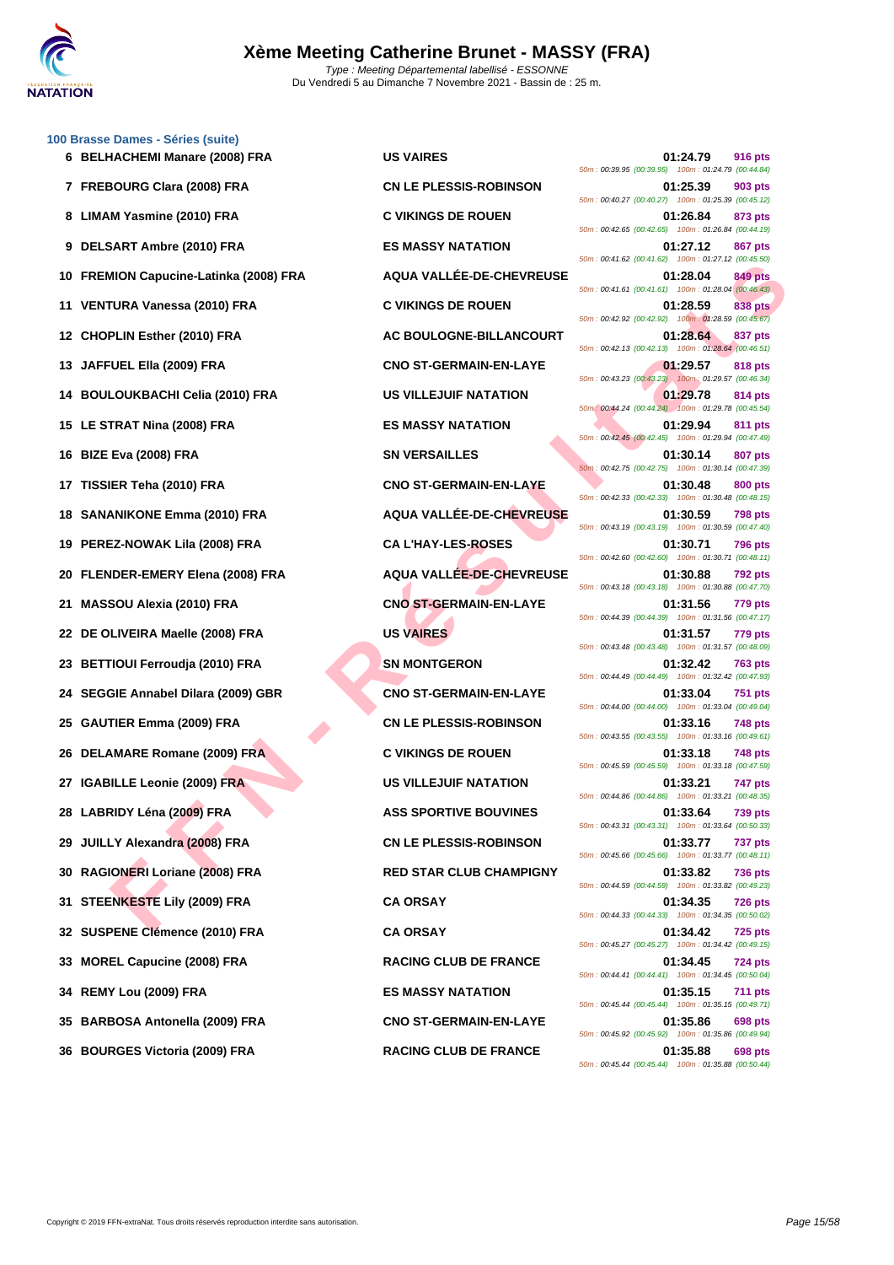

**[100 Brass](http://www.ffnatation.fr/webffn/index.php)e Dames - Séries (suite)**

|     | 6 BELHACHEMI Manare (2008) FRA          | <b>US VAIRES</b>                | 01:24.79<br>916 pts<br>50m: 00:39.95 (00:39.95) 100m: 01:24.79 (00:44.84)        |
|-----|-----------------------------------------|---------------------------------|----------------------------------------------------------------------------------|
|     | 7 FREBOURG Clara (2008) FRA             | <b>CN LE PLESSIS-ROBINSON</b>   | 01:25.39<br>903 pts<br>50m: 00:40.27 (00:40.27) 100m: 01:25.39 (00:45.12)        |
|     | 8 LIMAM Yasmine (2010) FRA              | <b>C VIKINGS DE ROUEN</b>       | 01:26.84<br>873 pts<br>50m: 00:42.65 (00:42.65) 100m: 01:26.84 (00:44.19)        |
|     | 9 DELSART Ambre (2010) FRA              | <b>ES MASSY NATATION</b>        | 01:27.12<br><b>867 pts</b><br>50m: 00:41.62 (00:41.62) 100m: 01:27.12 (00:45.50) |
|     | 10 FREMION Capucine-Latinka (2008) FRA  | AQUA VALLÉE-DE-CHEVREUSE        | 01:28.04<br>849 pts<br>50m: 00:41.61 (00:41.61) 100m: 01:28.04 (00:46.43)        |
|     | 11 VENTURA Vanessa (2010) FRA           | <b>C VIKINGS DE ROUEN</b>       | 01:28.59<br>838 pts<br>50m: 00:42.92 (00:42.92) 100m: 01:28.59 (00:45.67)        |
|     | 12 CHOPLIN Esther (2010) FRA            | AC BOULOGNE-BILLANCOURT         | 01:28.64<br>837 pts<br>50m: 00:42.13 (00:42.13) 100m: 01:28.64 (00:46.51)        |
|     | 13 JAFFUEL Ella (2009) FRA              | <b>CNO ST-GERMAIN-EN-LAYE</b>   | 01:29.57<br>818 pts<br>50m: 00:43.23 (00:43.23) 100m: 01:29.57 (00:46.34)        |
|     | 14 BOULOUKBACHI Celia (2010) FRA        | <b>US VILLEJUIF NATATION</b>    | 01:29.78<br>814 pts<br>50m: 00:44.24 (00:44.24) 100m: 01:29.78 (00:45.54)        |
|     | 15 LE STRAT Nina (2008) FRA             | <b>ES MASSY NATATION</b>        | 01:29.94<br>811 pts<br>50m: 00:42.45 (00:42.45) 100m: 01:29.94 (00:47.49)        |
|     | 16 BIZE Eva (2008) FRA                  | <b>SN VERSAILLES</b>            | 01:30.14<br><b>807 pts</b><br>50m: 00:42.75 (00:42.75) 100m: 01:30.14 (00:47.39) |
|     | 17 TISSIER Teha (2010) FRA              | <b>CNO ST-GERMAIN-EN-LAYE</b>   | 01:30.48<br>800 pts<br>50m: 00:42.33 (00:42.33) 100m: 01:30.48 (00:48.15)        |
|     | 18 SANANIKONE Emma (2010) FRA           | AQUA VALLÉE-DE-CHEVREUSE        | 01:30.59<br><b>798 pts</b><br>50m: 00:43.19 (00:43.19) 100m: 01:30.59 (00:47.40) |
|     | 19 PEREZ-NOWAK Lila (2008) FRA          | <b>CA L'HAY-LES-ROSES</b>       | 01:30.71<br><b>796 pts</b><br>50m: 00:42.60 (00:42.60) 100m: 01:30.71 (00:48.11) |
|     | 20 FLENDER-EMERY Elena (2008) FRA       | <b>AQUA VALLEE-DE-CHEVREUSE</b> | 01:30.88<br>792 pts<br>50m: 00:43.18 (00:43.18) 100m: 01:30.88 (00:47.70)        |
| 21  | <b>MASSOU Alexia (2010) FRA</b>         | <b>CNO ST-GERMAIN-EN-LAYE</b>   | 01:31.56<br>779 pts<br>50m: 00:44.39 (00:44.39) 100m: 01:31.56 (00:47.17)        |
|     | 22 DE OLIVEIRA Maelle (2008) FRA        | <b>US VAIRES</b>                | 01:31.57<br><b>779 pts</b><br>50m: 00:43.48 (00:43.48) 100m: 01:31.57 (00:48.09) |
|     | 23 BETTIOUI Ferroudja (2010) FRA        | <b>SN MONTGERON</b>             | 01:32.42<br><b>763 pts</b><br>50m: 00:44.49 (00:44.49) 100m: 01:32.42 (00:47.93) |
| 24. | <b>SEGGIE Annabel Dilara (2009) GBR</b> | <b>CNO ST-GERMAIN-EN-LAYE</b>   | 01:33.04<br>751 pts<br>50m: 00:44.00 (00:44.00) 100m: 01:33.04 (00:49.04)        |
|     | 25 GAUTIER Emma (2009) FRA              | <b>CN LE PLESSIS-ROBINSON</b>   | 01:33.16<br><b>748 pts</b><br>50m: 00:43.55 (00:43.55) 100m: 01:33.16 (00:49.61) |
|     | 26 DELAMARE Romane (2009) FRA           | <b>C VIKINGS DE ROUEN</b>       | 01:33.18<br>748 pts<br>50m: 00:45.59 (00:45.59) 100m: 01:33.18 (00:47.59)        |
| 27  | <b>IGABILLE Leonie (2009) FRA</b>       | <b>US VILLEJUIF NATATION</b>    | 01:33.21<br>747 pts<br>50m: 00:44.86 (00:44.86) 100m: 01:33.21 (00:48.35)        |
|     | 28 LABRIDY Léna (2009) FRA              | <b>ASS SPORTIVE BOUVINES</b>    | 01:33.64<br>739 pts<br>50m: 00:43.31 (00:43.31) 100m: 01:33.64 (00:50.33)        |
|     | 29 JUILLY Alexandra (2008) FRA          | <b>CN LE PLESSIS-ROBINSON</b>   | 01:33.77<br><b>737 pts</b><br>50m: 00:45.66 (00:45.66) 100m: 01:33.77 (00:48.11) |
|     | 30 RAGIONERI Loriane (2008) FRA         | <b>RED STAR CLUB CHAMPIGNY</b>  | 01:33.82<br><b>736 pts</b><br>50m: 00:44.59 (00:44.59) 100m: 01:33.82 (00:49.23) |
|     | 31 STEENKESTE Lily (2009) FRA           | <b>CA ORSAY</b>                 | 01:34.35<br><b>726 pts</b><br>50m: 00:44.33 (00:44.33) 100m: 01:34.35 (00:50.02) |
|     | 32 SUSPENE Clémence (2010) FRA          | <b>CA ORSAY</b>                 | <b>725 pts</b><br>01:34.42<br>50m: 00:45.27 (00:45.27) 100m: 01:34.42 (00:49.15) |
|     | 33 MOREL Capucine (2008) FRA            | <b>RACING CLUB DE FRANCE</b>    | 01:34.45<br><b>724 pts</b><br>50m: 00:44.41 (00:44.41) 100m: 01:34.45 (00:50.04) |
|     | 34 REMY Lou (2009) FRA                  | <b>ES MASSY NATATION</b>        | 01:35.15<br><b>711 pts</b><br>50m: 00:45.44 (00:45.44) 100m: 01:35.15 (00:49.71) |
|     | 35 BARBOSA Antonella (2009) FRA         | <b>CNO ST-GERMAIN-EN-LAYE</b>   | 01:35.86<br>698 pts<br>50m: 00:45.92 (00:45.92) 100m: 01:35.86 (00:49.94)        |
|     | 36 BOURGES Victoria (2009) FRA          | RACING CLUB DE FRANCE           | 01.35.88<br>698 nts                                                              |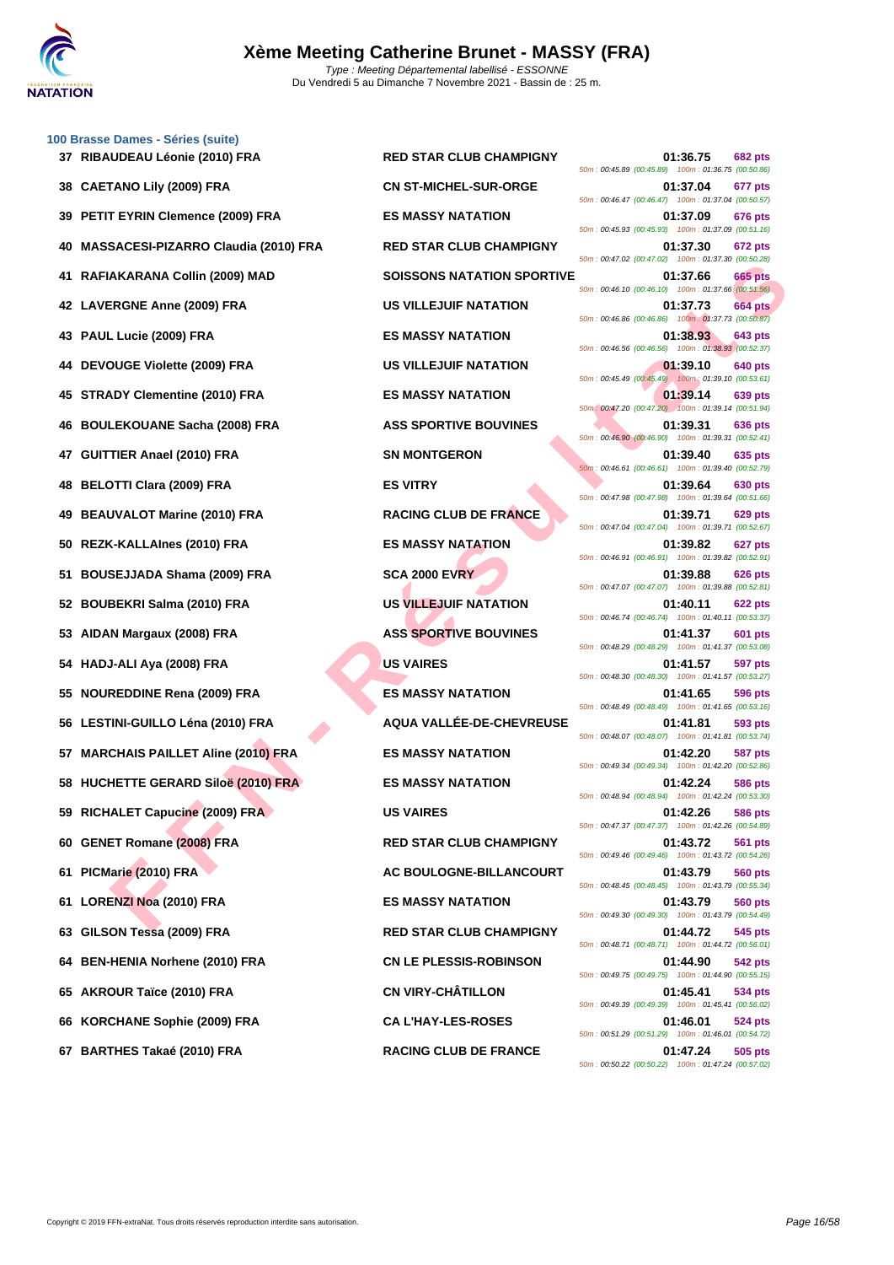

**[100 Brass](http://www.ffnatation.fr/webffn/index.php)e Dames - Séries (suite)**

|     | 37 RIBAUDEAU Leonie (2010) FRA              | <b>RED STAR CLUB CHAMPIGNY</b>    | 01:36.75<br>682 pts<br>50m: 00:45.89 (00:45.89) 100m: 01:36.75 (00:50.86)          |
|-----|---------------------------------------------|-----------------------------------|------------------------------------------------------------------------------------|
|     | 38 CAETANO Lily (2009) FRA                  | <b>CN ST-MICHEL-SUR-ORGE</b>      | 01:37.04<br>677 pts<br>50m: 00:46.47 (00:46.47) 100m: 01:37.04 (00:50.57)          |
|     | 39 PETIT EYRIN Clemence (2009) FRA          | <b>ES MASSY NATATION</b>          | 01:37.09<br>676 pts<br>50m: 00:45.93 (00:45.93) 100m: 01:37.09 (00:51.16)          |
|     | <b>MASSACESI-PIZARRO Claudia (2010) FRA</b> | <b>RED STAR CLUB CHAMPIGNY</b>    | 01:37.30<br>672 pts<br>50m: 00:47.02 (00:47.02) 100m: 01:37.30 (00:50.28)          |
|     | RAFIAKARANA Collin (2009) MAD               | <b>SOISSONS NATATION SPORTIVE</b> | 01:37.66<br>665 pts<br>50m : 00:46.10 (00:46.10) 100m : 01:37.66 (00:51.56)        |
|     | 42 LAVERGNE Anne (2009) FRA                 | <b>US VILLEJUIF NATATION</b>      | 01:37.73<br><b>664 pts</b><br>50m : 00:46.86 (00:46.86) 100m : 01:37.73 (00:50.87) |
|     | 43 PAUL Lucie (2009) FRA                    | <b>ES MASSY NATATION</b>          | 01:38.93<br>643 pts<br>50m: 00:46.56 (00:46.56) 100m: 01:38.93 (00:52.37)          |
|     | 44 DEVOUGE Violette (2009) FRA              | <b>US VILLEJUIF NATATION</b>      | 01:39.10<br>640 pts<br>50m: 00:45.49 (00:45.49) 100m: 01:39.10 (00:53.61)          |
| 45  | <b>STRADY Clementine (2010) FRA</b>         | <b>ES MASSY NATATION</b>          | 01:39.14<br>639 pts<br>50m: 00:47.20 (00:47.20) 100m: 01:39.14 (00:51.94)          |
| 46  | <b>BOULEKOUANE Sacha (2008) FRA</b>         | <b>ASS SPORTIVE BOUVINES</b>      | 01:39.31<br>636 pts<br>50m: 00:46.90 (00:46.90) 100m: 01:39.31 (00:52.41)          |
|     | <b>GUITTIER Anael (2010) FRA</b>            | <b>SN MONTGERON</b>               | 01:39.40<br>635 pts<br>50m: 00:46.61 (00:46.61) 100m: 01:39.40 (00:52.79)          |
| 48  | <b>BELOTTI Clara (2009) FRA</b>             | <b>ES VITRY</b>                   | 01:39.64<br>630 pts<br>50m: 00:47.98 (00:47.98) 100m: 01:39.64 (00:51.66)          |
| 49  | <b>BEAUVALOT Marine (2010) FRA</b>          | <b>RACING CLUB DE FRANCE</b>      | 01:39.71<br><b>629 pts</b><br>50m: 00:47.04 (00:47.04) 100m: 01:39.71 (00:52.67)   |
|     | 50 REZK-KALLAInes (2010) FRA                | <b>ES MASSY NATATION</b>          | 01:39.82<br>627 pts<br>50m: 00:46.91 (00:46.91) 100m: 01:39.82 (00:52.91)          |
| 51  | BOUSEJJADA Shama (2009) FRA                 | <b>SCA 2000 EVRY</b>              | 01:39.88<br>626 pts<br>50m: 00:47.07 (00:47.07) 100m: 01:39.88 (00:52.81)          |
|     | 52 BOUBEKRI Salma (2010) FRA                | <b>US VILLEJUIF NATATION</b>      | 01:40.11<br>622 pts<br>50m: 00:46.74 (00:46.74) 100m: 01:40.11 (00:53.37)          |
| 53. | AIDAN Margaux (2008) FRA                    | <b>ASS SPORTIVE BOUVINES</b>      | 01:41.37<br>601 pts<br>50m: 00:48.29 (00:48.29) 100m: 01:41.37 (00:53.08)          |
|     | 54 HADJ-ALI Aya (2008) FRA                  | <b>US VAIRES</b>                  | 01:41.57<br>597 pts<br>50m: 00:48.30 (00:48.30) 100m: 01:41.57 (00:53.27)          |
| 55  | <b>NOUREDDINE Rena (2009) FRA</b>           | <b>ES MASSY NATATION</b>          | 01:41.65<br>596 pts<br>50m: 00:48.49 (00:48.49) 100m: 01:41.65 (00:53.16)          |
|     | 56 LESTINI-GUILLO Léna (2010) FRA           | AQUA VALLÉE-DE-CHEVREUSE          | 01:41.81<br>593 pts<br>50m: 00:48.07 (00:48.07) 100m: 01:41.81 (00:53.74)          |
| 57  | <b>MARCHAIS PAILLET Aline (2010) FRA</b>    | <b>ES MASSY NATATION</b>          | 01:42.20<br><b>587 pts</b><br>50m: 00:49.34 (00:49.34) 100m: 01:42.20 (00:52.86)   |
|     | 58 HUCHETTE GERARD Siloë (2010) FRA         | <b>ES MASSY NATATION</b>          | 01:42.24<br><b>586 pts</b><br>50m: 00:48.94 (00:48.94) 100m: 01:42.24 (00:53.30)   |
|     | 59 RICHALET Capucine (2009) FRA             | <b>US VAIRES</b>                  | 01:42.26<br>586 pts<br>50m: 00:47.37 (00:47.37) 100m: 01:42.26 (00:54.89)          |
|     | 60 GENET Romane (2008) FRA                  | <b>RED STAR CLUB CHAMPIGNY</b>    | 01:43.72<br>561 pts<br>50m: 00:49.46 (00:49.46) 100m: 01:43.72 (00:54.26)          |
| 61. | PICMarie (2010) FRA                         | AC BOULOGNE-BILLANCOURT           | 01:43.79<br>560 pts<br>50m: 00:48.45 (00:48.45) 100m: 01:43.79 (00:55.34)          |
| 61. | <b>LORENZI Noa (2010) FRA</b>               | <b>ES MASSY NATATION</b>          | 01:43.79<br>560 pts<br>50m: 00:49.30 (00:49.30) 100m: 01:43.79 (00:54.49)          |
| 63  | GILSON Tessa (2009) FRA                     | <b>RED STAR CLUB CHAMPIGNY</b>    | 01:44.72<br>545 pts<br>50m: 00:48.71 (00:48.71) 100m: 01:44.72 (00:56.01)          |
| 64  | <b>BEN-HENIA Norhene (2010) FRA</b>         | <b>CN LE PLESSIS-ROBINSON</b>     | 01:44.90<br>542 pts<br>50m: 00:49.75 (00:49.75) 100m: 01:44.90 (00:55.15)          |
| 65  | <b>AKROUR Taïce (2010) FRA</b>              | <b>CN VIRY-CHÂTILLON</b>          | 01:45.41<br>534 pts<br>50m: 00:49.39 (00:49.39) 100m: 01:45.41 (00:56.02)          |
|     | 66 KORCHANE Sophie (2009) FRA               | <b>CA L'HAY-LES-ROSES</b>         | 01:46.01<br>524 pts<br>50m: 00:51.29 (00:51.29) 100m: 01:46.01 (00:54.72)          |
|     |                                             |                                   |                                                                                    |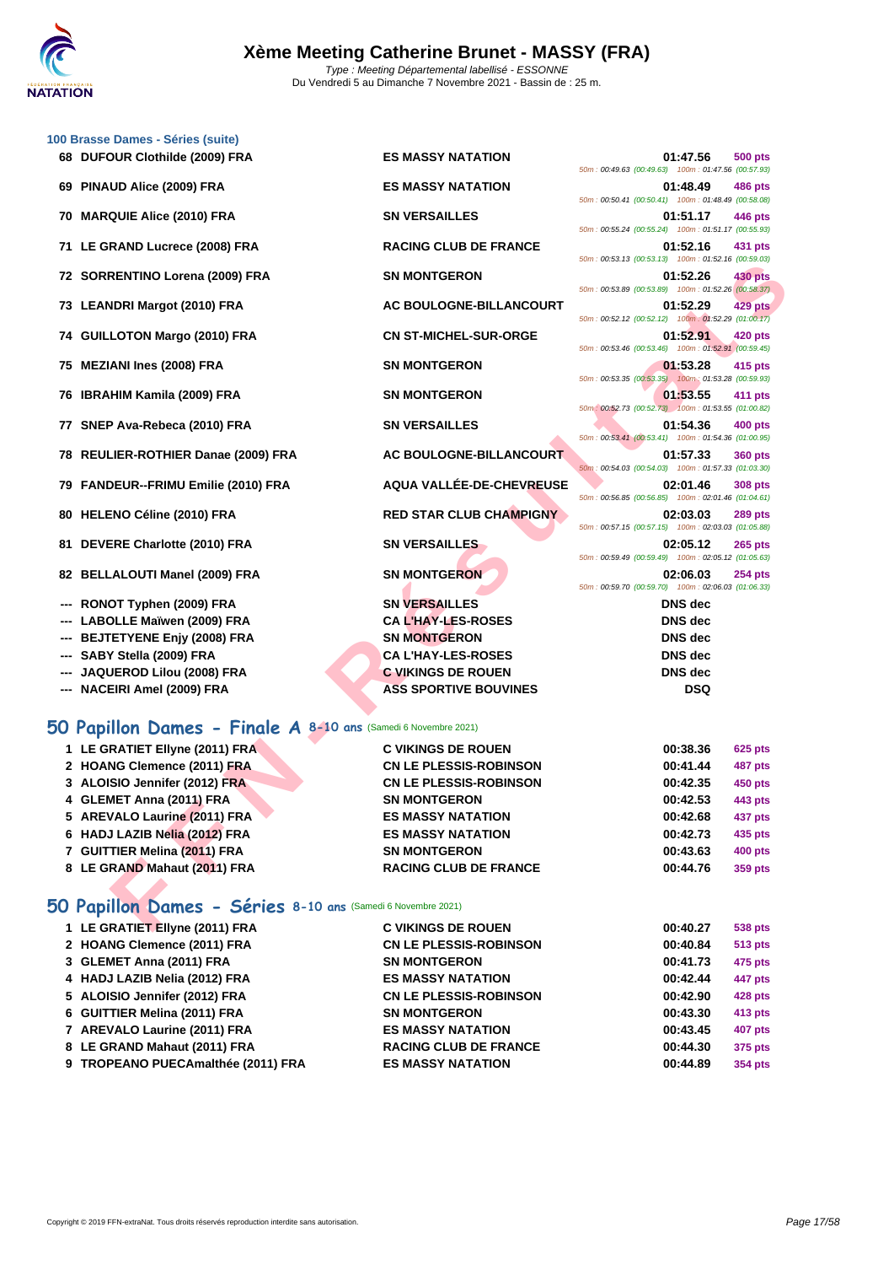

**[100 Brass](http://www.ffnatation.fr/webffn/index.php)e Dames - Séries (suite)**

| 68 DUFOUR Clothilde (2009) FRA                                 | <b>ES MASSY NATATION</b>                                   | 01:47.56<br><b>500 pts</b><br>50m: 00:49.63 (00:49.63) 100m: 01:47.56 (00:57.93) |
|----------------------------------------------------------------|------------------------------------------------------------|----------------------------------------------------------------------------------|
| 69 PINAUD Alice (2009) FRA                                     | <b>ES MASSY NATATION</b>                                   | 01:48.49<br>486 pts                                                              |
| 70 MARQUIE Alice (2010) FRA                                    | <b>SN VERSAILLES</b>                                       | 50m: 00:50.41 (00:50.41) 100m: 01:48.49 (00:58.08)<br>01:51.17<br>446 pts        |
| 71 LE GRAND Lucrece (2008) FRA                                 | <b>RACING CLUB DE FRANCE</b>                               | 50m: 00:55.24 (00:55.24) 100m: 01:51.17 (00:55.93)<br>01:52.16<br>431 pts        |
|                                                                |                                                            | 50m: 00:53.13 (00:53.13) 100m: 01:52.16 (00:59.03)                               |
| 72 SORRENTINO Lorena (2009) FRA                                | <b>SN MONTGERON</b>                                        | 01:52.26<br><b>430 pts</b><br>50m: 00:53.89 (00:53.89) 100m: 01:52.26 (00:58.37) |
| 73 LEANDRI Margot (2010) FRA                                   | AC BOULOGNE-BILLANCOURT                                    | 01:52.29<br><b>429 pts</b><br>50m: 00:52.12 (00:52.12) 100m: 01:52.29 (01:00.17) |
| 74 GUILLOTON Margo (2010) FRA                                  | <b>CN ST-MICHEL-SUR-ORGE</b>                               | 01:52.91<br>420 pts                                                              |
| 75 MEZIANI Ines (2008) FRA                                     | <b>SN MONTGERON</b>                                        | 50m: 00:53.46 (00:53.46) 100m: 01:52.91 (00:59.45)<br>01:53.28<br>415 pts        |
| 76 IBRAHIM Kamila (2009) FRA                                   | <b>SN MONTGERON</b>                                        | 50m: 00:53.35 (00:53.35) 100m: 01:53.28 (00:59.93)<br>01:53.55<br>411 pts        |
|                                                                |                                                            | 50m: 00:52.73 (00:52.73) 100m: 01:53.55 (01:00.82)                               |
| 77 SNEP Ava-Rebeca (2010) FRA                                  | <b>SN VERSAILLES</b>                                       | 01:54.36<br><b>400 pts</b><br>50m: 00:53.41 (00:53.41) 100m: 01:54.36 (01:00.95) |
| 78 REULIER-ROTHIER Danae (2009) FRA                            | AC BOULOGNE-BILLANCOURT                                    | 01:57.33<br><b>360 pts</b><br>50m: 00:54.03 (00:54.03) 100m: 01:57.33 (01:03.30) |
| 79 FANDEUR--FRIMU Emilie (2010) FRA                            | AQUA VALLÉE-DE-CHEVREUSE                                   | 02:01.46<br><b>308 pts</b><br>50m: 00:56.85 (00:56.85) 100m: 02:01.46 (01:04.61) |
| 80 HELENO Céline (2010) FRA                                    | <b>RED STAR CLUB CHAMPIGNY</b>                             | 02:03.03<br><b>289 pts</b><br>50m: 00:57.15 (00:57.15) 100m: 02:03.03 (01:05.88) |
| 81 DEVERE Charlotte (2010) FRA                                 | <b>SN VERSAILLES</b>                                       | 02:05.12<br><b>265 pts</b>                                                       |
| 82 BELLALOUTI Manel (2009) FRA                                 | <b>SN MONTGERON</b>                                        | 50m: 00:59.49 (00:59.49) 100m: 02:05.12 (01:05.63)<br>02:06.03<br><b>254 pts</b> |
| --- RONOT Typhen (2009) FRA                                    | <b>SN VERSAILLES</b>                                       | 50m: 00:59.70 (00:59.70) 100m: 02:06.03 (01:06.33)<br><b>DNS</b> dec             |
| --- LABOLLE Maïwen (2009) FRA                                  | <b>CA L'HAY-LES-ROSES</b>                                  | <b>DNS</b> dec                                                                   |
| <b>BEJTETYENE Enjy (2008) FRA</b><br>---                       | <b>SN MONTGERON</b>                                        | <b>DNS</b> dec                                                                   |
| --- SABY Stella (2009) FRA                                     | <b>CA L'HAY-LES-ROSES</b>                                  | <b>DNS</b> dec                                                                   |
| JAQUEROD Lilou (2008) FRA                                      | <b>C VIKINGS DE ROUEN</b>                                  | <b>DNS</b> dec                                                                   |
| --- NACEIRI Amel (2009) FRA                                    | <b>ASS SPORTIVE BOUVINES</b>                               | <b>DSQ</b>                                                                       |
| 50 Papillon Dames - Finale A 8-10 ans (Samedi 6 Novembre 2021) |                                                            |                                                                                  |
|                                                                |                                                            |                                                                                  |
| 1 LE GRATIET Ellyne (2011) FRA<br>2 HOANG Clemence (2011) FRA  | <b>C VIKINGS DE ROUEN</b><br><b>CN LE PLESSIS-ROBINSON</b> | 00:38.36<br><b>625 pts</b>                                                       |
| 3 ALOISIO Jennifer (2012) FRA                                  | <b>CN LE PLESSIS-ROBINSON</b>                              | 00:41.44<br><b>487 pts</b><br>00:42.35<br><b>450 pts</b>                         |
|                                                                | <b>SN MONTGERON</b>                                        | 00:42.53                                                                         |
| 4 GLEMET Anna (2011) FRA                                       | <b>ES MASSY NATATION</b>                                   | 443 pts                                                                          |
| 5 AREVALO Laurine (2011) FRA                                   | <b>ES MASSY NATATION</b>                                   | 00:42.68<br>437 pts<br>00:42.73                                                  |
| 6 HADJ LAZIB Nelia (2012) FRA                                  | <b>SN MONTGERON</b>                                        | 435 pts                                                                          |
| 7 GUITTIER Melina (2011) FRA                                   | <b>RACING CLUB DE FRANCE</b>                               | 00:43.63<br>400 pts                                                              |
| 8 LE GRAND Mahaut (2011) FRA                                   |                                                            | 00:44.76<br>359 pts                                                              |
| 50 Papillon Dames - Séries 8-10 ans (Samedi 6 Novembre 2021)   |                                                            |                                                                                  |
| 1 LE GRATIET Ellyne (2011) FRA                                 | <b>C VIKINGS DE ROUEN</b>                                  | 00:40.27<br>538 pts                                                              |

## **50 Papillon Dames - Séries 8-10 ans** (Samedi 6 Novembre 2021)

| 1 LE GRATIET Ellyne (2011) FRA     | <b>C VIKINGS DE ROUEN</b>     | 00:40.27 | 538 pts |
|------------------------------------|-------------------------------|----------|---------|
| 2 HOANG Clemence (2011) FRA        | <b>CN LE PLESSIS-ROBINSON</b> | 00:40.84 | 513 pts |
| 3 GLEMET Anna (2011) FRA           | <b>SN MONTGERON</b>           | 00:41.73 | 475 pts |
| 4 HADJ LAZIB Nelia (2012) FRA      | <b>ES MASSY NATATION</b>      | 00:42.44 | 447 pts |
| 5 ALOISIO Jennifer (2012) FRA      | <b>CN LE PLESSIS-ROBINSON</b> | 00:42.90 | 428 pts |
| 6 GUITTIER Melina (2011) FRA       | <b>SN MONTGERON</b>           | 00:43.30 | 413 pts |
| 7 AREVALO Laurine (2011) FRA       | <b>ES MASSY NATATION</b>      | 00:43.45 | 407 pts |
| 8 LE GRAND Mahaut (2011) FRA       | <b>RACING CLUB DE FRANCE</b>  | 00:44.30 | 375 pts |
| 9 TROPEANO PUECAmalthée (2011) FRA | <b>ES MASSY NATATION</b>      | 00:44.89 | 354 pts |
|                                    |                               |          |         |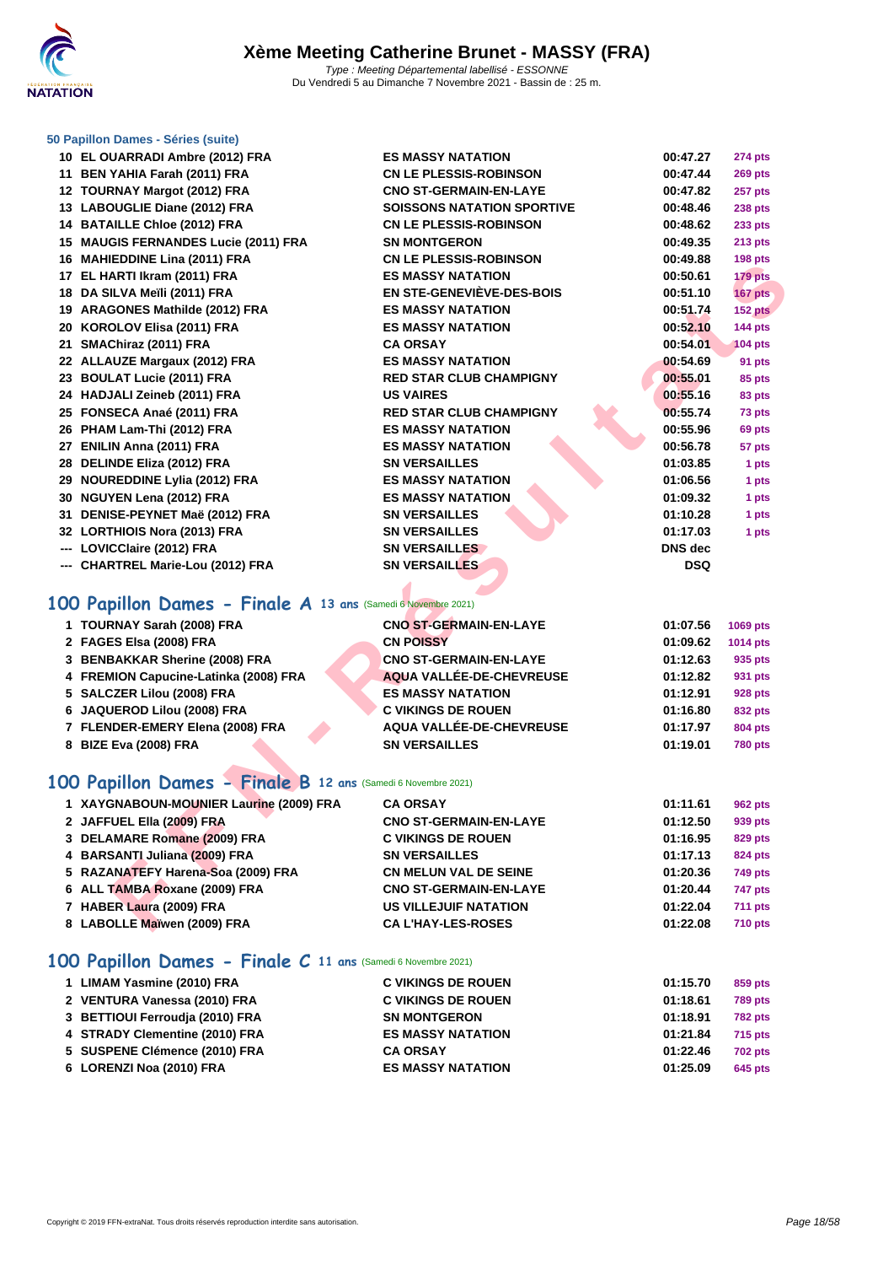

#### **[50 Papillo](http://www.ffnatation.fr/webffn/index.php)n Dames - Séries (suite)**

| 10 EL OUARRADI Ambre (2012) FRA                               | <b>ES MASSY NATATION</b>          | 00:47.27       | <b>274 pts</b> |
|---------------------------------------------------------------|-----------------------------------|----------------|----------------|
| 11 BEN YAHIA Farah (2011) FRA                                 | <b>CN LE PLESSIS-ROBINSON</b>     | 00:47.44       | <b>269 pts</b> |
| 12 TOURNAY Margot (2012) FRA                                  | <b>CNO ST-GERMAIN-EN-LAYE</b>     | 00:47.82       | <b>257 pts</b> |
| 13 LABOUGLIE Diane (2012) FRA                                 | <b>SOISSONS NATATION SPORTIVE</b> | 00:48.46       | <b>238 pts</b> |
| 14 BATAILLE Chloe (2012) FRA                                  | <b>CN LE PLESSIS-ROBINSON</b>     | 00:48.62       | 233 pts        |
| 15 MAUGIS FERNANDES Lucie (2011) FRA                          | <b>SN MONTGERON</b>               | 00:49.35       | <b>213 pts</b> |
| 16 MAHIEDDINE Lina (2011) FRA                                 | <b>CN LE PLESSIS-ROBINSON</b>     | 00:49.88       | 198 pts        |
| 17 EL HARTI Ikram (2011) FRA                                  | <b>ES MASSY NATATION</b>          | 00:50.61       | 179 pts        |
| 18 DA SILVA Meïli (2011) FRA                                  | <b>EN STE-GENEVIÈVE-DES-BOIS</b>  | 00:51.10       | 167 pts        |
| 19 ARAGONES Mathilde (2012) FRA                               | <b>ES MASSY NATATION</b>          | 00:51.74       | 152 pts        |
| 20 KOROLOV Elisa (2011) FRA                                   | <b>ES MASSY NATATION</b>          | 00:52.10       | 144 pts        |
| 21 SMAChiraz (2011) FRA                                       | <b>CA ORSAY</b>                   | 00:54.01       | <b>104 pts</b> |
| 22 ALLAUZE Margaux (2012) FRA                                 | <b>ES MASSY NATATION</b>          | 00:54.69       | 91 pts         |
| 23 BOULAT Lucie (2011) FRA                                    | <b>RED STAR CLUB CHAMPIGNY</b>    | 00:55.01       | 85 pts         |
| 24 HADJALI Zeineb (2011) FRA                                  | <b>US VAIRES</b>                  | 00:55.16       | 83 pts         |
| 25 FONSECA Anaé (2011) FRA                                    | <b>RED STAR CLUB CHAMPIGNY</b>    | 00:55.74       | 73 pts         |
| 26 PHAM Lam-Thi (2012) FRA                                    | <b>ES MASSY NATATION</b>          | 00:55.96       | 69 pts         |
| 27 ENILIN Anna (2011) FRA                                     | <b>ES MASSY NATATION</b>          | 00:56.78       | 57 pts         |
| 28 DELINDE Eliza (2012) FRA                                   | <b>SN VERSAILLES</b>              | 01:03.85       | 1 pts          |
| 29 NOUREDDINE Lylia (2012) FRA                                | <b>ES MASSY NATATION</b>          | 01:06.56       | 1 pts          |
| 30 NGUYEN Lena (2012) FRA                                     | <b>ES MASSY NATATION</b>          | 01:09.32       | 1 pts          |
| 31 DENISE-PEYNET Maë (2012) FRA                               | <b>SN VERSAILLES</b>              | 01:10.28       | 1 pts          |
| 32 LORTHIOIS Nora (2013) FRA                                  | <b>SN VERSAILLES</b>              | 01:17.03       | 1 pts          |
| --- LOVICClaire (2012) FRA                                    | <b>SN VERSAILLES</b>              | <b>DNS</b> dec |                |
| --- CHARTREL Marie-Lou (2012) FRA                             | <b>SN VERSAILLES</b>              | <b>DSQ</b>     |                |
|                                                               |                                   |                |                |
| 100 Papillon Dames - Finale A 13 ans (Samedi 6 Novembre 2021) |                                   |                |                |
| 1 TOURNAY Sarah (2008) FRA                                    | <b>CNO ST-GERMAIN-EN-LAYE</b>     | 01:07.56       | 1069 pts       |
| 2 FAGES Elsa (2008) FRA                                       | <b>CN POISSY</b>                  | 01:09.62       | 1014 pts       |
| 3 BENBAKKAR Sherine (2008) FRA                                | <b>CNO ST-GERMAIN-EN-LAYE</b>     | 01:12.63       | 935 pts        |
| 4 FREMION Capucine-Latinka (2008) FRA                         | AQUA VALLÉE-DE-CHEVREUSE          | 01:12.82       | 931 pts        |
| 5 SALCZER Lilou (2008) FRA                                    | <b>ES MASSY NATATION</b>          | 01:12.91       | <b>928 pts</b> |
| 6 JAQUEROD Lilou (2008) FRA                                   | <b>C VIKINGS DE ROUEN</b>         | 01:16.80       | 832 pts        |
| 7 FLENDER-EMERY Elena (2008) FRA                              | AQUA VALLÉE-DE-CHEVREUSE          | 01:17.97       | <b>804 pts</b> |
| 8 BIZE Eva (2008) FRA                                         | <b>SN VERSAILLES</b>              | 01:19.01       | <b>780 pts</b> |
| 100 Papillon Dames - Finale B 12 ans (Samedi 6 Novembre 2021) |                                   |                |                |
| 1 XAYGNABOUN-MOUNIER Laurine (2009) FRA                       | <b>CA ORSAY</b>                   | 01:11.61       | <b>962 pts</b> |
| 2 JAFFUEL Ella (2009) FRA                                     | <b>CNO ST-GERMAIN-EN-LAYE</b>     | 01:12.50       | 939 pts        |
| 3 DELAMARE Romane (2009) FRA                                  | <b>C VIKINGS DE ROUEN</b>         | 01:16.95       | <b>829 pts</b> |
| 4 BARSANTI Juliana (2009) FRA                                 | <b>SN VERSAILLES</b>              | 01:17.13       | 824 pts        |
| 5 RAZANATEFY Harena-Soa (2009) FRA                            | <b>CN MELUN VAL DE SEINE</b>      | 01:20.36       | <b>749 pts</b> |
| 6 ALL TAMBA Roxane (2009) FRA                                 | <b>CNO ST-GERMAIN-EN-LAYE</b>     | 01:20.44       | <b>747 pts</b> |
| 7 HABER Laura (2009) FRA                                      | <b>US VILLEJUIF NATATION</b>      | 01:22.04       | <b>711 pts</b> |
| 8 LABOLLE Maïwen (2009) FRA                                   | <b>CA L'HAY-LES-ROSES</b>         | 01:22.08       | <b>710 pts</b> |
|                                                               |                                   |                |                |

## **100 Papillon Dames - Finale A 13 ans** (Samedi 6 Novembre 2021)

| 1 TOURNAY Sarah (2008) FRA            | <b>CNO ST-GERMAIN-EN-LAYE</b> | 01:07.56 | 1069 pts       |
|---------------------------------------|-------------------------------|----------|----------------|
| 2 FAGES Elsa (2008) FRA               | <b>CN POISSY</b>              | 01:09.62 | 1014 pts       |
| 3 BENBAKKAR Sherine (2008) FRA        | <b>CNO ST-GERMAIN-EN-LAYE</b> | 01:12.63 | 935 pts        |
| 4 FREMION Capucine-Latinka (2008) FRA | AQUA VALLÉE-DE-CHEVREUSE      | 01:12.82 | 931 pts        |
| 5 SALCZER Lilou (2008) FRA            | <b>ES MASSY NATATION</b>      | 01:12.91 | <b>928 pts</b> |
| 6 JAQUEROD Lilou (2008) FRA           | <b>C VIKINGS DE ROUEN</b>     | 01:16.80 | 832 pts        |
| 7 FLENDER-EMERY Elena (2008) FRA      | AQUA VALLÉE-DE-CHEVREUSE      | 01:17.97 | <b>804 pts</b> |
| 8 BIZE Eva (2008) FRA                 | <b>SN VERSAILLES</b>          | 01:19.01 | <b>780 pts</b> |

## **100 Papillon Dames - Finale B 12 ans** (Samedi 6 Novembre 2021)

| 1 XAYGNABOUN-MOUNIER Laurine (2009) FRA | <b>CA ORSAY</b>               | 01:11.61 | 962 pts        |
|-----------------------------------------|-------------------------------|----------|----------------|
| 2 JAFFUEL Ella (2009) FRA               | <b>CNO ST-GERMAIN-EN-LAYE</b> | 01:12.50 | 939 pts        |
| 3 DELAMARE Romane (2009) FRA            | <b>C VIKINGS DE ROUEN</b>     | 01:16.95 | 829 pts        |
| 4 BARSANTI Juliana (2009) FRA           | <b>SN VERSAILLES</b>          | 01:17.13 | 824 pts        |
| 5 RAZANATEFY Harena-Soa (2009) FRA      | <b>CN MELUN VAL DE SEINE</b>  | 01:20.36 | <b>749 pts</b> |
| 6 ALL TAMBA Roxane (2009) FRA           | <b>CNO ST-GERMAIN-EN-LAYE</b> | 01:20.44 | <b>747 pts</b> |
| 7 HABER Laura (2009) FRA                | <b>US VILLEJUIF NATATION</b>  | 01:22.04 | <b>711 pts</b> |
| 8 LABOLLE Maïwen (2009) FRA             | <b>CAL'HAY-LES-ROSES</b>      | 01:22.08 | <b>710 pts</b> |

#### **100 Papillon Dames - Finale C 11 ans** (Samedi 6 Novembre 2021)

| 1 LIMAM Yasmine (2010) FRA      | <b>C VIKINGS DE ROUEN</b> | 01:15.70 | 859 pts        |
|---------------------------------|---------------------------|----------|----------------|
| 2 VENTURA Vanessa (2010) FRA    | <b>C VIKINGS DE ROUEN</b> | 01:18.61 | <b>789 pts</b> |
| 3 BETTIOUI Ferroudia (2010) FRA | <b>SN MONTGERON</b>       | 01:18.91 | <b>782 pts</b> |
| 4 STRADY Clementine (2010) FRA  | <b>ES MASSY NATATION</b>  | 01:21.84 | <b>715 pts</b> |
| 5 SUSPENE Clémence (2010) FRA   | <b>CA ORSAY</b>           | 01:22.46 | <b>702 pts</b> |
| 6 LORENZI Noa (2010) FRA        | <b>ES MASSY NATATION</b>  | 01:25.09 | 645 pts        |
|                                 |                           |          |                |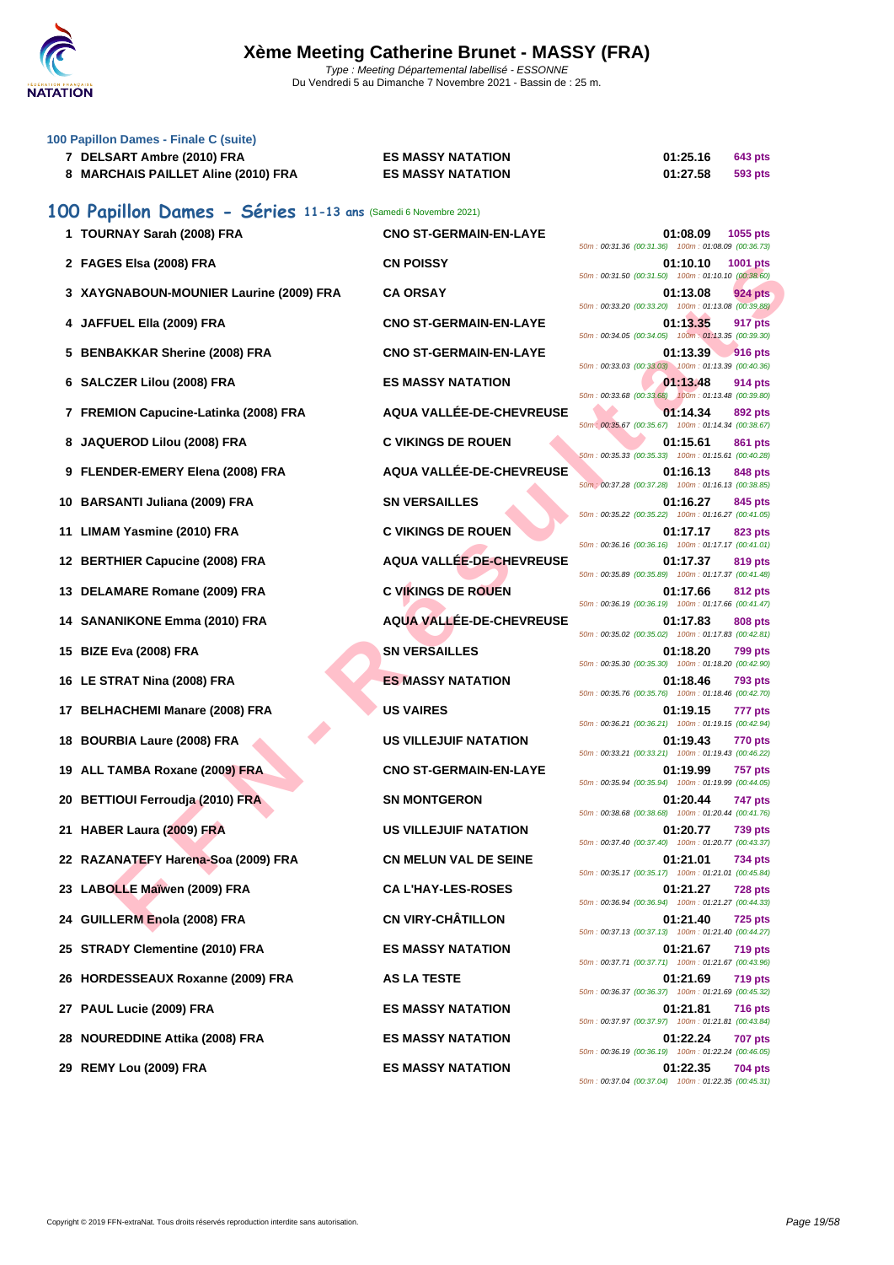

| 100 Papillon Dames - Finale C (suite)                          |                               |                                                                                  |
|----------------------------------------------------------------|-------------------------------|----------------------------------------------------------------------------------|
| 7 DELSART Ambre (2010) FRA                                     | <b>ES MASSY NATATION</b>      | 01:25.16<br>643 pts                                                              |
| 8 MARCHAIS PAILLET Aline (2010) FRA                            | <b>ES MASSY NATATION</b>      | 01:27.58<br>593 pts                                                              |
| 100 Papillon Dames - Séries 11-13 ans (Samedi 6 Novembre 2021) |                               |                                                                                  |
| 1 TOURNAY Sarah (2008) FRA                                     | <b>CNO ST-GERMAIN-EN-LAYE</b> | 01:08.09<br>1055 pts<br>50m: 00:31.36 (00:31.36) 100m: 01:08.09 (00:36.73)       |
| 2 FAGES Elsa (2008) FRA                                        | <b>CN POISSY</b>              | 01:10.10<br>1001 pts<br>50m: 00:31.50 (00:31.50) 100m: 01:10.10 (00:38.60)       |
| 3 XAYGNABOUN-MOUNIER Laurine (2009) FRA                        | <b>CA ORSAY</b>               | 01:13.08<br>924 pts<br>50m: 00:33.20 (00:33.20) 100m: 01:13.08 (00:39.88)        |
| 4 JAFFUEL Ella (2009) FRA                                      | <b>CNO ST-GERMAIN-EN-LAYE</b> | 01:13.35<br>917 pts<br>50m: 00:34.05 (00:34.05) 100m: 01:13.35 (00:39.30)        |
| 5 BENBAKKAR Sherine (2008) FRA                                 | <b>CNO ST-GERMAIN-EN-LAYE</b> | 01:13.39<br><b>916 pts</b><br>50m: 00:33.03 (00:33.03) 100m: 01:13.39 (00:40.36) |
| 6 SALCZER Lilou (2008) FRA                                     | <b>ES MASSY NATATION</b>      | 01:13.48<br>914 pts<br>50m: 00:33.68 (00:33.68) 100m: 01:13.48 (00:39.80)        |
| 7 FREMION Capucine-Latinka (2008) FRA                          | AQUA VALLÉE-DE-CHEVREUSE      | 01:14.34<br>892 pts<br>50m : 00:35.67 (00:35.67) 100m : 01:14.34 (00:38.67)      |
| 8 JAQUEROD Lilou (2008) FRA                                    | <b>C VIKINGS DE ROUEN</b>     | 01:15.61<br>861 pts<br>50m: 00:35.33 (00:35.33) 100m: 01:15.61 (00:40.28)        |
| 9 FLENDER-EMERY Elena (2008) FRA                               | AQUA VALLÉE-DE-CHEVREUSE      | 01:16.13<br>848 pts<br>50m : 00:37.28 (00:37.28) 100m : 01:16.13 (00:38.85)      |
| 10 BARSANTI Juliana (2009) FRA                                 | <b>SN VERSAILLES</b>          | 01:16.27<br>845 pts<br>50m: 00:35.22 (00:35.22) 100m: 01:16.27 (00:41.05)        |
| <b>LIMAM Yasmine (2010) FRA</b><br>11                          | <b>C VIKINGS DE ROUEN</b>     | 01:17.17<br>823 pts<br>50m: 00:36.16 (00:36.16) 100m: 01:17.17 (00:41.01)        |
| <b>BERTHIER Capucine (2008) FRA</b><br>12                      | AQUA VALLÉE-DE-CHEVREUSE      | 01:17.37<br>819 pts<br>50m: 00:35.89 (00:35.89) 100m: 01:17.37 (00:41.48)        |
| DELAMARE Romane (2009) FRA<br>13                               | <b>C VIKINGS DE ROUEN</b>     | 01:17.66<br>812 pts<br>50m: 00:36.19 (00:36.19) 100m: 01:17.66 (00:41.47)        |
| 14 SANANIKONE Emma (2010) FRA                                  | AQUA VALLÉE-DE-CHEVREUSE      | 01:17.83<br>808 pts<br>50m: 00:35.02 (00:35.02) 100m: 01:17.83 (00:42.81)        |
| <b>BIZE Eva (2008) FRA</b><br>15                               | <b>SN VERSAILLES</b>          | 01:18.20<br>799 pts<br>50m: 00:35.30 (00:35.30) 100m: 01:18.20 (00:42.90)        |
| 16 LE STRAT Nina (2008) FRA                                    | <b>ES MASSY NATATION</b>      | 01:18.46<br>793 pts<br>50m: 00:35.76 (00:35.76) 100m: 01:18.46 (00:42.70)        |
| 17 BELHACHEMI Manare (2008) FRA                                | <b>US VAIRES</b>              | 01:19.15<br>777 pts<br>50m: 00:36.21 (00:36.21) 100m: 01:19.15 (00:42.94)        |
| <b>BOURBIA Laure (2008) FRA</b><br>18                          | <b>US VILLEJUIF NATATION</b>  | 01:19.43<br><b>770 pts</b><br>50m: 00:33.21 (00:33.21) 100m: 01:19.43 (00:46.22) |
| 19 ALL TAMBA Roxane (2009) FRA                                 | <b>CNO ST-GERMAIN-EN-LAYE</b> | 01:19.99<br><b>757 pts</b><br>50m: 00:35.94 (00:35.94) 100m: 01:19.99 (00:44.05) |
| 20 BETTIOUI Ferroudja (2010) FRA                               | <b>SN MONTGERON</b>           | 01:20.44<br>747 pts<br>50m: 00:38.68 (00:38.68) 100m: 01:20.44 (00:41.76)        |
| HABER Laura (2009) FRA<br>21                                   | <b>US VILLEJUIF NATATION</b>  | 01:20.77<br><b>739 pts</b><br>50m: 00:37.40 (00:37.40) 100m: 01:20.77 (00:43.37) |
| 22 RAZANATEFY Harena-Soa (2009) FRA                            | <b>CN MELUN VAL DE SEINE</b>  | 01:21.01<br><b>734 pts</b><br>50m: 00:35.17 (00:35.17) 100m: 01:21.01 (00:45.84) |
| 23 LABOLLE Maïwen (2009) FRA                                   | <b>CA L'HAY-LES-ROSES</b>     | 01:21.27<br><b>728 pts</b><br>50m: 00:36.94 (00:36.94) 100m: 01:21.27 (00:44.33) |
| 24 GUILLERM Enola (2008) FRA                                   | <b>CN VIRY-CHÂTILLON</b>      | 01:21.40<br><b>725 pts</b><br>50m: 00:37.13 (00:37.13) 100m: 01:21.40 (00:44.27) |
| 25 STRADY Clementine (2010) FRA                                | <b>ES MASSY NATATION</b>      | 01:21.67<br><b>719 pts</b><br>50m: 00:37.71 (00:37.71) 100m: 01:21.67 (00:43.96) |
| 26 HORDESSEAUX Roxanne (2009) FRA                              | <b>AS LA TESTE</b>            | 01:21.69<br><b>719 pts</b><br>50m: 00:36.37 (00:36.37) 100m: 01:21.69 (00:45.32) |
| 27 PAUL Lucie (2009) FRA                                       | <b>ES MASSY NATATION</b>      | 01:21.81<br><b>716 pts</b><br>50m: 00:37.97 (00:37.97) 100m: 01:21.81 (00:43.84) |
| <b>NOUREDDINE Attika (2008) FRA</b><br>28                      | <b>ES MASSY NATATION</b>      | 01:22.24<br><b>707 pts</b><br>50m: 00:36.19 (00:36.19) 100m: 01:22.24 (00:46.05) |
| 29 REMY Lou (2009) FRA                                         | <b>ES MASSY NATATION</b>      | 01:22.35<br><b>704 pts</b><br>50m: 00:37.04 (00:37.04) 100m: 01:22.35 (00:45.31) |
|                                                                |                               |                                                                                  |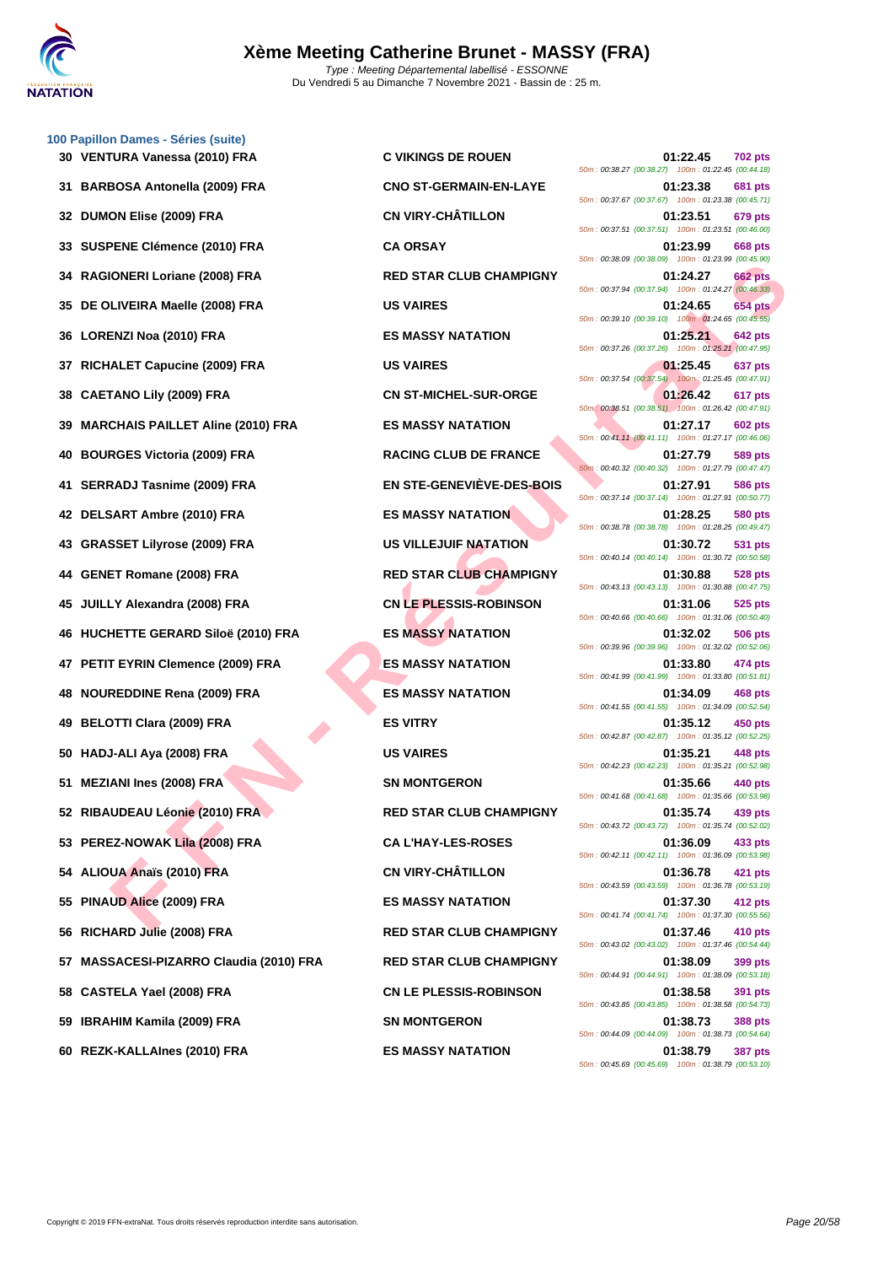

**[100 Papil](http://www.ffnatation.fr/webffn/index.php)lon Dames - Séries (suite)**

|     |                                      |                                  | 50m: 00:38.27 (00:38.27) 100m: 01:22.45 (00:44.18)                                 |
|-----|--------------------------------------|----------------------------------|------------------------------------------------------------------------------------|
|     | 31 BARBOSA Antonella (2009) FRA      | <b>CNO ST-GERMAIN-EN-LAYE</b>    | 01:23.38<br><b>681 pts</b><br>50m: 00:37.67 (00:37.67) 100m: 01:23.38 (00:45.71)   |
|     | 32 DUMON Elise (2009) FRA            | <b>CN VIRY-CHÂTILLON</b>         | 01:23.51<br>679 pts<br>50m: 00:37.51 (00:37.51) 100m: 01:23.51 (00:46.00)          |
|     | 33 SUSPENE Clémence (2010) FRA       | <b>CA ORSAY</b>                  | 01:23.99<br>668 pts<br>50m: 00:38.09 (00:38.09) 100m: 01:23.99 (00:45.90)          |
| 34  | RAGIONERI Loriane (2008) FRA         | <b>RED STAR CLUB CHAMPIGNY</b>   | 01:24.27<br><b>662 pts</b><br>50m: 00:37.94 (00:37.94) 100m: 01:24.27 (00:46.33)   |
|     | 35 DE OLIVEIRA Maelle (2008) FRA     | <b>US VAIRES</b>                 | 01:24.65<br><b>654 pts</b><br>50m : 00:39.10 (00:39.10) 100m : 01:24.65 (00:45.55) |
|     | 36 LORENZI Noa (2010) FRA            | <b>ES MASSY NATATION</b>         | 01:25.21<br><b>642 pts</b><br>50m: 00:37.26 (00:37.26) 100m: 01:25.21 (00:47.95)   |
| 37  | RICHALET Capucine (2009) FRA         | <b>US VAIRES</b>                 | 01:25.45<br>637 pts<br>50m: 00:37.54 (00:37.54) 100m: 01:25.45 (00:47.91)          |
| 38  | <b>CAETANO Lily (2009) FRA</b>       | <b>CN ST-MICHEL-SUR-ORGE</b>     | 01:26.42<br>617 pts<br>50m: 00:38.51 (00:38.51) 100m: 01:26.42 (00:47.91)          |
|     | 39 MARCHAIS PAILLET Aline (2010) FRA | <b>ES MASSY NATATION</b>         | 01:27.17<br>602 pts<br>50m: 00:41.11 (00:41.11) 100m: 01:27.17 (00:46.06)          |
| 40  | <b>BOURGES Victoria (2009) FRA</b>   | <b>RACING CLUB DE FRANCE</b>     | 01:27.79<br>589 pts<br>50m: 00:40.32 (00:40.32) 100m: 01:27.79 (00:47.47)          |
| 41. | <b>SERRADJ Tasnime (2009) FRA</b>    | <b>EN STE-GENEVIÈVE-DES-BOIS</b> | 01:27.91<br>586 pts<br>50m: 00:37.14 (00:37.14) 100m: 01:27.91 (00:50.77)          |
|     | 42 DELSART Ambre (2010) FRA          | <b>ES MASSY NATATION</b>         | 01:28.25<br>580 pts<br>50m: 00:38.78 (00:38.78) 100m: 01:28.25 (00:49.47)          |
| 43  | <b>GRASSET Lilyrose (2009) FRA</b>   | US VILLEJUIF NATATION            | 01:30.72<br>531 pts<br>50m: 00:40.14 (00:40.14) 100m: 01:30.72 (00:50.58)          |
| 44  | <b>GENET Romane (2008) FRA</b>       | <b>RED STAR CLUB CHAMPIGNY</b>   | 01:30.88<br><b>528 pts</b><br>50m: 00:43.13 (00:43.13) 100m: 01:30.88 (00:47.75)   |
|     | 45 JUILLY Alexandra (2008) FRA       | <b>CN LE PLESSIS-ROBINSON</b>    | 01:31.06<br>525 pts<br>50m: 00:40.66 (00:40.66) 100m: 01:31.06 (00:50.40)          |
|     | 46 HUCHETTE GERARD Siloë (2010) FRA  | <b>ES MASSY NATATION</b>         | 01:32.02<br>506 pts<br>50m: 00:39.96 (00:39.96) 100m: 01:32.02 (00:52.06)          |
| 47  | PETIT EYRIN Clemence (2009) FRA      | <b>ES MASSY NATATION</b>         | 01:33.80<br>474 pts<br>50m: 00:41.99 (00:41.99) 100m: 01:33.80 (00:51.81)          |
| 48  | <b>NOUREDDINE Rena (2009) FRA</b>    | <b>ES MASSY NATATION</b>         | 01:34.09<br>468 pts<br>50m: 00:41.55 (00:41.55) 100m: 01:34.09 (00:52.54)          |
|     | 49 BELOTTI Clara (2009) FRA          | <b>ES VITRY</b>                  | 01:35.12<br>450 pts<br>50m: 00:42.87 (00:42.87) 100m: 01:35.12 (00:52.25)          |
| 50  | HADJ-ALI Aya (2008) FRA              | <b>US VAIRES</b>                 | 01:35.21<br>448 pts<br>50m: 00:42.23 (00:42.23) 100m: 01:35.21 (00:52.98)          |
| 51  | <b>MEZIANI Ines (2008) FRA</b>       | <b>SN MONTGERON</b>              | 01:35.66<br>440 pts<br>50m : 00:41.68 (00:41.68) 100m : 01:35.66 (00:53.98)        |
|     | 52 RIBAUDEAU Léonie (2010) FRA       | <b>RED STAR CLUB CHAMPIGNY</b>   | 01:35.74<br>439 pts<br>50m: 00:43.72 (00:43.72) 100m: 01:35.74 (00:52.02)          |
|     | 53 PEREZ-NOWAK Lila (2008) FRA       | <b>CAL'HAY-LES-ROSES</b>         | 01:36.09<br>433 pts<br>50m: 00:42.11 (00:42.11) 100m: 01:36.09 (00:53.98)          |
|     | 54 ALIOUA Anaïs (2010) FRA           | <b>CN VIRY-CHÂTILLON</b>         | 01:36.78<br>421 pts<br>50m: 00:43.59 (00:43.59) 100m: 01:36.78 (00:53.19)          |
|     | 55 PINAUD Alice (2009) FRA           | <b>ES MASSY NATATION</b>         | 01:37.30<br>412 pts<br>50m: 00:41.74 (00:41.74) 100m: 01:37.30 (00:55.56)          |
| 56  | RICHARD Julie (2008) FRA             | <b>RED STAR CLUB CHAMPIGNY</b>   | 01:37.46<br>410 pts<br>50m: 00:43.02 (00:43.02) 100m: 01:37.46 (00:54.44)          |
| 57  | MASSACESI-PIZARRO Claudia (2010) FRA | <b>RED STAR CLUB CHAMPIGNY</b>   | 01:38.09<br>399 pts<br>50m: 00:44.91 (00:44.91) 100m: 01:38.09 (00:53.18)          |
| 58  | CASTELA Yael (2008) FRA              | <b>CN LE PLESSIS-ROBINSON</b>    | 01:38.58<br>391 pts<br>50m: 00:43.85 (00:43.85) 100m: 01:38.58 (00:54.73)          |
|     | 59 IBRAHIM Kamila (2009) FRA         | <b>SN MONTGERON</b>              | 01:38.73<br><b>388 pts</b><br>50m: 00:44.09 (00:44.09) 100m: 01:38.73 (00:54.64)   |
|     | 60 REZK-KALLAInes (2010) FRA         | <b>ES MASSY NATATION</b>         | 01:38.79<br><b>387 pts</b>                                                         |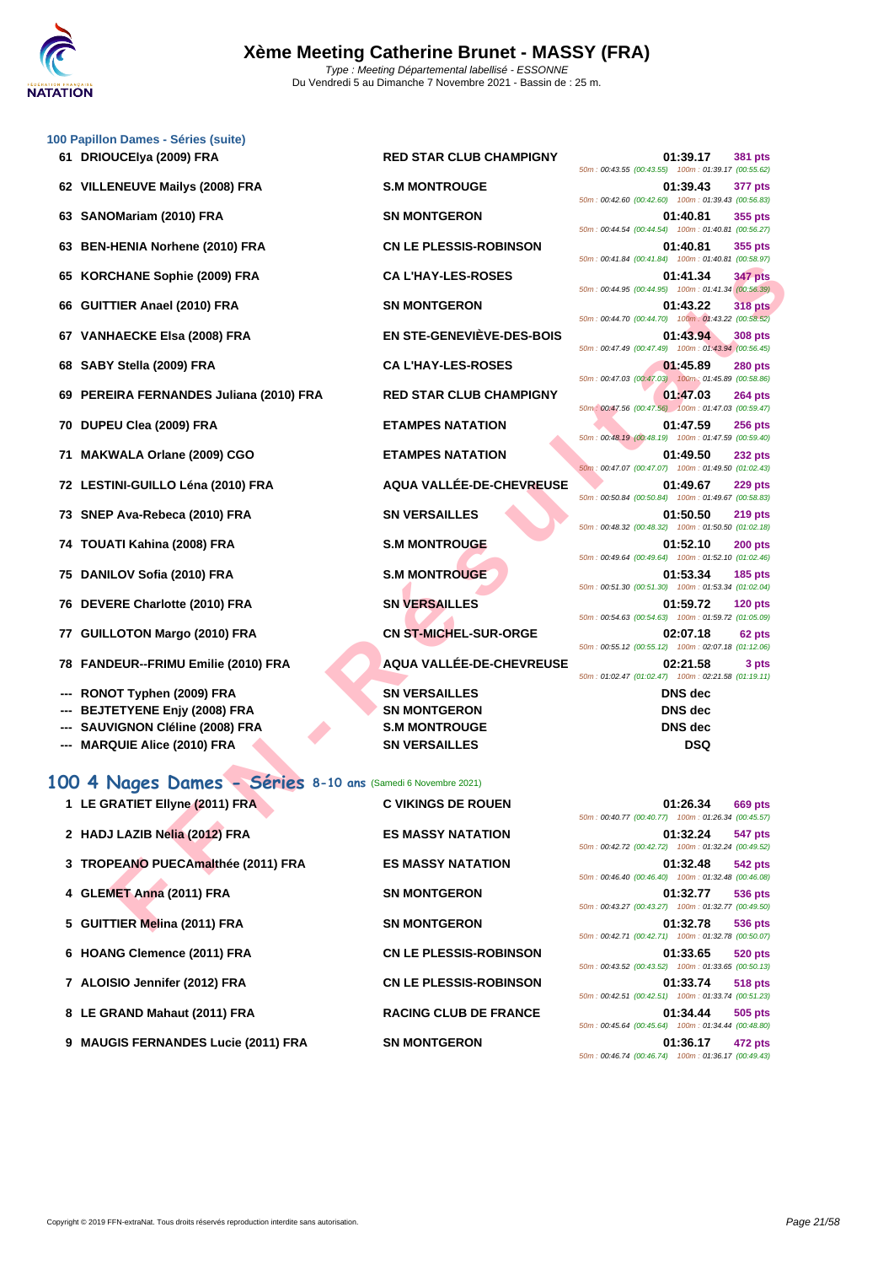

|     | 100 Papillon Dames - Séries (suite)                          |                                  |                                                                                  |
|-----|--------------------------------------------------------------|----------------------------------|----------------------------------------------------------------------------------|
|     | 61 DRIOUCEIya (2009) FRA                                     | <b>RED STAR CLUB CHAMPIGNY</b>   | 01:39.17<br>381 pts<br>50m: 00:43.55 (00:43.55) 100m: 01:39.17 (00:55.62)        |
|     | 62 VILLENEUVE Mailys (2008) FRA                              | <b>S.M MONTROUGE</b>             | 01:39.43<br>377 pts<br>50m: 00:42.60 (00:42.60) 100m: 01:39.43 (00:56.83)        |
| 63  | SANOMariam (2010) FRA                                        | <b>SN MONTGERON</b>              | 01:40.81<br>355 pts<br>50m: 00:44.54 (00:44.54) 100m: 01:40.81 (00:56.27)        |
| 63  | <b>BEN-HENIA Norhene (2010) FRA</b>                          | <b>CN LE PLESSIS-ROBINSON</b>    | 01:40.81<br>355 pts<br>50m: 00:41.84 (00:41.84) 100m: 01:40.81 (00:58.97)        |
| 65  | <b>KORCHANE Sophie (2009) FRA</b>                            | <b>CA L'HAY-LES-ROSES</b>        | <b>347 pts</b><br>01:41.34<br>50m: 00:44.95 (00:44.95) 100m: 01:41.34 (00:56.39) |
|     | 66 GUITTIER Anael (2010) FRA                                 | <b>SN MONTGERON</b>              | 01:43.22<br><b>318 pts</b><br>50m: 00:44.70 (00:44.70) 100m: 01:43.22 (00:58.52) |
|     | 67 VANHAECKE Elsa (2008) FRA                                 | <b>EN STE-GENEVIÈVE-DES-BOIS</b> | 01:43.94<br>308 pts                                                              |
|     | 68 SABY Stella (2009) FRA                                    | <b>CA L'HAY-LES-ROSES</b>        | 50m: 00:47.49 (00:47.49) 100m: 01:43.94 (00:56.45)<br>01:45.89<br>280 pts        |
|     | 69 PEREIRA FERNANDES Juliana (2010) FRA                      | <b>RED STAR CLUB CHAMPIGNY</b>   | 50m: 00:47.03 (00:47.03) 100m: 01:45.89 (00:58.86)<br>01:47.03<br>264 pts        |
|     | 70 DUPEU Clea (2009) FRA                                     | <b>ETAMPES NATATION</b>          | 50m: 00:47.56 (00:47.56) 100m: 01:47.03 (00:59.47)<br>01:47.59<br><b>256 pts</b> |
| 71. | <b>MAKWALA Orlane (2009) CGO</b>                             | <b>ETAMPES NATATION</b>          | 50m : 00:48.19 (00:48.19) 100m : 01:47.59 (00:59.40)<br>01:49.50<br>232 pts      |
|     | 72 LESTINI-GUILLO Léna (2010) FRA                            | AQUA VALLÉE-DE-CHEVREUSE         | 50m: 00:47.07 (00:47.07) 100m: 01:49.50 (01:02.43)<br>01:49.67<br>229 pts        |
|     | 73 SNEP Ava-Rebeca (2010) FRA                                | <b>SN VERSAILLES</b>             | 50m: 00:50.84 (00:50.84) 100m: 01:49.67 (00:58.83)<br>01:50.50<br><b>219 pts</b> |
|     | 74 TOUATI Kahina (2008) FRA                                  | <b>S.M MONTROUGE</b>             | 50m: 00:48.32 (00:48.32) 100m: 01:50.50 (01:02.18)<br>01:52.10<br>$200$ pts      |
|     | 75 DANILOV Sofia (2010) FRA                                  | <b>S.M MONTROUGE</b>             | 50m: 00:49.64 (00:49.64) 100m: 01:52.10 (01:02.46)<br>01:53.34<br><b>185 pts</b> |
|     | 76 DEVERE Charlotte (2010) FRA                               | <b>SN VERSAILLES</b>             | 50m: 00:51.30 (00:51.30) 100m: 01:53.34 (01:02.04)<br>01:59.72<br>$120$ pts      |
| 77  | <b>GUILLOTON Margo (2010) FRA</b>                            | <b>CN ST-MICHEL-SUR-ORGE</b>     | 50m: 00:54.63 (00:54.63) 100m: 01:59.72 (01:05.09)<br>02:07.18<br>62 pts         |
| 78  | <b>FANDEUR--FRIMU Emilie (2010) FRA</b>                      | AQUA VALLÉE-DE-CHEVREUSE         | 50m: 00:55.12 (00:55.12) 100m: 02:07.18 (01:12.06)<br>02:21.58<br>3 pts          |
|     |                                                              |                                  | 50m: 01:02.47 (01:02.47) 100m: 02:21.58 (01:19.11)                               |
|     | RONOT Typhen (2009) FRA                                      | <b>SN VERSAILLES</b>             | <b>DNS</b> dec                                                                   |
|     | <b>BEJTETYENE Enjy (2008) FRA</b>                            | <b>SN MONTGERON</b>              | <b>DNS</b> dec                                                                   |
|     | SAUVIGNON Cléline (2008) FRA                                 | <b>S.M MONTROUGE</b>             | <b>DNS</b> dec                                                                   |
|     | <b>MARQUIE Alice (2010) FRA</b>                              | <b>SN VERSAILLES</b>             | <b>DSQ</b>                                                                       |
|     | 100 4 Nages Dames - Séries 8-10 ans (Samedi 6 Novembre 2021) |                                  |                                                                                  |
|     | 1 LE GRATIET Ellyne (2011) FRA                               | <b>C VIKINGS DE ROUEN</b>        | 01:26.34 669 pts<br>50m: 00:40.77 (00:40.77) 100m: 01:26.34 (00:45.57)           |
|     | 2 HADJ LAZIB Nelia (2012) FRA                                | <b>ES MASSY NATATION</b>         | 01:32.24<br><b>547 pts</b><br>50m: 00:42.72 (00:42.72) 100m: 01:32.24 (00:49.52) |
|     | 3 TROPEANO PUECAmalthée (2011) FRA                           | <b>ES MASSY NATATION</b>         | 01:32.48<br>542 pts<br>50m: 00:46.40 (00:46.40) 100m: 01:32.48 (00:46.08)        |
|     | 4 GLEMET Anna (2011) FRA                                     | <b>SN MONTGERON</b>              | 01:32.77<br>536 pts<br>50m: 00:43.27 (00:43.27) 100m: 01:32.77 (00:49.50)        |
|     | 5 GUITTIER Melina (2011) FRA                                 | <b>SN MONTGERON</b>              | 01:32.78<br>536 pts                                                              |

## **100 4 Nages Dames - Séries 8-10 ans** (Samedi 6 Novembre 2021)

| 1 LE GRATIET Ellyne (2011) FRA      | <b>C VIKINGS DE ROUEN</b>     |                                                                                                          | 01:26.34 | <b>669 pts</b> |
|-------------------------------------|-------------------------------|----------------------------------------------------------------------------------------------------------|----------|----------------|
| 2 HADJ LAZIB Nelia (2012) FRA       | <b>ES MASSY NATATION</b>      | 50m: 00:40.77 (00:40.77) 100m: 01:26.34 (00:45.57)<br>50m: 00:42.72 (00:42.72) 100m: 01:32.24 (00:49.52) | 01:32.24 | 547 pts        |
| 3 TROPEANO PUECAmalthée (2011) FRA  | <b>ES MASSY NATATION</b>      | 50m: 00:46.40 (00:46.40) 100m: 01:32.48 (00:46.08)                                                       | 01:32.48 | 542 pts        |
| 4 GLEMET Anna (2011) FRA            | <b>SN MONTGERON</b>           | 50m: 00:43.27 (00:43.27) 100m: 01:32.77 (00:49.50)                                                       | 01:32.77 | <b>536 pts</b> |
| 5 GUITTIER Melina (2011) FRA        | <b>SN MONTGERON</b>           | 50m: 00:42.71 (00:42.71) 100m: 01:32.78 (00:50.07)                                                       | 01:32.78 | 536 pts        |
| 6 HOANG Clemence (2011) FRA         | <b>CN LE PLESSIS-ROBINSON</b> | 50m: 00:43.52 (00:43.52) 100m: 01:33.65 (00:50.13)                                                       | 01:33.65 | <b>520 pts</b> |
| 7 ALOISIO Jennifer (2012) FRA       | <b>CN LE PLESSIS-ROBINSON</b> | 50m: 00:42.51 (00:42.51) 100m: 01:33.74 (00:51.23)                                                       | 01:33.74 | <b>518 pts</b> |
| 8 LE GRAND Mahaut (2011) FRA        | <b>RACING CLUB DE FRANCE</b>  | 50m: 00:45.64 (00:45.64) 100m: 01:34.44 (00:48.80)                                                       | 01:34.44 | 505 pts        |
| 9 MAUGIS FERNANDES Lucie (2011) FRA | <b>SN MONTGERON</b>           | 50m: 00:46.74 (00:46.74) 100m: 01:36.17 (00:49.43)                                                       | 01:36.17 | 472 pts        |

|  |  | 01:39.43 377 pts<br>50m: 00:42.60 (00:42.60) 100m: 01:39.43 (00:56.83)   |              |
|--|--|--------------------------------------------------------------------------|--------------|
|  |  | 01:40.81 355 pts                                                         |              |
|  |  | 50m: 00:44.54 (00:44.54) 100m: 01:40.81 (00:56.27)                       |              |
|  |  | 01:40.81 355 pts                                                         |              |
|  |  | 50m: 00:41.84 (00:41.84) 100m: 01:40.81 (00:58.97)                       |              |
|  |  | 01:41.34 347 pts                                                         |              |
|  |  | 50m : 00:44.95 (00:44.95) 100m : 01:41.34 (00:56.39)                     |              |
|  |  | 01:43.22 318 pts                                                         |              |
|  |  | 50m : 00:44.70 (00:44.70) 100m : 01:43.22 (00:58.52)                     |              |
|  |  | 01:43.94 308 pts                                                         |              |
|  |  | 50m: 00:47.49 (00:47.49) 100m: 01:43.94 (00:56.45)                       |              |
|  |  | 01:45.89 280 pts<br>50m : 00:47.03 (00:47.03) 100m : 01:45.89 (00:58.86) |              |
|  |  | 01:47.03 264 pts                                                         |              |
|  |  | 50m: 00:47.56 (00:47.56) 100m: 01:47.03 (00:59.47)                       |              |
|  |  | 01:47.59 256 pts                                                         |              |
|  |  | 50m: 00:48.19 (00:48.19) 100m: 01:47.59 (00:59.40)                       |              |
|  |  | 01:49.50 232 pts                                                         |              |
|  |  | 50m: 00:47.07 (00:47.07) 100m: 01:49.50 (01:02.43)                       |              |
|  |  | 01:49.67 229 pts                                                         |              |
|  |  | 50m: 00:50.84 (00:50.84) 100m: 01:49.67 (00:58.83)                       |              |
|  |  | 01:50.50 219 pts                                                         |              |
|  |  | 50m : 00:48.32 (00:48.32) 100m : 01:50.50 (01:02.18)                     |              |
|  |  | 01:52.10 200 pts<br>50m : 00:49.64 (00:49.64) 100m : 01:52.10 (01:02.46) |              |
|  |  | 01:53.34 185 pts                                                         |              |
|  |  | 50m: 00:51.30 (00:51.30) 100m: 01:53.34 (01:02.04)                       |              |
|  |  | 01:59.72 120 pts                                                         |              |
|  |  | 50m: 00:54.63 (00:54.63) 100m: 01:59.72 (01:05.09)                       |              |
|  |  | 02:07.18                                                                 | 62 pts       |
|  |  | 50m: 00:55.12 (00:55.12) 100m: 02:07.18 (01:12.06)                       |              |
|  |  | 02:21.58                                                                 | <b>3 pts</b> |
|  |  | 50m: 01:02.47 (01:02.47) 100m: 02:21.58 (01:19.11)                       |              |
|  |  | DNS dec                                                                  |              |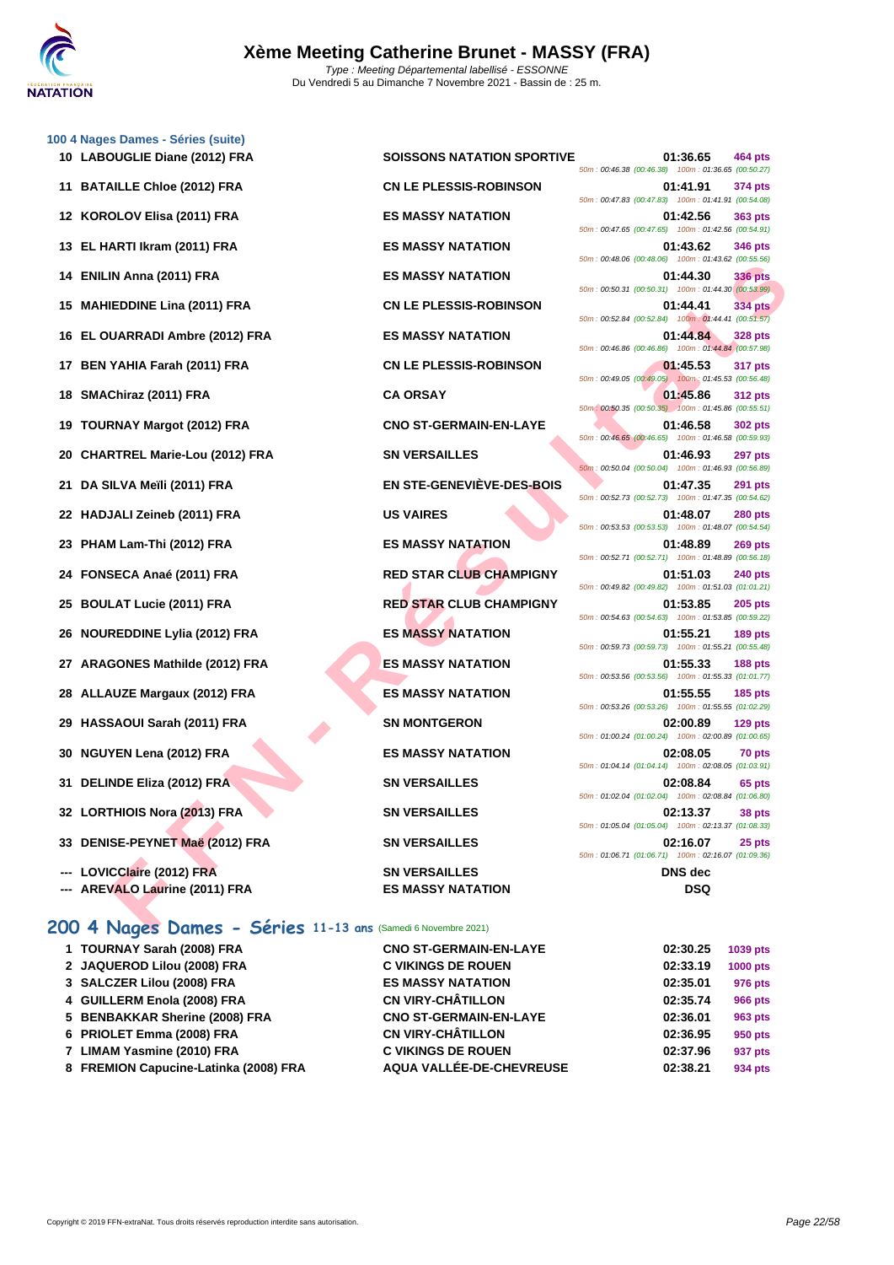

| 100 4 Nages Dames - Séries (suite)         |                                   |                                                                                                                                |
|--------------------------------------------|-----------------------------------|--------------------------------------------------------------------------------------------------------------------------------|
| 10 LABOUGLIE Diane (2012) FRA              | <b>SOISSONS NATATION SPORTIVE</b> | 01:36.65<br>464 pts<br>50m: 00:46.38 (00:46.38) 100m: 01:36.65 (00:50.27)                                                      |
| 11 BATAILLE Chloe (2012) FRA               | <b>CN LE PLESSIS-ROBINSON</b>     | 01:41.91<br>374 pts<br>50m: 00:47.83 (00:47.83) 100m: 01:41.91 (00:54.08)                                                      |
| 12 KOROLOV Elisa (2011) FRA                | <b>ES MASSY NATATION</b>          | 01:42.56<br>363 pts<br>50m: 00:47.65 (00:47.65) 100m: 01:42.56 (00:54.91)                                                      |
| 13 EL HARTI Ikram (2011) FRA               | <b>ES MASSY NATATION</b>          | 01:43.62<br>346 pts                                                                                                            |
| 14 ENILIN Anna (2011) FRA                  | <b>ES MASSY NATATION</b>          | 50m: 00:48.06 (00:48.06) 100m: 01:43.62 (00:55.56)<br>01:44.30<br><b>336 pts</b>                                               |
| 15 MAHIEDDINE Lina (2011) FRA              | <b>CN LE PLESSIS-ROBINSON</b>     | 50m: 00:50.31 (00:50.31) 100m: 01:44.30 (00:53.99)<br>01:44.41<br><b>334 pts</b>                                               |
| EL OUARRADI Ambre (2012) FRA<br>16.        | <b>ES MASSY NATATION</b>          | 50m: 00:52.84 (00:52.84) 100m: 01:44.41 (00:51.57)<br>01:44.84<br><b>328 pts</b>                                               |
| BEN YAHIA Farah (2011) FRA<br>17           | <b>CN LE PLESSIS-ROBINSON</b>     | 50m: 00:46.86 (00:46.86) 100m: 01:44.84 (00:57.98)<br>01:45.53<br>317 pts                                                      |
| SMAChiraz (2011) FRA<br>18                 | <b>CA ORSAY</b>                   | 50m: 00:49.05 (00:49.05) 100m: 01:45.53 (00:56.48)<br>01:45.86<br><b>312 pts</b>                                               |
| <b>TOURNAY Margot (2012) FRA</b><br>19     | <b>CNO ST-GERMAIN-EN-LAYE</b>     | 50m: 00:50.35 (00:50.35) 100m: 01:45.86 (00:55.51)<br>01:46.58<br><b>302 pts</b>                                               |
| <b>CHARTREL Marie-Lou (2012) FRA</b><br>20 | <b>SN VERSAILLES</b>              | 50m: 00:46.65 (00:46.65) 100m: 01:46.58 (00:59.93)<br>01:46.93<br>297 pts                                                      |
| DA SILVA Meïli (2011) FRA<br>21.           | <b>EN STE-GENEVIÈVE-DES-BOIS</b>  | 50m: 00:50.04 (00:50.04) 100m: 01:46.93 (00:56.89)<br>01:47.35<br><b>291 pts</b>                                               |
|                                            |                                   | 50m: 00:52.73 (00:52.73) 100m: 01:47.35 (00:54.62)                                                                             |
| 22 HADJALI Zeineb (2011) FRA               | <b>US VAIRES</b>                  | 01:48.07<br><b>280 pts</b><br>50m: 00:53.53 (00:53.53) 100m: 01:48.07 (00:54.54)                                               |
| PHAM Lam-Thi (2012) FRA<br>23              | <b>ES MASSY NATATION</b>          | 01:48.89<br><b>269 pts</b><br>50m: 00:52.71 (00:52.71) 100m: 01:48.89 (00:56.18)                                               |
| 24 FONSECA Anaé (2011) FRA                 | <b>RED STAR CLUB CHAMPIGNY</b>    | 01:51.03<br><b>240 pts</b><br>50m: 00:49.82 (00:49.82) 100m: 01:51.03 (01:01.21)                                               |
| <b>BOULAT Lucie (2011) FRA</b><br>25       | <b>RED STAR CLUB CHAMPIGNY</b>    | 01:53.85<br>$205$ pts<br>50m: 00:54.63 (00:54.63) 100m: 01:53.85 (00:59.22)                                                    |
| <b>NOUREDDINE Lylia (2012) FRA</b><br>26.  | <b>ES MASSY NATATION</b>          | 01:55.21<br><b>189 pts</b><br>50m: 00:59.73 (00:59.73) 100m: 01:55.21 (00:55.48)                                               |
| <b>ARAGONES Mathilde (2012) FRA</b><br>27  | <b>ES MASSY NATATION</b>          | 01:55.33<br><b>188 pts</b><br>50m: 00:53.56 (00:53.56) 100m: 01:55.33 (01:01.77)                                               |
| <b>ALLAUZE Margaux (2012) FRA</b><br>28    | <b>ES MASSY NATATION</b>          | 01:55.55<br><b>185 pts</b><br>50m: 00:53.26 (00:53.26) 100m: 01:55.55 (01:02.29)                                               |
| HASSAOUI Sarah (2011) FRA<br>29            | <b>SN MONTGERON</b>               | 02:00.89<br>$129$ pts<br>50m: 01:00.24 (01:00.24) 100m: 02:00.89 (01:00.65)                                                    |
| 30 NGUYEN Lena (2012) FRA                  | <b>ES MASSY NATATION</b>          | 02:08.05<br>70 pts<br>50m: 01:04.14 (01:04.14) 100m: 02:08.05 (01:03.91)                                                       |
| 31 DELINDE Eliza (2012) FRA                | <b>SN VERSAILLES</b>              | 02:08.84<br>65 pts                                                                                                             |
| 32 LORTHIOIS Nora (2013) FRA               | <b>SN VERSAILLES</b>              | 50m: 01:02.04 (01:02.04) 100m: 02:08.84 (01:06.80)<br>02:13.37<br>38 pts<br>50m: 01:05.04 (01:05.04) 100m: 02:13.37 (01:08.33) |
| 33 DENISE-PEYNET Maë (2012) FRA            | <b>SN VERSAILLES</b>              | 02:16.07<br>25 pts                                                                                                             |
| --- LOVICClaire (2012) FRA                 | <b>SN VERSAILLES</b>              | 50m: 01:06.71 (01:06.71) 100m: 02:16.07 (01:09.36)<br><b>DNS</b> dec                                                           |
| --- AREVALO Laurine (2011) FRA             | <b>ES MASSY NATATION</b>          | <b>DSQ</b>                                                                                                                     |

| Ξ | 50m: 00:46.38 (00:46.38) | 01:36.65             | 464 pts<br>100m: 01:36.65 (00:50.27)                          |
|---|--------------------------|----------------------|---------------------------------------------------------------|
|   | 50m: 00:47.83 (00:47.83) | 01:41.91             | 374 pts<br>100m: 01:41.91 (00:54.08)                          |
|   | 50m: 00:47.65 (00:47.65) | 01:42.56             | 363 pts<br>100m: 01:42.56 (00:54.91)                          |
|   | 50m: 00:48.06 (00:48.06) | 01:43.62             | 346 pts<br>100m: 01:43.62 (00:55.56)                          |
|   | 50m: 00:50.31 (00:50.31) | 01:44.30             | <b>336 pts</b><br>100m: 01:44.30 (00:53.99)                   |
|   | 50m: 00:52.84 (00:52.84) | 01:44.41             | <b>334 pts</b><br>100m: 01:44.41 (00:51.57)                   |
|   | 50m: 00:46.86 (00:46.86) | 01:44.84             | 328 pts<br>100m: 01:44.84 (00:57.98)                          |
|   |                          | 01:45.53             | 317 pts<br>50m: 00:49.05 (00:49.05) 100m: 01:45.53 (00:56.48) |
|   |                          | 01:45.86             | 312 pts<br>50m: 00:50.35 (00:50.35) 100m: 01:45.86 (00:55.51) |
|   | 50m: 00:46.65 (00:46.65) | 01:46.58             | 302 pts<br>100m: 01:46.58 (00:59.93)                          |
|   | 50m: 00:50.04 (00:50.04) | 01:46.93             | 297 pts<br>100m: 01:46.93 (00:56.89)                          |
|   | 50m: 00:52.73 (00:52.73) | 01:47.35             | 291 pts<br>100m: 01:47.35 (00:54.62)                          |
|   | 50m: 00:53.53 (00:53.53) | 01:48.07             | <b>280 pts</b><br>100m: 01:48.07 (00:54.54)                   |
|   | 50m: 00:52.71 (00:52.71) | 01:48.89             | 269 pts<br>100m: 01:48.89 (00:56.18)                          |
|   | 50m: 00:49.82 (00:49.82) | 01:51.03             | 240 pts<br>100m: 01:51.03 (01:01.21)                          |
|   | 50m: 00:54.63 (00:54.63) | 01:53.85             | <b>205 pts</b><br>100m: 01:53.85 (00:59.22)                   |
|   | 50m: 00:59.73 (00:59.73) | 01:55.21             | 189 pts<br>100m: 01:55.21 (00:55.48)                          |
|   | 50m: 00:53.56 (00:53.56) | 01:55.33             | <b>188 pts</b><br>100m: 01:55.33 (01:01.77)                   |
|   | 50m: 00:53.26 (00:53.26) | 01:55.55             | <b>185 pts</b><br>100m: 01:55.55 (01:02.29)                   |
|   | 50m: 01:00.24 (01:00.24) | 02:00.89             | $129$ pts<br>100m: 02:00.89 (01:00.65)                        |
|   | 50m: 01:04.14 (01:04.14) | 02:08.05             | 70 pts<br>100m: 02:08.05 (01:03.91)                           |
|   | 50m: 01:02.04 (01:02.04) | 02:08.84             | 65 pts<br>100m: 02:08.84 (01:06.80)                           |
|   | 50m: 01:05.04 (01:05.04) | 02:13.37<br>02:16.07 | 38 pts<br>100m: 02:13.37 (01:08.33)<br>25 pts                 |
|   | 50m: 01:06.71 (01:06.71) | DNS dec              | 100m: 02:16.07 (01:09.36)                                     |
|   |                          |                      |                                                               |

#### **200 4 Nages Dames - Séries 11-13 ans** (Samedi 6 Novembre 2021)

| 1 TOURNAY Sarah (2008) FRA            | <b>CNO ST-GERMAIN-EN-LAYE</b> | 02:30.25 | 1039 pts        |
|---------------------------------------|-------------------------------|----------|-----------------|
| 2 JAQUEROD Lilou (2008) FRA           | <b>C VIKINGS DE ROUEN</b>     | 02:33.19 | <b>1000 pts</b> |
| 3 SALCZER Lilou (2008) FRA            | <b>ES MASSY NATATION</b>      | 02:35.01 | 976 pts         |
| 4 GUILLERM Enola (2008) FRA           | <b>CN VIRY-CHÂTILLON</b>      | 02:35.74 | 966 pts         |
| 5 BENBAKKAR Sherine (2008) FRA        | <b>CNO ST-GERMAIN-EN-LAYE</b> | 02:36.01 | 963 pts         |
| 6 PRIOLET Emma (2008) FRA             | <b>CN VIRY-CHÂTILLON</b>      | 02:36.95 | 950 pts         |
| 7 LIMAM Yasmine (2010) FRA            | <b>C VIKINGS DE ROUEN</b>     | 02:37.96 | 937 pts         |
| 8 FREMION Capucine-Latinka (2008) FRA | AQUA VALLÉE-DE-CHEVREUSE      | 02:38.21 | 934 pts         |
|                                       |                               |          |                 |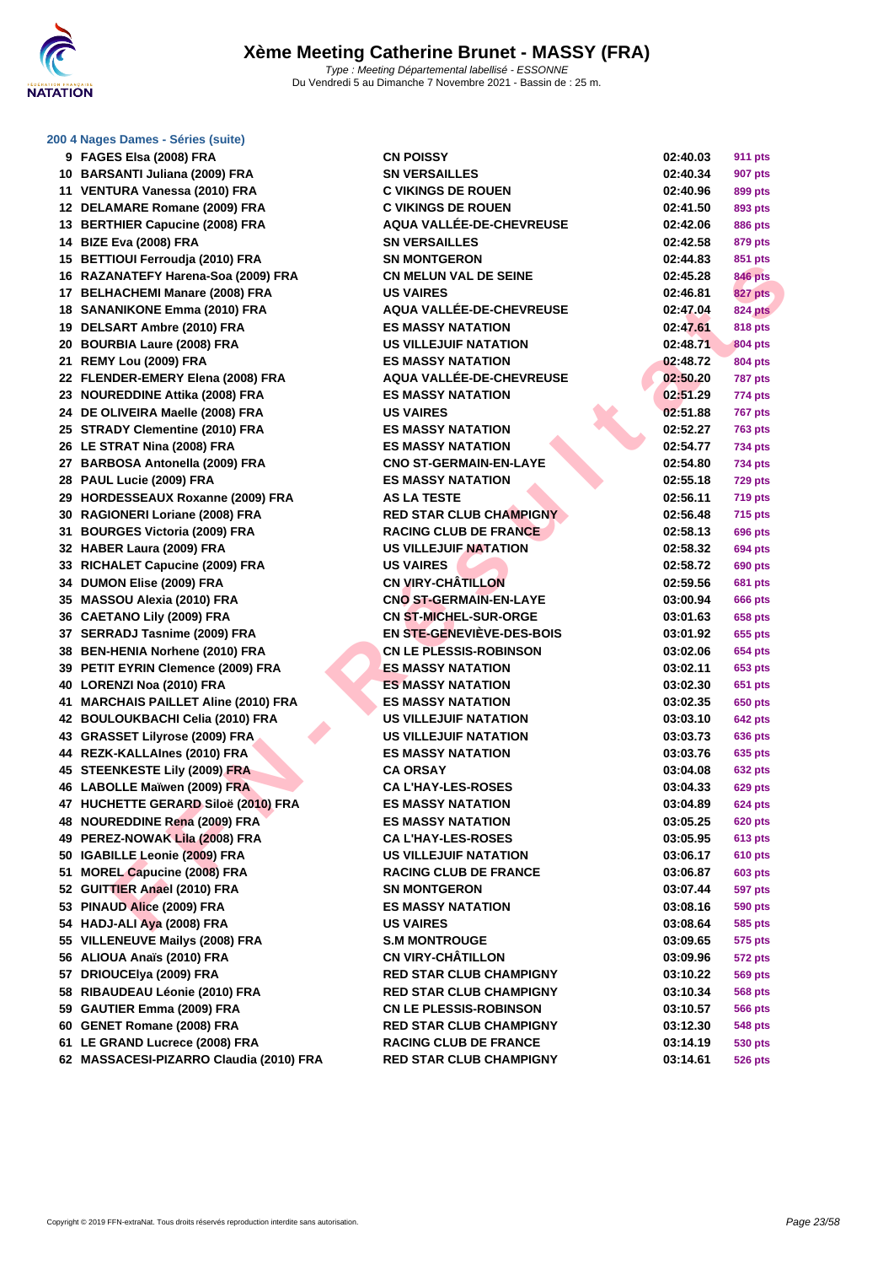

#### **[200 4 Nag](http://www.ffnatation.fr/webffn/index.php)es Dames - Séries (suite)**

| 9        | FAGES Elsa (2008) FRA                        |
|----------|----------------------------------------------|
| 10       | <b>BARSANTI Juliana (2009) FRA</b>           |
| 11       | VENTURA Vanessa (2010) FRA                   |
| 12       | DELAMARE Romane (2009) FRA                   |
| 13       | <b>BERTHIER Capucine (2008) FRA</b>          |
| 14       | <b>BIZE Eva (2008) FRA</b>                   |
| 15       | <b>BETTIOUI Ferroudia (2010) FRA</b>         |
| 16       | RAZANATEFY Harena-Soa (2009) FRA             |
| 17       | <b>BELHACHEMI Manare (2008) FRA</b>          |
| 18       | <b>SANANIKONE Emma (2010) FRA</b>            |
| 19       | DELSART Ambre (2010) FRA                     |
| 20       | <b>BOURBIA Laure (2008) FRA</b>              |
| 21       | REMY Lou (2009) FRA                          |
| 22       | FLENDER-EMERY Elena (2008) FRA               |
| 23       | <b>NOUREDDINE Attika (2008) FRA</b>          |
| 24       | DE OLIVEIRA Maelle (2008) FRA                |
| 25       | <b>STRADY Clementine (2010) FRA</b>          |
| 26       | LE STRAT Nina (2008) FRA                     |
| 27       | <b>BARBOSA Antonella (2009) FRA</b>          |
| 28       | PAUL Lucie (2009) FRA                        |
| 29       | <b>HORDESSEAUX Roxanne (2009) FRA</b>        |
| 30       | RAGIONERI Loriane (2008) FRA                 |
|          | <b>BOURGES Victoria (2009) FRA</b>           |
| 31<br>32 |                                              |
|          | HABER Laura (2009) FRA                       |
| 33       | RICHALET Capucine (2009) FRA                 |
| 34       | DUMON Elise (2009) FRA                       |
| 35       | <b>MASSOU Alexia (2010) FRA</b>              |
| 36       | <b>CAETANO Lily (2009) FRA</b>               |
| 37       | <b>SERRADJ Tasnime (2009) FRA</b>            |
| 38       | <b>BEN-HENIA Norhene (2010) FRA</b>          |
| 39       | PETIT EYRIN Clemence (2009) FRA              |
| 40       | LORENZI Noa (2010) FRA                       |
| 41       | <b>MARCHAIS PAILLET Aline (2010) FRA</b>     |
| 42       | <b>BOULOUKBACHI Celia (2010) FRA</b>         |
| 43       | <b>GRASSET Lilyrose (2009) FRA</b>           |
| 44       | REZK-KALLAInes (2010) FRA                    |
| 45       | <b>STEENKESTE Lily (2009) FRA</b>            |
| 46       | <b>LABOLLE Maïwen (2009) FRA</b>             |
| 47       | HUCHETTE GERARD Siloë (2010) FRA             |
| 48       | <b>NOUREDDINE Rena (2009) FRA</b>            |
| 49       | PEREZ-NOWAK Lila (2008) FRA                  |
| 50       | IGABILLE Leonie (2009) FRA                   |
| 51       | <b>MOREL Capucine (2008) FRA</b>             |
| 52       | <b>GUITTIER Anael (2010) FRA</b>             |
| 53       | PINAUD Alice (2009) FRA                      |
| 54       | HADJ-ALI Aya (2008) FRA                      |
| 55       | <b>VILLENEUVE Mailys (2008) FRA</b>          |
| 56       | ALIOUA Anaïs (2010) FRA                      |
| 57       | DRIOUCEIya (2009) FRA                        |
| 58       | RIBAUDEAU Léonie (2010) FRA                  |
|          | 59 GAUTIER Emma (2009) FRA                   |
|          | 60 GENET Romane (2008) FRA                   |
| 61       | LE GRAND Lucrece (2008) FRA                  |
|          | <b>62 MASSACESLDIZADDO Claudia (2010) ED</b> |

| 9 FAGES Elsa (2008) FRA                 | <b>CN POISSY</b>                | 02:40.03             | <b>911 pts</b>            |
|-----------------------------------------|---------------------------------|----------------------|---------------------------|
| 10 BARSANTI Juliana (2009) FRA          | <b>SN VERSAILLES</b>            | 02:40.34             | <b>907 pts</b>            |
| 11 VENTURA Vanessa (2010) FRA           | <b>C VIKINGS DE ROUEN</b>       | 02:40.96             | 899 pts                   |
| 12 DELAMARE Romane (2009) FRA           | <b>C VIKINGS DE ROUEN</b>       | 02:41.50             | 893 pts                   |
| 13 BERTHIER Capucine (2008) FRA         | AQUA VALLÉE-DE-CHEVREUSE        | 02:42.06             | 886 pts                   |
| 14 BIZE Eva (2008) FRA                  | <b>SN VERSAILLES</b>            | 02:42.58             | 879 pts                   |
| 15 BETTIOUI Ferroudja (2010) FRA        | <b>SN MONTGERON</b>             | 02:44.83             | 851 pts                   |
| 16 RAZANATEFY Harena-Soa (2009) FRA     | <b>CN MELUN VAL DE SEINE</b>    | 02:45.28             | <b>846 pts</b>            |
| 17 BELHACHEMI Manare (2008) FRA         | <b>US VAIRES</b>                | 02:46.81             | 827 pts                   |
| 18 SANANIKONE Emma (2010) FRA           | <b>AQUA VALLÉE-DE-CHEVREUSE</b> | 02:47.04             | <b>824 pts</b>            |
| 19 DELSART Ambre (2010) FRA             | <b>ES MASSY NATATION</b>        | 02:47.61             | <b>818 pts</b>            |
| 20 BOURBIA Laure (2008) FRA             | <b>US VILLEJUIF NATATION</b>    | 02:48.71             | <b>804 pts</b>            |
| 21 REMY Lou (2009) FRA                  | <b>ES MASSY NATATION</b>        | 02:48.72             | <b>804 pts</b>            |
| 22 FLENDER-EMERY Elena (2008) FRA       | AQUA VALLÉE-DE-CHEVREUSE        | 02:50.20             | <b>787 pts</b>            |
| 23 NOUREDDINE Attika (2008) FRA         | <b>ES MASSY NATATION</b>        | 02:51.29             | 774 pts                   |
| 24 DE OLIVEIRA Maelle (2008) FRA        | <b>US VAIRES</b>                | 02:51.88             | <b>767 pts</b>            |
| 25 STRADY Clementine (2010) FRA         | <b>ES MASSY NATATION</b>        | 02:52.27             | <b>763 pts</b>            |
| 26 LE STRAT Nina (2008) FRA             | <b>ES MASSY NATATION</b>        | 02:54.77             | 734 pts                   |
| 27 BARBOSA Antonella (2009) FRA         | <b>CNO ST-GERMAIN-EN-LAYE</b>   | 02:54.80             | 734 pts                   |
| 28 PAUL Lucie (2009) FRA                | <b>ES MASSY NATATION</b>        | 02:55.18             | <b>729 pts</b>            |
| 29 HORDESSEAUX Roxanne (2009) FRA       | <b>AS LA TESTE</b>              | 02:56.11             | 719 pts                   |
| 30 RAGIONERI Loriane (2008) FRA         | <b>RED STAR CLUB CHAMPIGNY</b>  | 02:56.48             | <b>715 pts</b>            |
| 31 BOURGES Victoria (2009) FRA          | <b>RACING CLUB DE FRANCE</b>    | 02:58.13             | 696 pts                   |
| 32 HABER Laura (2009) FRA               | US VILLEJUIF NATATION           | 02:58.32             | 694 pts                   |
| 33 RICHALET Capucine (2009) FRA         | <b>US VAIRES</b>                | 02:58.72             | <b>690 pts</b>            |
| 34 DUMON Elise (2009) FRA               | <b>CN VIRY-CHATILLON</b>        | 02:59.56             | <b>681 pts</b>            |
| 35 MASSOU Alexia (2010) FRA             | <b>CNO ST-GERMAIN-EN-LAYE</b>   | 03:00.94             | 666 pts                   |
| 36 CAETANO Lily (2009) FRA              | <b>CN ST-MICHEL-SUR-ORGE</b>    | 03:01.63             | 658 pts                   |
| 37 SERRADJ Tasnime (2009) FRA           | EN STE-GENEVIÈVE-DES-BOIS       | 03:01.92             | 655 pts                   |
| 38 BEN-HENIA Norhene (2010) FRA         | <b>CN LE PLESSIS-ROBINSON</b>   | 03:02.06             | 654 pts                   |
| 39 PETIT EYRIN Clemence (2009) FRA      | <b>ES MASSY NATATION</b>        | 03:02.11             | 653 pts                   |
| 40 LORENZI Noa (2010) FRA               | <b>ES MASSY NATATION</b>        | 03:02.30             | 651 pts                   |
| 41 MARCHAIS PAILLET Aline (2010) FRA    | <b>ES MASSY NATATION</b>        | 03:02.35             | 650 pts                   |
| 42 BOULOUKBACHI Celia (2010) FRA        | <b>US VILLEJUIF NATATION</b>    | 03:03.10             | <b>642 pts</b>            |
| 43 GRASSET Lilyrose (2009) FRA          | <b>US VILLEJUIF NATATION</b>    | 03:03.73             | <b>636 pts</b>            |
| 44 REZK-KALLAInes (2010) FRA            | <b>ES MASSY NATATION</b>        | 03:03.76             | 635 pts                   |
| 45 STEENKESTE Lily (2009) FRA           | <b>CA ORSAY</b>                 | 03:04.08             | 632 pts                   |
| 46 LABOLLE Maïwen (2009) FRA            | <b>CAL'HAY-LES-ROSES</b>        | 03:04.33             | <b>629 pts</b>            |
| 47 HUCHETTE GERARD Siloë (2010) FRA     | <b>ES MASSY NATATION</b>        | 03:04.89             | <b>624 pts</b>            |
| 48 NOUREDDINE Rena (2009) FRA           | <b>ES MASSY NATATION</b>        | 03:05.25             | <b>620 pts</b>            |
| 49 PEREZ-NOWAK Lila (2008) FRA          | <b>CA L'HAY-LES-ROSES</b>       | 03:05.95             | <b>613 pts</b>            |
| 50 IGABILLE Leonie (2009) FRA           | <b>US VILLEJUIF NATATION</b>    | 03:06.17             | <b>610 pts</b>            |
| 51 MOREL Capucine (2008) FRA            | <b>RACING CLUB DE FRANCE</b>    | 03:06.87             | 603 pts                   |
| 52 GUITTIER Anael (2010) FRA            | <b>SN MONTGERON</b>             | 03:07.44             | <b>597 pts</b>            |
| 53 PINAUD Alice (2009) FRA              | <b>ES MASSY NATATION</b>        | 03:08.16             | 590 pts                   |
| 54 HADJ-ALI Aya (2008) FRA              | <b>US VAIRES</b>                | 03:08.64             | 585 pts                   |
| 55 VILLENEUVE Mailys (2008) FRA         | <b>S.M MONTROUGE</b>            | 03:09.65             | 575 pts                   |
| 56 ALIOUA Anaïs (2010) FRA              | <b>CN VIRY-CHÂTILLON</b>        | 03:09.96             | 572 pts                   |
| 57 DRIOUCEIya (2009) FRA                | <b>RED STAR CLUB CHAMPIGNY</b>  | 03:10.22             | <b>569 pts</b>            |
| 58 RIBAUDEAU Léonie (2010) FRA          | <b>RED STAR CLUB CHAMPIGNY</b>  | 03:10.34             | <b>568 pts</b>            |
| 59 GAUTIER Emma (2009) FRA              | <b>CN LE PLESSIS-ROBINSON</b>   | 03:10.57             | <b>566 pts</b>            |
| 60 GENET Romane (2008) FRA              | <b>RED STAR CLUB CHAMPIGNY</b>  |                      | 548 pts                   |
| 61 LE GRAND Lucrece (2008) FRA          | <b>RACING CLUB DE FRANCE</b>    | 03:12.30<br>03:14.19 |                           |
| 62 MASSACESI-PIZARRO Claudia (2010) FRA | <b>RED STAR CLUB CHAMPIGNY</b>  |                      | 530 pts<br><b>526 pts</b> |
|                                         |                                 | 03:14.61             |                           |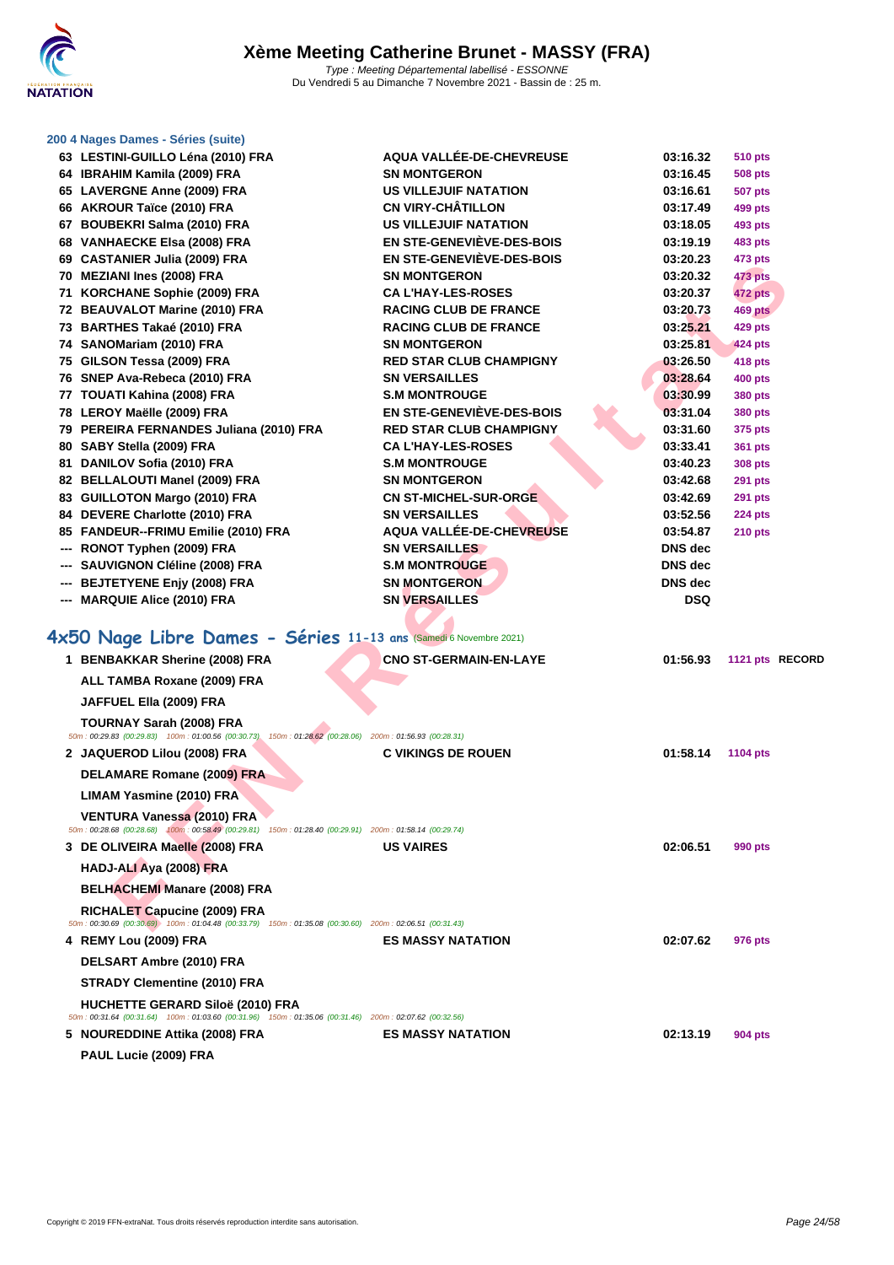**[200 4 Nag](http://www.ffnatation.fr/webffn/index.php)es Dames - Séries (suite)**

| 63 LESTINI-GUILLO Léna (2010) FRA                                                                                                             | AQUA VALLÉE-DE-CHEVREUSE         | 03:16.32   | <b>510 pts</b> |                 |
|-----------------------------------------------------------------------------------------------------------------------------------------------|----------------------------------|------------|----------------|-----------------|
| 64 IBRAHIM Kamila (2009) FRA                                                                                                                  | <b>SN MONTGERON</b>              | 03:16.45   | 508 pts        |                 |
| 65 LAVERGNE Anne (2009) FRA                                                                                                                   | <b>US VILLEJUIF NATATION</b>     | 03:16.61   | 507 pts        |                 |
| 66 AKROUR Taïce (2010) FRA                                                                                                                    | <b>CN VIRY-CHÂTILLON</b>         | 03:17.49   | 499 pts        |                 |
| 67 BOUBEKRI Salma (2010) FRA                                                                                                                  | <b>US VILLEJUIF NATATION</b>     | 03:18.05   | 493 pts        |                 |
| 68 VANHAECKE Elsa (2008) FRA                                                                                                                  | <b>EN STE-GENEVIÈVE-DES-BOIS</b> | 03:19.19   | 483 pts        |                 |
| 69 CASTANIER Julia (2009) FRA                                                                                                                 | EN STE-GENEVIEVE-DES-BOIS        | 03:20.23   | 473 pts        |                 |
| 70 MEZIANI Ines (2008) FRA                                                                                                                    | <b>SN MONTGERON</b>              | 03:20.32   | 473 pts        |                 |
| 71 KORCHANE Sophie (2009) FRA                                                                                                                 | <b>CA L'HAY-LES-ROSES</b>        | 03:20.37   | <b>472 pts</b> |                 |
| 72 BEAUVALOT Marine (2010) FRA                                                                                                                | <b>RACING CLUB DE FRANCE</b>     | 03:20.73   | 469 pts        |                 |
| 73 BARTHES Takaé (2010) FRA                                                                                                                   | <b>RACING CLUB DE FRANCE</b>     | 03:25.21   | <b>429 pts</b> |                 |
| 74 SANOMariam (2010) FRA                                                                                                                      | <b>SN MONTGERON</b>              | 03:25.81   | 424 pts        |                 |
| 75 GILSON Tessa (2009) FRA                                                                                                                    | <b>RED STAR CLUB CHAMPIGNY</b>   | 03:26.50   | 418 pts        |                 |
| 76 SNEP Ava-Rebeca (2010) FRA                                                                                                                 | <b>SN VERSAILLES</b>             | 03:28.64   | <b>400 pts</b> |                 |
| 77 TOUATI Kahina (2008) FRA                                                                                                                   | <b>S.M MONTROUGE</b>             | 03:30.99   | 380 pts        |                 |
| 78 LEROY Maëlle (2009) FRA                                                                                                                    | EN STE-GENEVIÈVE-DES-BOIS        | 03:31.04   | 380 pts        |                 |
| 79 PEREIRA FERNANDES Juliana (2010) FRA                                                                                                       | <b>RED STAR CLUB CHAMPIGNY</b>   | 03:31.60   | 375 pts        |                 |
| 80 SABY Stella (2009) FRA                                                                                                                     | <b>CA L'HAY-LES-ROSES</b>        | 03:33.41   | <b>361 pts</b> |                 |
| 81 DANILOV Sofia (2010) FRA                                                                                                                   | <b>S.M MONTROUGE</b>             | 03:40.23   | <b>308 pts</b> |                 |
| 82 BELLALOUTI Manel (2009) FRA                                                                                                                | <b>SN MONTGERON</b>              | 03:42.68   | <b>291 pts</b> |                 |
| 83 GUILLOTON Margo (2010) FRA                                                                                                                 | <b>CN ST-MICHEL-SUR-ORGE</b>     | 03:42.69   | <b>291 pts</b> |                 |
| 84 DEVERE Charlotte (2010) FRA                                                                                                                | <b>SN VERSAILLES</b>             | 03:52.56   | <b>224 pts</b> |                 |
| 85 FANDEUR--FRIMU Emilie (2010) FRA                                                                                                           | <b>AQUA VALLEE-DE-CHEVREUSE</b>  | 03:54.87   | <b>210 pts</b> |                 |
| RONOT Typhen (2009) FRA                                                                                                                       | <b>SN VERSAILLES</b>             | DNS dec    |                |                 |
| <b>SAUVIGNON Cléline (2008) FRA</b>                                                                                                           | <b>S.M MONTROUGE</b>             | DNS dec    |                |                 |
| <b>BEJTETYENE Enjy (2008) FRA</b>                                                                                                             | <b>SN MONTGERON</b>              | DNS dec    |                |                 |
| --- MARQUIE Alice (2010) FRA                                                                                                                  | <b>SN VERSAILLES</b>             | <b>DSQ</b> |                |                 |
|                                                                                                                                               |                                  |            |                |                 |
| 4x50 Nage Libre Dames - Séries 11-13 ans (Samedi 6 Novembre 2021)                                                                             |                                  |            |                |                 |
| 1 BENBAKKAR Sherine (2008) FRA                                                                                                                | <b>CNO ST-GERMAIN-EN-LAYE</b>    | 01:56.93   |                | 1121 pts RECORD |
| ALL TAMBA Roxane (2009) FRA                                                                                                                   |                                  |            |                |                 |
| JAFFUEL Ella (2009) FRA                                                                                                                       |                                  |            |                |                 |
| <b>TOURNAY Sarah (2008) FRA</b>                                                                                                               |                                  |            |                |                 |
| 50m : 00:29.83 (00:29.83) 100m : 01:00.56 (00:30.73) 150m : 01:28.62 (00:28.06) 200m : 01:56.93 (00:28.31)                                    |                                  |            |                |                 |
| 2 JAQUEROD Lilou (2008) FRA                                                                                                                   | <b>C VIKINGS DE ROUEN</b>        | 01:58.14   | 1104 pts       |                 |
| DELAMARE Romane (2009) FRA                                                                                                                    |                                  |            |                |                 |
| LIMAM Yasmine (2010) FRA                                                                                                                      |                                  |            |                |                 |
| <b>VENTURA Vanessa (2010) FRA</b>                                                                                                             |                                  |            |                |                 |
| 50m : 00:28.68 (00:28.68) 400m : 00:58.49 (00:29.81) 150m : 01:28.40 (00:29.91) 200m : 01:58.14 (00:29.74)                                    |                                  |            |                |                 |
| 3 DE OLIVEIRA Maelle (2008) FRA                                                                                                               | <b>US VAIRES</b>                 | 02:06.51   | 990 pts        |                 |
| HADJ-ALI Aya (2008) FRA                                                                                                                       |                                  |            |                |                 |
| <b>BELHACHEMI Manare (2008) FRA</b>                                                                                                           |                                  |            |                |                 |
| <b>RICHALET Capucine (2009) FRA</b><br>50m: 00:30.69 (00:30.69) 100m: 01:04.48 (00:33.79) 150m: 01:35.08 (00:30.60) 200m: 02:06.51 (00:31.43) |                                  |            |                |                 |
| 4 REMY Lou (2009) FRA                                                                                                                         | <b>ES MASSY NATATION</b>         | 02:07.62   | 976 pts        |                 |
| DELSART Ambre (2010) FRA                                                                                                                      |                                  |            |                |                 |
| <b>STRADY Clementine (2010) FRA</b>                                                                                                           |                                  |            |                |                 |
| <b>HUCHETTE GERARD Siloë (2010) FRA</b>                                                                                                       |                                  |            |                |                 |
| 50m : 00:31.64 (00:31.64) 100m : 01:03.60 (00:31.96) 150m : 01:35.06 (00:31.46) 200m : 02:07.62 (00:32.56)                                    |                                  |            |                |                 |
| 5 NOUREDDINE Attika (2008) FRA                                                                                                                | <b>ES MASSY NATATION</b>         | 02:13.19   | 904 pts        |                 |

**PAUL Lucie (2009) FRA**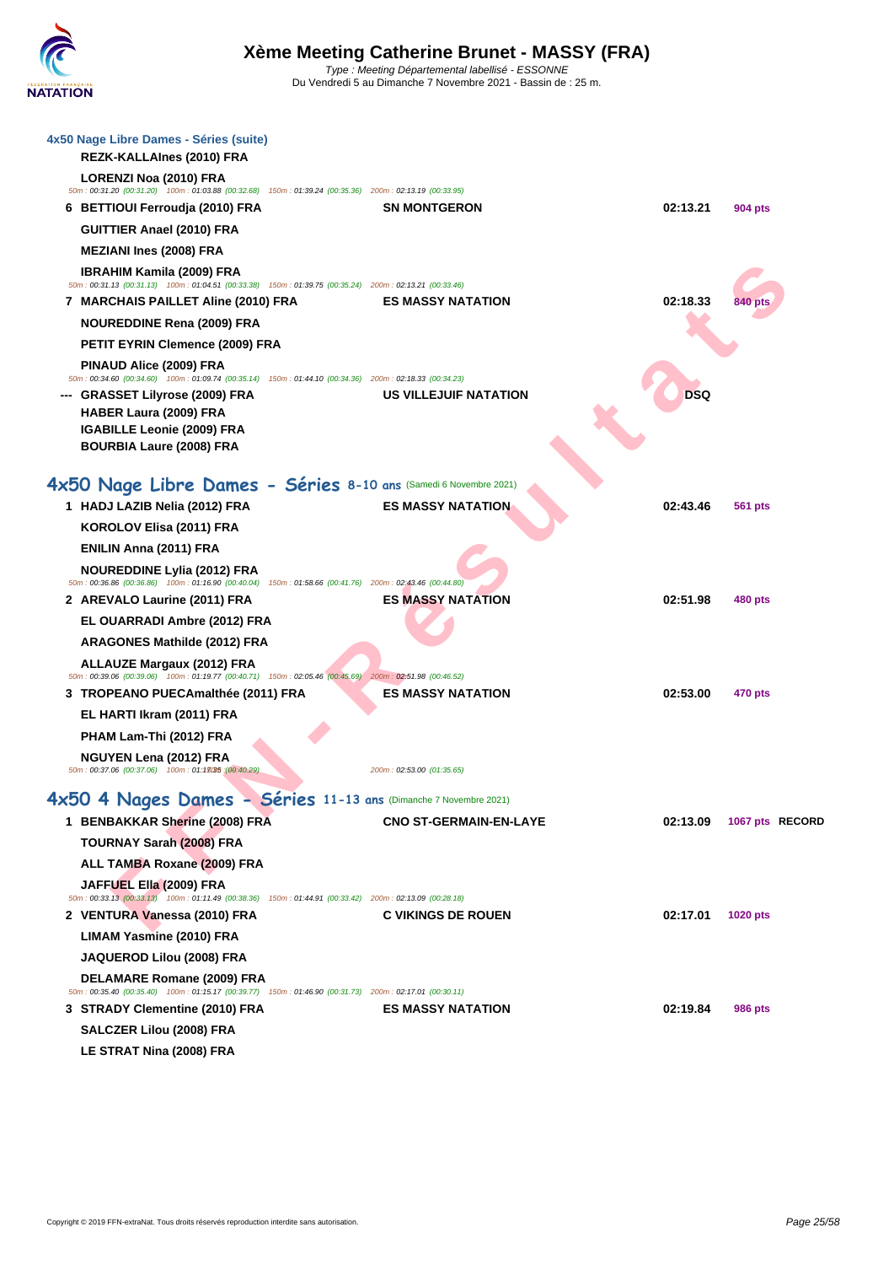| 4x50 Nage Libre Dames - Séries (suite)                                                                                                           |                               |          |                 |  |
|--------------------------------------------------------------------------------------------------------------------------------------------------|-------------------------------|----------|-----------------|--|
| REZK-KALLAInes (2010) FRA<br>LORENZI Noa (2010) FRA                                                                                              |                               |          |                 |  |
| 50m : 00:31.20 (00:31.20) 100m : 01:03.88 (00:32.68) 150m : 01:39.24 (00:35.36) 200m : 02:13.19 (00:33.95)<br>6 BETTIOUI Ferroudja (2010) FRA    | <b>SN MONTGERON</b>           | 02:13.21 | 904 pts         |  |
| GUITTIER Anael (2010) FRA                                                                                                                        |                               |          |                 |  |
| <b>MEZIANI Ines (2008) FRA</b>                                                                                                                   |                               |          |                 |  |
| <b>IBRAHIM Kamila (2009) FRA</b>                                                                                                                 |                               |          |                 |  |
| 50m: 00:31.13 (00:31.13) 100m: 01:04.51 (00:33.38) 150m: 01:39.75 (00:35.24) 200m: 02:13.21 (00:33.46)                                           |                               |          |                 |  |
| 7 MARCHAIS PAILLET Aline (2010) FRA                                                                                                              | <b>ES MASSY NATATION</b>      | 02:18.33 | 840 pts         |  |
| <b>NOUREDDINE Rena (2009) FRA</b>                                                                                                                |                               |          |                 |  |
| PETIT EYRIN Clemence (2009) FRA                                                                                                                  |                               |          |                 |  |
| PINAUD Alice (2009) FRA<br>50m : 00:34.60 (00:34.60) 100m : 01:09.74 (00:35.14) 150m : 01:44.10 (00:34.36) 200m : 02:18.33 (00:34.23)            |                               |          |                 |  |
| <b>GRASSET Lilyrose (2009) FRA</b>                                                                                                               | US VILLEJUIF NATATION         | DSQ      |                 |  |
| HABER Laura (2009) FRA                                                                                                                           |                               |          |                 |  |
| <b>IGABILLE Leonie (2009) FRA</b>                                                                                                                |                               |          |                 |  |
| <b>BOURBIA Laure (2008) FRA</b>                                                                                                                  |                               |          |                 |  |
| 4x50 Nage Libre Dames - Séries 8-10 ans (Samedi 6 Novembre 2021)                                                                                 |                               |          |                 |  |
| 1 HADJ LAZIB Nelia (2012) FRA                                                                                                                    | <b>ES MASSY NATATION</b>      | 02:43.46 | <b>561 pts</b>  |  |
| KOROLOV Elisa (2011) FRA                                                                                                                         |                               |          |                 |  |
| ENILIN Anna (2011) FRA                                                                                                                           |                               |          |                 |  |
| <b>NOUREDDINE Lylia (2012) FRA</b><br>50m : 00:36.86 (00:36.86) 100m : 01:16.90 (00:40.04) 150m : 01:58.66 (00:41.76) 200m : 02:43.46 (00:44.80) |                               |          |                 |  |
| 2 AREVALO Laurine (2011) FRA                                                                                                                     | <b>ES MASSY NATATION</b>      | 02:51.98 | 480 pts         |  |
| EL OUARRADI Ambre (2012) FRA                                                                                                                     |                               |          |                 |  |
| ARAGONES Mathilde (2012) FRA                                                                                                                     |                               |          |                 |  |
| <b>ALLAUZE Margaux (2012) FRA</b><br>50m : 00:39.06 (00:39.06) 100m : 01:19.77 (00:40.71) 150m : 02:05.46 (00:45.69) 200m : 02:51.98 (00:46.52)  |                               |          |                 |  |
| 3 TROPEANO PUECAmalthée (2011) FRA                                                                                                               | <b>ES MASSY NATATION</b>      | 02:53.00 | <b>470 pts</b>  |  |
| EL HARTI Ikram (2011) FRA                                                                                                                        |                               |          |                 |  |
| PHAM Lam-Thi (2012) FRA                                                                                                                          |                               |          |                 |  |
| NGUYEN Lena (2012) FRA                                                                                                                           |                               |          |                 |  |
| 50m: 00:37.06 (00:37.06) 100m: 01:13035 (00:40.29)                                                                                               | 200m: 02:53.00 (01:35.65)     |          |                 |  |
| 4x50 4 Nages Dames - Séries 11-13 ans (Dimanche 7 Novembre 2021)                                                                                 |                               |          |                 |  |
| 1 BENBAKKAR Sherine (2008) FRA                                                                                                                   | <b>CNO ST-GERMAIN-EN-LAYE</b> | 02:13.09 | 1067 pts RECORD |  |
| <b>TOURNAY Sarah (2008) FRA</b>                                                                                                                  |                               |          |                 |  |
| <b>ALL TAMBA Roxane (2009) FRA</b>                                                                                                               |                               |          |                 |  |
| JAFFUEL Ella (2009) FRA<br>50m : 00:33.13 (00:33.13) 100m : 01:11.49 (00:38.36) 150m : 01:44.91 (00:33.42) 200m : 02:13.09 (00:28.18)            |                               |          |                 |  |
| 2 VENTURA Vanessa (2010) FRA                                                                                                                     | <b>C VIKINGS DE ROUEN</b>     | 02:17.01 | <b>1020 pts</b> |  |
| <b>LIMAM Yasmine (2010) FRA</b>                                                                                                                  |                               |          |                 |  |
| JAQUEROD Lilou (2008) FRA                                                                                                                        |                               |          |                 |  |
| DELAMARE Romane (2009) FRA                                                                                                                       |                               |          |                 |  |
| 50m: 00:35.40 (00:35.40) 100m: 01:15.17 (00:39.77) 150m: 01:46.90 (00:31.73) 200m: 02:17.01 (00:30.11)                                           |                               |          |                 |  |
| 3 STRADY Clementine (2010) FRA                                                                                                                   | <b>ES MASSY NATATION</b>      | 02:19.84 | 986 pts         |  |
| SALCZER Lilou (2008) FRA                                                                                                                         |                               |          |                 |  |
| LE STRAT Nina (2008) FRA                                                                                                                         |                               |          |                 |  |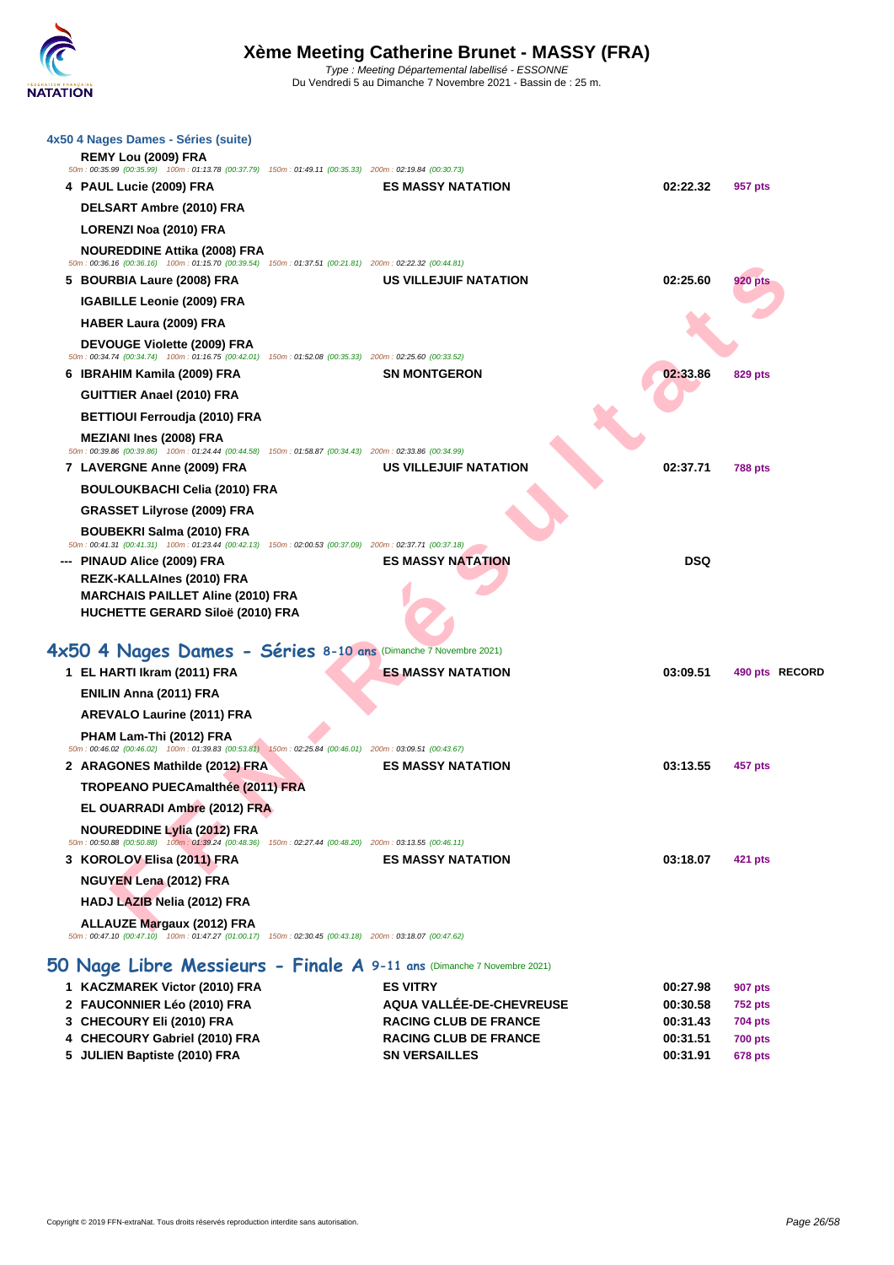| 4x50 4 Nages Dames - Séries (suite)                                                                                                           |                                                                 |                      |                                  |
|-----------------------------------------------------------------------------------------------------------------------------------------------|-----------------------------------------------------------------|----------------------|----------------------------------|
| REMY Lou (2009) FRA                                                                                                                           |                                                                 |                      |                                  |
| 50m : 00:35.99 (00:35.99) 100m : 01:13.78 (00:37.79) 150m : 01:49.11 (00:35.33) 200m : 02:19.84 (00:30.73)                                    | <b>ES MASSY NATATION</b>                                        | 02:22.32             |                                  |
| 4 PAUL Lucie (2009) FRA                                                                                                                       |                                                                 |                      | 957 pts                          |
| DELSART Ambre (2010) FRA                                                                                                                      |                                                                 |                      |                                  |
| <b>LORENZI Noa (2010) FRA</b>                                                                                                                 |                                                                 |                      |                                  |
| <b>NOUREDDINE Attika (2008) FRA</b><br>50m: 00:36.16 (00:36.16) 100m: 01:15.70 (00:39.54) 150m: 01:37.51 (00:21.81) 200m: 02:22.32 (00:44.81) |                                                                 |                      |                                  |
| 5 BOURBIA Laure (2008) FRA                                                                                                                    | US VILLEJUIF NATATION                                           | 02:25.60             | 920 pts                          |
| <b>IGABILLE Leonie (2009) FRA</b>                                                                                                             |                                                                 |                      |                                  |
| HABER Laura (2009) FRA                                                                                                                        |                                                                 |                      |                                  |
| DEVOUGE Violette (2009) FRA<br>50m: 00:34.74 (00:34.74) 100m: 01:16.75 (00:42.01) 150m: 01:52.08 (00:35.33) 200m: 02:25.60 (00:33.52)         |                                                                 |                      |                                  |
| 6 BRAHIM Kamila (2009) FRA                                                                                                                    | <b>SN MONTGERON</b>                                             | 02:33.86             | <b>829 pts</b>                   |
| <b>GUITTIER Anael (2010) FRA</b>                                                                                                              |                                                                 |                      |                                  |
| <b>BETTIOUI Ferroudja (2010) FRA</b>                                                                                                          |                                                                 |                      |                                  |
| <b>MEZIANI Ines (2008) FRA</b>                                                                                                                |                                                                 |                      |                                  |
| 50m : 00:39.86 (00:39.86) 100m : 01:24.44 (00:44.58) 150m : 01:58.87 (00:34.43) 200m : 02:33.86 (00:34.99)                                    |                                                                 |                      |                                  |
| 7 LAVERGNE Anne (2009) FRA                                                                                                                    | US VILLEJUIF NATATION                                           | 02:37.71             | <b>788 pts</b>                   |
| <b>BOULOUKBACHI Celia (2010) FRA</b>                                                                                                          |                                                                 |                      |                                  |
| <b>GRASSET Lilyrose (2009) FRA</b>                                                                                                            |                                                                 |                      |                                  |
| <b>BOUBEKRI Salma (2010) FRA</b><br>50m: 00:41.31 (00:41.31) 100m: 01:23.44 (00:42.13) 150m: 02:00.53 (00:37.09) 200m: 02:37.71 (00:37.18)    |                                                                 |                      |                                  |
| --- PINAUD Alice (2009) FRA                                                                                                                   | <b>ES MASSY NATATION</b>                                        | <b>DSQ</b>           |                                  |
| REZK-KALLAInes (2010) FRA                                                                                                                     |                                                                 |                      |                                  |
| <b>MARCHAIS PAILLET Aline (2010) FRA</b><br>HUCHETTE GERARD Siloë (2010) FRA                                                                  |                                                                 |                      |                                  |
|                                                                                                                                               |                                                                 |                      |                                  |
| 4x50 4 Nages Dames - Séries 8-10 ans (Dimanche 7 Novembre 2021)                                                                               |                                                                 |                      |                                  |
| 1 EL HARTI Ikram (2011) FRA                                                                                                                   | <b>ES MASSY NATATION</b>                                        | 03:09.51             | 490 pts RECORD                   |
| ENILIN Anna (2011) FRA                                                                                                                        |                                                                 |                      |                                  |
| <b>AREVALO Laurine (2011) FRA</b>                                                                                                             |                                                                 |                      |                                  |
| PHAM Lam-Thi (2012) FRA<br>50m : 00:46.02 (00:46.02) 100m : 01:39.83 (00:53.81) 150m : 02:25.84 (00:46.01) 200m : 03:09.51 (00:43.67)         |                                                                 |                      |                                  |
| 2 ARAGONES Mathilde (2012) FRA                                                                                                                | <b>ES MASSY NATATION</b>                                        | 03:13.55             | 457 pts                          |
| <b>TROPEANO PUECAmalthée (2011) FRA</b>                                                                                                       |                                                                 |                      |                                  |
| EL OUARRADI Ambre (2012) FRA                                                                                                                  |                                                                 |                      |                                  |
| <b>NOUREDDINE Lylia (2012) FRA</b><br>50m: 00:50.88 (00:50.88) 100m: 01:39.24 (00:48.36) 150m: 02:27.44 (00:48.20) 200m: 03:13.55 (00:46.11)  |                                                                 |                      |                                  |
| 3 KOROLOV Elisa (2011) FRA                                                                                                                    | <b>ES MASSY NATATION</b>                                        | 03:18.07             | 421 pts                          |
| NGUYEN Lena (2012) FRA                                                                                                                        |                                                                 |                      |                                  |
| HADJ LAZIB Nelia (2012) FRA                                                                                                                   |                                                                 |                      |                                  |
| <b>ALLAUZE Margaux (2012) FRA</b><br>50m: 00:47.10 (00:47.10) 100m: 01:47.27 (01:00.17) 150m: 02:30.45 (00:43.18) 200m: 03:18.07 (00:47.62)   |                                                                 |                      |                                  |
|                                                                                                                                               |                                                                 |                      |                                  |
| 50 Nage Libre Messieurs - Finale A 9-11 ans (Dimanche 7 Novembre 2021)                                                                        |                                                                 |                      |                                  |
| 1 KACZMAREK Victor (2010) FRA                                                                                                                 | <b>ES VITRY</b>                                                 | 00:27.98             | <b>907 pts</b>                   |
| 2 FAUCONNIER Léo (2010) FRA<br>3 CHECOURY Eli (2010) FRA                                                                                      | <b>AQUA VALLÉE-DE-CHEVREUSE</b><br><b>RACING CLUB DE FRANCE</b> | 00:30.58<br>00:31.43 | <b>752 pts</b><br><b>704 pts</b> |
| 4 CHECOURY Gabriel (2010) FRA                                                                                                                 | <b>RACING CLUB DE FRANCE</b>                                    | 00:31.51             | <b>700 pts</b>                   |
| 5 JULIEN Baptiste (2010) FRA                                                                                                                  | <b>SN VERSAILLES</b>                                            | 00:31.91             | <b>678 pts</b>                   |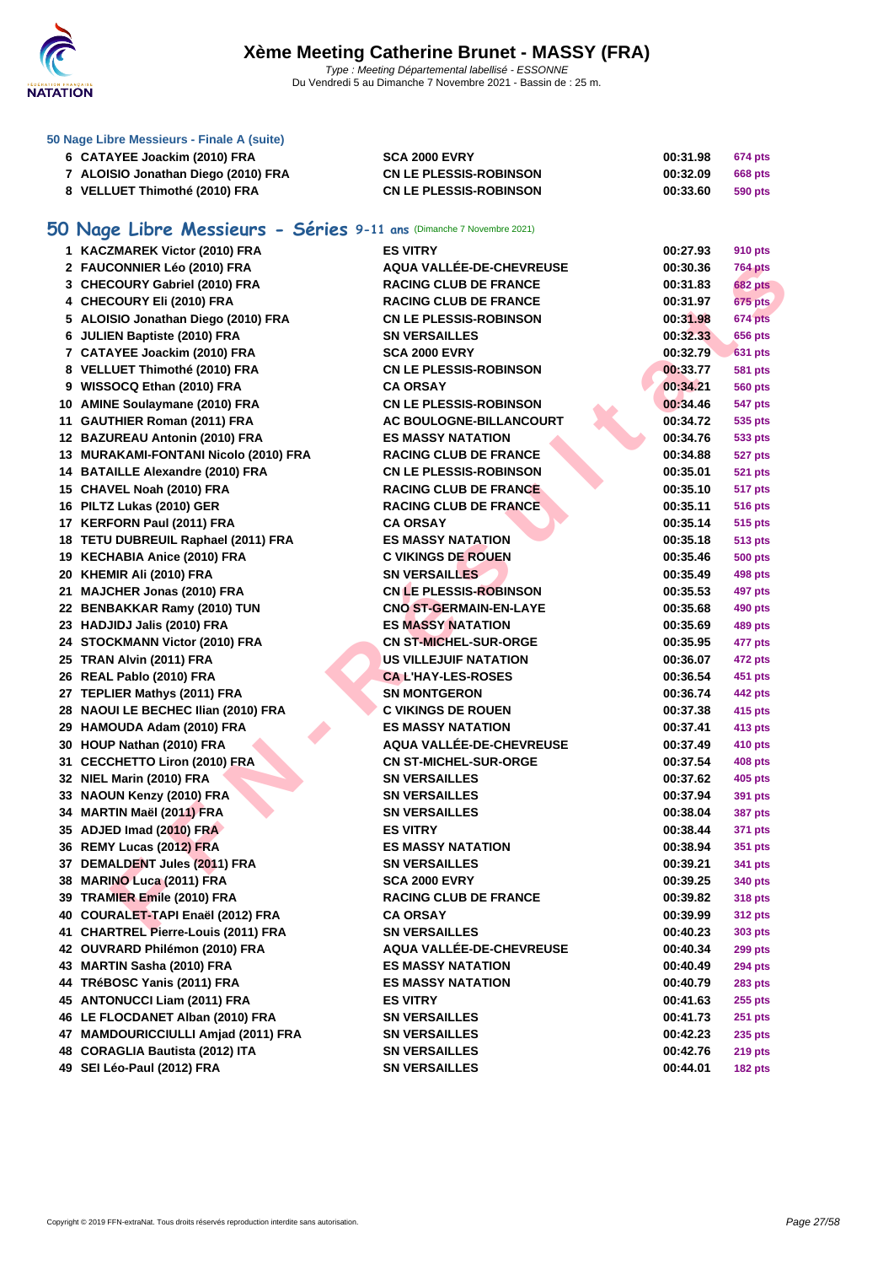

#### **[50 Nage L](http://www.ffnatation.fr/webffn/index.php)ibre Messieurs - Finale A (suite)**

| 6 CATAYEE Joackim (2010) FRA        | <b>SCA 2000 EVRY</b>          | 00:31.98 | 674 pts |
|-------------------------------------|-------------------------------|----------|---------|
| 7 ALOISIO Jonathan Diego (2010) FRA | <b>CN LE PLESSIS-ROBINSON</b> | 00:32.09 | 668 pts |
| 8 VELLUET Thimothé (2010) FRA       | <b>CN LE PLESSIS-ROBINSON</b> | 00:33.60 | 590 pts |

## **50 Nage Libre Messieurs - Séries 9-11 ans** (Dimanche 7 Novembre 2021)

| 1 KACZMAREK Victor (2010) FRA         | <b>ES VITRY</b>                 | 00:27.93 | 910 pts        |
|---------------------------------------|---------------------------------|----------|----------------|
| 2 FAUCONNIER Léo (2010) FRA           | AQUA VALLÉE-DE-CHEVREUSE        | 00:30.36 | <b>764 pts</b> |
| 3 CHECOURY Gabriel (2010) FRA         | <b>RACING CLUB DE FRANCE</b>    | 00:31.83 | <b>682 pts</b> |
| 4 CHECOURY Eli (2010) FRA             | <b>RACING CLUB DE FRANCE</b>    | 00:31.97 | <b>675 pts</b> |
| 5 ALOISIO Jonathan Diego (2010) FRA   | <b>CN LE PLESSIS-ROBINSON</b>   | 00:31.98 | 674 pts        |
| 6 JULIEN Baptiste (2010) FRA          | <b>SN VERSAILLES</b>            | 00:32.33 | 656 pts        |
| 7 CATAYEE Joackim (2010) FRA          | <b>SCA 2000 EVRY</b>            | 00:32.79 | <b>631 pts</b> |
| 8 VELLUET Thimothé (2010) FRA         | <b>CN LE PLESSIS-ROBINSON</b>   | 00:33.77 | 581 pts        |
| 9 WISSOCQ Ethan (2010) FRA            | <b>CA ORSAY</b>                 | 00:34.21 | <b>560 pts</b> |
| 10 AMINE Soulaymane (2010) FRA        | <b>CN LE PLESSIS-ROBINSON</b>   | 00:34.46 | 547 pts        |
| 11 GAUTHIER Roman (2011) FRA          | AC BOULOGNE-BILLANCOURT         | 00:34.72 | 535 pts        |
| 12 BAZUREAU Antonin (2010) FRA        | <b>ES MASSY NATATION</b>        | 00:34.76 | 533 pts        |
| 13 MURAKAMI-FONTANI Nicolo (2010) FRA | <b>RACING CLUB DE FRANCE</b>    | 00:34.88 | 527 pts        |
| 14 BATAILLE Alexandre (2010) FRA      | <b>CN LE PLESSIS-ROBINSON</b>   | 00:35.01 | <b>521 pts</b> |
| 15 CHAVEL Noah (2010) FRA             | <b>RACING CLUB DE FRANCE</b>    | 00:35.10 | <b>517 pts</b> |
| 16 PILTZ Lukas (2010) GER             | <b>RACING CLUB DE FRANCE</b>    | 00:35.11 | <b>516 pts</b> |
| 17 KERFORN Paul (2011) FRA            | <b>CA ORSAY</b>                 | 00:35.14 | 515 pts        |
| 18 TETU DUBREUIL Raphael (2011) FRA   | <b>ES MASSY NATATION</b>        | 00:35.18 | 513 pts        |
| 19 KECHABIA Anice (2010) FRA          | <b>C VIKINGS DE ROUEN</b>       | 00:35.46 | <b>500 pts</b> |
| 20 KHEMIR Ali (2010) FRA              | <b>SN VERSAILLES</b>            | 00:35.49 | 498 pts        |
| 21 MAJCHER Jonas (2010) FRA           | <b>CN LE PLESSIS-ROBINSON</b>   | 00:35.53 | 497 pts        |
| 22 BENBAKKAR Ramy (2010) TUN          | <b>CNO ST-GERMAIN-EN-LAYE</b>   | 00:35.68 | 490 pts        |
| 23 HADJIDJ Jalis (2010) FRA           | <b>ES MASSY NATATION</b>        | 00:35.69 | 489 pts        |
| 24 STOCKMANN Victor (2010) FRA        | <b>CN ST-MICHEL-SUR-ORGE</b>    | 00:35.95 | 477 pts        |
| 25 TRAN Alvin (2011) FRA              | <b>US VILLEJUIF NATATION</b>    | 00:36.07 | 472 pts        |
| 26 REAL Pablo (2010) FRA              | <b>CAL'HAY-LES-ROSES</b>        | 00:36.54 | 451 pts        |
| 27 TEPLIER Mathys (2011) FRA          | <b>SN MONTGERON</b>             | 00:36.74 | 442 pts        |
| 28 NAOUI LE BECHEC Ilian (2010) FRA   | <b>C VIKINGS DE ROUEN</b>       | 00:37.38 | 415 pts        |
| 29 HAMOUDA Adam (2010) FRA            | <b>ES MASSY NATATION</b>        | 00:37.41 | 413 pts        |
| 30 HOUP Nathan (2010) FRA             | <b>AQUA VALLÉE-DE-CHEVREUSE</b> | 00:37.49 | 410 pts        |
| 31 CECCHETTO Liron (2010) FRA         | <b>CN ST-MICHEL-SUR-ORGE</b>    | 00:37.54 | 408 pts        |
| 32 NIEL Marin (2010) FRA              | <b>SN VERSAILLES</b>            | 00:37.62 | 405 pts        |
| 33 NAOUN Kenzy (2010) FRA             | <b>SN VERSAILLES</b>            | 00:37.94 | 391 pts        |
| 34 MARTIN Maël (2011) FRA             | <b>SN VERSAILLES</b>            | 00:38.04 | 387 pts        |
| 35 ADJED Imad (2010) FRA              | <b>ES VITRY</b>                 | 00:38.44 | 371 pts        |
| 36 REMY Lucas (2012) FRA              | <b>ES MASSY NATATION</b>        | 00:38.94 | 351 pts        |
| 37 DEMALDENT Jules (2011) FRA         | <b>SN VERSAILLES</b>            | 00:39.21 | 341 pts        |
| 38 MARINO Luca (2011) FRA             | <b>SCA 2000 EVRY</b>            | 00:39.25 | 340 pts        |
| 39 TRAMIER Emile (2010) FRA           | <b>RACING CLUB DE FRANCE</b>    | 00:39.82 | 318 pts        |
| 40 COURALET-TAPI Enaël (2012) FRA     | <b>CA ORSAY</b>                 | 00:39.99 | <b>312 pts</b> |
| 41 CHARTREL Pierre-Louis (2011) FRA   | <b>SN VERSAILLES</b>            | 00:40.23 | 303 pts        |
| 42 OUVRARD Philémon (2010) FRA        | AQUA VALLÉE-DE-CHEVREUSE        | 00:40.34 | <b>299 pts</b> |
| 43 MARTIN Sasha (2010) FRA            | <b>ES MASSY NATATION</b>        | 00:40.49 | <b>294 pts</b> |
| 44 TRéBOSC Yanis (2011) FRA           | <b>ES MASSY NATATION</b>        | 00:40.79 | <b>283 pts</b> |
| 45 ANTONUCCI Liam (2011) FRA          | <b>ES VITRY</b>                 | 00:41.63 | <b>255 pts</b> |
| 46 LE FLOCDANET Alban (2010) FRA      | <b>SN VERSAILLES</b>            | 00:41.73 | <b>251 pts</b> |
| 47 MAMDOURICCIULLI Amjad (2011) FRA   | <b>SN VERSAILLES</b>            | 00:42.23 | 235 pts        |
| 48 CORAGLIA Bautista (2012) ITA       | <b>SN VERSAILLES</b>            | 00:42.76 | <b>219 pts</b> |
| 49 SEI Léo-Paul (2012) FRA            | <b>SN VERSAILLES</b>            | 00:44.01 | <b>182 pts</b> |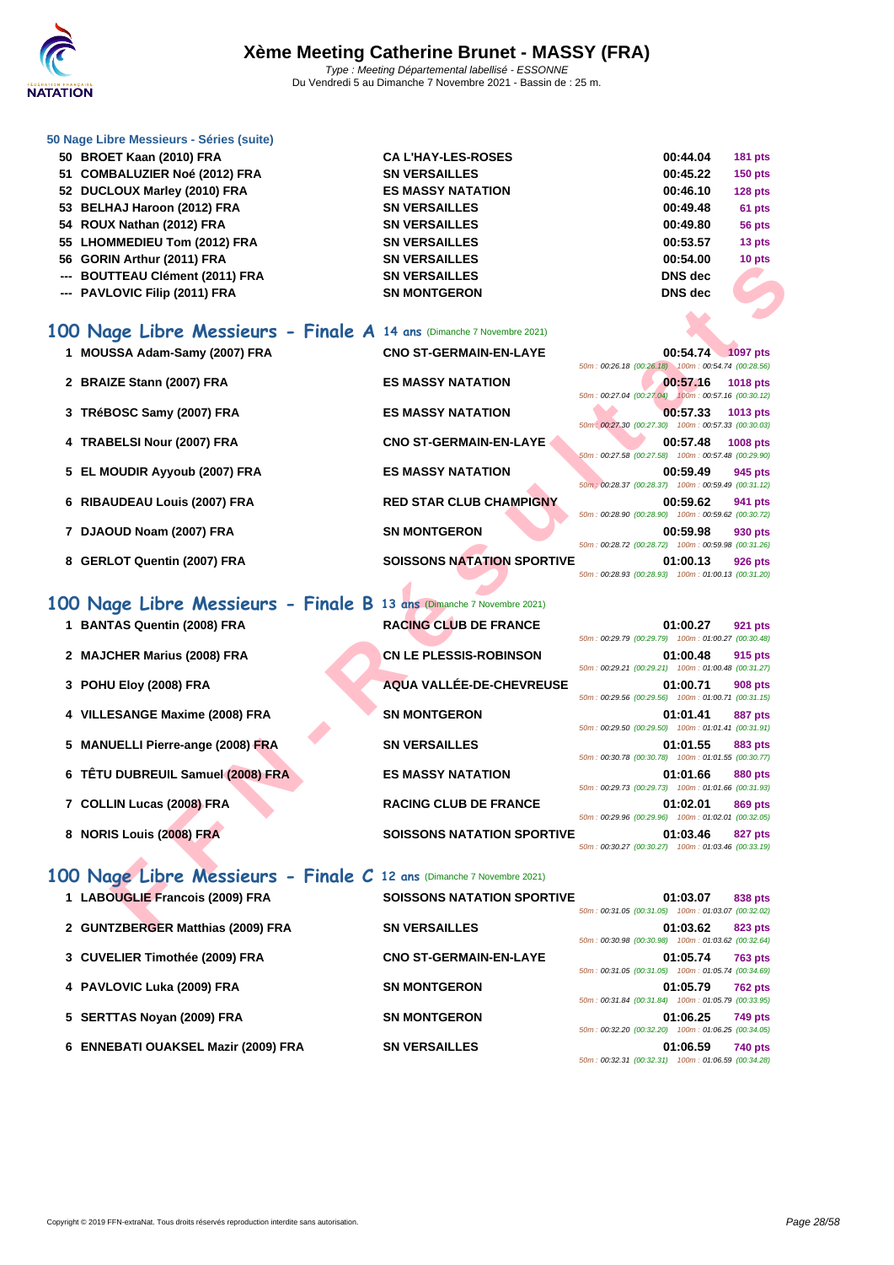

| 50 Nage Libre Messieurs - Séries (suite) |
|------------------------------------------|
|------------------------------------------|

| 50 BROET Kaan (2010) FRA        | <b>CAL'HAY-LES-ROSES</b> | 00:44.04       | $181$ pts |
|---------------------------------|--------------------------|----------------|-----------|
| 51 COMBALUZIER Noé (2012) FRA   | <b>SN VERSAILLES</b>     | 00:45.22       | $150$ pts |
| 52 DUCLOUX Marley (2010) FRA    | <b>ES MASSY NATATION</b> | 00:46.10       | $128$ pts |
| 53 BELHAJ Haroon (2012) FRA     | <b>SN VERSAILLES</b>     | 00:49.48       | 61 pts    |
| 54 ROUX Nathan (2012) FRA       | <b>SN VERSAILLES</b>     | 00:49.80       | 56 pts    |
| 55 LHOMMEDIEU Tom (2012) FRA    | <b>SN VERSAILLES</b>     | 00:53.57       | 13 pts    |
| 56 GORIN Arthur (2011) FRA      | <b>SN VERSAILLES</b>     | 00:54.00       | 10 pts    |
| --- BOUTTEAU Clément (2011) FRA | <b>SN VERSAILLES</b>     | <b>DNS</b> dec |           |
| --- PAVLOVIC Filip (2011) FRA   | <b>SN MONTGERON</b>      | <b>DNS</b> dec |           |
|                                 |                          |                |           |

#### **100 Nage Libre Messieurs - Finale A 14 ans** (Dimanche 7 Novembre 2021)

- **1 MOUSSA Adam-Samy (2007) FRA CNO ST-GERMAIN-EN-LAYE 00:54.74 1097 pts**
- **2 BRAIZE Stann (2007) FRA ES MASSY NATATION 00:57.16 1018 pts**
- **3 TRéBOSC Samy (2007) FRA ES MASSY NATATION 00:57.33 1013 pts**
- **4 TRABELSI Nour (2007) FRA CNO ST-GERMAIN-EN-LAYE 00:57.48 1008 pts**
- **5 EL MOUDIR Ayyoub (2007) FRA ES MASSY NATATION 00:59.49 945 pts**
- **6 RIBAUDEAU Louis (2007) FRA RED STAR CLUB CHAMPIGNY 00:59.62 941 pts**
- **7 DJAOUD Noam (2007) FRA SN MONTGERON**
- 8 **GERLOT Quentin (2007) FRA SOISSONS NATATION SPORTIVE**

#### **100 Nage Libre Messieurs - Finale B 13 ans** (Dimanche 7 Novembre 2021)

- 
- **2 MAJCHER Marius (2008) FRA CN LE PLESSIS-ROBINSON**
- 
- **4 VILLESANGE Maxime (2008) FRA SN MONTGERON 01:01.41 887 pts**
- **5 MANUELLI Pierre-ange (2008) FRA SN VERSAILLES**
- **6 TÊTU DUBREUIL Samuel (2008) FRA ES MASSY NATATION 01:01.66 880 pts**
- 
- 

# 1 **BANTAS Quentin (2008) FRA RACING CLUB DE FRANCE 3 POHU Eloy (2008) FRA AQUA VALLÉE-DE-CHEVREUSE 7** COLLIN Lucas (2008) FRA **RACING CLUB DE FRANCE 8 NORIS Louis (2008) FRA SOISSONS NATATION SPORTIVE**

| ת הוונועם נצט ווא אוו                                            | UN YLINUMILLLU                    | vv.v+.vv<br><b>TO PIS</b>                                                         |
|------------------------------------------------------------------|-----------------------------------|-----------------------------------------------------------------------------------|
| TTEAU Clément (2011) FRA                                         | <b>SN VERSAILLES</b>              | <b>DNS</b> dec                                                                    |
| <b>LOVIC Filip (2011) FRA</b>                                    | <b>SN MONTGERON</b>               | <b>DNS</b> dec                                                                    |
|                                                                  |                                   |                                                                                   |
| age Libre Messieurs - Finale A 14 ans (Dimanche 7 Novembre 2021) |                                   |                                                                                   |
| SSA Adam-Samy (2007) FRA                                         | <b>CNO ST-GERMAIN-EN-LAYE</b>     | 00:54.74 1097 pts                                                                 |
|                                                                  |                                   | 50m: 00:26.18 (00:26.18) 100m: 00:54.74 (00:28.56)                                |
| IZE Stann (2007) FRA                                             | <b>ES MASSY NATATION</b>          | 00:57.16<br><b>1018 pts</b><br>50m: 00:27.04 (00:27.04) 100m: 00:57.16 (00:30.12) |
| 3OSC Samy (2007) FRA                                             | <b>ES MASSY NATATION</b>          | 00:57.33<br>1013 pts                                                              |
|                                                                  |                                   | 50m : 00:27.30 (00:27.30) 100m : 00:57.33 (00:30.03)                              |
| <b>BELSI Nour (2007) FRA</b>                                     | <b>CNO ST-GERMAIN-EN-LAYE</b>     | 00:57.48<br>1008 pts<br>50m: 00:27.58 (00:27.58) 100m: 00:57.48 (00:29.90)        |
| <b>OUDIR Ayyoub (2007) FRA</b>                                   | <b>ES MASSY NATATION</b>          | 00:59.49<br>945 pts                                                               |
|                                                                  |                                   | 50m : 00:28.37 (00:28.37) 100m : 00:59.49 (00:31.12)                              |
| <b>UDEAU Louis (2007) FRA</b>                                    | <b>RED STAR CLUB CHAMPIGNY</b>    | 00:59.62<br>941 pts                                                               |
| <b>OUD Noam (2007) FRA</b>                                       | <b>SN MONTGERON</b>               | 50m: 00:28.90 (00:28.90) 100m: 00:59.62 (00:30.72)<br>00:59.98<br>930 pts         |
|                                                                  |                                   | 50m: 00:28.72 (00:28.72) 100m: 00:59.98 (00:31.26)                                |
| LOT Quentin (2007) FRA                                           | <b>SOISSONS NATATION SPORTIVE</b> | 01:00.13<br><b>926 pts</b>                                                        |
|                                                                  |                                   | 50m: 00:28.93 (00:28.93) 100m: 01:00.13 (00:31.20)                                |
| 1ge Libre Messieurs - Finale B 13 ans (Dimanche 7 Novembre 2021) |                                   |                                                                                   |
| TAS Quentin (2008) FRA                                           | <b>RACING CLUB DE FRANCE</b>      | 01:00.27<br>921 pts                                                               |
|                                                                  |                                   | 50m: 00:29.79 (00:29.79) 100m: 01:00.27 (00:30.48)                                |
| <b>CHER Marius (2008) FRA</b>                                    | <b>CN LE PLESSIS-ROBINSON</b>     | 01:00.48<br>915 pts                                                               |
| <b>U Eloy (2008) FRA</b>                                         | AQUA VALLÉE-DE-CHEVREUSE          | 50m: 00:29.21 (00:29.21) 100m: 01:00.48 (00:31.27)<br>01:00.71                    |
|                                                                  |                                   | <b>908 pts</b><br>50m: 00:29.56 (00:29.56) 100m: 01:00.71 (00:31.15)              |
| <b>ESANGE Maxime (2008) FRA</b>                                  | <b>SN MONTGERON</b>               | 01:01.41<br><b>887 pts</b>                                                        |
|                                                                  |                                   | 50m: 00:29.50 (00:29.50) 100m: 01:01.41 (00:31.91)                                |
| <b>UELLI Pierre-ange (2008) FRA</b>                              | <b>SN VERSAILLES</b>              | 01:01.55<br><b>883 pts</b><br>50m: 00:30.78 (00:30.78) 100m: 01:01.55 (00:30.77)  |
| J DUBREUIL Samuel (2008) FRA                                     | <b>ES MASSY NATATION</b>          | 01:01.66<br>880 pts                                                               |
|                                                                  |                                   | 50m: 00:29.73 (00:29.73) 100m: 01:01.66 (00:31.93)                                |
| LIN Lucas (2008) FRA                                             | <b>RACING CLUB DE FRANCE</b>      | 01:02.01<br>869 pts<br>50m: 00:29.96 (00:29.96) 100m: 01:02.01 (00:32.05)         |
| IS Louis (2008) FRA                                              | <b>SOISSONS NATATION SPORTIVE</b> | 01:03.46<br>827 pts                                                               |
|                                                                  |                                   | 50m: 00:30.27 (00:30.27) 100m: 01:03.46 (00:33.19)                                |
|                                                                  |                                   |                                                                                   |
| age Libre Messieurs - Finale C 12 ans (Dimanche 7 Novembre 2021) |                                   |                                                                                   |
| <b>OUGLIE Francois (2009) FRA</b>                                | <b>SOISSONS NATATION SPORTIVE</b> | 01:03.07<br>838 pts<br>50m: 00:31.05 (00:31.05) 100m: 01:03.07 (00:32.02)         |
| TZBERGER Matthias (2009) FRA                                     | <b>SN VERSAILLES</b>              | 01:03.62<br>823 pts                                                               |

|  |  | 01:00.27 921 pts<br>50m: 00:29.79 (00:29.79) 100m: 01:00.27 (00:30.48) |  |
|--|--|------------------------------------------------------------------------|--|
|  |  | 01:00.48 915 pts                                                       |  |
|  |  | 50m: 00:29.21 (00:29.21) 100m: 01:00.48 (00:31.27)                     |  |
|  |  | 01:00.71 908 pts                                                       |  |
|  |  | 50m: 00:29.56 (00:29.56) 100m: 01:00.71 (00:31.15)                     |  |
|  |  | 01:01.41 887 pts                                                       |  |
|  |  | 50m: 00:29.50 (00:29.50) 100m: 01:01.41 (00:31.91)                     |  |
|  |  | 01:01.55 883 pts                                                       |  |
|  |  | 50m: 00:30.78 (00:30.78) 100m: 01:01.55 (00:30.77)                     |  |
|  |  | 01:01.66 880 pts                                                       |  |
|  |  | 50m: 00:29.73 (00:29.73) 100m: 01:01.66 (00:31.93)                     |  |
|  |  | 01:02.01 869 pts                                                       |  |
|  |  | 50m: 00:29.96 (00:29.96) 100m: 01:02.01 (00:32.05)                     |  |
|  |  | 01:03.46 827 pts                                                       |  |
|  |  | $E(m + 00.20.27/(00.20.27)$ $(00m + 04.02.48/(00.22.10))$              |  |

#### **1 LABOUGLIE Francois (2009) FRA SOISSONS NATATION SPORTIVE 01:03.07 838 pts** 50m : 00:31.05 (00:31.05) 100m : 01:03.07 (00:32.02) **2 GUNTZBERGER Matthias (2009) FRA SN VERSAILLES 01:03.62 823 pts** 50m : 00:30.98 (00:30.98) 100m : 01:03.62 (00:32.64) **3 [CUVELIER Timothée \(2009\) FRA](http://www.ffnatation.fr/webffn/resultats.php?idact=nat&go=epr&idcpt=72199&idepr=52) CNO ST-GERMAIN-EN-LAYE 01:05.74 763 pts** 50m : 00:31.05 (00:31.05) 100m : 01:05.74 (00:34.69) **4 PAVLOVIC Luka (2009) FRA SN MONTGERON 01:05.79 762 pts** 50m : 00:31.84 (00:31.84) 100m : 01:05.79 (00:33.95) **5 SERTTAS Noyan (2009) FRA SN MONTGERON 01:06.25 749 pts** 50m : 00:32.20 (00:32.20) 100m : 01:06.25 (00:34.05) **6 ENNEBATI OUAKSEL Mazir (2009) FRA SN VERSAILLES 01:06.59 740 pts** 50m : 00:32.31 (00:32.31) 100m : 01:06.59 (00:34.28)

**100 Nage Libre Messieurs - Finale C 12 ans** (Dimanche 7 Novembre 2021)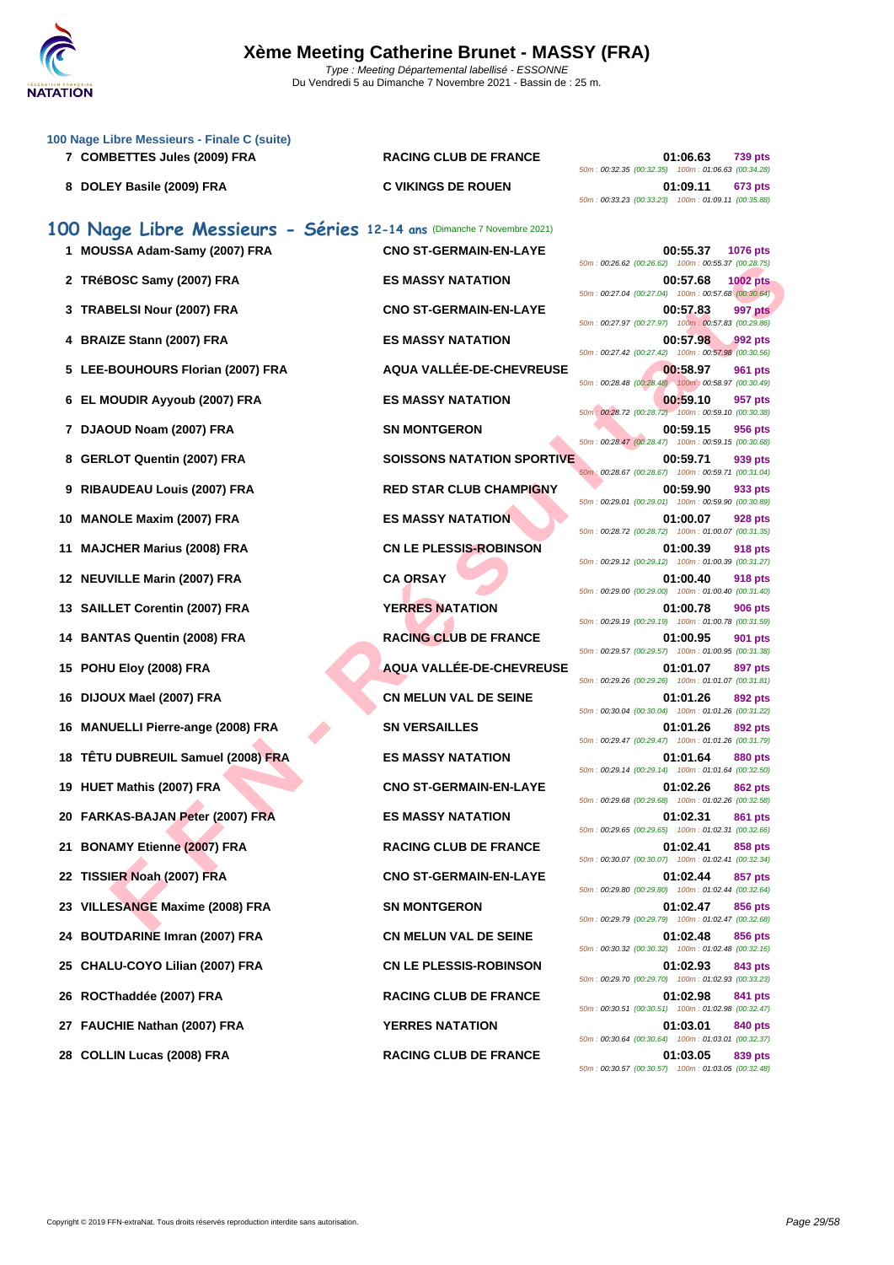

|    | 100 Nage Libre Messieurs - Finale C (suite)<br>7 COMBETTES Jules (2009) FRA | <b>RACING CLUB DE FRANCE</b>      | 01:06.63<br><b>739 pts</b>                                                         |
|----|-----------------------------------------------------------------------------|-----------------------------------|------------------------------------------------------------------------------------|
|    |                                                                             |                                   | 50m: 00:32.35 (00:32.35) 100m: 01:06.63 (00:34.28)                                 |
|    | 8 DOLEY Basile (2009) FRA                                                   | <b>C VIKINGS DE ROUEN</b>         | 01:09.11<br>673 pts<br>50m: 00:33.23 (00:33.23) 100m: 01:09.11 (00:35.88)          |
|    | 100 Nage Libre Messieurs - Séries 12-14 ans (Dimanche 7 Novembre 2021)      |                                   |                                                                                    |
|    | 1 MOUSSA Adam-Samy (2007) FRA                                               | <b>CNO ST-GERMAIN-EN-LAYE</b>     | 00:55.37<br><b>1076 pts</b><br>50m: 00:26.62 (00:26.62) 100m: 00:55.37 (00:28.75)  |
|    | 2 TRéBOSC Samy (2007) FRA                                                   | <b>ES MASSY NATATION</b>          | 00:57.68<br><b>1002 pts</b><br>50m: 00:27.04 (00:27.04) 100m: 00:57.68 (00:30.64)  |
|    | 3 TRABELSI Nour (2007) FRA                                                  | <b>CNO ST-GERMAIN-EN-LAYE</b>     | 997 pts<br>00:57.83<br>50m: 00:27.97 (00:27.97) 100m: 00:57.83 (00:29.86)          |
|    | 4 BRAIZE Stann (2007) FRA                                                   | <b>ES MASSY NATATION</b>          | 00:57.98<br>992 pts<br>50m: 00:27.42 (00:27.42) 100m: 00:57.98 (00:30.56)          |
|    | 5 LEE-BOUHOURS Florian (2007) FRA                                           | AQUA VALLÉE-DE-CHEVREUSE          | 00:58.97<br>961 pts<br>50m: 00:28.48 (00:28.48) 100m: 00:58.97 (00:30.49)          |
|    | 6 EL MOUDIR Ayyoub (2007) FRA                                               | <b>ES MASSY NATATION</b>          | 00:59.10<br>957 pts<br>50m: 00:28.72 (00:28.72) 100m: 00:59.10 (00:30.38)          |
|    | 7 DJAOUD Noam (2007) FRA                                                    | <b>SN MONTGERON</b>               | 00:59.15<br>956 pts<br>50m: 00:28.47 (00:28.47) 100m: 00:59.15 (00:30.68)          |
|    | 8 GERLOT Quentin (2007) FRA                                                 | <b>SOISSONS NATATION SPORTIVE</b> | 00:59.71<br>939 pts<br>50m: 00:28.67 (00:28.67) 100m: 00:59.71 (00:31.04)          |
| 9  | <b>RIBAUDEAU Louis (2007) FRA</b>                                           | <b>RED STAR CLUB CHAMPIGNY</b>    | 00:59.90<br>933 pts<br>50m: 00:29.01 (00:29.01) 100m: 00:59.90 (00:30.89)          |
|    | 10 MANOLE Maxim (2007) FRA                                                  | <b>ES MASSY NATATION</b>          | 01:00.07<br>928 pts                                                                |
| 11 | <b>MAJCHER Marius (2008) FRA</b>                                            | <b>CN LE PLESSIS-ROBINSON</b>     | 50m: 00:28.72 (00:28.72) 100m: 01:00.07 (00:31.35)<br>01:00.39<br>918 pts          |
|    | 12 NEUVILLE Marin (2007) FRA                                                | <b>CA ORSAY</b>                   | 50m: 00:29.12 (00:29.12) 100m: 01:00.39 (00:31.27)<br>01:00.40<br>918 pts          |
|    | 13 SAILLET Corentin (2007) FRA                                              | <b>YERRES NATATION</b>            | 50m : 00:29.00 (00:29.00) 100m : 01:00.40 (00:31.40)<br>01:00.78<br><b>906 pts</b> |
| 14 | <b>BANTAS Quentin (2008) FRA</b>                                            | <b>RACING CLUB DE FRANCE</b>      | 50m: 00:29.19 (00:29.19) 100m: 01:00.78 (00:31.59)<br>01:00.95<br>901 pts          |
|    | 15 POHU Eloy (2008) FRA                                                     | <b>AQUA VALLEE-DE-CHEVREUSE</b>   | 50m: 00:29.57 (00:29.57) 100m: 01:00.95 (00:31.38)<br>01:01.07<br>897 pts          |
|    | 16 DIJOUX Mael (2007) FRA                                                   | <b>CN MELUN VAL DE SEINE</b>      | 50m: 00:29.26 (00:29.26) 100m: 01:01.07 (00:31.81)<br>01:01.26<br>892 pts          |
| 16 | <b>MANUELLI Pierre-ange (2008) FRA</b>                                      | <b>SN VERSAILLES</b>              | 50m: 00:30.04 (00:30.04) 100m: 01:01.26 (00:31.22)<br>01:01.26<br>892 pts          |
|    | 18 TÊTU DUBREUIL Samuel (2008) FRA                                          | <b>ES MASSY NATATION</b>          | 50m: 00:29.47 (00:29.47) 100m: 01:01.26 (00:31.79)<br>01:01.64<br>880 pts          |
|    | 19   HUET Mathis (2007) FRA                                                 | <b>CNO ST-GERMAIN-EN-LAYE</b>     | 50m: 00:29.14 (00:29.14) 100m: 01:01.64 (00:32.50)<br>01:02.26<br><b>862 pts</b>   |
|    | 20 FARKAS-BAJAN Peter (2007) FRA                                            | <b>ES MASSY NATATION</b>          | 50m: 00:29.68 (00:29.68) 100m: 01:02.26 (00:32.58)<br>01:02.31<br>861 pts          |
|    | 21 BONAMY Etienne (2007) FRA                                                | <b>RACING CLUB DE FRANCE</b>      | 50m: 00:29.65 (00:29.65) 100m: 01:02.31 (00:32.66)<br>01:02.41<br>858 pts          |
|    | 22 TISSIER Noah (2007) FRA                                                  | <b>CNO ST-GERMAIN-EN-LAYE</b>     | 50m: 00:30.07 (00:30.07) 100m: 01:02.41 (00:32.34)<br>01:02.44<br>857 pts          |
|    | 23 VILLESANGE Maxime (2008) FRA                                             | <b>SN MONTGERON</b>               | 50m: 00:29.80 (00:29.80) 100m: 01:02.44 (00:32.64)<br>01:02.47<br>856 pts          |
| 24 | <b>BOUTDARINE Imran (2007) FRA</b>                                          | <b>CN MELUN VAL DE SEINE</b>      | 50m: 00:29.79 (00:29.79) 100m: 01:02.47 (00:32.68)<br>01:02.48<br>856 pts          |
| 25 | CHALU-COYO Lilian (2007) FRA                                                | <b>CN LE PLESSIS-ROBINSON</b>     | 50m: 00:30.32 (00:30.32) 100m: 01:02.48 (00:32.16)<br>01:02.93<br>843 pts          |
| 26 | ROCThaddée (2007) FRA                                                       | <b>RACING CLUB DE FRANCE</b>      | 50m: 00:29.70 (00:29.70) 100m: 01:02.93 (00:33.23)<br>01:02.98<br>841 pts          |
|    |                                                                             |                                   | 50m: 00:30.51 (00:30.51) 100m: 01:02.98 (00:32.47)                                 |
| 27 | <b>FAUCHIE Nathan (2007) FRA</b>                                            | <b>YERRES NATATION</b>            | 01:03.01<br>840 pts<br>50m: 00:30.64 (00:30.64) 100m: 01:03.01 (00:32.37)          |
|    | 28 COLLIN Lucas (2008) FRA                                                  | <b>RACING CLUB DE FRANCE</b>      | 01:03.05<br>839 pts<br>50m: 00:30.57 (00:30.57) 100m: 01:03.05 (00:32.48)          |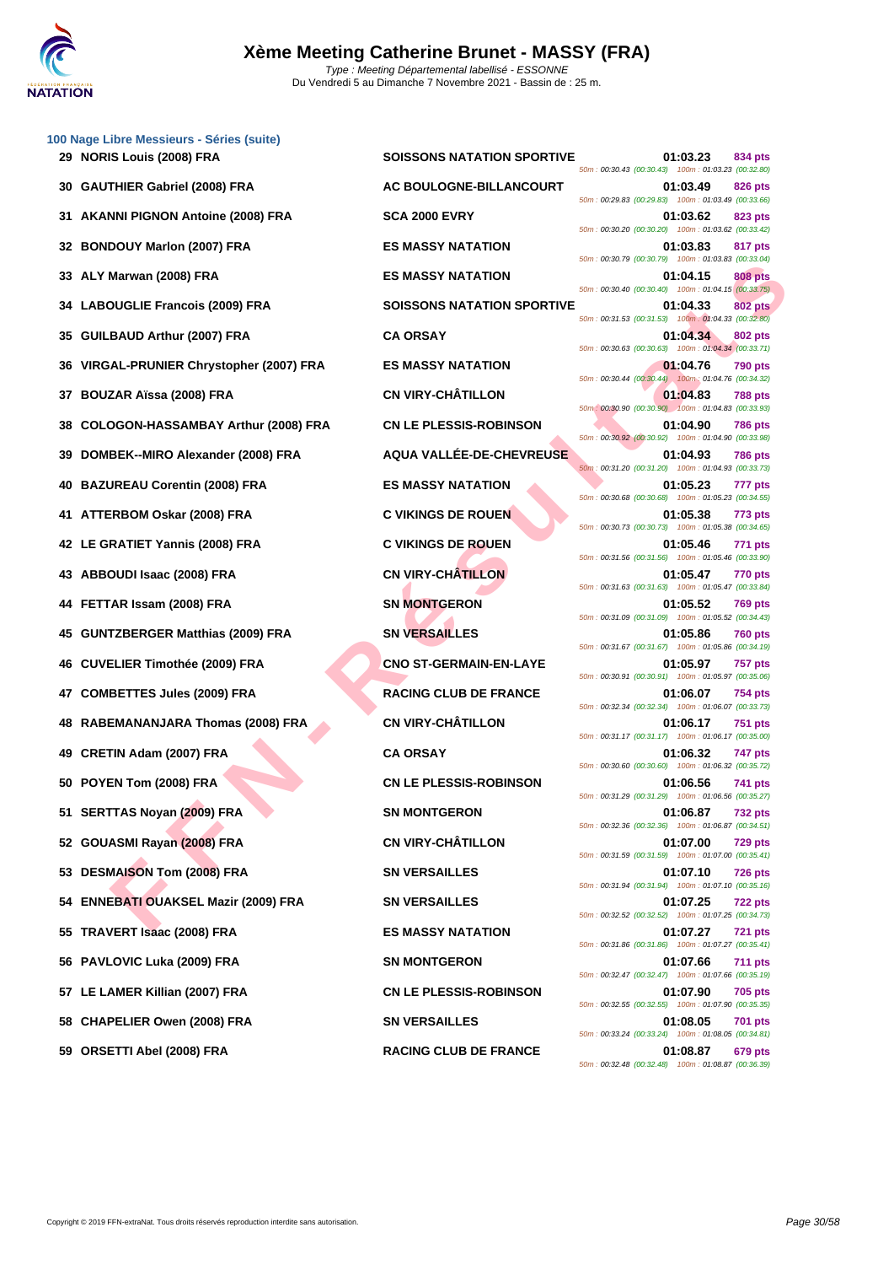

|    | 100 Nage Libre Messieurs - Séries (suite)<br>29 NORIS Louis (2008) FRA | <b>SOISSONS NATATION SPORTIVE</b> | 01:03.23<br>834 pts                                                              |
|----|------------------------------------------------------------------------|-----------------------------------|----------------------------------------------------------------------------------|
|    |                                                                        |                                   | 50m: 00:30.43 (00:30.43) 100m: 01:03.23 (00:32.80)                               |
| 30 | <b>GAUTHIER Gabriel (2008) FRA</b>                                     | AC BOULOGNE-BILLANCOURT           | 01:03.49<br>826 pts<br>50m: 00:29.83 (00:29.83) 100m: 01:03.49 (00:33.66)        |
| 31 | <b>AKANNI PIGNON Antoine (2008) FRA</b>                                | <b>SCA 2000 EVRY</b>              | 01:03.62<br>823 pts<br>50m: 00:30.20 (00:30.20) 100m: 01:03.62 (00:33.42)        |
| 32 | <b>BONDOUY Marlon (2007) FRA</b>                                       | <b>ES MASSY NATATION</b>          | 01:03.83<br>817 pts<br>50m: 00:30.79 (00:30.79) 100m: 01:03.83 (00:33.04)        |
| 33 | ALY Marwan (2008) FRA                                                  | <b>ES MASSY NATATION</b>          | 01:04.15<br><b>808 pts</b><br>50m: 00:30.40 (00:30.40) 100m: 01:04.15 (00:33.75) |
| 34 | <b>LABOUGLIE Francois (2009) FRA</b>                                   | <b>SOISSONS NATATION SPORTIVE</b> | 01:04.33<br>802 pts<br>50m: 00:31.53 (00:31.53) 100m: 01:04.33 (00:32.80)        |
| 35 | GUILBAUD Arthur (2007) FRA                                             | <b>CA ORSAY</b>                   | 01:04.34<br>802 pts<br>50m: 00:30.63 (00:30.63) 100m: 01:04.34 (00:33.71)        |
| 36 | VIRGAL-PRUNIER Chrystopher (2007) FRA                                  | <b>ES MASSY NATATION</b>          | 01:04.76<br><b>790 pts</b>                                                       |
| 37 | <b>BOUZAR Aïssa (2008) FRA</b>                                         | <b>CN VIRY-CHÂTILLON</b>          | 50m: 00:30.44 (00:30.44) 100m: 01:04.76 (00:34.32)<br>01:04.83<br><b>788 pts</b> |
| 38 | COLOGON-HASSAMBAY Arthur (2008) FRA                                    | <b>CN LE PLESSIS-ROBINSON</b>     | 50m: 00:30.90 (00:30.90) 100m: 01:04.83 (00:33.93)<br>01:04.90<br><b>786 pts</b> |
| 39 | DOMBEK--MIRO Alexander (2008) FRA                                      | AQUA VALLÉE-DE-CHEVREUSE          | 50m: 00:30.92 (00:30.92) 100m: 01:04.90 (00:33.98)<br>01:04.93<br><b>786 pts</b> |
| 40 | <b>BAZUREAU Corentin (2008) FRA</b>                                    | <b>ES MASSY NATATION</b>          | 50m: 00:31.20 (00:31.20) 100m: 01:04.93 (00:33.73)<br>01:05.23<br>777 pts        |
| 41 | ATTERBOM Oskar (2008) FRA                                              | <b>C VIKINGS DE ROUEN</b>         | 50m: 00:30.68 (00:30.68) 100m: 01:05.23 (00:34.55)<br>01:05.38<br>773 pts        |
|    |                                                                        |                                   | 50m: 00:30.73 (00:30.73) 100m: 01:05.38 (00:34.65)                               |
| 42 | LE GRATIET Yannis (2008) FRA                                           | <b>C VIKINGS DE ROUEN</b>         | 01:05.46<br>771 pts<br>50m: 00:31.56 (00:31.56) 100m: 01:05.46 (00:33.90)        |
| 43 | ABBOUDI Isaac (2008) FRA                                               | <b>CN VIRY-CHÂTILLON</b>          | 01:05.47<br>770 pts<br>50m: 00:31.63 (00:31.63) 100m: 01:05.47 (00:33.84)        |
| 44 | FETTAR Issam (2008) FRA                                                | <b>SN MONTGERON</b>               | 01:05.52<br><b>769 pts</b><br>50m: 00:31.09 (00:31.09) 100m: 01:05.52 (00:34.43) |
| 45 | <b>GUNTZBERGER Matthias (2009) FRA</b>                                 | <b>SN VERSAILLES</b>              | 01:05.86<br><b>760 pts</b><br>50m: 00:31.67 (00:31.67) 100m: 01:05.86 (00:34.19) |
| 46 | <b>CUVELIER Timothée (2009) FRA</b>                                    | <b>CNO ST-GERMAIN-EN-LAYE</b>     | 01:05.97<br><b>757 pts</b><br>50m: 00:30.91 (00:30.91) 100m: 01:05.97 (00:35.06) |
| 47 | <b>COMBETTES Jules (2009) FRA</b>                                      | <b>RACING CLUB DE FRANCE</b>      | 01:06.07<br>754 pts<br>50m: 00:32.34 (00:32.34) 100m: 01:06.07 (00:33.73)        |
|    | 48 RABEMANANJARA Thomas (2008) FRA                                     | <b>CN VIRY-CHÂTILLON</b>          | 01:06.17<br><b>751 pts</b>                                                       |
| 49 | CRETIN Adam (2007) FRA                                                 | <b>CA ORSAY</b>                   | 50m: 00:31.17 (00:31.17) 100m: 01:06.17 (00:35.00)<br>01:06.32<br>747 pts        |
|    | 50 POYEN Tom (2008) FRA                                                | <b>CN LE PLESSIS-ROBINSON</b>     | 50m: 00:30.60 (00:30.60) 100m: 01:06.32 (00:35.72)<br>01:06.56<br>741 pts        |
|    | 51 SERTTAS Noyan (2009) FRA                                            | <b>SN MONTGERON</b>               | 50m: 00:31.29 (00:31.29) 100m: 01:06.56 (00:35.27)<br>01:06.87<br>732 pts        |
|    | 52 GOUASMI Rayan (2008) FRA                                            | <b>CN VIRY-CHÂTILLON</b>          | 50m: 00:32.36 (00:32.36) 100m: 01:06.87 (00:34.51)<br>01:07.00<br><b>729 pts</b> |
|    | 53 DESMAISON Tom (2008) FRA                                            | <b>SN VERSAILLES</b>              | 50m: 00:31.59 (00:31.59) 100m: 01:07.00 (00:35.41)<br>01:07.10<br>726 pts        |
|    |                                                                        |                                   | 50m: 00:31.94 (00:31.94) 100m: 01:07.10 (00:35.16)                               |
|    | 54 ENNEBATI OUAKSEL Mazir (2009) FRA                                   | <b>SN VERSAILLES</b>              | 01:07.25<br><b>722 pts</b><br>50m: 00:32.52 (00:32.52) 100m: 01:07.25 (00:34.73) |
|    | 55 TRAVERT Isaac (2008) FRA                                            | <b>ES MASSY NATATION</b>          | 01:07.27<br><b>721 pts</b><br>50m: 00:31.86 (00:31.86) 100m: 01:07.27 (00:35.41) |
|    | 56 PAVLOVIC Luka (2009) FRA                                            | <b>SN MONTGERON</b>               | 01:07.66<br>711 pts<br>50m: 00:32.47 (00:32.47) 100m: 01:07.66 (00:35.19)        |
|    | 57 LE LAMER Killian (2007) FRA                                         | <b>CN LE PLESSIS-ROBINSON</b>     | 01:07.90<br><b>705 pts</b><br>50m: 00:32.55 (00:32.55) 100m: 01:07.90 (00:35.35) |
|    | 58 CHAPELIER Owen (2008) FRA                                           | <b>SN VERSAILLES</b>              | 01:08.05<br>701 pts<br>50m: 00:33.24 (00:33.24) 100m: 01:08.05 (00:34.81)        |
|    | 59 ORSETTI Abel (2008) FRA                                             | <b>RACING CLUB DE FRANCE</b>      | 01:08.87<br>679 pts                                                              |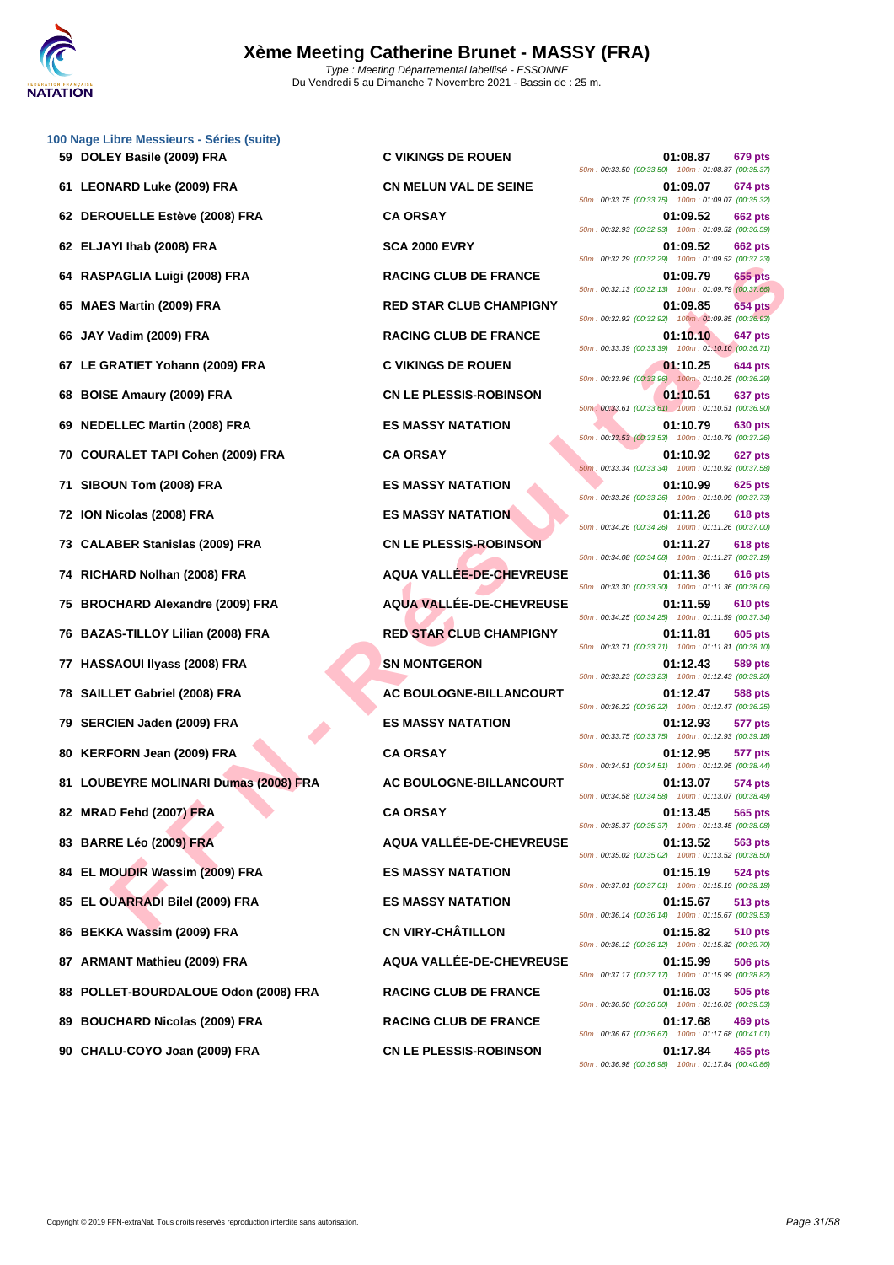

|     | 100 Nage Libre Messieurs - Séries (suite) |                                 |                                                                           |
|-----|-------------------------------------------|---------------------------------|---------------------------------------------------------------------------|
|     | 59 DOLEY Basile (2009) FRA                | <b>C VIKINGS DE ROUEN</b>       | 01:08.87<br>679 pts<br>50m: 00:33.50 (00:33.50) 100m: 01:08.87 (00:35.37) |
|     | 61 LEONARD Luke (2009) FRA                | <b>CN MELUN VAL DE SEINE</b>    | 01:09.07<br>674 pts<br>50m: 00:33.75 (00:33.75) 100m: 01:09.07 (00:35.32) |
|     | 62 DEROUELLE Estève (2008) FRA            | <b>CA ORSAY</b>                 | 01:09.52<br>662 pts<br>50m: 00:32.93 (00:32.93) 100m: 01:09.52 (00:36.59) |
|     | 62 ELJAYI Ihab (2008) FRA                 | <b>SCA 2000 EVRY</b>            | 01:09.52<br>662 pts<br>50m: 00:32.29 (00:32.29) 100m: 01:09.52 (00:37.23) |
| 64  | RASPAGLIA Luigi (2008) FRA                | <b>RACING CLUB DE FRANCE</b>    | 01:09.79<br>655 pts<br>50m: 00:32.13 (00:32.13) 100m: 01:09.79 (00:37.66) |
| 65  | <b>MAES Martin (2009) FRA</b>             | <b>RED STAR CLUB CHAMPIGNY</b>  | 01:09.85<br>654 pts<br>50m: 00:32.92 (00:32.92) 100m: 01:09.85 (00:36.93) |
| 66  | JAY Vadim (2009) FRA                      | <b>RACING CLUB DE FRANCE</b>    | 01:10.10<br>647 pts<br>50m: 00:33.39 (00:33.39) 100m: 01:10.10 (00:36.71) |
| 67  | LE GRATIET Yohann (2009) FRA              | <b>C VIKINGS DE ROUEN</b>       | 01:10.25<br>644 pts                                                       |
| 68  | <b>BOISE Amaury (2009) FRA</b>            | <b>CN LE PLESSIS-ROBINSON</b>   | 50m: 00:33.96 (00:33.96) 100m: 01:10.25 (00:36.29)<br>01:10.51<br>637 pts |
|     | 69 NEDELLEC Martin (2008) FRA             | <b>ES MASSY NATATION</b>        | 50m: 00:33.61 (00:33.61) 100m: 01:10.51 (00:36.90)<br>01:10.79<br>630 pts |
| 70  | <b>COURALET TAPI Cohen (2009) FRA</b>     | <b>CA ORSAY</b>                 | 50m: 00:33.53 (00:33.53) 100m: 01:10.79 (00:37.26)<br>01:10.92<br>627 pts |
| 71  | SIBOUN Tom (2008) FRA                     | <b>ES MASSY NATATION</b>        | 50m: 00:33.34 (00:33.34) 100m: 01:10.92 (00:37.58)<br>01:10.99<br>625 pts |
| 72  | ION Nicolas (2008) FRA                    | <b>ES MASSY NATATION</b>        | 50m: 00:33.26 (00:33.26) 100m: 01:10.99 (00:37.73)<br>01:11.26<br>618 pts |
| 73. | <b>CALABER Stanislas (2009) FRA</b>       | <b>CN LE PLESSIS-ROBINSON</b>   | 50m: 00:34.26 (00:34.26) 100m: 01:11.26 (00:37.00)<br>01:11.27<br>618 pts |
| 74  | RICHARD Nolhan (2008) FRA                 | <b>AQUA VALLEE-DE-CHEVREUSE</b> | 50m: 00:34.08 (00:34.08) 100m: 01:11.27 (00:37.19)<br>01:11.36<br>616 pts |
| 75  | <b>BROCHARD Alexandre (2009) FRA</b>      | AQUA VALLÉE-DE-CHEVREUSE        | 50m: 00:33.30 (00:33.30) 100m: 01:11.36 (00:38.06)<br>01:11.59<br>610 pts |
|     | 76 BAZAS-TILLOY Lilian (2008) FRA         | <b>RED STAR CLUB CHAMPIGNY</b>  | 50m: 00:34.25 (00:34.25) 100m: 01:11.59 (00:37.34)<br>01:11.81<br>605 pts |
| 77  | <b>HASSAOUI Ilyass (2008) FRA</b>         | <b>SN MONTGERON</b>             | 50m: 00:33.71 (00:33.71) 100m: 01:11.81 (00:38.10)<br>01:12.43<br>589 pts |
|     | 78 SAILLET Gabriel (2008) FRA             | AC BOULOGNE-BILLANCOURT         | 50m: 00:33.23 (00:33.23) 100m: 01:12.43 (00:39.20)<br>01:12.47<br>588 pts |
|     | 79 SERCIEN Jaden (2009) FRA               | <b>ES MASSY NATATION</b>        | 50m: 00:36.22 (00:36.22) 100m: 01:12.47 (00:36.25)<br>01:12.93<br>577 pts |
|     | 80 KERFORN Jean (2009) FRA                | <b>CA ORSAY</b>                 | 50m: 00:33.75 (00:33.75) 100m: 01:12.93 (00:39.18)<br>01:12.95<br>577 pts |
|     | 81 LOUBEYRE MOLINARI Dumas (2008) FRA     | AC BOULOGNE-BILLANCOURT         | 50m: 00:34.51 (00:34.51) 100m: 01:12.95 (00:38.44)<br>01:13.07<br>574 pts |
|     | 82 MRAD Fehd (2007) FRA                   | <b>CA ORSAY</b>                 | 50m: 00:34.58 (00:34.58) 100m: 01:13.07 (00:38.49)<br>01:13.45<br>565 pts |
|     |                                           | AQUA VALLÉE-DE-CHEVREUSE        | 50m: 00:35.37 (00:35.37) 100m: 01:13.45 (00:38.08)                        |
|     | 83 BARRE Léo (2009) FRA                   |                                 | 01:13.52<br>563 pts<br>50m: 00:35.02 (00:35.02) 100m: 01:13.52 (00:38.50) |
| 84  | EL MOUDIR Wassim (2009) FRA               | <b>ES MASSY NATATION</b>        | 01:15.19<br>524 pts<br>50m: 00:37.01 (00:37.01) 100m: 01:15.19 (00:38.18) |
| 85  | EL OUARRADI Bilel (2009) FRA              | <b>ES MASSY NATATION</b>        | 01:15.67<br>513 pts<br>50m: 00:36.14 (00:36.14) 100m: 01:15.67 (00:39.53) |
| 86  | <b>BEKKA Wassim (2009) FRA</b>            | <b>CN VIRY-CHÂTILLON</b>        | 01:15.82<br>510 pts<br>50m: 00:36.12 (00:36.12) 100m: 01:15.82 (00:39.70) |
| 87  | <b>ARMANT Mathieu (2009) FRA</b>          | AQUA VALLÉE-DE-CHEVREUSE        | 01:15.99<br>506 pts<br>50m: 00:37.17 (00:37.17) 100m: 01:15.99 (00:38.82) |
| 88  | POLLET-BOURDALOUE Odon (2008) FRA         | <b>RACING CLUB DE FRANCE</b>    | 01:16.03<br>505 pts<br>50m: 00:36.50 (00:36.50) 100m: 01:16.03 (00:39.53) |
| 89  | <b>BOUCHARD Nicolas (2009) FRA</b>        | <b>RACING CLUB DE FRANCE</b>    | 01:17.68<br>469 pts<br>50m: 00:36.67 (00:36.67) 100m: 01:17.68 (00:41.01) |
|     |                                           |                                 |                                                                           |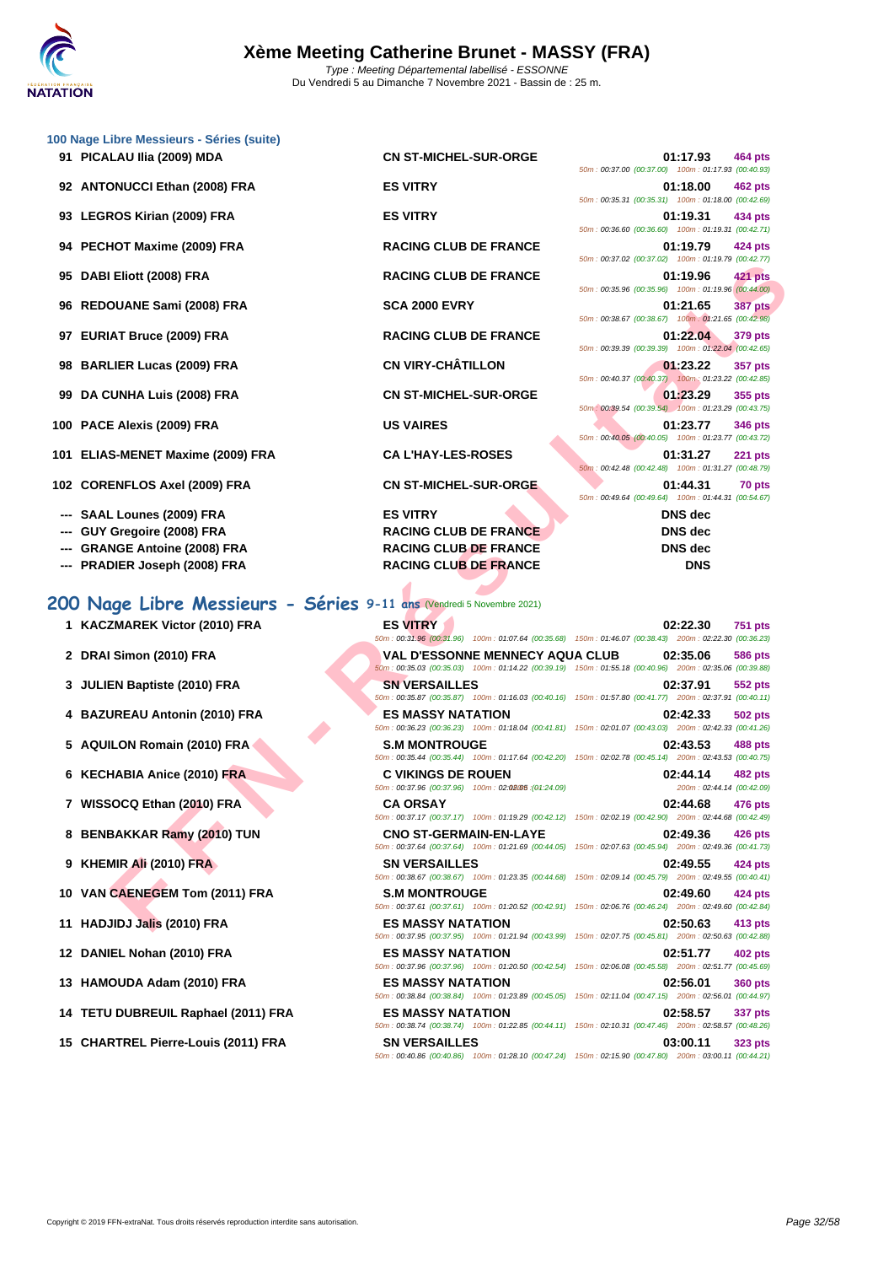

|    | 100 Nage Libre Messieurs - Séries (suite)                             |                                                                        |                                                                                                                                          |
|----|-----------------------------------------------------------------------|------------------------------------------------------------------------|------------------------------------------------------------------------------------------------------------------------------------------|
|    | 91 PICALAU IIia (2009) MDA                                            | <b>CN ST-MICHEL-SUR-ORGE</b>                                           | 01:17.93<br>464 pts<br>50m: 00:37.00 (00:37.00) 100m: 01:17.93 (00:40.93)                                                                |
|    | 92 ANTONUCCI Ethan (2008) FRA                                         | <b>ES VITRY</b>                                                        | 01:18.00<br>462 pts<br>50m: 00:35.31 (00:35.31) 100m: 01:18.00 (00:42.69)                                                                |
|    | 93 LEGROS Kirian (2009) FRA                                           | <b>ES VITRY</b>                                                        | 01:19.31<br>434 pts<br>50m: 00:36.60 (00:36.60) 100m: 01:19.31 (00:42.71)                                                                |
|    | 94 PECHOT Maxime (2009) FRA                                           | <b>RACING CLUB DE FRANCE</b>                                           | 01:19.79<br>424 pts                                                                                                                      |
|    | 95 DABI Eliott (2008) FRA                                             | <b>RACING CLUB DE FRANCE</b>                                           | 50m: 00:37.02 (00:37.02) 100m: 01:19.79 (00:42.77)<br>01:19.96<br><b>421 pts</b>                                                         |
|    | 96 REDOUANE Sami (2008) FRA                                           | <b>SCA 2000 EVRY</b>                                                   | 50m : 00:35.96 (00:35.96) 100m : 01:19.96 (00:44.00)<br>01:21.65<br><b>387 pts</b>                                                       |
|    | 97 EURIAT Bruce (2009) FRA                                            | <b>RACING CLUB DE FRANCE</b>                                           | 50m: 00:38.67 (00:38.67) 100m: 01:21.65 (00:42.98)<br>01:22.04<br>379 pts                                                                |
|    | 98 BARLIER Lucas (2009) FRA                                           | <b>CN VIRY-CHÂTILLON</b>                                               | 50m: 00:39.39 (00:39.39) 100m: 01:22.04 (00:42.65)<br>01:23.22<br>357 pts                                                                |
| 99 | <b>DA CUNHA Luis (2008) FRA</b>                                       | <b>CN ST-MICHEL-SUR-ORGE</b>                                           | 50m: 00:40.37 (00:40.37) 100m: 01:23.22 (00:42.85)<br>01:23.29<br>355 pts                                                                |
|    | 100 PACE Alexis (2009) FRA                                            | <b>US VAIRES</b>                                                       | 50m: 00:39.54 (00:39.54) 100m: 01:23.29 (00:43.75)<br>01:23.77<br>346 pts                                                                |
|    | 101 ELIAS-MENET Maxime (2009) FRA                                     | <b>CA L'HAY-LES-ROSES</b>                                              | 50m: 00:40.05 (00:40.05) 100m: 01:23.77 (00:43.72)<br>01:31.27<br><b>221 pts</b>                                                         |
|    | 102 CORENFLOS Axel (2009) FRA                                         | <b>CN ST-MICHEL-SUR-ORGE</b>                                           | 50m: 00:42.48 (00:42.48) 100m: 01:31.27 (00:48.79)<br>01:44.31<br>70 pts                                                                 |
|    | SAAL Lounes (2009) FRA                                                | <b>ES VITRY</b>                                                        | 50m: 00:49.64 (00:49.64) 100m: 01:44.31 (00:54.67)<br><b>DNS</b> dec                                                                     |
|    |                                                                       |                                                                        | <b>DNS</b> dec                                                                                                                           |
|    | GUY Gregoire (2008) FRA                                               | <b>RACING CLUB DE FRANCE</b>                                           |                                                                                                                                          |
|    | <b>GRANGE Antoine (2008) FRA</b>                                      | <b>RACING CLUB DE FRANCE</b>                                           | <b>DNS</b> dec                                                                                                                           |
|    | <b>PRADIER Joseph (2008) FRA</b>                                      | <b>RACING CLUB DE FRANCE</b>                                           | <b>DNS</b>                                                                                                                               |
|    | 200 Nage Libre Messieurs - Séries 9-11 ans (Vendredi 5 Novembre 2021) |                                                                        |                                                                                                                                          |
|    | 1 KACZMAREK Victor (2010) FRA                                         | <b>ES VITRY</b>                                                        | 02:22.30<br><b>751 pts</b><br>50m : 00:31.96 (00:31.96) 100m : 01:07.64 (00:35.68) 150m : 01:46.07 (00:38.43) 200m : 02:22.30 (00:36.23) |
|    | 2 DRAI Simon (2010) FRA                                               | VAL D'ESSONNE MENNECY AQUA CLUB                                        | 02:35.06<br><b>586 pts</b><br>50m : 00:35.03 (00:35.03) 100m : 01:14.22 (00:39.19) 150m : 01:55.18 (00:40.96) 200m : 02:35.06 (00:39.88) |
|    | 3 JULIEN Baptiste (2010) FRA                                          | <b>SN VERSAILLES</b>                                                   | 02:37.91<br>552 pts<br>50m: 00:35.87 (00:35.87) 100m: 01:16.03 (00:40.16) 150m: 01:57.80 (00:41.77) 200m: 02:37.91 (00:40.11)            |
|    | 4 BAZUREAU Antonin (2010) FRA                                         | <b>ES MASSY NATATION</b>                                               | 02:42.33<br>502 pts<br>50m: 00:36.23 (00:36.23) 100m: 01:18.04 (00:41.81) 150m: 02:01.07 (00:43.03) 200m: 02:42.33 (00:41.26)            |
|    | 5 AQUILON Romain (2010) FRA                                           | <b>S.M MONTROUGE</b>                                                   | 02:43.53<br>488 pts<br>50m: 00:35.44 (00:35.44) 100m: 01:17.64 (00:42.20) 150m: 02:02.78 (00:45.14) 200m: 02:43.53 (00:40.75)            |
|    | 6 KECHABIA Anice (2010) FRA                                           | <b>C VIKINGS DE ROUEN</b>                                              | 02:44.14<br>482 pts                                                                                                                      |
|    | 7 WISSOCQ Ethan (2010) FRA                                            | 50m: 00:37.96 (00:37.96) 100m: 02:02:05: (04:24.09)<br><b>CA ORSAY</b> | 200m: 02:44.14 (00:42.09)<br>02:44.68<br>476 pts                                                                                         |
|    | 8 BENBAKKAR Ramy (2010) TUN                                           | <b>CNO ST-GERMAIN-EN-LAYE</b>                                          | 50m: 00:37.17 (00:37.17) 100m: 01:19.29 (00:42.12) 150m: 02:02.19 (00:42.90) 200m: 02:44.68 (00:42.49)<br>02:49.36<br>426 pts            |
|    | 9 KHEMIR Ali (2010) FRA                                               | <b>SN VERSAILLES</b>                                                   | 50m: 00:37.64 (00:37.64) 100m: 01:21.69 (00:44.05) 150m: 02:07.63 (00:45.94) 200m: 02:49.36 (00:41.73)<br>02:49.55<br><b>424 pts</b>     |
|    | 10 VAN CAENEGEM Tom (2011) FRA                                        | <b>S.M MONTROUGE</b>                                                   | 50m : 00:38.67 (00:38.67) 100m : 01:23.35 (00:44.68) 150m : 02:09.14 (00:45.79) 200m : 02:49.55 (00:40.41)<br>02:49.60<br>424 pts        |
|    |                                                                       |                                                                        | 50m: 00:37.61 (00:37.61) 100m: 01:20.52 (00:42.91) 150m: 02:06.76 (00:46.24) 200m: 02:49.60 (00:42.84)                                   |
|    | 11 HADJIDJ Jalis (2010) FRA                                           | <b>ES MASSY NATATION</b>                                               | 02:50.63<br>413 pts                                                                                                                      |

## **200 Nage Libre Messieurs - Séries 9-11 ans** (Vendredi 5 Novembre 2021)

|  | 1 KACZMAREK Victor (2010) FRA |  |  |  |
|--|-------------------------------|--|--|--|
|--|-------------------------------|--|--|--|

- **2 DRAI Simon (2010) FRA V**
- **3 JULIEN Baptiste (2010) FRA SINCERS SINCERS**
- **4 BAZUREAU Antonin (2010) FRA ES**
- **5 AQUILON Romain (2010) FRA S.M MONTROUGHBON BOM**
- **6 KECHABIA Anice (2010) FRA C C**
- **7 WISSOCQ Ethan (2010) FRA C.** 60m
- 8 **BENBAKKAR Ramy (2010) TUN** CI
- **9 KHEMIR Ali (2010) FRA SI SI SOM:**
- **10 VAN CAENEGEM Tom (2011) FRA S. S. 60m**
- **11 HADJIDJ Jalis (2010) FRA ESSENT RANGERS OF LIGHT**
- **12 DANIEL Nohan (2010) FRA ESSAY DANIEL ESSAY RES**
- **13 <b>HAMOUDA Adam (2010) FRA ESILEM ESSALEM ESSALEM ESSALEM ESSALEM ESSALEM**
- **14 <b>TETU DUBREUIL Raphael (2011) FRA ES**<br>50m
- **15 CHARTREL Pierre-Louis (2011) FRA SI**

| 1 KACZMAREK Victor (2010) FRA      | <b>ES VITRY</b>               | 50m: 00:31.96 (00:31.96) 100m: 01:07.64 (00:35.68) 150m: 01:46.07 (00:38.43) 200m: 02:22.30 (00:36.23                                           | 02:22.30                              | <b>751 pts</b> |
|------------------------------------|-------------------------------|-------------------------------------------------------------------------------------------------------------------------------------------------|---------------------------------------|----------------|
| 2 DRAI Simon (2010) FRA            |                               | <b>VAL D'ESSONNE MENNECY AQUA CLUB</b><br>50m: 00:35.03 (00:35.03) 100m: 01:14.22 (00:39.19) 150m: 01:55.18 (00:40.96) 200m: 02:35.06 (00:39.88 | 02:35.06                              | <b>586 pts</b> |
| 3 JULIEN Baptiste (2010) FRA       | <b>SN VERSAILLES</b>          | 50m: 00:35.87 (00:35.87) 100m: 01:16.03 (00:40.16) 150m: 01:57.80 (00:41.77) 200m: 02:37.91 (00:40.11                                           | 02:37.91                              | <b>552 pts</b> |
| 4 BAZUREAU Antonin (2010) FRA      | <b>ES MASSY NATATION</b>      | 50m: 00:36.23 (00:36.23) 100m: 01:18.04 (00:41.81) 150m: 02:01.07 (00:43.03) 200m: 02:42.33 (00:41.26                                           | 02:42.33                              | <b>502 pts</b> |
| 5 AQUILON Romain (2010) FRA        | <b>S.M MONTROUGE</b>          | 50m: 00:35.44 (00:35.44) 100m: 01:17.64 (00:42.20) 150m: 02:02.78 (00:45.14) 200m: 02:43.53 (00:40.75                                           | 02:43.53                              | <b>488 pts</b> |
| 6 KECHABIA Anice (2010) FRA        | <b>C VIKINGS DE ROUEN</b>     | 50m: 00:37.96 (00:37.96) 100m: 02:02:05:(04:24.09)                                                                                              | 02:44.14<br>200m: 02:44.14 (00:42.09) | <b>482 pts</b> |
| 7 WISSOCQ Ethan (2010) FRA         | <b>CA ORSAY</b>               | 50m: 00:37.17 (00:37.17) 100m: 01:19.29 (00:42.12) 150m: 02:02.19 (00:42.90) 200m: 02:44.68 (00:42.49)                                          | 02:44.68                              | 476 pts        |
| 8 BENBAKKAR Ramy (2010) TUN        | <b>CNO ST-GERMAIN-EN-LAYE</b> | 50m: 00:37.64 (00:37.64) 100m: 01:21.69 (00:44.05) 150m: 02:07.63 (00:45.94) 200m: 02:49.36 (00:41.73                                           | 02:49.36                              | 426 pts        |
| 9 KHEMIR Ali (2010) FRA            | <b>SN VERSAILLES</b>          | 50m: 00:38.67 (00:38.67) 100m: 01:23.35 (00:44.68) 150m: 02:09.14 (00:45.79) 200m: 02:49.55 (00:40.41                                           | 02:49.55                              | 424 pts        |
| 0 VAN CAENEGEM Tom (2011) FRA      | <b>S.M MONTROUGE</b>          | 50m: 00:37.61 (00:37.61) 100m: 01:20.52 (00:42.91) 150m: 02:06.76 (00:46.24) 200m: 02:49.60 (00:42.84                                           | 02:49.60                              | 424 pts        |
| 1 HADJIDJ Jalis (2010) FRA         | <b>ES MASSY NATATION</b>      | 50m: 00:37.95 (00:37.95) 100m: 01:21.94 (00:43.99) 150m: 02:07.75 (00:45.81) 200m: 02:50.63 (00:42.88                                           | 02:50.63                              | 413 pts        |
| 2 DANIEL Nohan (2010) FRA          | <b>ES MASSY NATATION</b>      | 50m: 00:37.96 (00:37.96) 100m: 01:20.50 (00:42.54) 150m: 02:06.08 (00:45.58) 200m: 02:51.77 (00:45.69)                                          | 02:51.77                              | <b>402 pts</b> |
| 3 HAMOUDA Adam (2010) FRA          | <b>ES MASSY NATATION</b>      | 50m: 00:38.84 (00:38.84) 100m: 01:23.89 (00:45.05) 150m: 02:11.04 (00:47.15) 200m: 02:56.01 (00:44.97                                           | 02:56.01                              | <b>360 pts</b> |
| 4 TETU DUBREUIL Raphael (2011) FRA | <b>ES MASSY NATATION</b>      | 50m: 00:38.74 (00:38.74) 100m: 01:22.85 (00:44.11) 150m: 02:10.31 (00:47.46) 200m: 02:58.57 (00:48.26                                           | 02:58.57                              | 337 pts        |
| 5 CHARTREL Pierre-Louis (2011) FRA | <b>SN VERSAILLES</b>          | 50m; 00:40.86 (00:40.86) 100m; 01:28.10 (00:47.24) 150m; 02:15.90 (00:47.80) 200m; 03:00.11 (00:44.21                                           | 03:00.11                              | <b>323 pts</b> |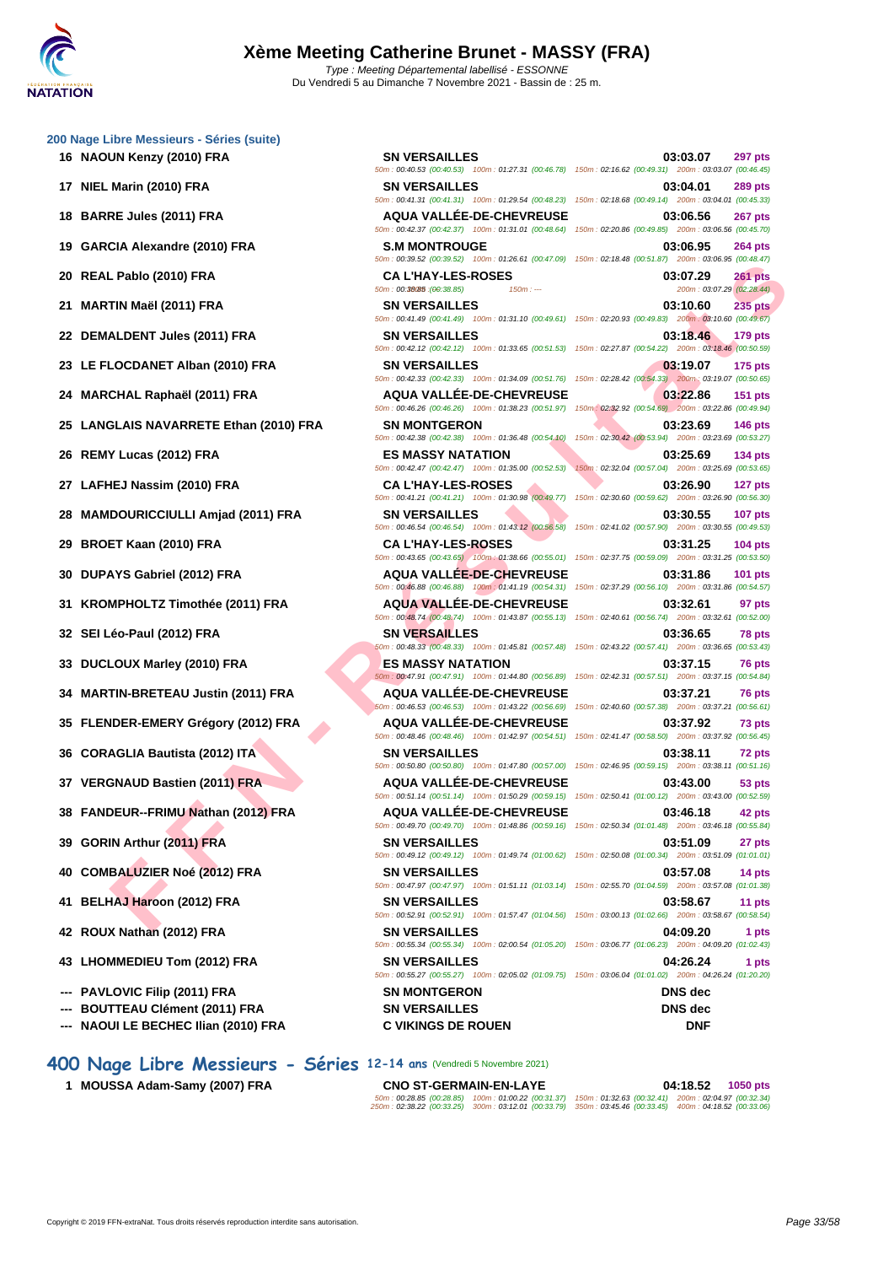**[200 Nage](http://www.ffnatation.fr/webffn/index.php) Libre Messieurs - Séries (suite)**

- 
- 
- 
- 
- 
- 
- 
- 
- 
- 
- 
- 
- 
- 
- 
- 
- 
- 
- 
- 
- 
- 
- 
- 
- 
- 
- 
- 
- **--- PAVLOVIC Filip (2011) FRA SN MONTGERON DNS dec**
- **--- BOUTTEAU Clément (2011) FRA SN VERSAILLES DNS dec**
- **--- NAOUI LE BECHEC Ilian (2010) FRA C VIKINGS DE ROUEN DNF**
- **400 Nage Libre Messieurs Séries 12-14 ans** (Vendredi 5 Novembre 2021)
	-

**FROM COULTE THE RANDER CONTRANDONE CONTRANDONE CONTRANDONE CONTRANDONE CONTRANDONE CONTRANDONE CONTRANDONE CONTRANDONE CONTRANDONE CONTRANDONE CONTRANDONE CONTRANDONE CONTRANDONE CONTRANDONE CONTRANDONE CONTRANDONE CONTR 16 NAOUN Kenzy (2010) FRA SN VERSAILLES 03:03.07 297 pts** 50m : 00:40.53 (00:40.53) 100m : 01:27.31 (00:46.78) 150m : 02:16.62 (00:49.31) 200m : 03:03.07 (00:46.45) **17 NIEL Marin (2010) FRA SN VERSAILLES 03:04.01 289 pts** 50m : 00:41.31 (00:41.31) 100m : 01:29.54 (00:48.23) 150m : 02:18.68 (00:49.14) 200m : 03:04.01 (00:45.33) **18 BARRE Jules (2011) FRA AQUA VALLÉE-DE-CHEVREUSE 03:06.56 267 pts** 50m : 00:42.37 (00:42.37) 100m : 01:31.01 (00:48.64) 150m : 02:20.86 (00:49.85) 200m : 03:06.56 (00:45.70) **19 GARCIA Alexandre (2010) FRA S.M MONTROUGE 03:06.95 264 pts** 50m : 00:39.52 (00:39.52) 100m : 01:26.61 (00:47.09) 150m : 02:18.48 (00:51.87) 200m : 03:06.95 (00:48.47) **20 REAL Pablo (2010) FRA CA L'HAY-LES-ROSES 03:07.29 261 pts** 200m : 03:07.29 (02:28.44) **21 MARTIN Maël (2011) FRA SN VERSAILLES 03:10.60 235 pts** 50m : 00:41.49 (00:41.49) 100m : 01:31.10 (00:49.61) 150m : 02:20.93 (00:49.83) 200m : 03:10.60 (00:49.67) **22 DEMALDENT Jules (2011) FRA SN VERSAILLES 03:18.46 179 pts** 50m : 00:42.12 (00:42.12) 100m : 01:33.65 (00:51.53) 150m : 02:27.87 (00:54.22) 200m : 03:18.46 (00:50.59) **23 LE FLOCDANET Alban (2010) FRA SN VERSAILLES 03:19.07 175 pts** 50m : 00:42.33 (00:42.33) 100m : 01:34.09 (00:51.76) 150m : 02:28.42 (00:54.33) 200m : 03:19.07 (00:50.65) **24 MARCHAL Raphaël (2011) FRA AQUA VALLÉE-DE-CHEVREUSE 03:22.86 151 pts** 50m : 00:46.26 (00:46.26) 100m : 01:38.23 (00:51.97) 150m : 02:32.92 (00:54.69) 200m : 03:22.86 (00:49.94) **25 LANGLAIS NAVARRETE Ethan (2010) FRA SN MONTGERON 03:23.69 146 pts** 50m : 00:42.38 (00:42.38) 100m : 01:36.48 (00:54.10) 150m : 02:30.42 (00:53.94) 200m : 03:23.69 (00:53.27) **26 REMY Lucas (2012) FRA ES MASSY NATATION 03:25.69 134 pts** 50m : 00:42.47 (00:42.47) 100m : 01:35.00 (00:52.53) 150m : 02:32.04 (00:57.04) 200m : 03:25.69 (00:53.65) **27 LAFHEJ Nassim (2010) FRA CA L'HAY-LES-ROSES 03:26.90 127 pts** 50m : 00:41.21 (00:41.21) 100m : 01:30.98 (00:49.77) 150m : 02:30.60 (00:59.62) 200m : 03:26.90 (00:56.30) **28 MAMDOURICCIULLI Amjad (2011) FRA SN VERSAILLES 03:30.55 107 pts** 50m : 00:46.54 (00:46.54) 100m : 01:43.12 (00:56.58) 150m : 02:41.02 (00:57.90) 200m : 03:30.55 (00:49.53) **29 BROET Kaan (2010) FRA CA L'HAY-LES-ROSES 03:31.25 104 pts** 50m : 00:43.65 (00:43.65) 100m : 01:38.66 (00:55.01) 150m : 02:37.75 (00:59.09) 200m : 03:31.25 (00:53.50) **30 DUPAYS Gabriel (2012) FRA AQUA VALLÉE-DE-CHEVREUSE 03:31.86 101 pts** 50m : 00:46.88 (00:46.88) 100m : 01:41.19 (00:54.31) 150m : 02:37.29 (00:56.10) 200m : 03:31.86 (00:54.57) **31 KROMPHOLTZ Timothée (2011) FRA AQUA VALLÉE-DE-CHEVREUSE 03:32.61 97 pts** 50m : 00:48.74 (00:48.74) 100m : 01:43.87 (00:55.13) 150m : 02:40.61 (00:56.74) 200m : 03:32.61 (00:52.00) **32 SEI Léo-Paul (2012) FRA SN VERSAILLES 03:36.65 78 pts** 50m : 00:48.33 (00:48.33) 100m : 01:45.81 (00:57.48) 150m : 02:43.22 (00:57.41) 200m : 03:36.65 (00:53.43) **33 DUCLOUX Marley (2010) FRA ES MASSY NATATION 03:37.15 76 pts** 50m : 00:47.91 (00:47.91) 100m : 01:44.80 (00:56.89) 150m : 02:42.31 (00:57.51) 200m : 03:37.15 (00:54.84) **34 MARTIN-BRETEAU Justin (2011) FRA AQUA VALLÉE-DE-CHEVREUSE 03:37.21 76 pts** 50m : 00:46.53 (00:46.53) 100m : 01:43.22 (00:56.69) 150m : 02:40.60 (00:57.38) 200m : 03:37.21 (00:56.61) **35 FLENDER-EMERY Grégory (2012) FRA AQUA VALLÉE-DE-CHEVREUSE 03:37.92 73 pts** 50m : 00:48.46 (00:48.46) 100m : 01:42.97 (00:54.51) 150m : 02:41.47 (00:58.50) 200m : 03:37.92 (00:56.45) **36 CORAGLIA Bautista (2012) ITA SN VERSAILLES 03:38.11 72 pts** 50m : 00:50.80 (00:50.80) 100m : 01:47.80 (00:57.00) 150m : 02:46.95 (00:59.15) 200m : 03:38.11 (00:51.16) **37 VERGNAUD Bastien (2011) FRA AQUA VALLÉE-DE-CHEVREUSE 03:43.00 53 pts** 50m : 00:51.14 (00:51.14) 100m : 01:50.29 (00:59.15) 150m : 02:50.41 (01:00.12) 200m : 03:43.00 (00:52.59) **38 FANDEUR--FRIMU Nathan (2012) FRA AQUA VALLÉE-DE-CHEVREUSE 03:46.18 42 pts** 50m : 00:49.70 (00:49.70) 100m : 01:48.86 (00:59.16) 150m : 02:50.34 (01:01.48) 200m : 03:46.18 (00:55.84) **39 GORIN Arthur (2011) FRA SN VERSAILLES 03:51.09 27 pts** 50m : 00:49.12 (00:49.12) 100m : 01:49.74 (01:00.62) 150m : 02:50.08 (01:00.34) 200m : 03:51.09 (01:01.01) **40 COMBALUZIER Noé (2012) FRA SN VERSAILLES 03:57.08 14 pts** 50m : 00:47.97 (00:47.97) 100m : 01:51.11 (01:03.14) 150m : 02:55.70 (01:04.59) 200m : 03:57.08 (01:01.38) **41 BELHAJ Haroon (2012) FRA SN VERSAILLES 03:58.67 11 pts** 50m : 00:52.91 (00:52.91) 100m : 01:57.47 (01:04.56) 150m : 03:00.13 (01:02.66) 200m : 03:58.67 (00:58.54) **42 ROUX Nathan (2012) FRA SN VERSAILLES 04:09.20 1 pts** 50m : 00:55.34 (00:55.34) 100m : 02:00.54 (01:05.20) 150m : 03:06.77 (01:06.23) 200m : 04:09.20 (01:02.43) **43 LHOMMEDIEU Tom (2012) FRA SN VERSAILLES 04:26.24 1 pts** 50m : 00:55.27 (00:55.27) 100m : 02:05.02 (01:09.75) 150m : 03:06.04 (01:01.02) 200m : 04:26.24 (01:20.20)

**1 MOUSSA Adam-Samy (2007) FRA CNO ST-GERMAIN-EN-LAYE 04:18.52 1050 pts**

50m : 00:28.85 (00:28.85) 100m : 01:00.22 (00:31.37) 150m : 01:32.63 (00:32.41) 200m : 02:04.97 (00:32.34) 250m : 02:38.22 (00:33.25) 300m : 03:12.01 (00:33.79) 350m : 03:45.46 (00:33.45) 400m : 04:18.52 (00:33.06)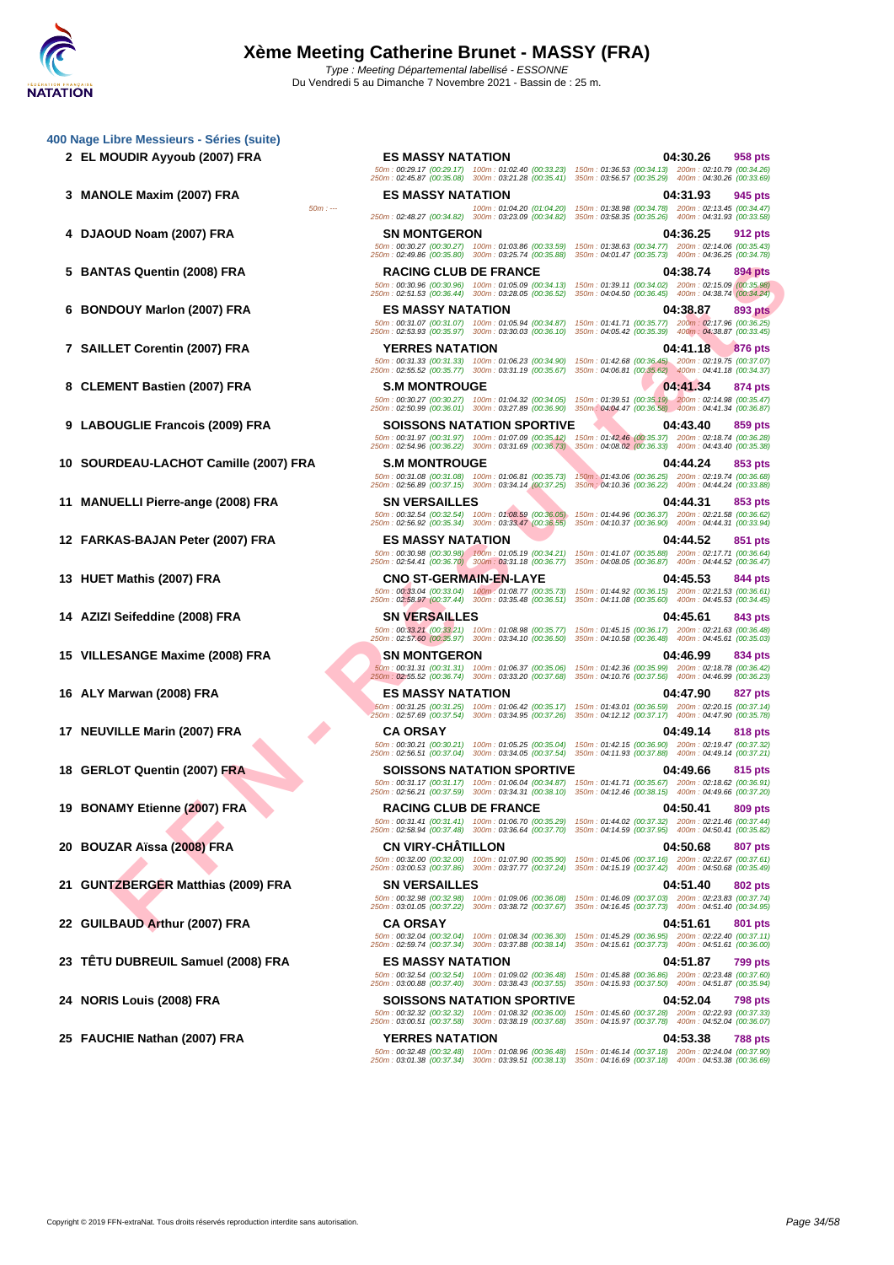**[400 Nage](http://www.ffnatation.fr/webffn/index.php) Libre Messieurs - Séries (suite)**

- 
- 
- 
- 
- 
- 
- 
- 
- 
- 
- 
- 
- 
- 
- 
- 
- 
- 
- 
- 
- 
- 

TAS Questin (2005) FRA RADING CULIB FRANCE CULIB DE FRANCE CULIB DE FRANCE CULIB DE FRANCE DE TRANCE DE TRANCE DE TRANCE DE TRANCE DE TRANCE DE TRANCE DE TRANCE DE TRANCE DE TRANCE DE TRANCE DE TRANCE DE TRANCE DE TRANCE **2 EL MOUDIR Ayyoub (2007) FRA ES MASSY NATATION 04:30.26 958 pts** 50m : 00:29.17 (00:29.17) 100m : 01:02.40 (00:33.23) 150m : 01:36.53 (00:34.13) 200m : 02:10.79 (00:34.26) 250m : 02:45.87 (00:35.08) 300m : 03:21.28 (00:35.41) 350m : 03:56.57 (00:35.29) 400m : 04:30.26 (00:33.69) **3 MANOLE Maxim (2007) FRA ES MASSY NATATION 04:31.93 945 pts** 50m : --- 100m : 01:04.20 (01:04.20) 150m : 01:038.98 (00:34.78) 200m : 02:43.47)<br>250m : 02:48.27 (00:34.82) 300m : 03:23.09 (00:34.82) 300m : 03:58.35 (00:34.82) 300m : 04:35.85 (00:35.26) 400m : 04:31.93 **4 DJAOUD Noam (2007) FRA SN MONTGERON 04:36.25 912 pts** 50m : 00:30.27 (00:30.27) 100m : 01:03.86 (00:33.59) 150m : 01:38.63 (00:34.77) 200m : 02:14.06 (00:35.43) 250m : 02:49.86 (00:35.80) 300m : 03:25.74 (00:35.88) 350m : 04:01.47 (00:35.73) 400m : 04:36.25 (00:34.78) **5 BANTAS Quentin (2008) FRA RACING CLUB DE FRANCE 04:38.74 894 pts** 50m : 00:30.96 (00:30.96) 100m : 01:05.09 (00:34.13) 150m : 01:39.11 (00:34.02) 200m : 02:15.09 (00:35.98) 250m : 02:51.53 (00:36.44) 300m : 03:28.05 (00:36.52) 350m : 04:04.50 (00:36.45) 400m : 04:38.74 (00:34.24) **6 BONDOUY Marlon (2007) FRA ES MASSY NATATION 04:38.87 893 pts** 50m : 00:31.07 (00:31.07) 100m : 01:05.94 (00:34.87) 150m : 01:41.71 (00:35.77) 200m : 02:17.96 (00:36.25) 250m : 02:53.93 (00:35.97) 300m : 03:30.03 (00:36.10) 350m : 04:05.42 (00:35.39) 400m : 04:38.87 (00:33.45) **7 SAILLET Corentin (2007) FRA YERRES NATATION 04:41.18 876 pts** 50m : 00:31.33 (00:31.33) 100m : 01:06.23 (00:34.90) 150m : 01:42.68 (00:36.45) 200m : 02:19.75 (00:37.07) 250m : 02:55.52 (00:35.77) 300m : 03:31.19 (00:35.67) 350m : 04:06.81 (00:35.62) 400m : 04:41.18 (00:34.37) **8 CLEMENT Bastien (2007) FRA S.M MONTROUGE 04:41.34 874 pts** 50m : 00:30.27 (00:30.27) 100m : 01:04.32 (00:34.05) 150m : 01:39.51 (00:35.19) 200m : 02:14.98 (00:35.47) 250m : 02:50.99 (00:36.01) 300m : 03:27.89 (00:36.90) 350m : 04:04.47 (00:36.58) 400m : 04:41.34 (00:36.87) **9 LABOUGLIE Francois (2009) FRA SOISSONS NATATION SPORTIVE 04:43.40 859 pts** 50m : 00:31.97 (00:31.97) 100m : 01:07.09 (00:35.12) 150m : 01:42.46 (00:35.37) 200m : 02:18.74 (00:36.28) 250m : 02:54.96 (00:36.22) 300m : 03:31.69 (00:36.73) 350m : 04:08.02 (00:36.33) 400m : 04:43.40 (00:35.38) **10 SOURDEAU-LACHOT Camille (2007) FRA S.M MONTROUGE 04:44.24 853 pts** 50m : 00:31.08 (00:31.08) 100m : 01:06.81 (00:35.73) 150m : 01:43.06 (00:36.25) 200m : 02:19.74 (00:36.68) 250m : 02:56.89 (00:37.15) 300m : 03:34.14 (00:37.25) 350m : 04:10.36 (00:36.22) 400m : 04:44.24 (00:33.88) **11 MANUELLI Pierre-ange (2008) FRA SN VERSAILLES 04:44.31 853 pts**<br> **50m**: 00:32.54 (00:36.94) **100m**: 01:08.89 (00:36.05) 150m: 01:44.96 (00:36.37) 200m: 02:21.58 (00:36.62)<br>
250m: 02:56.92 (00:35.34) 300m: 03:33 50m : 00:32.54 (00:32.54) 100m : 01:08.59 (00:36.05) 150m : 01:44.96 (00:36.37) 200m : 02:21.58 (00:36.62) 250m : 02:56.92 (00:35.34) 300m : 03:33.47 (00:36.55) 350m : 04:10.37 (00:36.90) 400m : 04:44.31 (00:33.94) **12 FARKAS-BAJAN Peter (2007) FRA ES MASSY NATATION 04:44.52 851 pts** 50m : 00:30.98 (00:30.98) 100m : 01:05.19 (00:34.21) 150m : 01:41.07 (00:35.88) 200m : 02:17.71 (00:36.64) 250m : 02:54.41 (00:36.70) 300m : 03:31.18 (00:36.77) 350m : 04:08.05 (00:36.87) 400m : 04:44.52 (00:36.47) **13 HUET Mathis (2007) FRA CNO ST-GERMAIN-EN-LAYE 04:45.53 844 pts** 50m : 00:33.04 (00:33.04) 100m : 01:08.77 (00:35.73) 150m : 01:44.92 (00:36.15) 200m : 02:21.53 (00:36.61) 250m : 02:58.97 (00:37.44) 300m : 03:35.48 (00:36.51) 350m : 04:11.08 (00:35.60) 400m : 04:45.53 (00:34.45) **14 AZIZI Seifeddine (2008) FRA SN VERSAILLES 04:45.61 843 pts** 50m : 00:33.21 (00:33.21) 100m : 01:08.98 (00:35.77) 150m : 01:45.15 (00:36.17) 200m : 02:21.63 (00:36.48) 250m : 02:57.60 (00:35.97) 300m : 03:34.10 (00:36.50) 350m : 04:10.58 (00:36.48) 400m : 04:45.61 (00:35.03) **15 VILLESANGE Maxime (2008) FRA SN MONTGERON 04:46.99 834 pts** 50m : 00:31.31 (00:31.31) 100m : 01:06.37 (00:35.06) 150m : 01:42.36 (00:35.99) 200m : 02:18.78 (00:36.42) 250m : 02:55.52 (00:36.74) 300m : 03:33.20 (00:37.68) 350m : 04:10.76 (00:37.56) 400m : 04:46.99 (00:36.23) **16 ALY Marwan (2008) FRA ES MASSY NATATION 04:47.90 827 pts** 50m : 00:31.25 (00:31.25) 100m : 01:06.42 (00:35.17) 150m : 01:43.01 (00:36.59) 200m : 02:20.15 (00:37.14) 250m : 02:57.69 (00:37.54) 300m : 03:34.95 (00:37.26) 350m : 04:12.12 (00:37.17) 400m : 04:47.90 (00:35.78) **17 NEUVILLE Marin (2007) FRA CA ORSAY 04:49.14 818 pts** 50m : 00:30.21 (00:30.21) 100m : 01:05.25 (00:35.04) 150m : 01:42.15 (00:36.90) 200m : 02:19.47 (00:37.32) 250m : 02:56.51 (00:37.04) 300m : 03:34.05 (00:37.54) 350m : 04:11.93 (00:37.88) 400m : 04:49.14 (00:37.21) **18 GERLOT Quentin (2007) FRA SOISSONS NATATION SPORTIVE 04:49.66 815 pts** 50m : 00:31.17 (00:31.17) 100m : 01:06.04 (00:34.87) 150m : 01:41.71 (00:35.67) 200m : 02:18.62 (00:36.91) 250m : 02:56.21 (00:37.59) 300m : 03:34.31 (00:38.10) 350m : 04:12.46 (00:38.15) 400m : 04:49.66 (00:37.20) **19 BONAMY Etienne (2007) FRA RACING CLUB DE FRANCE 04:50.41 809 pts** 50m : 00:31.41 (00:31.41) 100m : 01:06.70 (00:35.29) 150m : 01:44.02 (00:37.32) 200m : 02:21.46 (00:37.44) 250m : 02:58.94 (00:37.48) 300m : 03:36.64 (00:37.70) 350m : 04:14.59 (00:37.95) 400m : 04:50.41 (00:35.82) **20 BOUZAR Aïssa (2008) FRA CN VIRY-CHÂTILLON 04:50.68 807 pts** 50m : 00:32.00 (00:32.00) 100m : 01:07.90 (00:35.90) 150m : 01:45.06 (00:37.16) 200m : 02:22.67 (00:37.61) 250m : 03:00.53 (00:37.86) 300m : 03:37.77 (00:37.24) 350m : 04:15.19 (00:37.42) 400m : 04:50.68 (00:35.49) **21 GUNTZBERGER Matthias (2009) FRA SN VERSAILLES 04:51.40 802 pts** 50m : 00:32.98 (00:32.98) 100m : 01:09.06 (00:36.08) 150m : 01:46.09 (00:37.03) 200m : 02:23.83 (00:37.74) 250m : 03:01.05 (00:37.22) 300m : 03:38.72 (00:37.67) 350m : 04:16.45 (00:37.73) 400m : 04:51.40 (00:34.95) **22 GUILBAUD Arthur (2007) FRA CA ORSAY 04:51.61 801 pts** 50m : 00:32.04 (00:32.04) 100m : 01:08.34 (00:36.30) 150m : 01:45.29 (00:36.95) 200m : 02:22.40 (00:37.11) 250m : 02:59.74 (00:37.34) 300m : 03:37.88 (00:38.14) 350m : 04:15.61 (00:37.73) 400m : 04:51.61 (00:36.00) **23 TÊTU DUBREUIL Samuel (2008) FRA ES MASSY NATATION 04:51.87 799 pts** 50m : 00:32.54 (00:32.54) 100m : 01:09.02 (00:36.48) 150m : 01:45.88 (00:36.86) 200m : 02:23.48 (00:37.60) 250m : 03:00.88 (00:37.40) 300m : 03:38.43 (00:37.55) 350m : 04:15.93 (00:37.50) 400m : 04:51.87 (00:35.94) **24 NORIS Louis (2008) FRA SOISSONS NATATION SPORTIVE 04:52.04 798 pts** 50m : 00:32.32 (00:32.32) 100m : 01:08.32 (00:36.00) 150m : 01:45.60 (00:37.28) 200m : 02:22.93 (00:37.33) 250m : 03:00.51 (00:37.58) 300m : 03:38.19 (00:37.68) 350m : 04:15.97 (00:37.78) 400m : 04:52.04 (00:36.07) **25 FAUCHIE Nathan (2007) FRA YERRES NATATION 04:53.38 788 pts** 50m : 00:32.48 (00:32.48) 100m : 01:08.96 (00:36.48) 150m : 01:46.14 (00:37.18) 200m : 02:24.04 (00:37.90) 250m : 03:01.38 (00:37.34) 300m : 03:39.51 (00:38.13) 350m : 04:16.69 (00:37.18) 400m : 04:53.38 (00:36.69)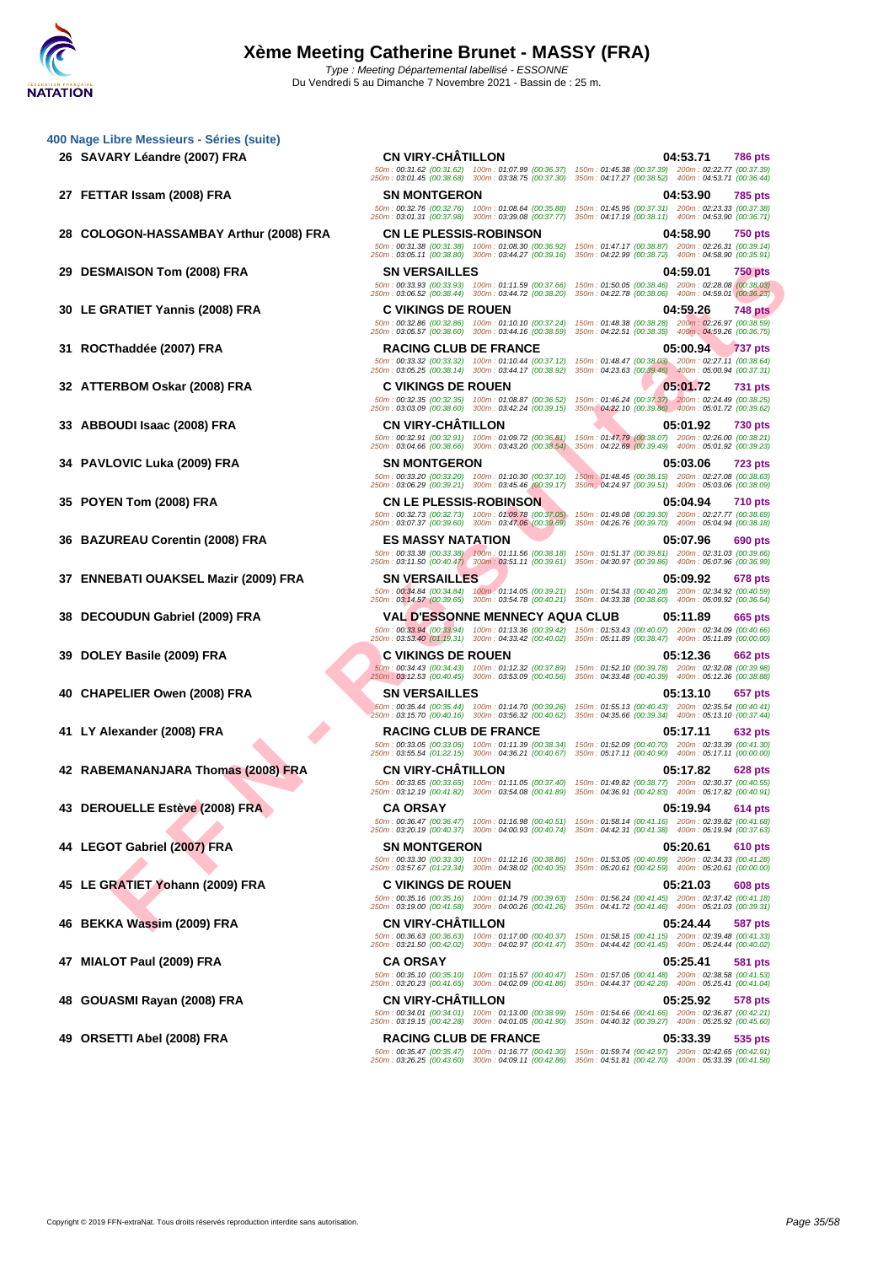**[400 Nage](http://www.ffnatation.fr/webffn/index.php) Libre Messieurs - Séries (suite)**

- **26 SAVARY Léandre (2007) FRA CN VIRY-CHÂTILLON 04:53.71 786 pts**
- 

- 
- 
- 
- 
- 
- 

- 
- 
- 

- 
- 
- 
- 

- 
- 

**FANTETY Vanish FRA** SUBARDON PRA<br>
FRATIET Yannis (2008) FRA CHARLES SUBARDON DESCRIPTION COMPANY CONTINUES IN THE SUBARDON DESCRIPTION COMPANY CONTINUES IN THE SUBARDON DESCRIPTION COMPANY CONTINUES IN THE SUBARDON DESCR 50m : 00:31.62 (00:31.62) 100m : 01:07.99 (00:36.37) 150m : 01:45.38 (00:37.39) 200m : 02:22.77 (00:37.39) 250m : 03:01.45 (00:38.68) 300m : 03:38.75 (00:37.30) 350m : 04:17.27 (00:38.52) 400m : 04:53.71 (00:36.44) **27 FETTAR Issam (2008) FRA SN MONTGERON 04:53.90 785 pts** 50m : 00:32.76 (00:32.76) 100m : 01:08.64 (00:35.88) 150m : 01:45.95 (00:37.31) 200m : 02:23.33 (00:37.38) 250m : 03:01.31 (00:37.98) 300m : 03:39.08 (00:37.77) 350m : 04:17.19 (00:38.11) 400m : 04:53.90 (00:36.71) **28 COLOGON-HASSAMBAY Arthur (2008) FRA CN LE PLESSIS-ROBINSON 04:58.90 750 pts** 50m : 00:31.38 (00:31.38) 100m : 01:08.30 (00:36.92) 150m : 01:47.17 (00:38.87) 200m : 02:26.31 (00:39.14) 250m : 03:05.11 (00:38.80) 300m : 03:44.27 (00:39.16) 350m : 04:22.99 (00:38.72) 400m : 04:58.90 (00:35.91) **29 DESMAISON Tom (2008) FRA SN VERSAILLES 04:59.01 750 pts** 50m : 00:33.93 (00:33.93) 100m : 01:11.59 (00:37.66) 150m : 01:50.05 (00:38.46) 200m : 02:28.08 (00:38.03) 250m : 03:06.52 (00:38.44) 300m : 03:44.72 (00:38.20) 350m : 04:22.78 (00:38.06) 400m : 04:59.01 (00:36.23) **30 LE GRATIET Yannis (2008) FRA C VIKINGS DE ROUEN 04:59.26 748 pts** 50m : 00:32.86 (00:32.86) 100m : 01:10.10 (00:37.24) 150m : 01:48.38 (00:38.28) 200m : 02:26.97 (00:38.59) 250m : 03:05.57 (00:38.60) 300m : 03:44.16 (00:38.59) 350m : 04:22.51 (00:38.35) 400m : 04:59.26 (00:36.75) **31 ROCThaddée (2007) FRA RACING CLUB DE FRANCE 05:00.94 737 pts** 50m : 00:33.32 (00:33.32) 100m : 01:10.44 (00:37.12) 150m : 01:48.47 (00:38.03) 200m : 02:27.11 (00:38.64) 250m : 03:05.25 (00:38.14) 300m : 03:44.17 (00:38.92) 350m : 04:23.63 (00:39.46) 400m : 05:00.94 (00:37.31) **32 ATTERBOM Oskar (2008) FRA C VIKINGS DE ROUEN 05:01.72 731 pts** 50m : 00:32.35 (00:32.35) 100m : 01:08.87 (00:36.52) 150m : 01:46.24 (00:37.37) 200m : 02:24.49 (00:38.25) 250m : 03:03.09 (00:38.60) 300m : 03:42.24 (00:39.15) 350m : 04:22.10 (00:39.86) 400m : 05:01.72 (00:39.62) **33 ABBOUDI Isaac (2008) FRA CN VIRY-CHÂTILLON 05:01.92 730 pts** 50m : 00:32.91 (00:32.91) 100m : 01:09.72 (00:36.81) 150m : 01:47.79 (00:38.07) 200m : 02:26.00 (00:38.21) 250m : 03:04.66 (00:38.66) 300m : 03:43.20 (00:38.54) 350m : 04:22.69 (00:39.49) 400m : 05:01.92 (00:39.23) **34 PAVLOVIC Luka (2009) FRA SN MONTGERON 05:03.06 723 pts** 50m : 00:33.20 (00:33.20) 100m : 01:10.30 (00:37.10) 150m : 01:48.45 (00:38.15) 200m : 02:27.08 (00:38.63) 250m : 03:06.29 (00:39.21) 300m : 03:45.46 (00:39.17) 350m : 04:24.97 (00:39.51) 400m : 05:03.06 (00:38.09) **35 POYEN Tom (2008) FRA CN LE PLESSIS-ROBINSON 05:04.94 710 pts** 50m : 00:32.73 (00:32.73) 100m : 01:09.78 (00:37.05) 150m : 01:49.08 (00:39.30) 200m : 02:27.77 (00:38.69) 250m : 03:07.37 (00:39.60) 300m : 03:47.06 (00:39.69) 350m : 04:26.76 (00:39.70) 400m : 05:04.94 (00:38.18) **36 BAZUREAU Corentin (2008) FRA ES MASSY NATATION 05:07.96 690 pts** 50m : 00:33.38 (00:33.38) 100m : 01:11.56 (00:38.18) 150m : 01:51.37 (00:39.81) 200m : 02:31.03 (00:39.66) 250m : 03:11.50 (00:40.47) 300m : 03:51.11 (00:39.61) 350m : 04:30.97 (00:39.86) 400m : 05:07.96 (00:36.99) **37 ENNEBATI OUAKSEL Mazir (2009) FRA SN VERSAILLES 05:09.92 678 pts** 50m : 00:34.84 (00:34.84) 100m : 01:14.05 (00:39.21) 150m : 01:54.33 (00:40.28) 200m : 02:34.92 (00:40.59) 250m : 03:14.57 (00:39.65) 300m : 03:54.78 (00:40.21) 350m : 04:33.38 (00:38.60) 400m : 05:09.92 (00:36.54) **38 DECOUDUN Gabriel (2009) FRA VAL D'ESSONNE MENNECY AQUA CLUB 05:11.89 665 pts** 50m : 00:33.94 (00:33.94) 100m : 01:13.36 (00:39.42) 150m : 01:53.43 (00:40.07) 200m : 02:34.09 (00:40.66) 250m : 03:53.40 (01:19.31) 300m : 04:33.42 (00:40.02) 350m : 05:11.89 (00:38.47) 400m : 05:11.89 (00:00.00) **39 DOLEY Basile (2009) FRA C VIKINGS DE ROUEN 05:12.36 662 pts** 50m : 00:34.43 (00:34.43) 100m : 01:12.32 (00:37.89) 150m : 01:52.10 (00:39.78) 200m : 02:32.08 (00:39.98) 250m : 03:12.53 (00:40.45) 300m : 03:53.09 (00:40.56) 350m : 04:33.48 (00:40.39) 400m : 05:12.36 (00:38.88) **40 CHAPELIER Owen (2008) FRA SN VERSAILLES 05:13.10 657 pts** 50m : 00:35.44 (00:35.44) 100m : 01:14.70 (00:39.26) 150m : 01:55.13 (00:40.43) 200m : 02:35.54 (00:40.41) 250m : 03:15.70 (00:40.16) 300m : 03:56.32 (00:40.62) 350m : 04:35.66 (00:39.34) 400m : 05:13.10 (00:37.44) **41 LY Alexander (2008) FRA RACING CLUB DE FRANCE 05:17.11 632 pts** 50m : 00:33.05 (00:33.05) 100m : 01:11.39 (00:38.34) 150m : 01:52.09 (00:40.70) 200m : 02:33.39 (00:41.30) 250m : 03:55.54 (01:22.15) 300m : 04:36.21 (00:40.67) 350m : 05:17.11 (00:40.90) 400m : 05:17.11 (00:00.00) **42 RABEMANANJARA Thomas (2008) FRA CN VIRY-CHÂTILLON 05:17.82 628 pts** 50m : 00:33.65 (00:33.65) 100m : 01:11.05 (00:37.40) 150m : 01:49.82 (00:38.77) 200m : 02:30.37 (00:40.55) 250m : 03:12.19 (00:41.82) 300m : 03:54.08 (00:41.89) 350m : 04:36.91 (00:42.83) 400m : 05:17.82 (00:40.91) **43 DEROUELLE Estève (2008) FRA CA ORSAY 05:19.94 614 pts** 50m : 00:36.47 (00:36.47) 100m : 01:16.98 (00:40.51) 150m : 01:58.14 (00:41.16) 200m : 02:39.82 (00:41.68) 250m : 03:20.19 (00:40.37) 300m : 04:00.93 (00:40.74) 350m : 04:42.31 (00:41.38) 400m : 05:19.94 (00:37.63) **44 LEGOT Gabriel (2007) FRA SN MONTGERON 05:20.61 610 pts** 50m : 00:33.30 (00:33.30) 100m : 01:12.16 (00:38.86) 150m : 01:53.05 (00:40.89) 200m : 02:34.33 (00:41.28) 250m : 03:57.67 (01:23.34) 300m : 04:38.02 (00:40.35) 350m : 05:20.61 (00:42.59) 400m : 05:20.61 (00:00.00) **45 LE GRATIET Yohann (2009) FRA C VIKINGS DE ROUEN 05:21.03 608 pts** 50m : 00:35.16 (00:35.16) 100m : 01:14.79 (00:39.63) 150m : 01:56.24 (00:41.45) 200m : 02:37.42 (00:41.18) 250m : 03:19.00 (00:41.58) 300m : 04:00.26 (00:41.26) 350m : 04:41.72 (00:41.46) 400m : 05:21.03 (00:39.31) **46 BEKKA Wassim (2009) FRA CN VIRY-CHÂTILLON 05:24.44 587 pts** 50m : 00:36.63 (00:36.63) 100m : 01:17.00 (00:40.37) 150m : 01:58.15 (00:41.15) 200m : 02:39.48 (00:41.33) 250m : 03:21.50 (00:42.02) 300m : 04:02.97 (00:41.47) 350m : 04:44.42 (00:41.45) 400m : 05:24.44 (00:40.02) **47 MIALOT Paul (2009) FRA CA ORSAY 05:25.41 581 pts** 50m : 00:35.10 (00:35.10) 100m : 01:15.57 (00:40.47) 150m : 01:57.05 (00:41.48) 200m : 02:38.58 (00:41.53) 250m : 03:20.23 (00:41.65) 300m : 04:02.09 (00:41.86) 350m : 04:44.37 (00:42.28) 400m : 05:25.41 (00:41.04) **48 GOUASMI Rayan (2008) FRA CN VIRY-CHÂTILLON 05:25.92 578 pts** 50m : 00:34.01 (00:34.01) 100m : 01:13.00 (00:38.99) 150m : 01:54.66 (00:41.66) 200m : 02:36.87 (00:42.21) 250m : 03:19.15 (00:42.28) 300m : 04:01.05 (00:41.90) 350m : 04:40.32 (00:39.27) 400m : 05:25.92 (00:45.60) **49 ORSETTI Abel (2008) FRA RACING CLUB DE FRANCE 05:33.39 535 pts** 50m : 00:35.47 (00:35.47) 100m : 01:16.77 (00:41.30) 150m : 01:59.74 (00:42.97) 200m : 02:42.65 (00:42.91) 250m : 03:26.25 (00:43.60) 300m : 04:09.11 (00:42.86) 350m : 04:51.81 (00:42.70) 400m : 05:33.39 (00:41.58)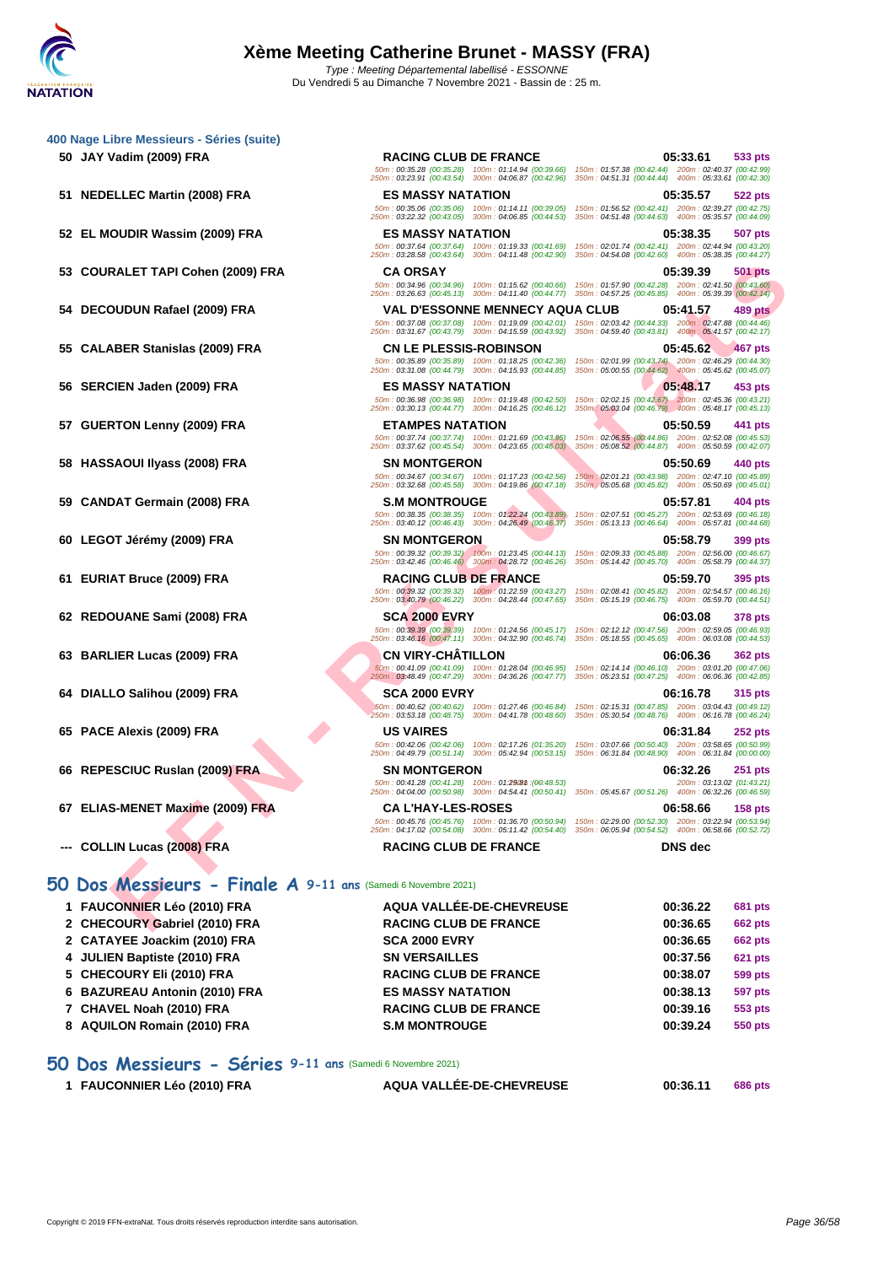|    | 400 Nage Libre Messieurs - Séries (suite)                     |                                                                                                                                                                                                                                                             |                                                                                                                                          |
|----|---------------------------------------------------------------|-------------------------------------------------------------------------------------------------------------------------------------------------------------------------------------------------------------------------------------------------------------|------------------------------------------------------------------------------------------------------------------------------------------|
|    | 50 JAY Vadim (2009) FRA                                       | <b>RACING CLUB DE FRANCE</b><br>50m: 00:35.28 (00:35.28) 100m: 01:14.94 (00:39.66) 150m: 01:57.38 (00:42.44) 200m: 02:40.37 (00:42.99)<br>250m: 03:23.91 (00:43.54) 300m: 04:06.87 (00:42.96)                                                               | 05:33.61<br>533 pts<br>350m: 04:51.31 (00:44.44) 400m: 05:33.61 (00:42.30)                                                               |
|    | 51 NEDELLEC Martin (2008) FRA                                 | <b>ES MASSY NATATION</b><br>50m: 00:35.06 (00:35.06) 100m: 01:14.11 (00:39.05)<br>250m: 03:22.32 (00:43.05) 300m: 04:06.85 (00:44.53)                                                                                                                       | 05:35.57<br>522 pts<br>150m: 01:56.52 (00:42.41) 200m: 02:39.27 (00:42.75)<br>350m: 04:51.48 (00:44.63) 400m: 05:35.57 (00:44.09)        |
|    | 52 EL MOUDIR Wassim (2009) FRA                                | <b>ES MASSY NATATION</b><br>50m: 00:37.64 (00:37.64) 100m: 01:19.33 (00:41.69)<br>250m: 03:28.58 (00:43.64) 300m: 04:11.48 (00:42.90)                                                                                                                       | 05:38.35<br>507 pts<br>150m: 02:01.74 (00:42.41) 200m: 02:44.94 (00:43.20)<br>350m: 04:54.08 (00:42.60) 400m: 05:38.35 (00:44.27)        |
| 53 | COURALET TAPI Cohen (2009) FRA                                | <b>CA ORSAY</b><br>50m: 00:34.96 (00:34.96) 100m: 01:15.62 (00:40.66)                                                                                                                                                                                       | 05:39.39<br><b>501 pts</b><br>150m: 01:57.90 (00:42.28) 200m: 02:41.50 (00:43.60)                                                        |
|    | 54 DECOUDUN Rafael (2009) FRA                                 | 250m: 03:26.63 (00:45.13) 300m: 04:11.40 (00:44.77) 350m: 04:57.25 (00:45.85) 400m: 05:39.39 (00:42.14)<br><b>VAL D'ESSONNE MENNECY AQUA CLUB</b><br>50m: 00:37.08 (00:37.08) 100m: 01:19.09 (00:42.01) 150m: 02:03.42 (00:44.33) 200m: 02:47.88 (00:44.46) | <b>489 pts</b><br>05:41.57                                                                                                               |
|    | 55 CALABER Stanislas (2009) FRA                               | 250m: 03:31.67 (00:43.79) 300m: 04:15.59 (00:43.92) 350m: 04:59.40 (00:43.81) 400m: 05:41.57 (00:42.17)<br><b>CN LE PLESSIS-ROBINSON</b><br>50m: 00:35.89 (00:35.89) 100m: 01:18.25 (00:42.36) 150m: 02:01.99 (00:43.74) 200m: 02:46.29 (00:44.30)          | 05:45.62<br>467 pts                                                                                                                      |
|    | 56 SERCIEN Jaden (2009) FRA                                   | 250m: 03:31.08 (00:44.79) 300m: 04:15.93 (00:44.85) 350m: 05:00.55 (00:44.62) 400m: 05:45.62 (00:45.07)<br><b>ES MASSY NATATION</b>                                                                                                                         | 05:48.17<br>453 pts                                                                                                                      |
|    | 57 GUERTON Lenny (2009) FRA                                   | 50m: 00:36.98 (00:36.98) 100m: 01:19.48 (00:42.50) 150m: 02:02.15 (00:42.67) 200m: 02:45.36 (00:43.21)<br>250m: 03:30.13 (00:44.77) 300m: 04:16.25 (00:46.12)<br><b>ETAMPES NATATION</b>                                                                    | 350m: 05:03.04 (00:46.79) 400m: 05:48.17 (00:45.13)<br>05:50.59<br>441 pts                                                               |
|    | 58 HASSAOUI IIyass (2008) FRA                                 | 50m: 00:37.74 (00:37.74) 100m: 01:21.69 (00:43.95)<br>250m: 03:37.62 (00:45.54) 300m: 04:23.65 (00:46.03)<br><b>SN MONTGERON</b>                                                                                                                            | 150m: 02:06.55 (00:44.86) 200m: 02:52.08 (00:45.53)<br>350m: 05:08.52 (00:44.87) 400m: 05:50.59 (00:42.07)<br>05:50.69<br>440 pts        |
| 59 | <b>CANDAT Germain (2008) FRA</b>                              | 50m: 00:34.67 (00:34.67) 100m: 01:17.23 (00:42.56)<br>250m: 03:32.68 (00:45.58) 300m: 04:19.86 (00:47.18)<br><b>S.M MONTROUGE</b>                                                                                                                           | 150m: 02:01.21 (00:43.98) 200m: 02:47.10 (00:45.89)<br>350m : 05:05.68 (00:45.82)  400m : 05:50.69 (00:45.01)<br>05:57.81<br>404 pts     |
|    | 60 LEGOT Jérémy (2009) FRA                                    | 50m: 00:38.35 (00:38.35) 100m: 01:22.24 (00:43.89)<br>250m: 03:40.12 (00:46.43) 300m: 04:26.49 (00:46.37)<br><b>SN MONTGERON</b>                                                                                                                            | 150m: 02:07.51 (00:45.27) 200m: 02:53.69 (00:46.18)<br>350m: 05:13.13 (00:46.64) 400m: 05:57.81 (00:44.68)<br>05:58.79<br>399 pts        |
|    |                                                               | 50m: 00:39.32 (00:39.32) 100m: 01:23.45 (00:44.13)<br>250m: 03:42.46 (00:46.46) 300m: 04:28.72 (00:46.26)                                                                                                                                                   | 150m: 02:09.33 (00:45.88) 200m: 02:56.00 (00:46.67)<br>350m: 05:14.42 (00:45.70) 400m: 05:58.79 (00:44.37)                               |
|    | 61 EURIAT Bruce (2009) FRA                                    | <b>RACING CLUB DE FRANCE</b><br>50m: 00:39.32 (00:39.32) 100m: 01:22.59 (00:43.27)<br>250m: 03:40.79 (00:46.22) 300m: 04:28.44 (00:47.65)                                                                                                                   | 05:59.70<br>395 pts<br>150m: 02:08.41 (00:45.82) 200m: 02:54.57 (00:46.16)<br>350m: 05:15.19 (00:46.75) 400m: 05:59.70 (00:44.51)        |
|    | 62 REDOUANE Sami (2008) FRA                                   | <b>SCA 2000 EVRY</b><br>50m: 00:39.39 (00:39.39) 100m: 01:24.56 (00:45.17)<br>250m: 03:46.16 (00:47.11) 300m: 04:32.90 (00:46.74)                                                                                                                           | 06:03.08<br><b>378 pts</b><br>150m: 02:12.12 (00:47.56) 200m: 02:59.05 (00:46.93)<br>350m: 05:18.55 (00:45.65) 400m: 06:03.08 (00:44.53) |
|    | 63 BARLIER Lucas (2009) FRA                                   | <b>CN VIRY-CHATILLON</b><br>50m: 00:41.09 (00:41.09) 100m: 01:28.04 (00:46.95)<br>250m: 03:48.49 (00:47.29) 300m: 04:36.26 (00:47.77)                                                                                                                       | 06:06.36<br><b>362 pts</b><br>150m: 02:14.14 (00:46.10) 200m: 03:01.20 (00:47.06)<br>350m: 05:23.51 (00:47.25) 400m: 06:06.36 (00:42.85) |
|    | 64 DIALLO Salihou (2009) FRA                                  | <b>SCA 2000 EVRY</b><br>50m: 00:40.62 (00:40.62) 100m: 01:27.46 (00:46.84)<br>250m: 03:53.18 (00:48.75) 300m: 04:41.78 (00:48.60)                                                                                                                           | 06:16.78<br>315 pts<br>150m: 02:15.31 (00:47.85) 200m: 03:04.43 (00:49.12)<br>350m: 05:30.54 (00:48.76) 400m: 06:16.78 (00:46.24)        |
|    | 65 PACE Alexis (2009) FRA                                     | <b>US VAIRES</b><br>50m: 00:42.06 (00:42.06) 100m: 02:17.26 (01:35.20) 150m: 03:07.66 (00:50.40) 200m: 03:58.65 (00:50.99)                                                                                                                                  | 06:31.84<br><b>252 pts</b>                                                                                                               |
|    | 66 REPESCIUC Ruslan (2009) FRA                                | 250m: 04:49.79 (00:51.14) 300m: 05:42.94 (00:53.15) 350m: 06:31.84 (00:48.90) 400m: 06:31.84 (00:00.00)<br><b>SN MONTGERON</b><br>50m: 00:41.28 (00:41.28) 100m: 01:29081 : (00:48.53)                                                                      | 06:32.26<br><b>251 pts</b><br>200m: 03:13.02 (01:43.21)                                                                                  |
|    | 67 ELIAS-MENET Maxime (2009) FRA                              | 250m: 04:04.00 (00:50.98) 300m: 04:54.41 (00:50.41) 350m: 05:45.67 (00:51.26) 400m: 06:32.26 (00:46.59)<br>CA L'HAY-LES-RUSES<br>50m : 00:45.76 (00:45.76) 100m : 01:36.70 (00:50.94) 150m : 02:29.00 (00:52.30) 200m : 03:22.94 (00:53.94)                 | 06:58.66<br><b>158 pts</b>                                                                                                               |
|    | --- COLLIN Lucas (2008) FRA                                   | 250m: 04:17.02 (00:54.08) 300m: 05:11.42 (00:54.40) 350m: 06:05.94 (00:54.52) 400m: 06:58.66 (00:52.72)<br><b>RACING CLUB DE FRANCE</b>                                                                                                                     | <b>DNS</b> dec                                                                                                                           |
|    | 50 Dos Messieurs - Finale A 9-11 ans (Samedi 6 Novembre 2021) |                                                                                                                                                                                                                                                             |                                                                                                                                          |
|    | 1 FAUCONNIER Léo (2010) FRA                                   | AQUA VALLÉE-DE-CHEVREUSE                                                                                                                                                                                                                                    | 00:36.22<br><b>681 pts</b>                                                                                                               |
|    | 2 CHECOURY Gabriel (2010) FRA                                 | <b>RACING CLUB DE FRANCE</b>                                                                                                                                                                                                                                | 00:36.65<br><b>662 pts</b>                                                                                                               |

#### **50 Dos Messieurs - Finale A 9-11 ans** (Samedi 6 Novembre 2021)

| 1 FAUCONNIER Léo (2010) FRA   | AQUA VALLÉE-DE-CHEVREUSE     | 00:36.22 | <b>681 pts</b> |
|-------------------------------|------------------------------|----------|----------------|
| 2 CHECOURY Gabriel (2010) FRA | <b>RACING CLUB DE FRANCE</b> | 00:36.65 | <b>662 pts</b> |
| 2 CATAYEE Joackim (2010) FRA  | <b>SCA 2000 EVRY</b>         | 00:36.65 | <b>662 pts</b> |
| 4 JULIEN Baptiste (2010) FRA  | <b>SN VERSAILLES</b>         | 00:37.56 | <b>621 pts</b> |
| 5 CHECOURY Eli (2010) FRA     | <b>RACING CLUB DE FRANCE</b> | 00:38.07 | <b>599 pts</b> |
| 6 BAZUREAU Antonin (2010) FRA | <b>ES MASSY NATATION</b>     | 00:38.13 | <b>597 pts</b> |
| 7 CHAVEL Noah (2010) FRA      | <b>RACING CLUB DE FRANCE</b> | 00:39.16 | 553 pts        |
| 8 AQUILON Romain (2010) FRA   | <b>S.M MONTROUGE</b>         | 00:39.24 | 550 pts        |
|                               |                              |          |                |

**50 Dos Messieurs - Séries 9-11 ans** (Samedi 6 Novembre 2021)

| 1 FAUCONNIER Léo (2010) FRA | AQUA VALLÉE-DE-CHEVREUSE | 00:36.11 | <b>686 pts</b> |
|-----------------------------|--------------------------|----------|----------------|
|                             |                          |          |                |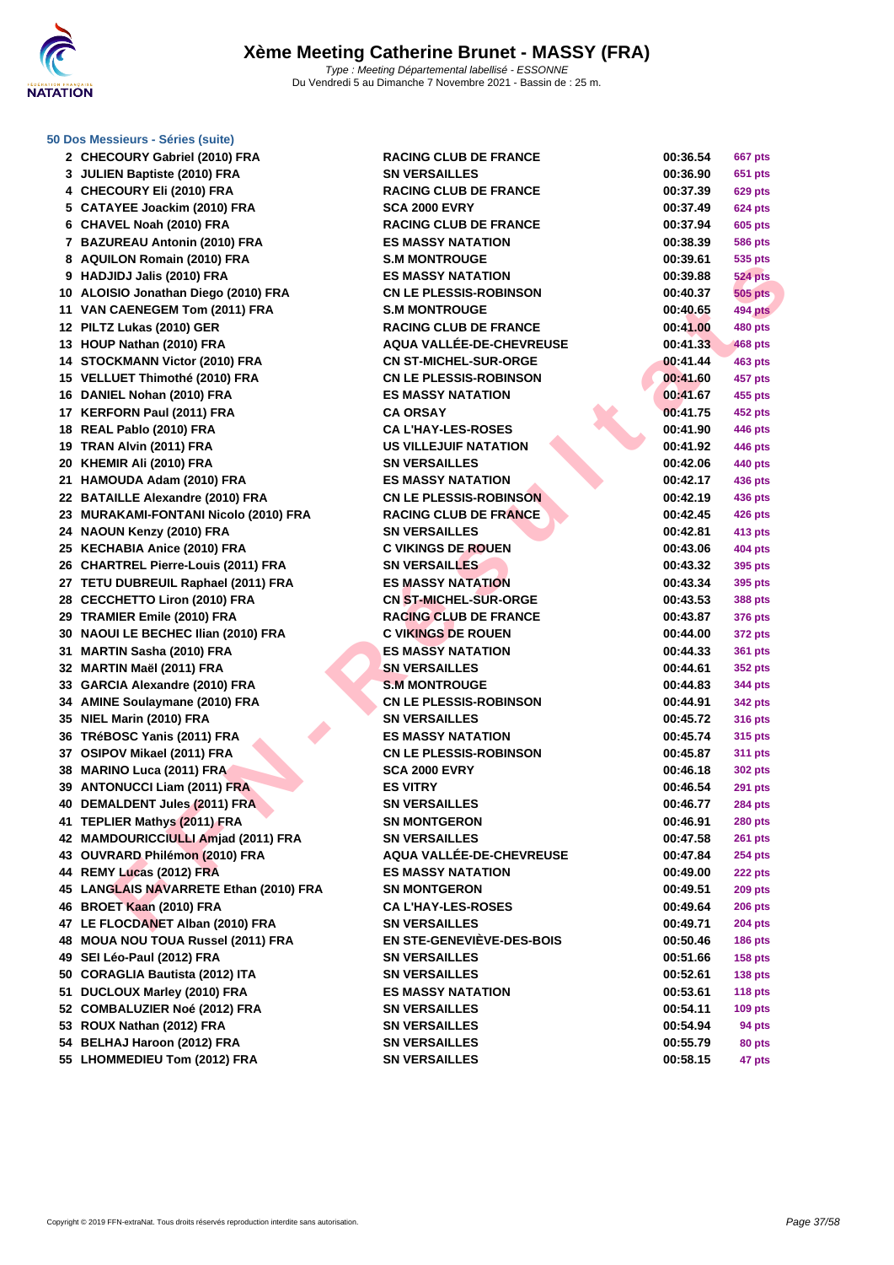

#### **[50 Dos M](http://www.ffnatation.fr/webffn/index.php)essieurs - Séries (suite)**

|    | 2 CHECOURY Gabriel (2010) FRA                              | R/       |
|----|------------------------------------------------------------|----------|
|    | 3 JULIEN Baptiste (2010) FRA                               | S١       |
|    | 4 CHECOURY Eli (2010) FRA                                  | R١       |
|    | 5 CATAYEE Joackim (2010) FRA                               | SC       |
|    | 6 CHAVEL Noah (2010) FRA                                   | R/       |
|    | 7 BAZUREAU Antonin (2010) FRA                              | ES       |
|    | 8 AQUILON Romain (2010) FRA                                | S.I      |
|    | 9 HADJIDJ Jalis (2010) FRA                                 | E٤       |
|    | 10 ALOISIO Jonathan Diego (2010) FRA                       | C١       |
|    | 11 VAN CAENEGEM Tom (2011) FRA                             | S.I      |
|    | 12 PILTZ Lukas (2010) GER                                  | R/       |
|    | 13 HOUP Nathan (2010) FRA                                  | A٥       |
|    | 14 STOCKMANN Victor (2010) FRA                             | C١       |
|    | 15 VELLUET Thimothé (2010) FRA                             | C١       |
|    | 16 DANIEL Nohan (2010) FRA                                 | ES       |
|    | 17 KERFORN Paul (2011) FRA                                 | C/       |
|    | 18 REAL Pablo (2010) FRA                                   | C/       |
|    | 19 TRAN Alvin (2011) FRA                                   | ບເ       |
|    | 20 KHEMIR Ali (2010) FRA                                   | S١       |
|    | 21 HAMOUDA Adam (2010) FRA                                 | ES       |
|    | 22 BATAILLE Alexandre (2010) FRA                           | C١       |
|    | 23 MURAKAMI-FONTANI Nicolo (2010) FRA                      | R/       |
|    | 24 NAOUN Kenzy (2010) FRA                                  | S١       |
|    | 25 KECHABIA Anice (2010) FRA                               | C,       |
|    | 26 CHARTREL Pierre-Louis (2011) FRA                        | S١       |
|    | 27 TETU DUBREUIL Raphael (2011) FRA                        | E٤       |
|    | 28 CECCHETTO Liron (2010) FRA                              | C١       |
|    | 29 TRAMIER Emile (2010) FRA                                | R/       |
|    | 30 NAOUI LE BECHEC Ilian (2010) FRA                        | C '      |
|    | 31 MARTIN Sasha (2010) FRA                                 | E٤       |
|    |                                                            | S١       |
|    | 32 MARTIN Maël (2011) FRA                                  | S I      |
|    | 33 GARCIA Alexandre (2010) FRA                             |          |
|    | 34 AMINE Soulaymane (2010) FRA<br>35 NIEL Marin (2010) FRA | C١       |
|    | 36 TRéBOSC Yanis (2011) FRA                                | S١<br>E٤ |
|    |                                                            |          |
|    | 37 OSIPOV Mikael (2011) FRA                                | C١       |
|    | 38 MARINO Luca (2011) FRA                                  | SC       |
|    | 39 ANTONUCCI Liam (2011) FRA                               | ES       |
|    | 40 DEMALDENT Jules (2011) FRA                              | S١       |
| 41 | <b>TEPLIER Mathys (2011) FRA</b>                           | S١       |
|    | 42 MAMDOURICCIULLI Amjad (2011) FRA                        | S١       |
|    | 43 OUVRARD Philémon (2010) FRA                             | А٥       |
|    | 44 REMY Lucas (2012) FRA                                   | ES       |
|    | 45 LANGLAIS NAVARRETE Ethan (2010) FRA                     | S١       |
|    | 46 BROET Kaan (2010) FRA                                   | C/       |
|    | 47 LE FLOCDANET Alban (2010) FRA                           | S١       |
|    | 48 MOUA NOU TOUA Russel (2011) FRA                         | E١       |
|    | 49 SEI Léo-Paul (2012) FRA                                 | S١       |
|    | 50 CORAGLIA Bautista (2012) ITA                            | S١       |
|    | 51 DUCLOUX Marley (2010) FRA                               | ES       |
|    | 52 COMBALUZIER Noé (2012) FRA                              | S١       |
|    | 53 ROUX Nathan (2012) FRA                                  | S١       |
|    | 54 BELHAJ Haroon (2012) FRA                                | S١       |
|    | 55 LHOMMEDIEU Tom (2012) FRA                               | S١       |

| 2 CHECOURY Gabriel (2010) FRA          | <b>RACING CLUB DE FRANCE</b>     | 00:36.54 | 667 pts        |
|----------------------------------------|----------------------------------|----------|----------------|
| 3 JULIEN Baptiste (2010) FRA           | <b>SN VERSAILLES</b>             | 00:36.90 | <b>651 pts</b> |
| 4 CHECOURY Eli (2010) FRA              | <b>RACING CLUB DE FRANCE</b>     | 00:37.39 | <b>629 pts</b> |
| 5 CATAYEE Joackim (2010) FRA           | <b>SCA 2000 EVRY</b>             | 00:37.49 | <b>624 pts</b> |
| 6 CHAVEL Noah (2010) FRA               | <b>RACING CLUB DE FRANCE</b>     | 00:37.94 | 605 pts        |
| 7 BAZUREAU Antonin (2010) FRA          | <b>ES MASSY NATATION</b>         | 00:38.39 | 586 pts        |
| 8 AQUILON Romain (2010) FRA            | <b>S.M MONTROUGE</b>             | 00:39.61 | 535 pts        |
| 9 HADJIDJ Jalis (2010) FRA             | <b>ES MASSY NATATION</b>         | 00:39.88 | <b>524 pts</b> |
| 10 ALOISIO Jonathan Diego (2010) FRA   | <b>CN LE PLESSIS-ROBINSON</b>    | 00:40.37 | <b>505 pts</b> |
| 11 VAN CAENEGEM Tom (2011) FRA         | <b>S.M MONTROUGE</b>             | 00:40.65 | <b>494 pts</b> |
| 12 PILTZ Lukas (2010) GER              | <b>RACING CLUB DE FRANCE</b>     | 00:41.00 | <b>480 pts</b> |
| 13 HOUP Nathan (2010) FRA              | AQUA VALLÉE-DE-CHEVREUSE         | 00:41.33 | <b>468 pts</b> |
| 14 STOCKMANN Victor (2010) FRA         | <b>CN ST-MICHEL-SUR-ORGE</b>     | 00:41.44 | <b>463 pts</b> |
| 15 VELLUET Thimothé (2010) FRA         | <b>CN LE PLESSIS-ROBINSON</b>    | 00:41.60 | 457 pts        |
| 16 DANIEL Nohan (2010) FRA             | <b>ES MASSY NATATION</b>         | 00:41.67 | 455 pts        |
| 17 KERFORN Paul (2011) FRA             | <b>CA ORSAY</b>                  | 00:41.75 | 452 pts        |
| 18 REAL Pablo (2010) FRA               | <b>CA L'HAY-LES-ROSES</b>        | 00:41.90 | 446 pts        |
| 19 TRAN Alvin (2011) FRA               | <b>US VILLEJUIF NATATION</b>     | 00:41.92 | 446 pts        |
| 20 KHEMIR Ali (2010) FRA               | <b>SN VERSAILLES</b>             | 00:42.06 | 440 pts        |
| 21 HAMOUDA Adam (2010) FRA             | <b>ES MASSY NATATION</b>         | 00:42.17 | 436 pts        |
| 22 BATAILLE Alexandre (2010) FRA       | <b>CN LE PLESSIS-ROBINSON</b>    | 00:42.19 | 436 pts        |
| 23 MURAKAMI-FONTANI Nicolo (2010) FRA  | <b>RACING CLUB DE FRANCE</b>     | 00:42.45 | 426 pts        |
| 24 NAOUN Kenzy (2010) FRA              | <b>SN VERSAILLES</b>             | 00:42.81 | 413 pts        |
| 25 KECHABIA Anice (2010) FRA           | <b>C VIKINGS DE ROUEN</b>        | 00:43.06 | 404 pts        |
| 26 CHARTREL Pierre-Louis (2011) FRA    | <b>SN VERSAILLES</b>             | 00:43.32 | 395 pts        |
| 27 TETU DUBREUIL Raphael (2011) FRA    | <b>ES MASSY NATATION</b>         | 00:43.34 | 395 pts        |
| 28 CECCHETTO Liron (2010) FRA          | <b>CN ST-MICHEL-SUR-ORGE</b>     | 00:43.53 | 388 pts        |
| 29 TRAMIER Emile (2010) FRA            | <b>RACING CLUB DE FRANCE</b>     | 00:43.87 | 376 pts        |
| 30 NAOUI LE BECHEC Ilian (2010) FRA    | <b>C VIKINGS DE ROUEN</b>        | 00:44.00 | 372 pts        |
| 31 MARTIN Sasha (2010) FRA             | <b>ES MASSY NATATION</b>         | 00:44.33 | 361 pts        |
| 32 MARTIN Maël (2011) FRA              | <b>SN VERSAILLES</b>             | 00:44.61 | 352 pts        |
| 33 GARCIA Alexandre (2010) FRA         | <b>S.M MONTROUGE</b>             | 00:44.83 | 344 pts        |
| 34 AMINE Soulaymane (2010) FRA         | <b>CN LE PLESSIS-ROBINSON</b>    | 00:44.91 | 342 pts        |
| 35 NIEL Marin (2010) FRA               | <b>SN VERSAILLES</b>             | 00:45.72 | 316 pts        |
| 36 TRéBOSC Yanis (2011) FRA            | <b>ES MASSY NATATION</b>         | 00:45.74 | 315 pts        |
| 37 OSIPOV Mikael (2011) FRA            | <b>CN LE PLESSIS-ROBINSON</b>    | 00:45.87 | 311 pts        |
| 38 MARINO Luca (2011) FRA              | <b>SCA 2000 EVRY</b>             | 00:46.18 | 302 pts        |
| 39 ANTONUCCI Liam (2011) FRA           | <b>ES VITRY</b>                  | 00:46.54 | <b>291 pts</b> |
| 40 DEMALDENT Jules (2011) FRA          | <b>SN VERSAILLES</b>             | 00:46.77 | <b>284 pts</b> |
| 41   TEPLIER Mathys (2011) FRA         | <b>SN MONTGERON</b>              | 00:46.91 | <b>280 pts</b> |
| 42 MAMDOURICCIULLI Amjad (2011) FRA    | <b>SN VERSAILLES</b>             | 00:47.58 | <b>261 pts</b> |
| 43 OUVRARD Philémon (2010) FRA         | <b>AQUA VALLÉE-DE-CHEVREUSE</b>  | 00:47.84 | <b>254 pts</b> |
| 44 REMY Lucas (2012) FRA               | <b>ES MASSY NATATION</b>         | 00:49.00 | <b>222 pts</b> |
| 45 LANGLAIS NAVARRETE Ethan (2010) FRA | <b>SN MONTGERON</b>              | 00:49.51 | <b>209 pts</b> |
| 46 BROET Kaan (2010) FRA               | <b>CA L'HAY-LES-ROSES</b>        | 00:49.64 | <b>206 pts</b> |
| 47 LE FLOCDANET Alban (2010) FRA       | <b>SN VERSAILLES</b>             | 00:49.71 | <b>204 pts</b> |
| 48 MOUA NOU TOUA Russel (2011) FRA     | <b>EN STE-GENEVIÈVE-DES-BOIS</b> | 00:50.46 | <b>186 pts</b> |
| 49 SEI Léo-Paul (2012) FRA             | <b>SN VERSAILLES</b>             | 00:51.66 | <b>158 pts</b> |
| 50 CORAGLIA Bautista (2012) ITA        | <b>SN VERSAILLES</b>             | 00:52.61 | <b>138 pts</b> |
| 51 DUCLOUX Marley (2010) FRA           | <b>ES MASSY NATATION</b>         | 00:53.61 | <b>118 pts</b> |
| 52 COMBALUZIER Noé (2012) FRA          | <b>SN VERSAILLES</b>             | 00:54.11 | <b>109 pts</b> |
| 53 ROUX Nathan (2012) FRA              | <b>SN VERSAILLES</b>             | 00:54.94 | 94 pts         |
| 54 BELHAJ Haroon (2012) FRA            | <b>SN VERSAILLES</b>             | 00:55.79 | 80 pts         |
| 55 LHOMMEDIEU Tom (2012) FRA           | <b>SN VERSAILLES</b>             | 00:58.15 | 47 pts         |
|                                        |                                  |          |                |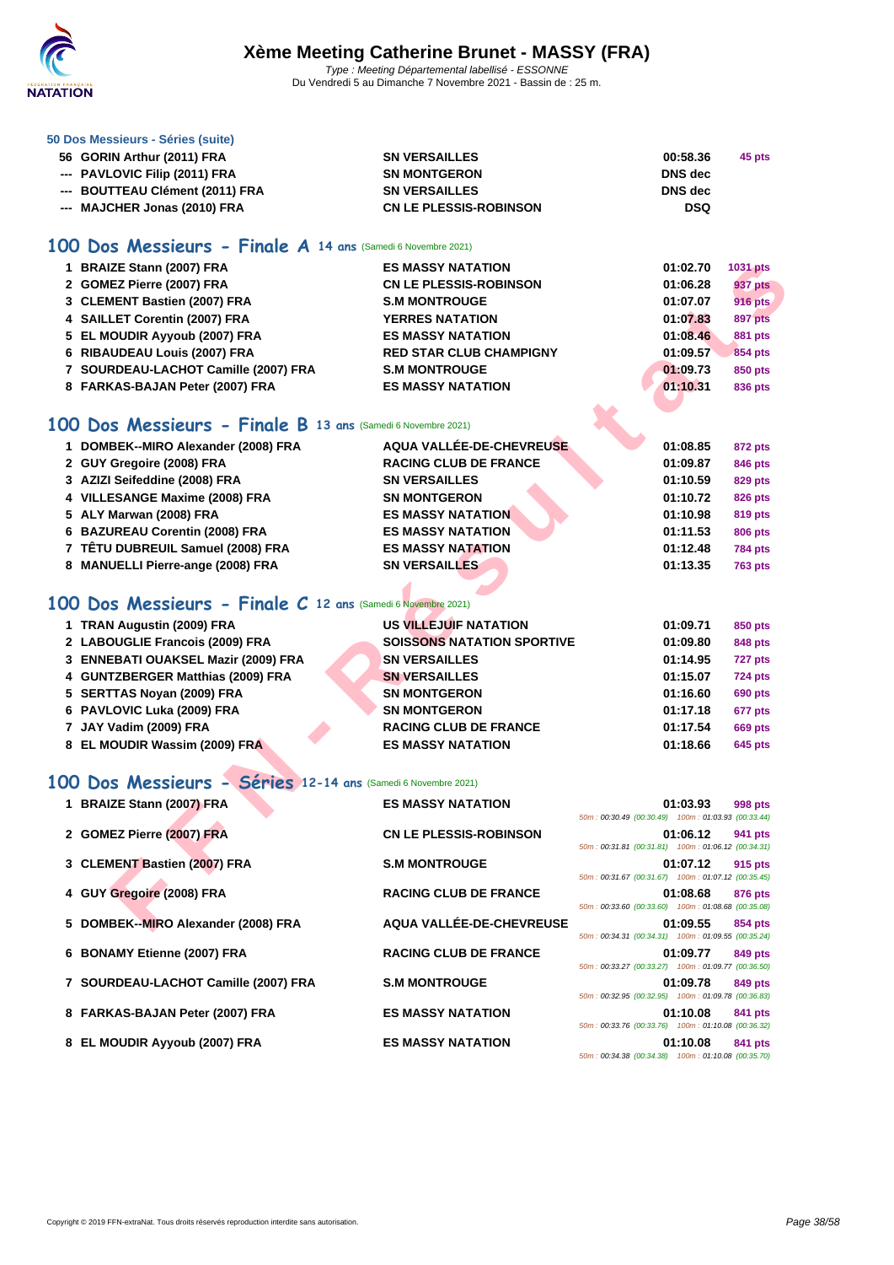

#### **[50 Dos M](http://www.ffnatation.fr/webffn/index.php)essieurs - Séries (suite)**

| 56 GORIN Arthur (2011) FRA      | <b>SN VERSAILLES</b>          | 00:58.36   | 45 pts |
|---------------------------------|-------------------------------|------------|--------|
| --- PAVLOVIC Filip (2011) FRA   | <b>SN MONTGERON</b>           | DNS dec    |        |
| --- BOUTTEAU Clément (2011) FRA | <b>SN VERSAILLES</b>          | DNS dec    |        |
| --- MAJCHER Jonas (2010) FRA    | <b>CN LE PLESSIS-ROBINSON</b> | <b>DSQ</b> |        |

#### **100 Dos Messieurs - Finale A 14 ans** (Samedi 6 Novembre 2021)

| 1 BRAIZE Stann (2007) FRA                                    | <b>ES MASSY NATATION</b>          |                                                    | 01:02.70 | 1031 pts       |
|--------------------------------------------------------------|-----------------------------------|----------------------------------------------------|----------|----------------|
| 2 GOMEZ Pierre (2007) FRA                                    | <b>CN LE PLESSIS-ROBINSON</b>     |                                                    | 01:06.28 | 937 pts        |
| 3 CLEMENT Bastien (2007) FRA                                 | <b>S.M MONTROUGE</b>              |                                                    | 01:07.07 | <b>916 pts</b> |
| 4 SAILLET Corentin (2007) FRA                                | <b>YERRES NATATION</b>            |                                                    | 01:07.83 | 897 pts        |
| 5 EL MOUDIR Ayyoub (2007) FRA                                | <b>ES MASSY NATATION</b>          |                                                    | 01:08.46 | <b>881 pts</b> |
| 6 RIBAUDEAU Louis (2007) FRA                                 | <b>RED STAR CLUB CHAMPIGNY</b>    |                                                    | 01:09.57 | 854 pts        |
| 7 SOURDEAU-LACHOT Camille (2007) FRA                         | <b>S.M MONTROUGE</b>              |                                                    | 01:09.73 | 850 pts        |
| 8 FARKAS-BAJAN Peter (2007) FRA                              | <b>ES MASSY NATATION</b>          |                                                    | 01:10.31 | 836 pts        |
|                                                              |                                   |                                                    |          |                |
| 00 Dos Messieurs - Finale B 13 ans (Samedi 6 Novembre 2021)  |                                   |                                                    |          |                |
| 1 DOMBEK--MIRO Alexander (2008) FRA                          | AQUA VALLÉE-DE-CHEVREUSE          |                                                    | 01:08.85 | 872 pts        |
| 2 GUY Gregoire (2008) FRA                                    | <b>RACING CLUB DE FRANCE</b>      |                                                    | 01:09.87 | 846 pts        |
| 3 AZIZI Seifeddine (2008) FRA                                | <b>SN VERSAILLES</b>              |                                                    | 01:10.59 | 829 pts        |
| 4 VILLESANGE Maxime (2008) FRA                               | <b>SN MONTGERON</b>               |                                                    | 01:10.72 | <b>826 pts</b> |
| 5 ALY Marwan (2008) FRA                                      | <b>ES MASSY NATATION</b>          |                                                    | 01:10.98 | <b>819 pts</b> |
| 6 BAZUREAU Corentin (2008) FRA                               | <b>ES MASSY NATATION</b>          |                                                    | 01:11.53 | <b>806 pts</b> |
| 7 TÊTU DUBREUIL Samuel (2008) FRA                            | <b>ES MASSY NATATION</b>          |                                                    | 01:12.48 | <b>784 pts</b> |
| 8 MANUELLI Pierre-ange (2008) FRA                            | <b>SN VERSAILLES</b>              |                                                    | 01:13.35 | <b>763 pts</b> |
|                                                              |                                   |                                                    |          |                |
| 00 Dos Messieurs - Finale C 12 ans (Samedi 6 Novembre 2021)  |                                   |                                                    |          |                |
| 1 TRAN Augustin (2009) FRA                                   | US VILLEJUIF NATATION             |                                                    | 01:09.71 | 850 pts        |
| 2 LABOUGLIE Francois (2009) FRA                              | <b>SOISSONS NATATION SPORTIVE</b> |                                                    | 01:09.80 | 848 pts        |
| 3 ENNEBATI OUAKSEL Mazir (2009) FRA                          | <b>SN VERSAILLES</b>              |                                                    | 01:14.95 | 727 pts        |
| 4 GUNTZBERGER Matthias (2009) FRA                            | <b>SN VERSAILLES</b>              |                                                    | 01:15.07 | <b>724 pts</b> |
| 5 SERTTAS Noyan (2009) FRA                                   | <b>SN MONTGERON</b>               |                                                    | 01:16.60 | <b>690 pts</b> |
| 6 PAVLOVIC Luka (2009) FRA                                   | <b>SN MONTGERON</b>               |                                                    | 01:17.18 | 677 pts        |
| 7 JAY Vadim (2009) FRA                                       | <b>RACING CLUB DE FRANCE</b>      |                                                    | 01:17.54 | <b>669 pts</b> |
| 8 EL MOUDIR Wassim (2009) FRA                                | <b>ES MASSY NATATION</b>          |                                                    | 01:18.66 | <b>645 pts</b> |
| 00 Dos Messieurs - Séries 12-14 ans (Samedi 6 Novembre 2021) |                                   |                                                    |          |                |
| 1 BRAIZE Stann (2007) FRA                                    | <b>ES MASSY NATATION</b>          |                                                    | 01:03.93 | <b>998 pts</b> |
|                                                              |                                   | 50m: 00:30.49 (00:30.49) 100m: 01:03.93 (00:33.44) |          |                |
| 2 GOMEZ Pierre (2007) FRA                                    | <b>CN LE PLESSIS-ROBINSON</b>     |                                                    | 01:06.12 | 941 pts        |
|                                                              |                                   | 50m: 00:31.81 (00:31.81) 100m: 01:06.12 (00:34.31) |          |                |
| 3 CLEMENT Bastien (2007) FRA                                 | <b>S.M MONTROUGE</b>              |                                                    | 01:07.12 | 915 pts        |
|                                                              |                                   | 50m: 00:31.67 (00:31.67) 100m: 01:07.12 (00:35.45) |          |                |
| 4 GUY Gregoire (2008) FRA                                    | <b>RACING CLUB DE FRANCE</b>      | 50m: 00:33.60 (00:33.60) 100m: 01:08.68 (00:35.08) | 01:08.68 | 876 pts        |
| 5 DOMBEK--MIRO Alexander (2008) FRA                          | <b>AQUA VALLÉE-DE-CHEVREUSE</b>   |                                                    | 01:09.55 | 854 pts        |

#### **100 Dos Messieurs - Finale B 13 ans** (Samedi 6 Novembre 2021)

| 1 DOMBEK--MIRO Alexander (2008) FRA | AQUA VALLÉE-DE-CHEVREUSE     | 01:08.85 | 872 pts        |
|-------------------------------------|------------------------------|----------|----------------|
| 2 GUY Gregoire (2008) FRA           | <b>RACING CLUB DE FRANCE</b> | 01:09.87 | 846 pts        |
| 3 AZIZI Seifeddine (2008) FRA       | <b>SN VERSAILLES</b>         | 01:10.59 | 829 pts        |
| 4 VILLESANGE Maxime (2008) FRA      | <b>SN MONTGERON</b>          | 01:10.72 | <b>826 pts</b> |
| 5 ALY Marwan (2008) FRA             | <b>ES MASSY NATATION</b>     | 01:10.98 | 819 pts        |
| 6 BAZUREAU Corentin (2008) FRA      | <b>ES MASSY NATATION</b>     | 01:11.53 | <b>806 pts</b> |
| 7 TÊTU DUBREUIL Samuel (2008) FRA   | <b>ES MASSY NATATION</b>     | 01:12.48 | <b>784 pts</b> |
| 8 MANUELLI Pierre-ange (2008) FRA   | <b>SN VERSAILLES</b>         | 01:13.35 | <b>763 pts</b> |

## **100 Dos Messieurs - Finale C 12 ans** (Samedi 6 Novembre 2021)

| 1 TRAN Augustin (2009) FRA          | US VILLEJUIF NATATION             | 01:09.71 | 850 pts        |
|-------------------------------------|-----------------------------------|----------|----------------|
| 2 LABOUGLIE Francois (2009) FRA     | <b>SOISSONS NATATION SPORTIVE</b> | 01:09.80 | 848 pts        |
| 3 ENNEBATI OUAKSEL Mazir (2009) FRA | <b>SN VERSAILLES</b>              | 01:14.95 | 727 pts        |
| 4 GUNTZBERGER Matthias (2009) FRA   | <b>SN VERSAILLES</b>              | 01:15.07 | <b>724 pts</b> |
| 5 SERTTAS Novan (2009) FRA          | <b>SN MONTGERON</b>               | 01:16.60 | <b>690 pts</b> |
| 6 PAVLOVIC Luka (2009) FRA          | <b>SN MONTGERON</b>               | 01:17.18 | 677 pts        |
| 7 JAY Vadim (2009) FRA              | <b>RACING CLUB DE FRANCE</b>      | 01:17.54 | <b>669 pts</b> |
| 8 EL MOUDIR Wassim (2009) FRA       | <b>ES MASSY NATATION</b>          | 01:18.66 | 645 pts        |

## **100 Dos Messieurs - Séries 12-14 ans** (Samedi 6 Novembre 2021)

| 1 BRAIZE Stann (2007) FRA            | <b>ES MASSY NATATION</b>      | 50m: 00:30.49 (00:30.49) 100m: 01:03.93 (00:33.44)                                                       | 01:03.93 | 998 pts |
|--------------------------------------|-------------------------------|----------------------------------------------------------------------------------------------------------|----------|---------|
| 2 GOMEZ Pierre (2007) FRA            | <b>CN LE PLESSIS-ROBINSON</b> | 50m: 00:31.81 (00:31.81) 100m: 01:06.12 (00:34.31)                                                       | 01:06.12 | 941 pts |
| 3 CLEMENT Bastien (2007) FRA         | <b>S.M MONTROUGE</b>          | 50m: 00:31.67 (00:31.67) 100m: 01:07.12 (00:35.45)                                                       | 01:07.12 | 915 pts |
| 4 GUY Gregoire (2008) FRA            | <b>RACING CLUB DE FRANCE</b>  | 50m: 00:33.60 (00:33.60) 100m: 01:08.68 (00:35.08)                                                       | 01:08.68 | 876 pts |
| 5 DOMBEK--MIRO Alexander (2008) FRA  | AQUA VALLÉE-DE-CHEVREUSE      | 50m: 00:34.31 (00:34.31) 100m: 01:09.55 (00:35.24)                                                       | 01:09.55 | 854 pts |
| 6 BONAMY Etienne (2007) FRA          | <b>RACING CLUB DE FRANCE</b>  | 50m: 00:33.27 (00:33.27) 100m: 01:09.77 (00:36.50)                                                       | 01:09.77 | 849 pts |
| 7 SOURDEAU-LACHOT Camille (2007) FRA | <b>S.M MONTROUGE</b>          | 50m: 00:32.95 (00:32.95) 100m: 01:09.78 (00:36.83)                                                       | 01:09.78 | 849 pts |
| 8 FARKAS-BAJAN Peter (2007) FRA      | <b>ES MASSY NATATION</b>      |                                                                                                          | 01:10.08 | 841 pts |
| 8 EL MOUDIR Ayyoub (2007) FRA        | <b>ES MASSY NATATION</b>      | 50m: 00:33.76 (00:33.76) 100m: 01:10.08 (00:36.32)<br>50m: 00:34.38 (00:34.38) 100m: 01:10.08 (00:35.70) | 01:10.08 | 841 pts |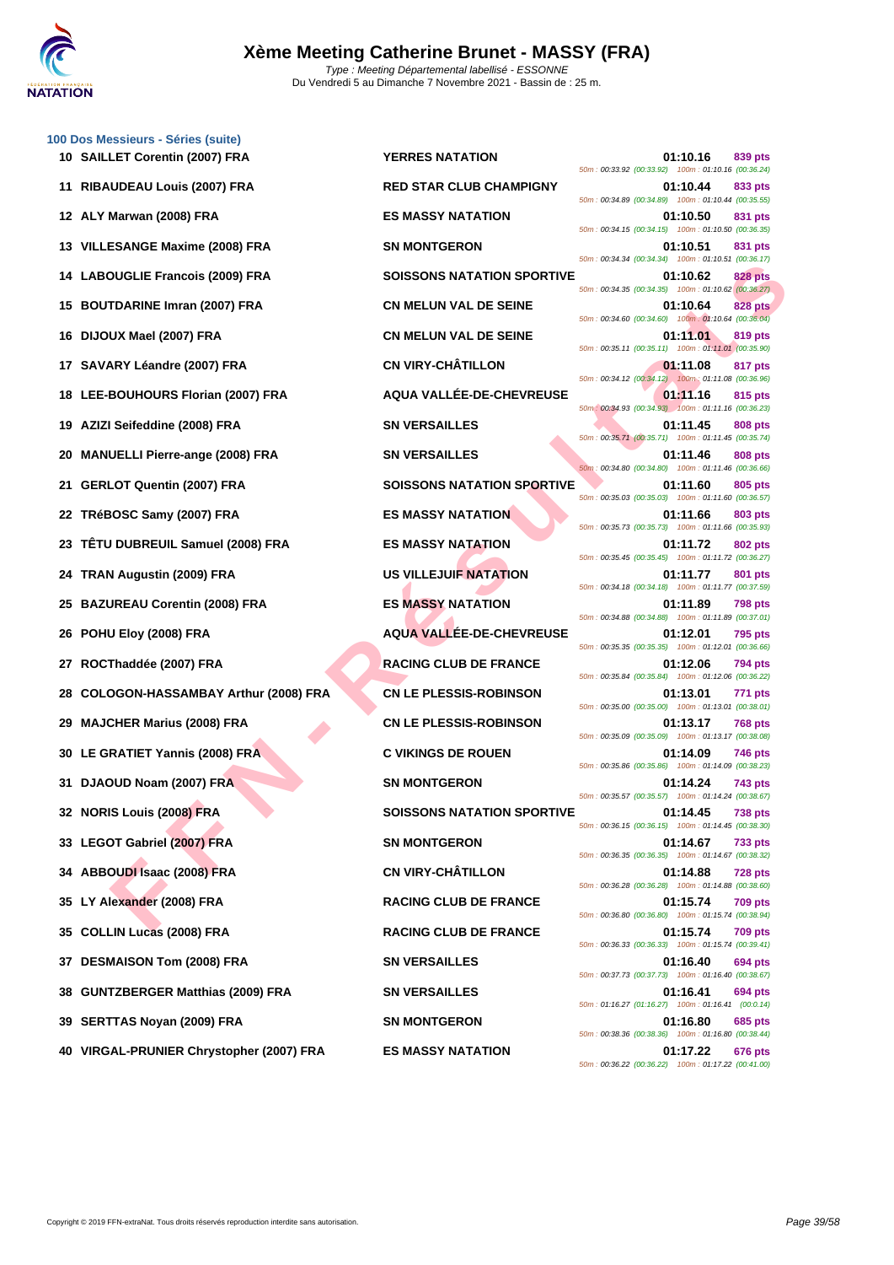

**[100 Dos M](http://www.ffnatation.fr/webffn/index.php)essieurs - Séries (suite)**

|    | 10 SAILLET Corentin (2007) FRA           | <b>YERRES NATATION</b>            | 01:10.16<br>50m: 00:33.92 (00:33.92) 100m: 01:10.16 (00:36.24)    | 839 pts        |
|----|------------------------------------------|-----------------------------------|-------------------------------------------------------------------|----------------|
|    | 11 RIBAUDEAU Louis (2007) FRA            | <b>RED STAR CLUB CHAMPIGNY</b>    | 01:10.44<br>50m: 00:34.89 (00:34.89) 100m: 01:10.44 (00:35.55)    | 833 pts        |
|    | 12 ALY Marwan (2008) FRA                 | <b>ES MASSY NATATION</b>          | 01:10.50<br>50m: 00:34.15 (00:34.15) 100m: 01:10.50 (00:36.35)    | 831 pts        |
|    | 13 VILLESANGE Maxime (2008) FRA          | <b>SN MONTGERON</b>               | 01:10.51<br>50m: 00:34.34 (00:34.34) 100m: 01:10.51 (00:36.17)    | 831 pts        |
|    | 14 LABOUGLIE Francois (2009) FRA         | <b>SOISSONS NATATION SPORTIVE</b> | 01:10.62<br>50m: 00:34.35 (00:34.35) 100m: 01:10.62 (00:36.27)    | <b>828 pts</b> |
|    | 15 BOUTDARINE Imran (2007) FRA           | <b>CN MELUN VAL DE SEINE</b>      | 01:10.64<br>50m: 00:34.60 (00:34.60) 100m: 01:10.64 (00:36.04)    | <b>828 pts</b> |
|    | 16 DIJOUX Mael (2007) FRA                | <b>CN MELUN VAL DE SEINE</b>      | 01:11.01<br>50m: 00:35.11 (00:35.11) 100m: 01:11.01 (00:35.90)    | 819 pts        |
|    | 17 SAVARY Léandre (2007) FRA             | <b>CN VIRY-CHÂTILLON</b>          | 01:11.08                                                          | 817 pts        |
|    | 18 LEE-BOUHOURS Florian (2007) FRA       | AQUA VALLÉE-DE-CHEVREUSE          | 50m: 00:34.12 (00:34.12) 100m: 01:11.08 (00:36.96)<br>01:11.16    | 815 pts        |
|    | 19 AZIZI Seifeddine (2008) FRA           | <b>SN VERSAILLES</b>              | 50m: 00:34.93 (00:34.93) 100m: 01:11.16 (00:36.23)<br>01:11.45    | 808 pts        |
| 20 | <b>MANUELLI Pierre-ange (2008) FRA</b>   | <b>SN VERSAILLES</b>              | 50m: 00:35.71 (00:35.71) 100m: 01:11.45 (00:35.74)<br>01:11.46    | 808 pts        |
| 21 | <b>GERLOT Quentin (2007) FRA</b>         | <b>SOISSONS NATATION SPORTIVE</b> | 50m: 00:34.80 (00:34.80) 100m: 01:11.46 (00:36.66)<br>01:11.60    | 805 pts        |
|    | 22 TRéBOSC Samy (2007) FRA               | <b>ES MASSY NATATION</b>          | 50m: 00:35.03 (00:35.03) 100m: 01:11.60 (00:36.57)<br>01:11.66    | 803 pts        |
| 23 | TÊTU DUBREUIL Samuel (2008) FRA          | <b>ES MASSY NATATION</b>          | 50m: 00:35.73 (00:35.73) 100m: 01:11.66 (00:35.93)<br>01:11.72    | 802 pts        |
| 24 | TRAN Augustin (2009) FRA                 | US VILLEJUIF NATATION             | 50m: 00:35.45 (00:35.45) 100m: 01:11.72 (00:36.27)<br>01:11.77    | 801 pts        |
|    | 25 BAZUREAU Corentin (2008) FRA          | <b>ES MASSY NATATION</b>          | 50m: 00:34.18 (00:34.18) 100m: 01:11.77 (00:37.59)<br>01:11.89    | <b>798 pts</b> |
|    | 26 POHU Eloy (2008) FRA                  | <b>AQUA VALLEE-DE-CHEVREUSE</b>   | 50m: 00:34.88 (00:34.88) 100m: 01:11.89 (00:37.01)<br>01:12.01    | <b>795 pts</b> |
| 27 | ROCThaddée (2007) FRA                    | <b>RACING CLUB DE FRANCE</b>      | 50m: 00:35.35 (00:35.35) 100m: 01:12.01 (00:36.66)<br>01:12.06    | 794 pts        |
| 28 | COLOGON-HASSAMBAY Arthur (2008) FRA      | <b>CN LE PLESSIS-ROBINSON</b>     | 50m: 00:35.84 (00:35.84) 100m: 01:12.06 (00:36.22)<br>01:13.01    | 771 pts        |
|    | 29 MAJCHER Marius (2008) FRA             | <b>CN LE PLESSIS-ROBINSON</b>     | 50m: 00:35.00 (00:35.00) 100m: 01:13.01 (00:38.01)<br>01:13.17    | <b>768 pts</b> |
| 30 | LE GRATIET Yannis (2008) FRA             | <b>C VIKINGS DE ROUEN</b>         | 50m: 00:35.09 (00:35.09) 100m: 01:13.17 (00:38.08)<br>01:14.09    | 746 pts        |
|    | 31 DJAOUD Noam (2007) FRA                | <b>SN MONTGERON</b>               | 50m: 00:35.86 (00:35.86) 100m: 01:14.09 (00:38.23)<br>01:14.24    | 743 pts        |
|    | 32 NORIS Louis (2008) FRA                | <b>SOISSONS NATATION SPORTIVE</b> | 50m: 00:35.57 (00:35.57) 100m: 01:14.24 (00:38.67)<br>01:14.45    | <b>738 pts</b> |
|    | 33 LEGOT Gabriel (2007) FRA              | <b>SN MONTGERON</b>               | 50m: 00:36.15 (00:36.15)<br>100m: 01:14.45 (00:38.30)<br>01:14.67 | 733 pts        |
|    | 34 ABBOUDI Isaac (2008) FRA              | <b>CN VIRY-CHÂTILLON</b>          | 50m: 00:36.35 (00:36.35) 100m: 01:14.67 (00:38.32)<br>01:14.88    | <b>728 pts</b> |
|    | 35 LY Alexander (2008) FRA               | <b>RACING CLUB DE FRANCE</b>      | 50m: 00:36.28 (00:36.28) 100m: 01:14.88 (00:38.60)<br>01:15.74    | 709 pts        |
|    | 35 COLLIN Lucas (2008) FRA               | <b>RACING CLUB DE FRANCE</b>      | 50m: 00:36.80 (00:36.80) 100m: 01:15.74 (00:38.94)<br>01:15.74    | 709 pts        |
|    | 37 DESMAISON Tom (2008) FRA              | <b>SN VERSAILLES</b>              | 50m: 00:36.33 (00:36.33) 100m: 01:15.74 (00:39.41)<br>01:16.40    | 694 pts        |
|    | 38 GUNTZBERGER Matthias (2009) FRA       | <b>SN VERSAILLES</b>              | 50m: 00:37.73 (00:37.73) 100m: 01:16.40 (00:38.67)<br>01:16.41    | 694 pts        |
|    | 39 SERTTAS Noyan (2009) FRA              | <b>SN MONTGERON</b>               | 50m: 01:16.27 (01:16.27) 100m: 01:16.41 (00:0.14)<br>01:16.80     | 685 pts        |
|    | 40 VIRGAL-PRUNIER Chrystopher (2007) FRA | <b>ES MASSY NATATION</b>          | 50m: 00:38.36 (00:38.36) 100m: 01:16.80 (00:38.44)<br>01:17.22    | <b>676 pts</b> |
|    |                                          |                                   |                                                                   |                |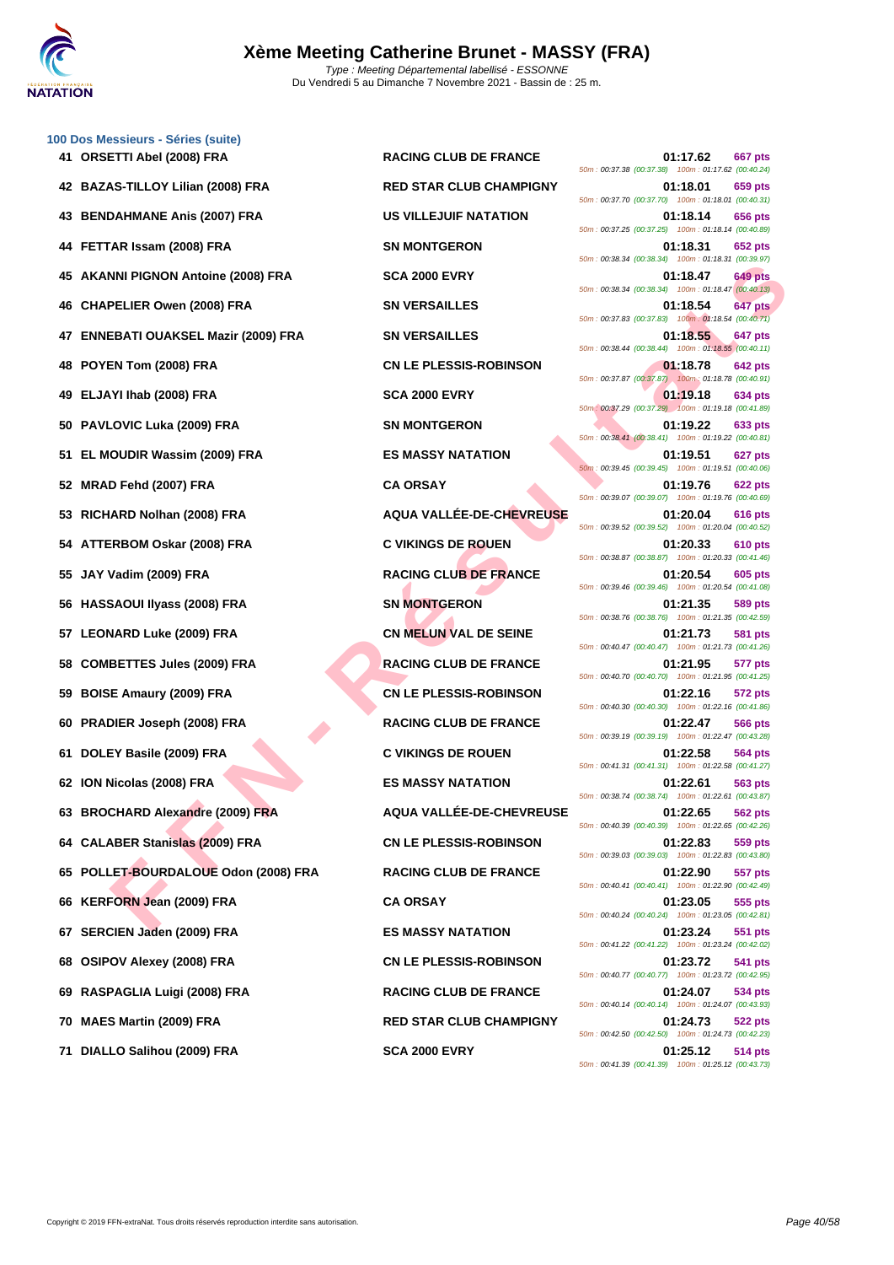

| 100 Dos Messieurs - Séries (suite)    |                                 |                                                                                    |
|---------------------------------------|---------------------------------|------------------------------------------------------------------------------------|
| 41 ORSETTI Abel (2008) FRA            | <b>RACING CLUB DE FRANCE</b>    | 01:17.62<br>667 pts<br>50m: 00:37.38 (00:37.38) 100m: 01:17.62 (00:40.24)          |
| 42 BAZAS-TILLOY Lilian (2008) FRA     | <b>RED STAR CLUB CHAMPIGNY</b>  | 01:18.01<br>659 pts<br>50m: 00:37.70 (00:37.70) 100m: 01:18.01 (00:40.31)          |
| 43 BENDAHMANE Anis (2007) FRA         | <b>US VILLEJUIF NATATION</b>    | 01:18.14<br><b>656 pts</b><br>50m: 00:37.25 (00:37.25) 100m: 01:18.14 (00:40.89)   |
| 44 FETTAR Issam (2008) FRA            | <b>SN MONTGERON</b>             | 01:18.31<br>652 pts<br>50m: 00:38.34 (00:38.34) 100m: 01:18.31 (00:39.97)          |
| 45 AKANNI PIGNON Antoine (2008) FRA   | <b>SCA 2000 EVRY</b>            | <b>649 pts</b><br>01:18.47<br>50m: 00:38.34 (00:38.34) 100m: 01:18.47 (00:40.13)   |
| 46 CHAPELIER Owen (2008) FRA          | <b>SN VERSAILLES</b>            | 01:18.54<br>647 pts<br>50m: 00:37.83 (00:37.83) 100m: 01:18.54 (00:40.71)          |
| 47 ENNEBATI OUAKSEL Mazir (2009) FRA  | <b>SN VERSAILLES</b>            | 01:18.55<br>647 pts<br>50m: 00:38.44 (00:38.44) 100m: 01:18.55 (00:40.11)          |
| 48 POYEN Tom (2008) FRA               | <b>CN LE PLESSIS-ROBINSON</b>   | 01:18.78<br>642 pts<br>50m: 00:37.87 (00:37.87)  100m: 01:18.78 (00:40.91)         |
| 49 ELJAYI Ihab (2008) FRA             | <b>SCA 2000 EVRY</b>            | 01:19.18<br>634 pts<br>50m: 00:37.29 (00:37.29) 100m: 01:19.18 (00:41.89)          |
| 50 PAVLOVIC Luka (2009) FRA           | <b>SN MONTGERON</b>             | 01:19.22<br>633 pts<br>50m: 00:38.41 (00:38.41) 100m: 01:19.22 (00:40.81)          |
| 51 EL MOUDIR Wassim (2009) FRA        | <b>ES MASSY NATATION</b>        | 01:19.51<br>627 pts<br>50m: 00:39.45 (00:39.45) 100m: 01:19.51 (00:40.06)          |
| 52 MRAD Fehd (2007) FRA               | <b>CA ORSAY</b>                 | 01:19.76<br>622 pts<br>50m: 00:39.07 (00:39.07) 100m: 01:19.76 (00:40.69)          |
| 53 RICHARD Nolhan (2008) FRA          | AQUA VALLÉE-DE-CHEVREUSE        | 01:20.04<br><b>616 pts</b><br>50m: 00:39.52 (00:39.52) 100m: 01:20.04 (00:40.52)   |
| 54 ATTERBOM Oskar (2008) FRA          | <b>C VIKINGS DE ROUEN</b>       | 01:20.33<br>610 pts<br>50m: 00:38.87 (00:38.87) 100m: 01:20.33 (00:41.46)          |
| 55 JAY Vadim (2009) FRA               | <b>RACING CLUB DE FRANCE</b>    | 01:20.54<br><b>605 pts</b><br>50m: 00:39.46 (00:39.46) 100m: 01:20.54 (00:41.08)   |
| 56 HASSAOUI Ilyass (2008) FRA         | <b>SN MONTGERON</b>             | 01:21.35<br>589 pts<br>50m: 00:38.76 (00:38.76) 100m: 01:21.35 (00:42.59)          |
| 57 LEONARD Luke (2009) FRA            | <b>CN MELUN VAL DE SEINE</b>    | <b>581 pts</b><br>01:21.73<br>50m: 00:40.47 (00:40.47) 100m: 01:21.73 (00:41.26)   |
| 58 COMBETTES Jules (2009) FRA         | <b>RACING CLUB DE FRANCE</b>    | 01:21.95<br>577 pts<br>50m: 00:40.70 (00:40.70) 100m: 01:21.95 (00:41.25)          |
| 59 BOISE Amaury (2009) FRA            | <b>CN LE PLESSIS-ROBINSON</b>   | 01:22.16<br>572 pts<br>50m : 00:40.30 (00:40.30) 100m : 01:22.16 (00:41.86)        |
| 60 PRADIER Joseph (2008) FRA          | <b>RACING CLUB DE FRANCE</b>    | 01:22.47<br><b>566 pts</b><br>50m: 00:39.19 (00:39.19) 100m: 01:22.47 (00:43.28)   |
| 61 DOLEY Basile (2009) FRA            | <b>C VIKINGS DE ROUEN</b>       | 01:22.58<br>564 pts<br>50m: 00:41.31 (00:41.31) 100m: 01:22.58 (00:41.27)          |
| 62 ION Nicolas (2008) FRA             | <b>ES MASSY NATATION</b>        | 01:22.61<br>563 pts<br>50m: 00:38.74 (00:38.74) 100m: 01:22.61 (00:43.87)          |
| 63 BROCHARD Alexandre (2009) FRA      | <b>AQUA VALLEE-DE-CHEVREUSE</b> | 01:22.65<br><b>562 pts</b><br>50m : 00:40.39 (00:40.39) 100m : 01:22.65 (00:42.26) |
| 64 CALABER Stanislas (2009) FRA       | <b>CN LE PLESSIS-ROBINSON</b>   | 01:22.83<br>559 pts<br>50m: 00:39.03 (00:39.03) 100m: 01:22.83 (00:43.80)          |
| 65 POLLET-BOURDALOUE Odon (2008) FRA  | <b>RACING CLUB DE FRANCE</b>    | 01:22.90<br>557 pts<br>50m: 00:40.41 (00:40.41) 100m: 01:22.90 (00:42.49)          |
| <b>KERFORN Jean (2009) FRA</b><br>66  | <b>CA ORSAY</b>                 | 01:23.05<br>555 pts<br>50m: 00:40.24 (00:40.24) 100m: 01:23.05 (00:42.81)          |
| 67 SERCIEN Jaden (2009) FRA           | <b>ES MASSY NATATION</b>        | 01:23.24<br>551 pts<br>50m: 00:41.22 (00:41.22) 100m: 01:23.24 (00:42.02)          |
| <b>OSIPOV Alexey (2008) FRA</b><br>68 | <b>CN LE PLESSIS-ROBINSON</b>   | 01:23.72<br>541 pts<br>50m: 00:40.77 (00:40.77) 100m: 01:23.72 (00:42.95)          |
| 69 RASPAGLIA Luigi (2008) FRA         | <b>RACING CLUB DE FRANCE</b>    | <b>534 pts</b><br>01:24.07<br>50m: 00:40.14 (00:40.14) 100m: 01:24.07 (00:43.93)   |
| 70 MAES Martin (2009) FRA             | <b>RED STAR CLUB CHAMPIGNY</b>  | 01:24.73<br>522 pts<br>50m: 00:42.50 (00:42.50) 100m: 01:24.73 (00:42.23)          |
|                                       |                                 |                                                                                    |

**F FLUER Owen (2006) FRA**<br> **FELIER Owen (2006) FRA**<br> **FELIER Owen (2006) FRA**<br> **FELIER Owen (2006) FRA**<br> **FELIER OWEN (2006) FRA**<br> **FELIER OWEN (2006) FRA**<br> **FELIER OWEN (2006) FRA**<br> **FELIER OWEN (2006) FRA**<br> **FELIER OWEN 4117.62 667 pts** 50m : 00:37.38 (00:37.38) 100m : 01:17.62 (00:40.24) **RED STAR CLUB CHAMPIGNY 01:18.01** 659 pts 50m : 00:37.70 (00:37.70) 100m : 01:18.01 (00:40.31) **43 BENDAM BENDAHMAN BENDAHMAN BENDAHMAN BENDAHMAN BENDAHMAN BENDAHMAN BENDAHMAN BENDAHMAN BENDAHMAN BENDAHMAN BENDAHMAN BENDAHMAN BENDAHMAN BENDAHMAN BENDAHMAN BENDAHMAN BENDAHMAN BENDAHMAN BENDAHMAN BENDAHMAN BENDAHMAN** 50m : 00:37.25 (00:37.25) 100m : 01:18.14 (00:40.89) **444 652 pts 652 pts 652 pts** 50m : 00:38.34 (00:38.34) 100m : 01:18.31 (00:39.97) **45 AKAN AND AND AND AND AND AND AND SCA 2000 EVRY 01:18.47 649 pts** 50m : 00:38.34 (00:38.34) 100m : 01:18.47 (00:40.13) **46 CHAPELIER Owen (2008) FRA SN VERSAILLES 01:18.54 647 pts** 50m : 00:37.83 (00:37.83) 100m : 01:18.54 (00:40.71) **47 ENREBATI OUAKSEL MAZIR (2009) FRACTION OF SN VERSAILLES** 50m : 00:38.44 (00:38.44) 100m : 01:18.55 (00:40.11) **48 CN LE PLESSIS-ROBINSON 01:18.78 642 pts** 50m : 00:37.87 (00:37.87) 100m : 01:18.78 (00:40.91) **49 <b>634 pts 49 <b>634 pts 634 pts 634 pts** 50m : 00:37.29 (00:37.29) 100m : 01:19.18 (00:41.89) **500 MONTGERON 01:19.22 633 pts** 50m : 00:38.41 (00:38.41) 100m : 01:19.22 (00:40.81) **527 pts 511 <b>ES MASSY NATATION 627 pts** 50m : 00:39.45 (00:39.45) 100m : 01:19.51 (00:40.06) 50m : 00:39.07 (00:39.07) 100m : 01:19.76 (00:40.69) **53 RICHARD Nolhan (2008) FRA AQUA VALLÉE-DE-CHEVREUSE 01:20.04 616 pts** 50m : 00:39.52 (00:39.52) 100m : 01:20.04 (00:40.52) **544 C VIKINGS DE ROUEN 01:20.33 610 pts** 50m : 00:38.87 (00:38.87) 100m : 01:20.33 (00:41.46) **55 JAY Vadim (2009) FRA RACING CLUB DE FRANCE 01:20.54 605 pts** 50m : 00:39.46 (00:39.46) 100m : 01:20.54 (00:41.08) **569 pts 569 pts** 50m : 00:38.76 (00:38.76) 100m : 01:21.35 (00:42.59) **CN MELUN VAL DE SEINE 01:21.73 581 pts** 50m : 00:40.47 (00:40.47) 100m : 01:21.73 (00:41.26) **EXACING CLUB DE FRANCE** 01:21.95 **577 pts** 50m : 00:40.70 (00:40.70) 100m : 01:21.95 (00:41.25) **59 BOISE Amaury (2009) FRA CN LE PLESSIS-ROBINSON 01:22.16 572 pts** 50m : 00:40.30 (00:40.30) 100m : 01:22.16 (00:41.86) **600 RACING CLUB DE FRANCE 01:22.47 566 pts** 50m : 00:39.19 (00:39.19) 100m : 01:22.47 (00:43.28) **61 DOLEY Basile (2009) FRA C VIKINGS DE ROUEN 01:22.58 564 pts** 50m : 00:41.31 (00:41.31) 100m : 01:22.58 (00:41.27) **62 ION Nicolas (2008) FRA ES MASSY NATATION 01:22.61 563 pts** 50m : 00:38.74 (00:38.74) 100m : 01:22.61 (00:43.87) **63 BROCHARD Alexandre (2009) FRA AQUA VALLÉE-DE-CHEVREUSE 01:22.65 562 pts** 50m : 00:40.39 (00:40.39) 100m : 01:22.65 (00:42.26) **644 CN LE PLESSIS-ROBINSON 01:22.83 559 pts** 50m : 00:39.03 (00:39.03) 100m : 01:22.83 (00:43.80) **65 POLLET-BOURDALOUE Odon (2008) FRA RACING CLUB DE FRANCE 01:22.90 557 pts** 50m : 00:40.41 (00:40.41) 100m : 01:22.90 (00:42.49) 50m : 00:40.24 (00:40.24) 100m : 01:23.05 (00:42.81) **67 SERCIEN Jaden (2009) FRA ES MASSY NATATION 01:23.24 551 pts** 50m : 00:41.22 (00:41.22) 100m : 01:23.24 (00:42.02) **688 CN LE PLESSIS-ROBINSON 01:23.72 541 pts** 50m : 00:40.77 (00:40.77) 100m : 01:23.72 (00:42.95) **69 RASPAGLIA Luigi (2008) FRA RACING CLUB DE FRANCE 01:24.07 534 pts** 50m : 00:40.14 (00:40.14) 100m : 01:24.07 (00:43.93) **RED STAR CLUB CHAMPIGNY 01:24.73 522 pts** 50m : 00:42.50 (00:42.50) 100m : 01:24.73 (00:42.23) **71 DIALLO Salihou (2009) FRA SCA 2000 EVRY 01:25.12 514 pts** 50m : 00:41.39 (00:41.39) 100m : 01:25.12 (00:43.73)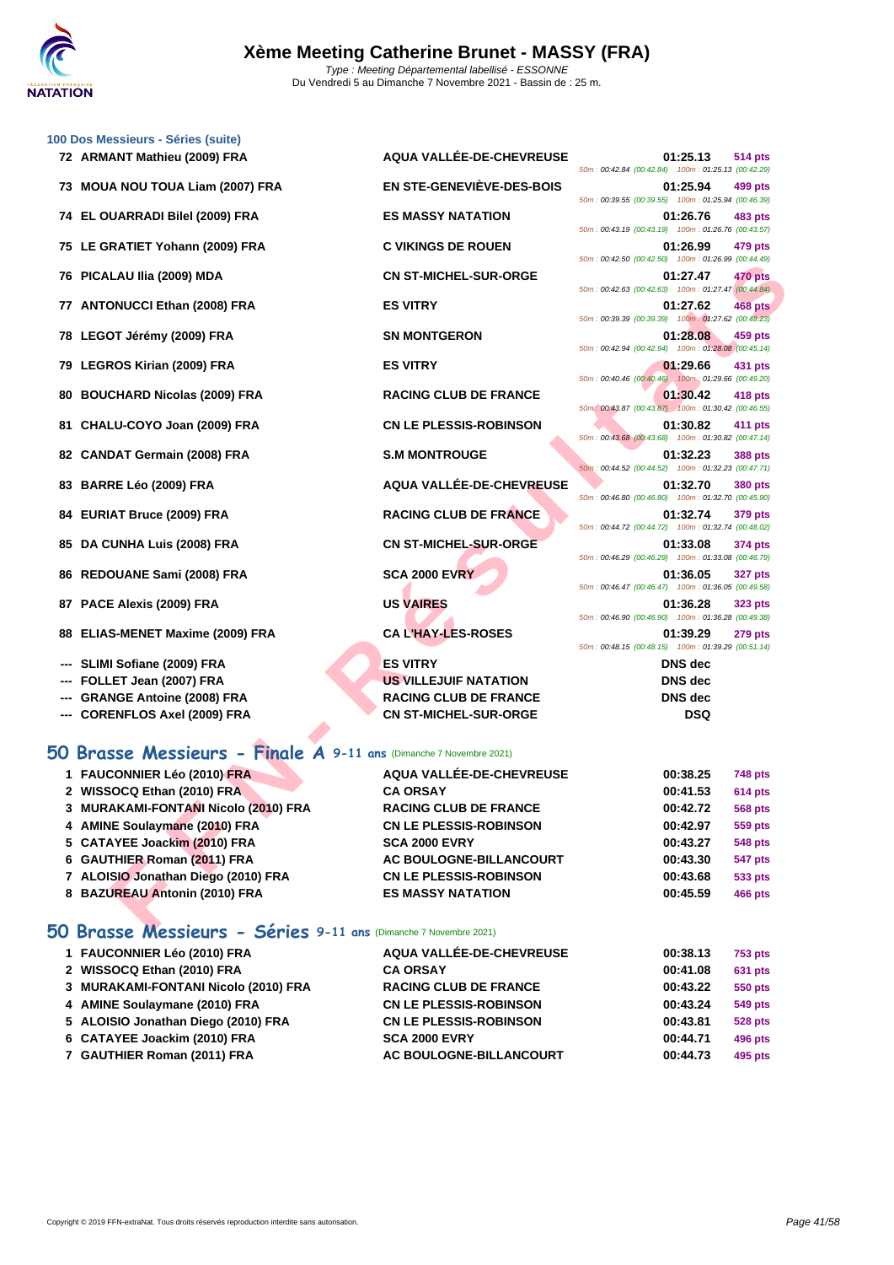

| 72 ARMANT Mathieu (2009) FRA                                       | AQUA VALLÉE-DE-CHEVREUSE      | 50m: 00:42.84 (00:42.84) 100m: 01:25.13 (00:42.29)   | 01:25.13       | 514 pts        |
|--------------------------------------------------------------------|-------------------------------|------------------------------------------------------|----------------|----------------|
| 73 MOUA NOU TOUA Liam (2007) FRA                                   | EN STE-GENEVIÈVE-DES-BOIS     | 50m: 00:39.55 (00:39.55) 100m: 01:25.94 (00:46.39)   | 01:25.94       | 499 pts        |
| 74 EL OUARRADI Bilel (2009) FRA                                    | <b>ES MASSY NATATION</b>      | 50m: 00:43.19 (00:43.19) 100m: 01:26.76 (00:43.57)   | 01:26.76       | 483 pts        |
| 75 LE GRATIET Yohann (2009) FRA                                    | <b>C VIKINGS DE ROUEN</b>     |                                                      | 01:26.99       | 479 pts        |
| 76 PICALAU IIia (2009) MDA                                         | <b>CN ST-MICHEL-SUR-ORGE</b>  | 50m: 00:42.50 (00:42.50) 100m: 01:26.99 (00:44.49)   | 01:27.47       | 470 pts        |
| 77 ANTONUCCI Ethan (2008) FRA                                      | <b>ES VITRY</b>               | 50m: 00:42.63 (00:42.63) 100m: 01:27.47 (00:44.84)   | 01:27.62       | 468 pts        |
| 78 LEGOT Jérémy (2009) FRA                                         | <b>SN MONTGERON</b>           | 50m: 00:39.39 (00:39.39) 100m: 01:27.62 (00:48.23)   | 01:28.08       | 459 pts        |
| 79 LEGROS Kirian (2009) FRA                                        | <b>ES VITRY</b>               | 50m: 00:42.94 (00:42.94) 100m: 01:28.08 (00:45.14)   | 01:29.66       | 431 pts        |
| 80 BOUCHARD Nicolas (2009) FRA                                     | <b>RACING CLUB DE FRANCE</b>  | 50m: 00:40.46 (00:40.46) 100m: 01:29.66 (00:49.20)   | 01:30.42       | 418 pts        |
| 81 CHALU-COYO Joan (2009) FRA                                      | <b>CN LE PLESSIS-ROBINSON</b> | 50m : 00:43.87 (00:43.87) 100m : 01:30.42 (00:46.55) | 01:30.82       | 411 pts        |
|                                                                    |                               | 50m: 00:43.68 (00:43.68) 100m: 01:30.82 (00:47.14)   |                |                |
| 82 CANDAT Germain (2008) FRA                                       | <b>S.M MONTROUGE</b>          | 50m: 00:44.52 (00:44.52) 100m: 01:32.23 (00:47.71)   | 01:32.23       | 388 pts        |
| 83 BARRE Léo (2009) FRA                                            | AQUA VALLÉE-DE-CHEVREUSE      | 50m : 00:46.80 (00:46.80) 100m : 01:32.70 (00:45.90) | 01:32.70       | <b>380 pts</b> |
| 84 EURIAT Bruce (2009) FRA                                         | <b>RACING CLUB DE FRANCE</b>  | 50m: 00:44.72 (00:44.72) 100m: 01:32.74 (00:48.02)   | 01:32.74       | 379 pts        |
| 85 DA CUNHA Luis (2008) FRA                                        | <b>CN ST-MICHEL-SUR-ORGE</b>  | 50m: 00:46.29 (00:46.29) 100m: 01:33.08 (00:46.79)   | 01:33.08       | 374 pts        |
| 86 REDOUANE Sami (2008) FRA                                        | <b>SCA 2000 EVRY</b>          | 50m: 00:46.47 (00:46.47) 100m: 01:36.05 (00:49.58)   | 01:36.05       | <b>327 pts</b> |
| 87 PACE Alexis (2009) FRA                                          | <b>US VAIRES</b>              | 50m: 00:46.90 (00:46.90) 100m: 01:36.28 (00:49.38)   | 01:36.28       | 323 pts        |
| 88 ELIAS-MENET Maxime (2009) FRA                                   | <b>CAL'HAY-LES-ROSES</b>      |                                                      | 01:39.29       | <b>279 pts</b> |
| SLIMI Sofiane (2009) FRA                                           | <b>ES VITRY</b>               | 50m: 00:48.15 (00:48.15) 100m: 01:39.29 (00:51.14)   | <b>DNS</b> dec |                |
| --- FOLLET Jean (2007) FRA                                         | <b>US VILLEJUIF NATATION</b>  |                                                      | <b>DNS</b> dec |                |
| <b>GRANGE Antoine (2008) FRA</b>                                   | <b>RACING CLUB DE FRANCE</b>  |                                                      | <b>DNS</b> dec |                |
| --- CORENFLOS Axel (2009) FRA                                      | <b>CN ST-MICHEL-SUR-ORGE</b>  |                                                      | <b>DSQ</b>     |                |
| 50 Brasse Messieurs - Finale A 9-11 ans (Dimanche 7 Novembre 2021) |                               |                                                      |                |                |
| 1 FAUCONNIER Léo (2010) FRA                                        | AQUA VALLÉE-DE-CHEVREUSE      |                                                      | 00:38.25       | 748 pts        |
| 2 WISSOCQ Ethan (2010) FRA                                         | <b>CA ORSAY</b>               |                                                      | 00:41.53       | <b>614 pts</b> |
| 3 MURAKAMI-FONTANI Nicolo (2010) FRA                               | <b>RACING CLUB DE FRANCE</b>  |                                                      | 00:42.72       | <b>568 pts</b> |
| 4 AMINE Soulaymane (2010) FRA                                      | <b>CN LE PLESSIS-ROBINSON</b> |                                                      | 00:42.97       | 559 pts        |
| 5 CATAYEE Joackim (2010) FRA                                       | <b>SCA 2000 EVRY</b>          |                                                      | 00:43.27       | 548 pts        |
| 6 GAUTHIER Roman (2011) FRA                                        | AC BOULOGNE-BILLANCOURT       |                                                      | 00:43.30       | 547 pts        |
| 7 ALOISIO Jonathan Diego (2010) FRA                                | <b>CN LE PLESSIS-ROBINSON</b> |                                                      | 00:43.68       | 533 pts        |
| 8 BAZUREAU Antonin (2010) FRA                                      | <b>ES MASSY NATATION</b>      |                                                      | 00:45.59       | <b>466 pts</b> |

#### **50 Brasse Messieurs - Finale A 9-11 ans** (Dimanche 7 Novembre 2021)

| 1 FAUCONNIER Léo (2010) FRA          | AQUA VALLÉE-DE-CHEVREUSE      | 00:38.25 | <b>748 pts</b> |
|--------------------------------------|-------------------------------|----------|----------------|
|                                      |                               |          |                |
| 2 WISSOCQ Ethan (2010) FRA           | <b>CA ORSAY</b>               | 00:41.53 | 614 pts        |
| 3 MURAKAMI-FONTANI Nicolo (2010) FRA | <b>RACING CLUB DE FRANCE</b>  | 00:42.72 | <b>568 pts</b> |
| 4 AMINE Soulaymane (2010) FRA        | <b>CN LE PLESSIS-ROBINSON</b> | 00:42.97 | <b>559 pts</b> |
| 5 CATAYEE Joackim (2010) FRA         | <b>SCA 2000 EVRY</b>          | 00:43.27 | <b>548 pts</b> |
| 6 GAUTHIER Roman (2011) FRA          | AC BOULOGNE-BILLANCOURT       | 00:43.30 | <b>547 pts</b> |
| 7 ALOISIO Jonathan Diego (2010) FRA  | <b>CN LE PLESSIS-ROBINSON</b> | 00:43.68 | 533 pts        |
| 8 BAZUREAU Antonin (2010) FRA        | <b>ES MASSY NATATION</b>      | 00:45.59 | <b>466 pts</b> |

#### **50 Brasse Messieurs - Séries 9-11 ans** (Dimanche 7 Novembre 2021)

| 1 FAUCONNIER Léo (2010) FRA<br>2 WISSOCQ Ethan (2010) FRA<br>3 MURAKAMI-FONTANI Nicolo (2010) FRA<br>4 AMINE Soulaymane (2010) FRA<br>5 ALOISIO Jonathan Diego (2010) FRA<br>6 CATAYEE Joackim (2010) FRA | AQUA VALLÉE-DE-CHEVREUSE<br><b>CA ORSAY</b><br><b>RACING CLUB DE FRANCE</b><br><b>CN LE PLESSIS-ROBINSON</b><br><b>CN LE PLESSIS-ROBINSON</b><br><b>SCA 2000 EVRY</b> | 00:38.13<br>00:41.08<br>00:43.22<br>00:43.24<br>00:43.81<br>00:44.71 | 753 pts<br>631 pts<br>550 pts<br>549 pts<br><b>528 pts</b><br>496 pts |
|-----------------------------------------------------------------------------------------------------------------------------------------------------------------------------------------------------------|-----------------------------------------------------------------------------------------------------------------------------------------------------------------------|----------------------------------------------------------------------|-----------------------------------------------------------------------|
| 7 GAUTHIER Roman (2011) FRA                                                                                                                                                                               | AC BOULOGNE-BILLANCOURT                                                                                                                                               | 00:44.73                                                             | 495 pts                                                               |
|                                                                                                                                                                                                           |                                                                                                                                                                       |                                                                      |                                                                       |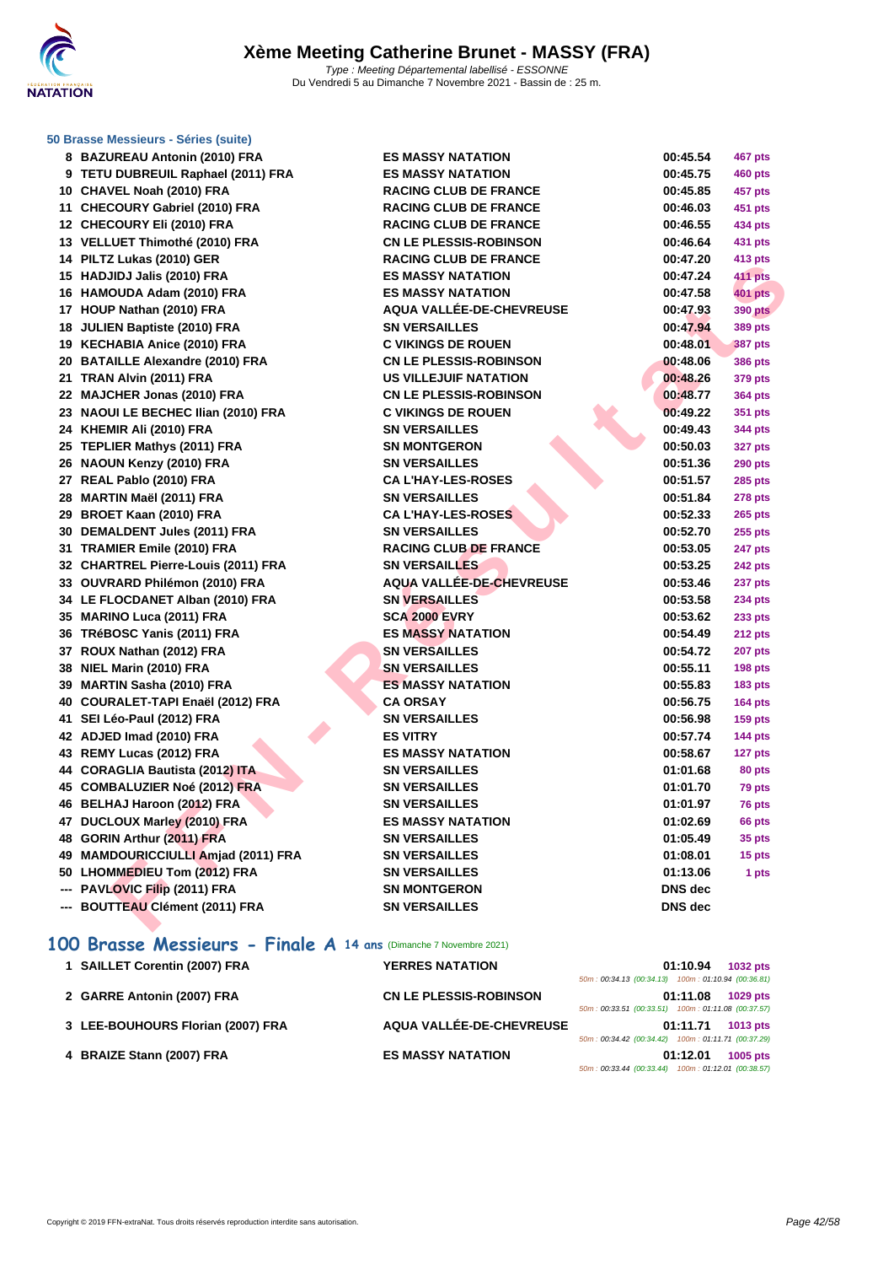

#### **[50 Brasse](http://www.ffnatation.fr/webffn/index.php) Messieurs - Séries (suite)**

| 8 BAZUREAU Antonin (2010) FRA       | <b>ES MASSY NATATION</b>        | 00:45.54       | 467 pts        |
|-------------------------------------|---------------------------------|----------------|----------------|
| 9 TETU DUBREUIL Raphael (2011) FRA  | <b>ES MASSY NATATION</b>        | 00:45.75       | <b>460 pts</b> |
| 10 CHAVEL Noah (2010) FRA           | <b>RACING CLUB DE FRANCE</b>    | 00:45.85       | 457 pts        |
| 11 CHECOURY Gabriel (2010) FRA      | <b>RACING CLUB DE FRANCE</b>    | 00:46.03       | 451 pts        |
| 12 CHECOURY Eli (2010) FRA          | <b>RACING CLUB DE FRANCE</b>    | 00:46.55       | 434 pts        |
| 13 VELLUET Thimothé (2010) FRA      | <b>CN LE PLESSIS-ROBINSON</b>   | 00:46.64       | 431 pts        |
| 14 PILTZ Lukas (2010) GER           | <b>RACING CLUB DE FRANCE</b>    | 00:47.20       | 413 pts        |
| 15 HADJIDJ Jalis (2010) FRA         | <b>ES MASSY NATATION</b>        | 00:47.24       | 411 pts        |
| 16 HAMOUDA Adam (2010) FRA          | <b>ES MASSY NATATION</b>        | 00:47.58       | <b>401 pts</b> |
| 17 HOUP Nathan (2010) FRA           | <b>AQUA VALLÉE-DE-CHEVREUSE</b> | 00:47.93       | <b>390 pts</b> |
| 18 JULIEN Baptiste (2010) FRA       | <b>SN VERSAILLES</b>            | 00:47.94       | <b>389 pts</b> |
| 19 KECHABIA Anice (2010) FRA        | <b>C VIKINGS DE ROUEN</b>       | 00:48.01       | <b>387 pts</b> |
| 20 BATAILLE Alexandre (2010) FRA    | <b>CN LE PLESSIS-ROBINSON</b>   | 00:48.06       | <b>386 pts</b> |
| 21 TRAN Alvin (2011) FRA            | <b>US VILLEJUIF NATATION</b>    | 00:48.26       | 379 pts        |
| 22 MAJCHER Jonas (2010) FRA         | <b>CN LE PLESSIS-ROBINSON</b>   | 00:48.77       | <b>364 pts</b> |
| 23 NAOUI LE BECHEC Ilian (2010) FRA | <b>C VIKINGS DE ROUEN</b>       | 00:49.22       | 351 pts        |
| 24 KHEMIR Ali (2010) FRA            | <b>SN VERSAILLES</b>            | 00:49.43       | 344 pts        |
| 25 TEPLIER Mathys (2011) FRA        | <b>SN MONTGERON</b>             | 00:50.03       | <b>327 pts</b> |
| 26 NAOUN Kenzy (2010) FRA           | <b>SN VERSAILLES</b>            | 00:51.36       | <b>290 pts</b> |
| 27 REAL Pablo (2010) FRA            | <b>CA L'HAY-LES-ROSES</b>       | 00:51.57       | <b>285 pts</b> |
| 28 MARTIN Maël (2011) FRA           | <b>SN VERSAILLES</b>            | 00:51.84       | 278 pts        |
| 29 BROET Kaan (2010) FRA            | <b>CA L'HAY-LES-ROSES</b>       | 00:52.33       | <b>265 pts</b> |
| 30 DEMALDENT Jules (2011) FRA       | <b>SN VERSAILLES</b>            | 00:52.70       | <b>255 pts</b> |
| 31 TRAMIER Emile (2010) FRA         | <b>RACING CLUB DE FRANCE</b>    | 00:53.05       | 247 pts        |
| 32 CHARTREL Pierre-Louis (2011) FRA | <b>SN VERSAILLES</b>            | 00:53.25       | <b>242 pts</b> |
| 33 OUVRARD Philémon (2010) FRA      | AQUA VALLÉE-DE-CHEVREUSE        | 00:53.46       | 237 pts        |
| 34 LE FLOCDANET Alban (2010) FRA    | <b>SN VERSAILLES</b>            | 00:53.58       | <b>234 pts</b> |
| 35 MARINO Luca (2011) FRA           | <b>SCA 2000 EVRY</b>            | 00:53.62       | 233 pts        |
| 36 TRéBOSC Yanis (2011) FRA         | <b>ES MASSY NATATION</b>        | 00:54.49       | 212 pts        |
| 37 ROUX Nathan (2012) FRA           | <b>SN VERSAILLES</b>            | 00:54.72       | <b>207 pts</b> |
| 38 NIEL Marin (2010) FRA            | <b>SN VERSAILLES</b>            | 00:55.11       | 198 pts        |
| 39 MARTIN Sasha (2010) FRA          | <b>ES MASSY NATATION</b>        | 00:55.83       | <b>183 pts</b> |
| 40 COURALET-TAPI Enaël (2012) FRA   | <b>CA ORSAY</b>                 | 00:56.75       | 164 pts        |
| 41 SEI Léo-Paul (2012) FRA          | <b>SN VERSAILLES</b>            | 00:56.98       | <b>159 pts</b> |
| 42 ADJED Imad (2010) FRA            | <b>ES VITRY</b>                 | 00:57.74       | <b>144 pts</b> |
| 43 REMY Lucas (2012) FRA            | <b>ES MASSY NATATION</b>        | 00:58.67       | 127 pts        |
| 44 CORAGLIA Bautista (2012) ITA     | <b>SN VERSAILLES</b>            | 01:01.68       | 80 pts         |
| 45 COMBALUZIER Noé (2012) FRA       | <b>SN VERSAILLES</b>            | 01:01.70       | 79 pts         |
| 46 BELHAJ Haroon (2012) FRA         | <b>SN VERSAILLES</b>            | 01:01.97       | 76 pts         |
| 47 DUCLOUX Marley (2010) FRA        | <b>ES MASSY NATATION</b>        | 01:02.69       | 66 pts         |
| 48 GORIN Arthur (2011) FRA          | <b>SN VERSAILLES</b>            | 01:05.49       | 35 pts         |
| 49 MAMDOURICCIULLI Amjad (2011) FRA | <b>SN VERSAILLES</b>            | 01:08.01       | 15 pts         |
| 50 LHOMMEDIEU Tom (2012) FRA        | <b>SN VERSAILLES</b>            | 01:13.06       | 1 pts          |
| --- PAVLOVIC Filip (2011) FRA       | <b>SN MONTGERON</b>             | <b>DNS</b> dec |                |
| --- BOUTTEAU Clément (2011) FRA     | <b>SN VERSAILLES</b>            | <b>DNS</b> dec |                |
|                                     |                                 |                |                |

#### **100 Brasse Messieurs - Finale A 14 ans** (Dimanche 7 Novembre 2021)

| 1 SAILLET Corentin (2007) FRA     | <b>YERRES NATATION</b>        |                                                    | 01:10.94 | <b>1032 pts</b> |
|-----------------------------------|-------------------------------|----------------------------------------------------|----------|-----------------|
|                                   |                               | 50m: 00:34.13 (00:34.13) 100m: 01:10.94 (00:36.81) |          |                 |
| 2 GARRE Antonin (2007) FRA        | <b>CN LE PLESSIS-ROBINSON</b> |                                                    | 01:11.08 | 1029 pts        |
|                                   |                               | 50m: 00:33.51 (00:33.51) 100m: 01:11.08 (00:37.57) |          |                 |
| 3 LEE-BOUHOURS Florian (2007) FRA | AQUA VALLÉE-DE-CHEVREUSE      |                                                    | 01:11.71 | 1013 pts        |
|                                   |                               | 50m: 00:34.42 (00:34.42) 100m: 01:11.71 (00:37.29) |          |                 |
| 4 BRAIZE Stann (2007) FRA         | <b>ES MASSY NATATION</b>      |                                                    | 01:12.01 | $1005$ pts      |
|                                   |                               | 50m: 00:33.44 (00:33.44) 100m: 01:12.01 (00:38.57) |          |                 |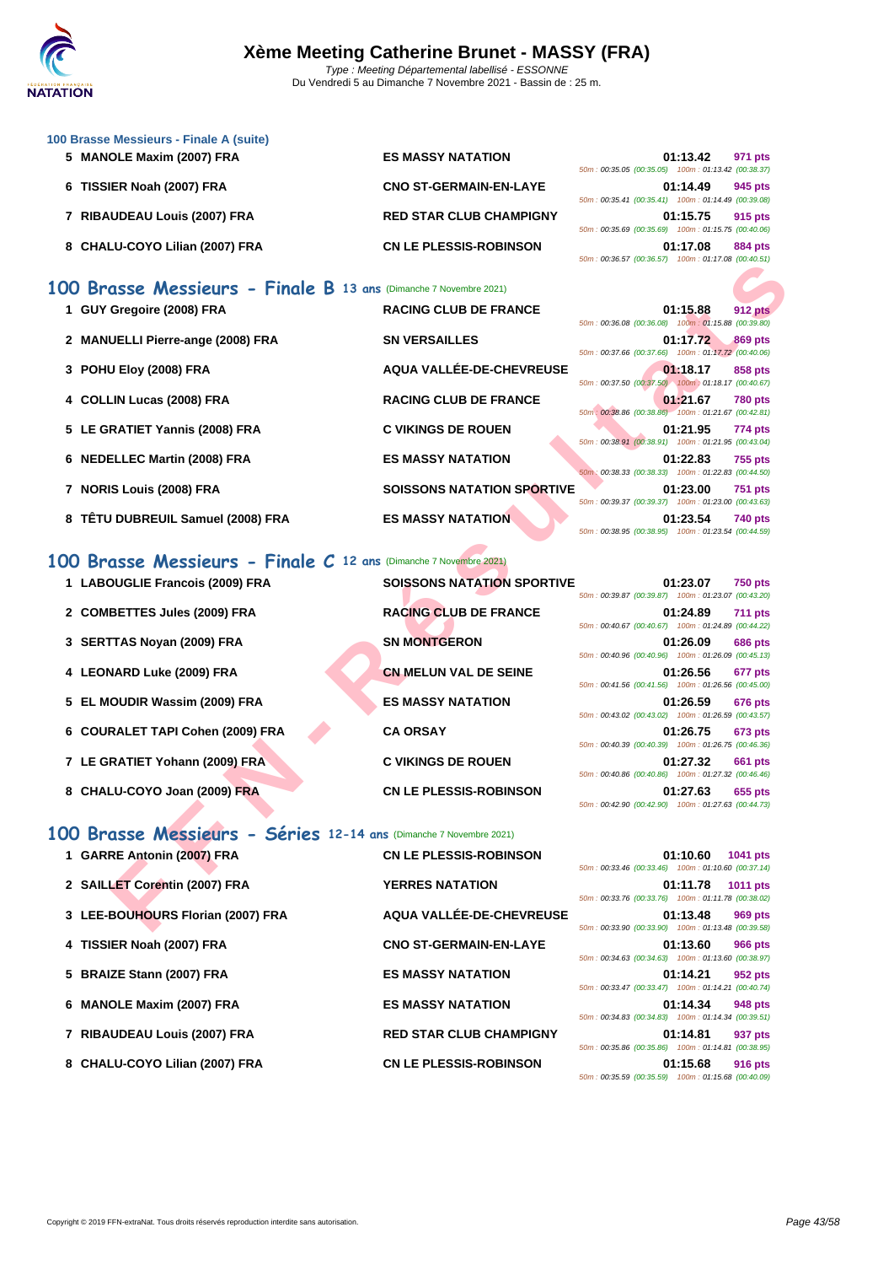

| 100 Brasse Messieurs - Finale A (suite) |                                |                                                    |         |
|-----------------------------------------|--------------------------------|----------------------------------------------------|---------|
| 5 MANOLE Maxim (2007) FRA               | <b>ES MASSY NATATION</b>       | 01:13.42                                           | 971 pts |
|                                         |                                | 50m: 00:35.05 (00:35.05) 100m: 01:13.42 (00:38.37) |         |
| 6 TISSIER Noah (2007) FRA               | <b>CNO ST-GERMAIN-EN-LAYE</b>  | 01:14.49                                           | 945 pts |
|                                         |                                | 50m: 00:35.41 (00:35.41) 100m: 01:14.49 (00:39.08) |         |
| 7 RIBAUDEAU Louis (2007) FRA            | <b>RED STAR CLUB CHAMPIGNY</b> | 01:15.75                                           | 915 pts |
|                                         |                                | 50m: 00:35.69 (00:35.69) 100m: 01:15.75 (00:40.06) |         |
| 8 CHALU-COYO Lilian (2007) FRA          | <b>CN LE PLESSIS-ROBINSON</b>  | 01:17.08                                           | 884 pts |

|  | 01:13.42 971 pts                                   |  |
|--|----------------------------------------------------|--|
|  | 50m: 00:35.05 (00:35.05) 100m: 01:13.42 (00:38.37) |  |
|  | 01:14.49 945 pts                                   |  |
|  | 50m: 00:35.41 (00:35.41) 100m: 01:14.49 (00:39.08) |  |
|  | 01:15.75 915 pts                                   |  |
|  |                                                    |  |
|  | 50m: 00:35.69 (00:35.69) 100m: 01:15.75 (00:40.06) |  |
|  | 01:17.08 884 pts                                   |  |
|  | 50m: 00:36.57 (00:36.57) 100m: 01:17.08 (00:40.51) |  |

## **100 Brasse Messieurs - Finale B 13 ans** (Dimanche 7 Novembre 2021)

| 1 GUY Gregoire (2008) FRA         | <b>RACING CLUB DE FRANCE</b>      | 01:15.88<br><b>912 pts</b><br>50m: 00:36.08 (00:36.08) 100m: 01:15.88 (00:39.80) |
|-----------------------------------|-----------------------------------|----------------------------------------------------------------------------------|
| 2 MANUELLI Pierre-ange (2008) FRA | <b>SN VERSAILLES</b>              | 01:17.72<br>869 pts<br>50m: 00:37.66 (00:37.66) 100m: 01:17.72 (00:40.06)        |
| 3 POHU Eloy (2008) FRA            | AQUA VALLÉE-DE-CHEVREUSE          | 01:18.17<br>858 pts<br>50m: 00:37.50 (00:37.50) 100m: 01:18.17 (00:40.67)        |
| 4 COLLIN Lucas (2008) FRA         | <b>RACING CLUB DE FRANCE</b>      | 01:21.67<br><b>780 pts</b><br>50m: 00:38.86 (00:38.86) 100m: 01:21.67 (00:42.81) |
| 5 LE GRATIET Yannis (2008) FRA    | <b>C VIKINGS DE ROUEN</b>         | 01:21.95<br><b>774 pts</b><br>50m: 00:38.91 (00:38.91) 100m: 01:21.95 (00:43.04) |
| 6 NEDELLEC Martin (2008) FRA      | <b>ES MASSY NATATION</b>          | 01:22.83<br><b>755 pts</b><br>50m: 00:38.33 (00:38.33) 100m: 01:22.83 (00:44.50) |
| 7 NORIS Louis (2008) FRA          | <b>SOISSONS NATATION SPORTIVE</b> | 01:23.00<br><b>751 pts</b><br>50m: 00:39.37 (00:39.37) 100m: 01:23.00 (00:43.63) |
| 8 TÊTU DUBREUIL Samuel (2008) FRA | <b>ES MASSY NATATION</b>          | 01:23.54<br><b>740 pts</b><br>50m: 00:38.95 (00:38.95) 100m: 01:23.54 (00:44.59) |

|  |  |  |  |  |  |  | 100 Brasse Messieurs - Finale C 12 ans (Dimanche 7 Novembre 2021) |  |
|--|--|--|--|--|--|--|-------------------------------------------------------------------|--|
|--|--|--|--|--|--|--|-------------------------------------------------------------------|--|

|                                                                     |                                   | <u>JUINT. 00.JU.JT (00.JU.JT) TUUMT. 01.11.00 (00.40.JT)</u>                                                                    |
|---------------------------------------------------------------------|-----------------------------------|---------------------------------------------------------------------------------------------------------------------------------|
| 00 Brasse Messieurs - Finale B 13 ans (Dimanche 7 Novembre 2021)    |                                   |                                                                                                                                 |
| 1 GUY Gregoire (2008) FRA                                           | <b>RACING CLUB DE FRANCE</b>      | 01:15.88<br><b>912 pts</b><br>50m: 00:36.08 (00:36.08) 100m: 01:15.88 (00:39.80)                                                |
| 2 MANUELLI Pierre-ange (2008) FRA                                   | <b>SN VERSAILLES</b>              | 01:17.72<br>869 pts<br>50m: 00:37.66 (00:37.66) 100m: 01:17.72 (00:40.06)                                                       |
| 3 POHU Eloy (2008) FRA                                              | AQUA VALLÉE-DE-CHEVREUSE          | 01:18.17<br>858 pts<br>50m: 00:37.50 (00:37.50) 100m: 01:18.17 (00:40.67)                                                       |
| 4 COLLIN Lucas (2008) FRA                                           | <b>RACING CLUB DE FRANCE</b>      | 01:21.67<br><b>780 pts</b><br>50m: 00:38.86 (00:38.86) 100m: 01:21.67 (00:42.81)                                                |
| 5 LE GRATIET Yannis (2008) FRA                                      | <b>C VIKINGS DE ROUEN</b>         | 01:21.95<br>774 pts<br>50m: 00:38.91 (00:38.91) 100m: 01:21.95 (00:43.04)                                                       |
| 6 NEDELLEC Martin (2008) FRA                                        | <b>ES MASSY NATATION</b>          | 01:22.83<br><b>755 pts</b><br>50m: 00:38.33 (00:38.33) 100m: 01:22.83 (00:44.50)                                                |
| 7 NORIS Louis (2008) FRA                                            | <b>SOISSONS NATATION SPORTIVE</b> | 01:23.00<br><b>751 pts</b><br>50m: 00:39.37 (00:39.37) 100m: 01:23.00 (00:43.63)                                                |
| 8 TÊTU DUBREUIL Samuel (2008) FRA                                   | <b>ES MASSY NATATION</b>          | 01:23.54<br>740 pts<br>50m: 00:38.95 (00:38.95) 100m: 01:23.54 (00:44.59)                                                       |
| $200$ Brasse Messieurs - Finale C 12 ans (Dimanche 7 Novembre 2021) |                                   |                                                                                                                                 |
| 1 LABOUGLIE Francois (2009) FRA                                     | <b>SOISSONS NATATION SPORTIVE</b> | 01:23.07<br><b>750 pts</b><br>50m: 00:39.87 (00:39.87) 100m: 01:23.07 (00:43.20)                                                |
| 2 COMBETTES Jules (2009) FRA                                        | <b>RACING CLUB DE FRANCE</b>      | 01:24.89<br><b>711 pts</b><br>50m: 00:40.67 (00:40.67) 100m: 01:24.89 (00:44.22)                                                |
| 3 SERTTAS Noyan (2009) FRA                                          | <b>SN MONTGERON</b>               | 01:26.09<br><b>686 pts</b><br>50m: 00:40.96 (00:40.96) 100m: 01:26.09 (00:45.13)                                                |
| 4 LEONARD Luke (2009) FRA                                           | <b>CN MELUN VAL DE SEINE</b>      | 01:26.56<br>677 pts<br>50m: 00:41.56 (00:41.56) 100m: 01:26.56 (00:45.00)                                                       |
| 5 EL MOUDIR Wassim (2009) FRA                                       | <b>ES MASSY NATATION</b>          | 01:26.59<br><b>676 pts</b><br>50m : 00:43.02 (00:43.02) 100m : 01:26.59 (00:43.57)                                              |
| 6 COURALET TAPI Cohen (2009) FRA                                    | <b>CA ORSAY</b>                   | 01:26.75<br>673 pts<br>50m: 00:40.39 (00:40.39) 100m: 01:26.75 (00:46.36)                                                       |
| 7 LE GRATIET Yohann (2009) FRA                                      | <b>C VIKINGS DE ROUEN</b>         | 01:27.32<br>661 pts                                                                                                             |
| 8 CHALU-COYO Joan (2009) FRA                                        | <b>CN LE PLESSIS-ROBINSON</b>     | 50m: 00:40.86 (00:40.86) 100m: 01:27.32 (00:46.46)<br>01:27.63<br>655 pts<br>50m: 00:42.90 (00:42.90) 100m: 01:27.63 (00:44.73) |
| 00 Brasse Messieurs - Séries 12-14 ans (Dimanche 7 Novembre 2021)   |                                   |                                                                                                                                 |
| 1 GARRE Antonin (2007) FRA                                          | <b>CN LE PLESSIS-ROBINSON</b>     | 01:10.60<br>1041 pts<br>50m: 00:33.46 (00:33.46) 100m: 01:10.60 (00:37.14)                                                      |
| 2 SAILLET Corentin (2007) FRA                                       | <b>YERRES NATATION</b>            | 01:11.78<br>1011 pts<br>50m: 00:33.76 (00:33.76) 100m: 01:11.78 (00:38.02)                                                      |
| 3 LEE-BOUHOURS Florian (2007) FRA                                   | AQUA VALLÉE-DE-CHEVREUSE          | 01:13.48<br>969 pts<br>50m: 00:33.90 (00:33.90) 100m: 01:13.48 (00:39.58)                                                       |

#### **100 Brasse Messieurs - Séries 12-14 ans** (Dimanche 7 Novembre 2021)

| 1 GARRE Antonin (2007) FRA        | <b>CN LE PLESSIS-ROBINSON</b>  | 50m: 00:33.46 (00:33.46) 100m: 01:10.60 (00:37.14) | 01:10.60 | 1041 pts       |
|-----------------------------------|--------------------------------|----------------------------------------------------|----------|----------------|
| 2 SAILLET Corentin (2007) FRA     | <b>YERRES NATATION</b>         | 50m: 00:33.76 (00:33.76) 100m: 01:11.78 (00:38.02) | 01:11.78 | 1011 pts       |
| 3 LEE-BOUHOURS Florian (2007) FRA | AQUA VALLÉE-DE-CHEVREUSE       | 50m: 00:33.90 (00:33.90) 100m: 01:13.48 (00:39.58) | 01:13.48 | 969 pts        |
| 4 TISSIER Noah (2007) FRA         | <b>CNO ST-GERMAIN-EN-LAYE</b>  | 50m: 00:34.63 (00:34.63) 100m: 01:13.60 (00:38.97) | 01:13.60 | <b>966 pts</b> |
| 5 BRAIZE Stann (2007) FRA         | <b>ES MASSY NATATION</b>       | 50m: 00:33.47 (00:33.47) 100m: 01:14.21 (00:40.74) | 01:14.21 | 952 pts        |
| 6 MANOLE Maxim (2007) FRA         | <b>ES MASSY NATATION</b>       | 50m: 00:34.83 (00:34.83) 100m: 01:14.34 (00:39.51) | 01:14.34 | 948 pts        |
| 7 RIBAUDEAU Louis (2007) FRA      | <b>RED STAR CLUB CHAMPIGNY</b> | 50m: 00:35.86 (00:35.86) 100m: 01:14.81 (00:38.95) | 01:14.81 | 937 pts        |
| 8 CHALU-COYO Lilian (2007) FRA    | <b>CN LE PLESSIS-ROBINSON</b>  |                                                    | 01:15.68 | <b>916 pts</b> |

50m : 00:35.59 (00:35.59) 100m : 01:15.68 (00:40.09)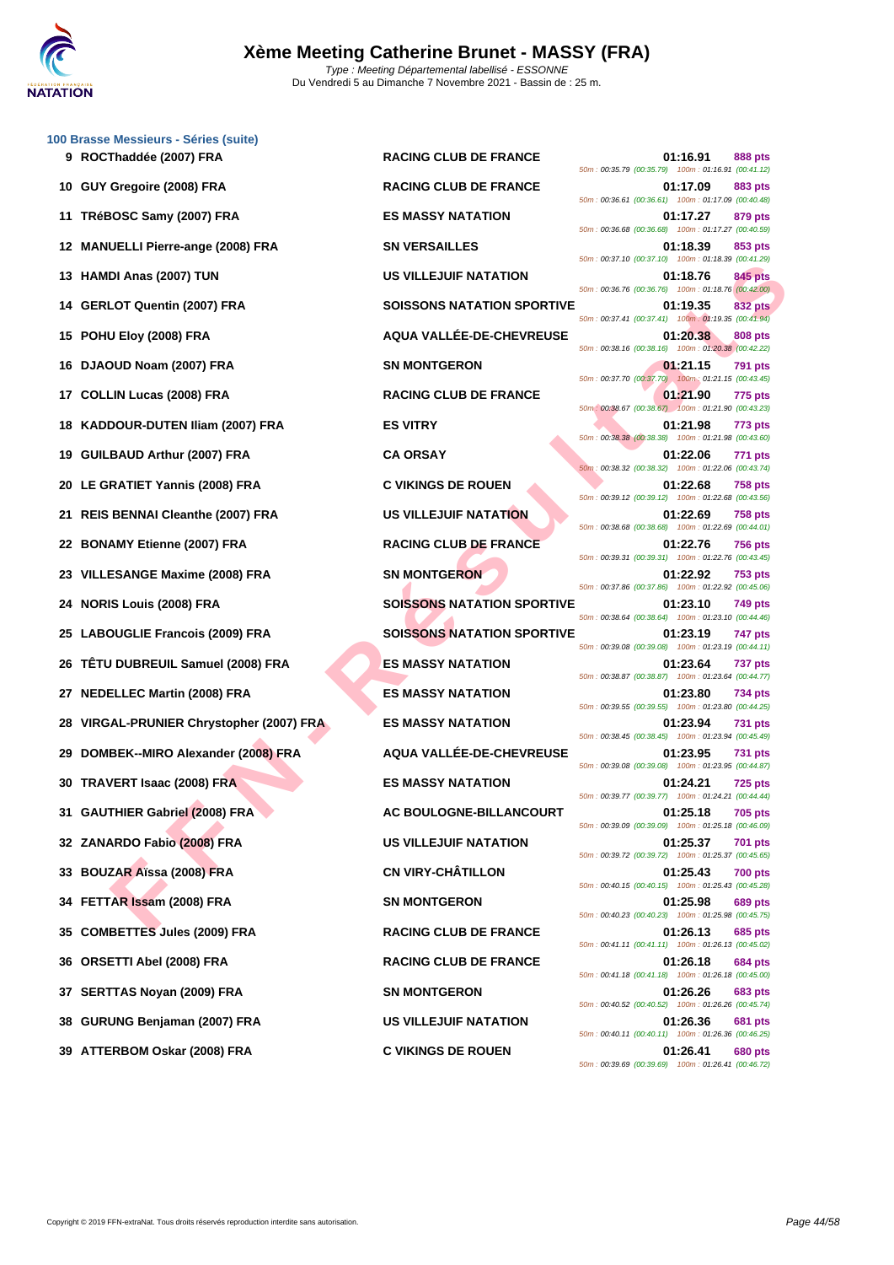

|     | 100 Brasse Messieurs - Séries (suite)<br>9 ROCThaddée (2007) FRA | <b>RACING CLUB DE FRANCE</b>      | 01:16.91<br>888 pts<br>50m: 00:35.79 (00:35.79) 100m: 01:16.91 (00:41.12)        |
|-----|------------------------------------------------------------------|-----------------------------------|----------------------------------------------------------------------------------|
|     | 10 GUY Gregoire (2008) FRA                                       | <b>RACING CLUB DE FRANCE</b>      | 01:17.09<br>883 pts<br>50m: 00:36.61 (00:36.61) 100m: 01:17.09 (00:40.48)        |
| 11  | TRéBOSC Samy (2007) FRA                                          | <b>ES MASSY NATATION</b>          | 01:17.27<br>879 pts<br>50m: 00:36.68 (00:36.68) 100m: 01:17.27 (00:40.59)        |
|     | 12 MANUELLI Pierre-ange (2008) FRA                               | <b>SN VERSAILLES</b>              | 01:18.39<br>853 pts<br>50m: 00:37.10 (00:37.10) 100m: 01:18.39 (00:41.29)        |
|     | 13 HAMDI Anas (2007) TUN                                         | <b>US VILLEJUIF NATATION</b>      | 01:18.76<br>845 pts<br>50m: 00:36.76 (00:36.76) 100m: 01:18.76 (00:42.00)        |
|     | 14 GERLOT Quentin (2007) FRA                                     | <b>SOISSONS NATATION SPORTIVE</b> | 01:19.35<br>832 pts<br>50m: 00:37.41 (00:37.41) 100m: 01:19.35 (00:41.94)        |
|     | 15 POHU Eloy (2008) FRA                                          | AQUA VALLÉE-DE-CHEVREUSE          | 01:20.38<br>808 pts<br>50m: 00:38.16 (00:38.16) 100m: 01:20.38 (00:42.22)        |
|     | 16 DJAOUD Noam (2007) FRA                                        | <b>SN MONTGERON</b>               | 01:21.15<br><b>791 pts</b><br>50m: 00:37.70 (00:37.70) 100m: 01:21.15 (00:43.45) |
| 17  | <b>COLLIN Lucas (2008) FRA</b>                                   | <b>RACING CLUB DE FRANCE</b>      | 01:21.90<br>775 pts<br>50m: 00:38.67 (00:38.67) 100m: 01:21.90 (00:43.23)        |
|     | 18 KADDOUR-DUTEN Iliam (2007) FRA                                | <b>ES VITRY</b>                   | 01:21.98<br>773 pts<br>50m: 00:38.38 (00:38.38) 100m: 01:21.98 (00:43.60)        |
|     | 19 GUILBAUD Arthur (2007) FRA                                    | <b>CA ORSAY</b>                   | 01:22.06<br>771 pts<br>50m: 00:38.32 (00:38.32) 100m: 01:22.06 (00:43.74)        |
|     | 20 LE GRATIET Yannis (2008) FRA                                  | <b>C VIKINGS DE ROUEN</b>         | 01:22.68<br><b>758 pts</b><br>50m: 00:39.12 (00:39.12) 100m: 01:22.68 (00:43.56) |
|     | 21 REIS BENNAI Cleanthe (2007) FRA                               | <b>US VILLEJUIF NATATION</b>      | 01:22.69<br><b>758 pts</b><br>50m: 00:38.68 (00:38.68) 100m: 01:22.69 (00:44.01) |
|     | 22 BONAMY Etienne (2007) FRA                                     | <b>RACING CLUB DE FRANCE</b>      | 01:22.76<br><b>756 pts</b><br>50m: 00:39.31 (00:39.31) 100m: 01:22.76 (00:43.45) |
|     | VILLESANGE Maxime (2008) FRA                                     | <b>SN MONTGERON</b>               | 01:22.92<br><b>753 pts</b><br>50m: 00:37.86 (00:37.86) 100m: 01:22.92 (00:45.06) |
| 24  | <b>NORIS Louis (2008) FRA</b>                                    | <b>SOISSONS NATATION SPORTIVE</b> | 01:23.10<br>749 pts<br>50m: 00:38.64 (00:38.64) 100m: 01:23.10 (00:44.46)        |
| 25  | <b>LABOUGLIE Francois (2009) FRA</b>                             | <b>SOISSONS NATATION SPORTIVE</b> | 01:23.19<br>747 pts<br>50m: 00:39.08 (00:39.08) 100m: 01:23.19 (00:44.11)        |
| 26  | TÊTU DUBREUIL Samuel (2008) FRA                                  | <b>ES MASSY NATATION</b>          | 01:23.64<br>737 pts<br>50m: 00:38.87 (00:38.87) 100m: 01:23.64 (00:44.77)        |
| 27  | <b>NEDELLEC Martin (2008) FRA</b>                                | <b>ES MASSY NATATION</b>          | 01:23.80<br>734 pts<br>50m: 00:39.55 (00:39.55) 100m: 01:23.80 (00:44.25)        |
| 28  | VIRGAL-PRUNIER Chrystopher (2007) FRA                            | <b>ES MASSY NATATION</b>          | 01:23.94<br><b>731 pts</b><br>50m: 00:38.45 (00:38.45) 100m: 01:23.94 (00:45.49) |
| 29  | DOMBEK--MIRO Alexander (2008) FRA                                | AQUA VALLÉE-DE-CHEVREUSE          | 01:23.95<br><b>731 pts</b><br>50m: 00:39.08 (00:39.08) 100m: 01:23.95 (00:44.87) |
|     | 30 TRAVERT Isaac (2008) FRA                                      | <b>ES MASSY NATATION</b>          | 01:24.21<br><b>725 pts</b><br>50m: 00:39.77 (00:39.77) 100m: 01:24.21 (00:44.44) |
|     | 31 GAUTHIER Gabriel (2008) FRA                                   | AC BOULOGNE-BILLANCOURT           | 01:25.18<br><b>705 pts</b><br>50m: 00:39.09 (00:39.09) 100m: 01:25.18 (00:46.09) |
|     | 32 ZANARDO Fabio (2008) FRA                                      | <b>US VILLEJUIF NATATION</b>      | 01:25.37<br><b>701 pts</b><br>50m: 00:39.72 (00:39.72) 100m: 01:25.37 (00:45.65) |
|     | 33 BOUZAR Aïssa (2008) FRA                                       | <b>CN VIRY-CHÂTILLON</b>          | 01:25.43<br><b>700 pts</b><br>50m: 00:40.15 (00:40.15) 100m: 01:25.43 (00:45.28) |
|     | 34 FETTAR Issam (2008) FRA                                       | <b>SN MONTGERON</b>               | 01:25.98<br>689 pts<br>50m: 00:40.23 (00:40.23) 100m: 01:25.98 (00:45.75)        |
|     | 35 COMBETTES Jules (2009) FRA                                    | <b>RACING CLUB DE FRANCE</b>      | 01:26.13<br>685 pts<br>50m: 00:41.11 (00:41.11) 100m: 01:26.13 (00:45.02)        |
|     | 36 ORSETTI Abel (2008) FRA                                       | <b>RACING CLUB DE FRANCE</b>      | 01:26.18<br><b>684 pts</b><br>50m: 00:41.18 (00:41.18) 100m: 01:26.18 (00:45.00) |
| 37  | <b>SERTTAS Noyan (2009) FRA</b>                                  | <b>SN MONTGERON</b>               | 01:26.26<br>683 pts<br>50m: 00:40.52 (00:40.52) 100m: 01:26.26 (00:45.74)        |
| 38. | GURUNG Benjaman (2007) FRA                                       | US VILLEJUIF NATATION             | 01:26.36<br>681 pts<br>50m: 00:40.11 (00:40.11) 100m: 01:26.36 (00:46.25)        |
|     | 39 ATTERBOM Oskar (2008) FRA                                     | <b>C VIKINGS DE ROUEN</b>         | 01:26.41<br><b>680 pts</b><br>50m: 00:39.69 (00:39.69) 100m: 01:26.41 (00:46.72) |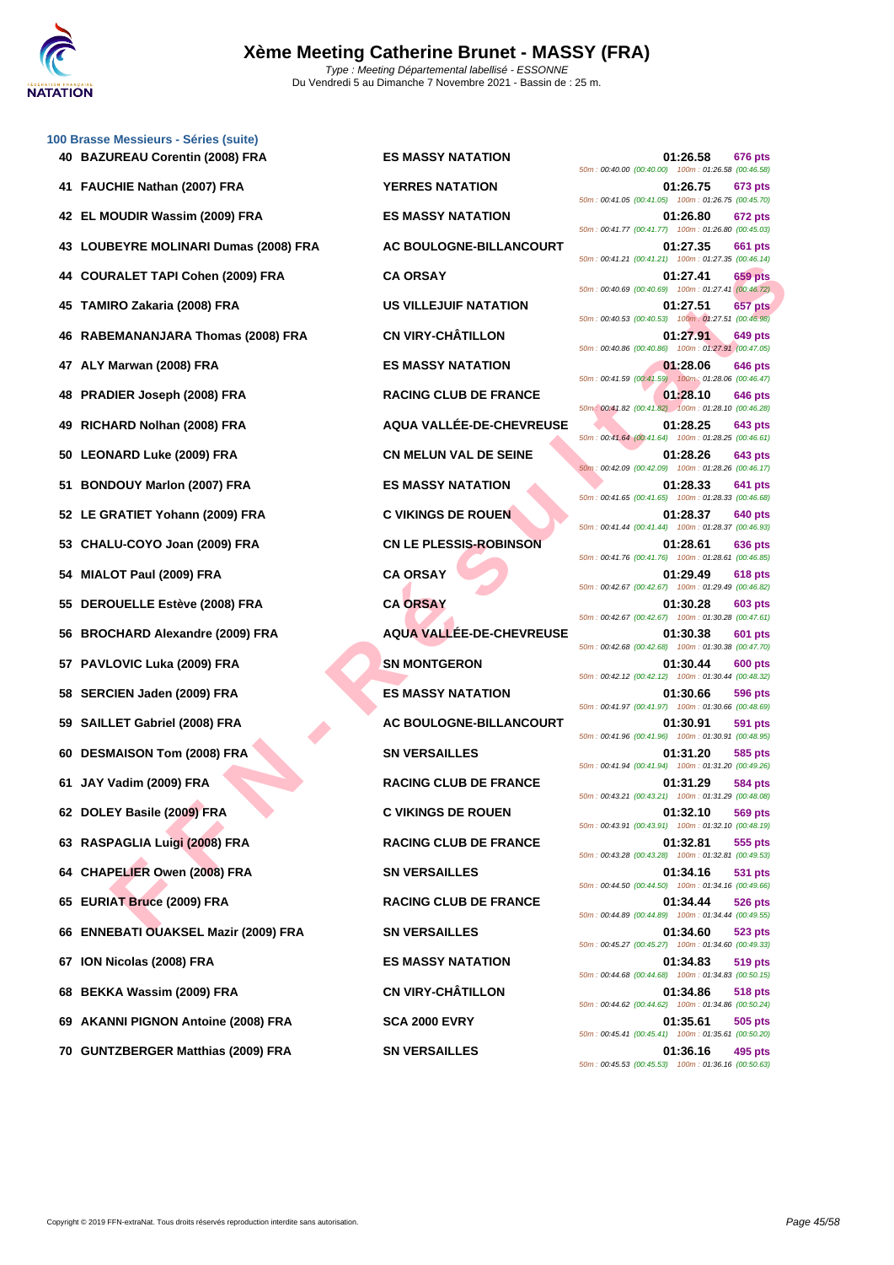

|    | 100 Brasse Messieurs - Séries (suite)    |                               |                                                                                  |
|----|------------------------------------------|-------------------------------|----------------------------------------------------------------------------------|
|    | 40 BAZUREAU Corentin (2008) FRA          | <b>ES MASSY NATATION</b>      | 01:26.58<br>676 pts<br>50m: 00:40.00 (00:40.00) 100m: 01:26.58 (00:46.58)        |
| 41 | <b>FAUCHIE Nathan (2007) FRA</b>         | <b>YERRES NATATION</b>        | 01:26.75<br>673 pts<br>50m: 00:41.05 (00:41.05) 100m: 01:26.75 (00:45.70)        |
| 42 | EL MOUDIR Wassim (2009) FRA              | <b>ES MASSY NATATION</b>      | 01:26.80<br><b>672 pts</b><br>50m: 00:41.77 (00:41.77) 100m: 01:26.80 (00:45.03) |
| 43 | LOUBEYRE MOLINARI Dumas (2008) FRA       | AC BOULOGNE-BILLANCOURT       | 01:27.35<br>661 pts<br>50m: 00:41.21 (00:41.21) 100m: 01:27.35 (00:46.14)        |
| 44 | <b>COURALET TAPI Cohen (2009) FRA</b>    | <b>CA ORSAY</b>               | 01:27.41<br><b>659 pts</b><br>50m: 00:40.69 (00:40.69) 100m: 01:27.41 (00:46.72) |
| 45 | TAMIRO Zakaria (2008) FRA                | <b>US VILLEJUIF NATATION</b>  | 01:27.51<br>657 pts<br>50m: 00:40.53 (00:40.53) 100m: 01:27.51 (00:46.98)        |
| 46 | <b>RABEMANANJARA Thomas (2008) FRA</b>   | <b>CN VIRY-CHÂTILLON</b>      | 01:27.91<br>649 pts<br>50m: 00:40.86 (00:40.86) 100m: 01:27.91 (00:47.05)        |
| 47 | ALY Marwan (2008) FRA                    | <b>ES MASSY NATATION</b>      | 01:28.06<br>646 pts<br>50m: 00:41.59 (00:41.59) 100m: 01:28.06 (00:46.47)        |
| 48 | <b>PRADIER Joseph (2008) FRA</b>         | <b>RACING CLUB DE FRANCE</b>  | 01:28.10<br>646 pts<br>50m: 00:41.82 (00:41.82) 100m: 01:28.10 (00:46.28)        |
| 49 | RICHARD Nolhan (2008) FRA                | AQUA VALLÉE-DE-CHEVREUSE      | 01:28.25<br>643 pts<br>50m: 00:41.64 (00:41.64) 100m: 01:28.25 (00:46.61)        |
| 50 | <b>LEONARD Luke (2009) FRA</b>           | <b>CN MELUN VAL DE SEINE</b>  | 01:28.26<br>643 pts<br>50m: 00:42.09 (00:42.09) 100m: 01:28.26 (00:46.17)        |
| 51 | <b>BONDOUY Marlon (2007) FRA</b>         | <b>ES MASSY NATATION</b>      | 01:28.33<br>641 pts<br>50m: 00:41.65 (00:41.65) 100m: 01:28.33 (00:46.68)        |
|    | 52 LE GRATIET Yohann (2009) FRA          | <b>C VIKINGS DE ROUEN</b>     | 01:28.37<br><b>640 pts</b><br>50m: 00:41.44 (00:41.44) 100m: 01:28.37 (00:46.93) |
| 53 | CHALU-COYO Joan (2009) FRA               | <b>CN LE PLESSIS-ROBINSON</b> | 01:28.61<br>636 pts<br>50m: 00:41.76 (00:41.76) 100m: 01:28.61 (00:46.85)        |
|    | MIALOT Paul (2009) FRA                   | <b>CA ORSAY</b>               | 01:29.49<br>618 pts<br>50m: 00:42.67 (00:42.67) 100m: 01:29.49 (00:46.82)        |
| 55 | <b>DEROUELLE Estève (2008) FRA</b>       | <b>CA ORSAY</b>               | 01:30.28<br>603 pts<br>50m: 00:42.67 (00:42.67) 100m: 01:30.28 (00:47.61)        |
| 56 | <b>BROCHARD Alexandre (2009) FRA</b>     | AQUA VALLÉE-DE-CHEVREUSE      | 01:30.38<br>601 pts<br>50m: 00:42.68 (00:42.68) 100m: 01:30.38 (00:47.70)        |
|    | <b>PAVLOVIC Luka (2009) FRA</b>          | <b>SN MONTGERON</b>           | 01:30.44<br>600 pts<br>50m: 00:42.12 (00:42.12) 100m: 01:30.44 (00:48.32)        |
| 58 | <b>SERCIEN Jaden (2009) FRA</b>          | <b>ES MASSY NATATION</b>      | 01:30.66<br>596 pts<br>50m: 00:41.97 (00:41.97) 100m: 01:30.66 (00:48.69)        |
| 59 | SAILLET Gabriel (2008) FRA               | AC BOULOGNE-BILLANCOURT       | 01:30.91<br>591 pts<br>50m: 00:41.96 (00:41.96) 100m: 01:30.91 (00:48.95)        |
| 60 | <b>DESMAISON Tom (2008) FRA</b>          | <b>SN VERSAILLES</b>          | 01:31.20<br>585 pts<br>50m: 00:41.94 (00:41.94) 100m: 01:31.20 (00:49.26)        |
|    | 61 JAY Vadim (2009) FRA                  | <b>RACING CLUB DE FRANCE</b>  | 01:31.29<br>584 pts<br>50m: 00:43.21 (00:43.21) 100m: 01:31.29 (00:48.08)        |
|    | 62 DOLEY Basile (2009) FRA               | <b>C VIKINGS DE ROUEN</b>     | 01:32.10<br>569 pts<br>50m: 00:43.91 (00:43.91) 100m: 01:32.10 (00:48.19)        |
|    | 63 RASPAGLIA Luigi (2008) FRA            | <b>RACING CLUB DE FRANCE</b>  | 01:32.81<br>555 pts<br>50m: 00:43.28 (00:43.28) 100m: 01:32.81 (00:49.53)        |
|    | 64 CHAPELIER Owen (2008) FRA             | <b>SN VERSAILLES</b>          | 01:34.16<br>531 pts<br>50m: 00:44.50 (00:44.50) 100m: 01:34.16 (00:49.66)        |
| 65 | <b>EURIAT Bruce (2009) FRA</b>           | <b>RACING CLUB DE FRANCE</b>  | 01:34.44<br>526 pts<br>50m: 00:44.89 (00:44.89) 100m: 01:34.44 (00:49.55)        |
| 66 | <b>ENNEBATI OUAKSEL Mazir (2009) FRA</b> | <b>SN VERSAILLES</b>          | 01:34.60<br>523 pts<br>50m: 00:45.27 (00:45.27) 100m: 01:34.60 (00:49.33)        |
| 67 | ION Nicolas (2008) FRA                   | <b>ES MASSY NATATION</b>      | 01:34.83<br>519 pts<br>50m: 00:44.68 (00:44.68) 100m: 01:34.83 (00:50.15)        |
| 68 | BEKKA Wassim (2009) FRA                  | <b>CN VIRY-CHÂTILLON</b>      | 01:34.86<br>518 pts<br>50m: 00:44.62 (00:44.62) 100m: 01:34.86 (00:50.24)        |
| 69 | AKANNI PIGNON Antoine (2008) FRA         | <b>SCA 2000 EVRY</b>          | 01:35.61<br>505 pts<br>50m: 00:45.41 (00:45.41) 100m: 01:35.61 (00:50.20)        |
|    | 70 GUNTZBERGER Matthias (2009) FRA       | <b>SN VERSAILLES</b>          | 01:36.16<br>495 pts                                                              |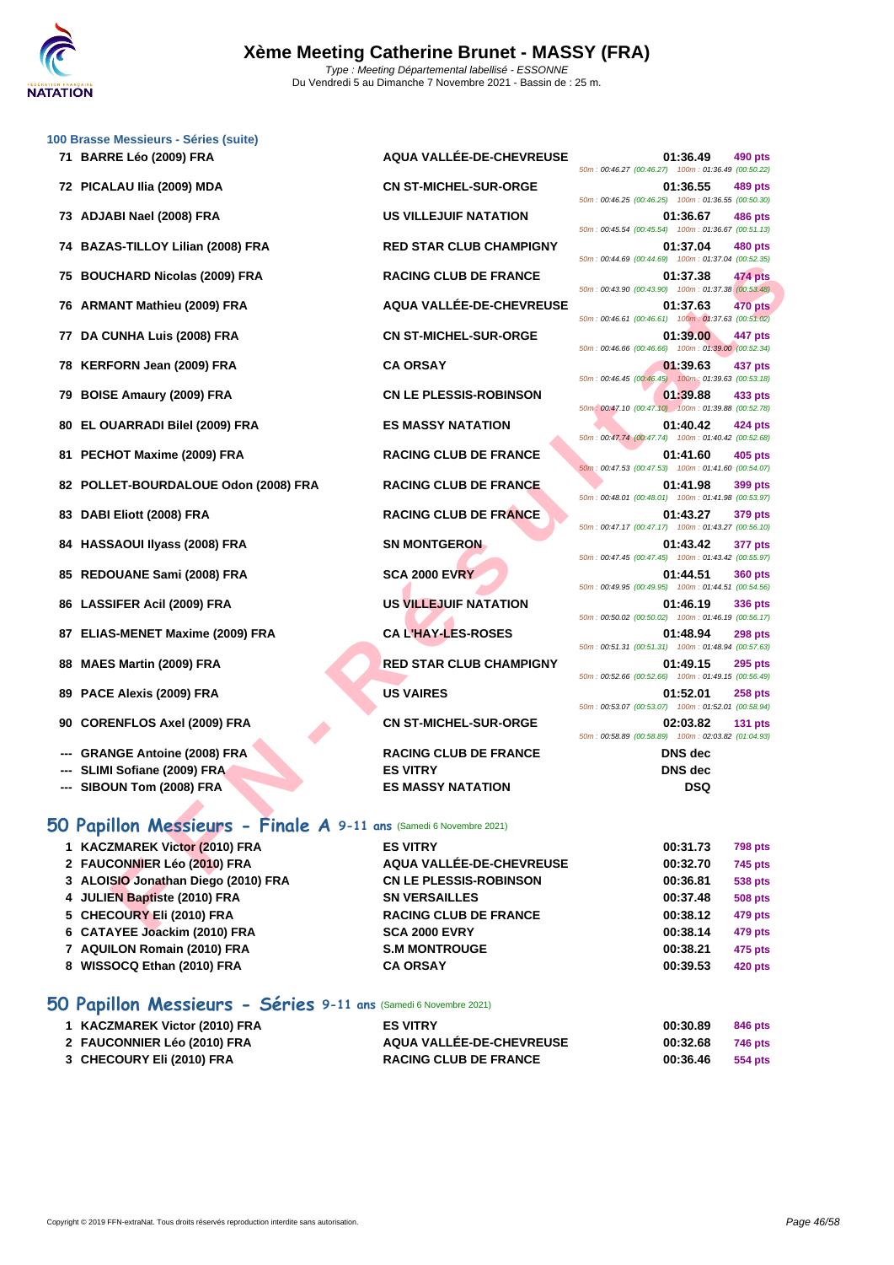

|    | 100 Brasse Messieurs - Séries (suite)                              |                                 |                                                                                  |
|----|--------------------------------------------------------------------|---------------------------------|----------------------------------------------------------------------------------|
|    | 71 BARRE Léo (2009) FRA                                            | AQUA VALLÉE-DE-CHEVREUSE        | 01:36.49<br>490 pts<br>50m: 00:46.27 (00:46.27) 100m: 01:36.49 (00:50.22)        |
|    | 72 PICALAU IIia (2009) MDA                                         | <b>CN ST-MICHEL-SUR-ORGE</b>    | 01:36.55<br>489 pts<br>50m: 00:46.25 (00:46.25) 100m: 01:36.55 (00:50.30)        |
|    | 73 ADJABI Nael (2008) FRA                                          | <b>US VILLEJUIF NATATION</b>    | 01:36.67<br>486 pts<br>50m: 00:45.54 (00:45.54) 100m: 01:36.67 (00:51.13)        |
| 74 | <b>BAZAS-TILLOY Lilian (2008) FRA</b>                              | <b>RED STAR CLUB CHAMPIGNY</b>  | 01:37.04<br>480 pts                                                              |
| 75 | <b>BOUCHARD Nicolas (2009) FRA</b>                                 | <b>RACING CLUB DE FRANCE</b>    | 50m: 00:44.69 (00:44.69) 100m: 01:37.04 (00:52.35)<br>01:37.38<br>474 pts        |
| 76 | <b>ARMANT Mathieu (2009) FRA</b>                                   | AQUA VALLÉE-DE-CHEVREUSE        | 50m: 00:43.90 (00:43.90) 100m: 01:37.38 (00:53.48)<br>01:37.63<br>470 pts        |
| 77 | DA CUNHA Luis (2008) FRA                                           | <b>CN ST-MICHEL-SUR-ORGE</b>    | 50m : 00:46.61 (00:46.61) 100m : 01:37.63 (00:51.02)<br>01:39.00<br>447 pts      |
| 78 | KERFORN Jean (2009) FRA                                            | <b>CA ORSAY</b>                 | 50m: 00:46.66 (00:46.66) 100m: 01:39.00 (00:52.34)<br>01:39.63<br>437 pts        |
| 79 | <b>BOISE Amaury (2009) FRA</b>                                     | <b>CN LE PLESSIS-ROBINSON</b>   | 50m: 00:46.45 (00:46.45) 100m: 01:39.63 (00:53.18)<br>01:39.88<br>433 pts        |
| 80 | EL OUARRADI Bilel (2009) FRA                                       | <b>ES MASSY NATATION</b>        | 50m: 00:47.10 (00:47.10) 100m: 01:39.88 (00:52.78)<br>01:40.42<br>424 pts        |
| 81 | PECHOT Maxime (2009) FRA                                           | <b>RACING CLUB DE FRANCE</b>    | 50m: 00:47.74 (00:47.74) 100m: 01:40.42 (00:52.68)<br>01:41.60<br>405 pts        |
|    | 82 POLLET-BOURDALOUE Odon (2008) FRA                               | <b>RACING CLUB DE FRANCE</b>    | 50m: 00:47.53 (00:47.53) 100m: 01:41.60 (00:54.07)<br>01:41.98<br>399 pts        |
|    |                                                                    |                                 | 50m: 00:48.01 (00:48.01) 100m: 01:41.98 (00:53.97)                               |
| 83 | DABI Eliott (2008) FRA                                             | <b>RACING CLUB DE FRANCE</b>    | 01:43.27<br>379 pts<br>50m: 00:47.17 (00:47.17) 100m: 01:43.27 (00:56.10)        |
| 84 | <b>HASSAOUI Ilyass (2008) FRA</b>                                  | <b>SN MONTGERON</b>             | 01:43.42<br>377 pts<br>50m: 00:47.45 (00:47.45) 100m: 01:43.42 (00:55.97)        |
| 85 | REDOUANE Sami (2008) FRA                                           | <b>SCA 2000 EVRY</b>            | 01:44.51<br><b>360 pts</b><br>50m: 00:49.95 (00:49.95) 100m: 01:44.51 (00:54.56) |
| 86 | <b>LASSIFER Acil (2009) FRA</b>                                    | US VILLEJUIF NATATION           | 01:46.19<br>336 pts<br>50m: 00:50.02 (00:50.02) 100m: 01:46.19 (00:56.17)        |
| 87 | <b>ELIAS-MENET Maxime (2009) FRA</b>                               | <b>CAL'HAY-LES-ROSES</b>        | 01:48.94<br><b>298 pts</b><br>50m: 00:51.31 (00:51.31) 100m: 01:48.94 (00:57.63) |
| 88 | <b>MAES Martin (2009) FRA</b>                                      | <b>RED STAR CLUB CHAMPIGNY</b>  | 01:49.15<br><b>295 pts</b>                                                       |
| 89 | PACE Alexis (2009) FRA                                             | <b>US VAIRES</b>                | 50m: 00:52.66 (00:52.66) 100m: 01:49.15 (00:56.49)<br>01:52.01<br><b>258 pts</b> |
| 90 | <b>CORENFLOS Axel (2009) FRA</b>                                   | <b>CN ST-MICHEL-SUR-ORGE</b>    | 50m: 00:53.07 (00:53.07) 100m: 01:52.01 (00:58.94)<br>02:03.82<br><b>131 pts</b> |
|    | <b>GRANGE Antoine (2008) FRA</b>                                   | <b>RACING CLUB DE FRANCE</b>    | 50m: 00:58.89 (00:58.89) 100m: 02:03.82 (01:04.93)<br><b>DNS</b> dec             |
|    | SLIMI Sofiane (2009) FRA                                           | <b>ES VITRY</b>                 | <b>DNS</b> dec                                                                   |
|    | SIBOUN Tom (2008) FRA                                              | <b>ES MASSY NATATION</b>        | <b>DSQ</b>                                                                       |
|    | 50 Papillon Messieurs - Finale A 9-11 ans (Samedi 6 Novembre 2021) |                                 |                                                                                  |
|    | 1 KACZMAREK Victor (2010) FRA                                      | <b>ES VITRY</b>                 | 00:31.73<br><b>798 pts</b>                                                       |
|    | 2 FAUCONNIER Léo (2010) FRA                                        | <b>AQUA VALLÉE-DE-CHEVREUSE</b> | 00:32.70<br>745 pts                                                              |
|    | 3 ALOISIO Jonathan Diego (2010) FRA                                | <b>CN LE PLESSIS-ROBINSON</b>   | 00:36.81<br><b>538 pts</b>                                                       |
|    | 4 JULIEN Baptiste (2010) FRA                                       | <b>SN VERSAILLES</b>            | 00:37.48<br><b>508 pts</b>                                                       |
|    | 5 CHECOURY Eli (2010) FRA                                          | <b>RACING CLUB DE FRANCE</b>    | 00:38.12<br>479 pts                                                              |
|    | CATAVER Leading (0040) FDA                                         | COA 0000 EVEV                   | 00.20.44<br>170                                                                  |

#### **50 Papillon Messieurs - Finale A 9-11 ans** (Samedi 6 Novembre 2021)

| 1 KACZMAREK Victor (2010) FRA       | <b>ES VITRY</b>               | 00:31.73 | <b>798 pts</b> |
|-------------------------------------|-------------------------------|----------|----------------|
| 2 FAUCONNIER Léo (2010) FRA         | AQUA VALLÉE-DE-CHEVREUSE      | 00:32.70 | <b>745 pts</b> |
| 3 ALOISIO Jonathan Diego (2010) FRA | <b>CN LE PLESSIS-ROBINSON</b> | 00:36.81 | <b>538 pts</b> |
| 4 JULIEN Baptiste (2010) FRA        | <b>SN VERSAILLES</b>          | 00:37.48 | <b>508 pts</b> |
| 5 CHECOURY Eli (2010) FRA           | <b>RACING CLUB DE FRANCE</b>  | 00:38.12 | 479 pts        |
| 6 CATAYEE Joackim (2010) FRA        | <b>SCA 2000 EVRY</b>          | 00:38.14 | 479 pts        |
| 7 AQUILON Romain (2010) FRA         | <b>S.M MONTROUGE</b>          | 00:38.21 | 475 pts        |
| 8 WISSOCQ Ethan (2010) FRA          | <b>CA ORSAY</b>               | 00:39.53 | 420 pts        |
|                                     |                               |          |                |

## **50 Papillon Messieurs - Séries 9-11 ans** (Samedi 6 Novembre 2021)

| 1 KACZMAREK Victor (2010) FRA | <b>ES VITRY</b>                 | 00:30.89 | 846 pts |
|-------------------------------|---------------------------------|----------|---------|
| 2 FAUCONNIER Léo (2010) FRA   | <b>AQUA VALLÉE-DE-CHEVREUSE</b> | 00:32.68 | 746 pts |
| 3 CHECOURY Eli (2010) FRA     | <b>RACING CLUB DE FRANCE</b>    | 00:36.46 | 554 pts |

|                                                      |          | 01:36.55 489 pts |
|------------------------------------------------------|----------|------------------|
| 50m : 00:46.25 (00:46.25) 100m : 01:36.55 (00:50.30) |          |                  |
| 50m: 00:45.54 (00:45.54) 100m: 01:36.67 (00:51.13)   | 01:36.67 | 486 pts          |
|                                                      | 01:37.04 | 480 pts          |
| 50m: 00:44.69 (00:44.69) 100m: 01:37.04 (00:52.35)   |          |                  |
|                                                      | 01:37.38 | 474 pts          |
| 50m : 00:43.90 (00:43.90) 100m : 01:37.38 (00:53.48) |          |                  |
|                                                      | 01:37.63 | <b>470 pts</b>   |
| 50m: 00:46.61 (00:46.61) 100m: 01:37.63 (00:51.02)   |          |                  |
| 50m : 00:46.66 (00:46.66) 100m : 01:39.00 (00:52.34) | 01:39.00 | 447 pts          |
|                                                      | 01:39.63 | 437 pts          |
| 50m : 00:46.45 (00:46.45) 100m : 01:39.63 (00:53.18) |          |                  |
|                                                      | 01:39.88 | 433 pts          |
| 50m: 00:47.10 (00:47.10) 100m: 01:39.88 (00:52.78)   |          |                  |
|                                                      |          | 01:40.42 424 pts |
| 50m: 00:47.74 (00:47.74) 100m: 01:40.42 (00:52.68)   |          |                  |
|                                                      |          | 01:41.60 405 pts |
| 50m: 00:47.53 (00:47.53) 100m: 01:41.60 (00:54.07)   |          |                  |
| 50m: 00:48.01 (00:48.01) 100m: 01:41.98 (00:53.97)   | 01:41.98 | <b>399 pts</b>   |
|                                                      | 01:43.27 | 379 pts          |
| 50m: 00:47.17 (00:47.17) 100m: 01:43.27 (00:56.10)   |          |                  |
|                                                      | 01:43.42 | 377 pts          |
| 50m: 00:47.45 (00:47.45) 100m: 01:43.42 (00:55.97)   |          |                  |
| 50m : 00:49.95 (00:49.95) 100m : 01:44.51 (00:54.56) | 01:44.51 | <b>360 pts</b>   |
|                                                      | 01:46.19 |                  |
| 50m : 00:50.02 (00:50.02) 100m : 01:46.19 (00:56.17) |          | <b>336 pts</b>   |
|                                                      | 01:48.94 | <b>298 pts</b>   |
| 50m: 00:51.31 (00:51.31) 100m: 01:48.94 (00:57.63)   |          |                  |
|                                                      | 01:49.15 | <b>295 pts</b>   |
| 50m : 00:52.66 (00:52.66) 100m : 01:49.15 (00:56.49) |          |                  |
| 50m: 00:53.07 (00:53.07) 100m: 01:52.01 (00:58.94)   | 01:52.01 | 258 pts          |
|                                                      | 02:03.82 | 131 pts          |
| 50m: 00:58.89 (00:58.89) 100m: 02:03.82 (01:04.93)   |          |                  |
|                                                      | DNS dec  |                  |
|                                                      | DNS dec  |                  |
|                                                      |          |                  |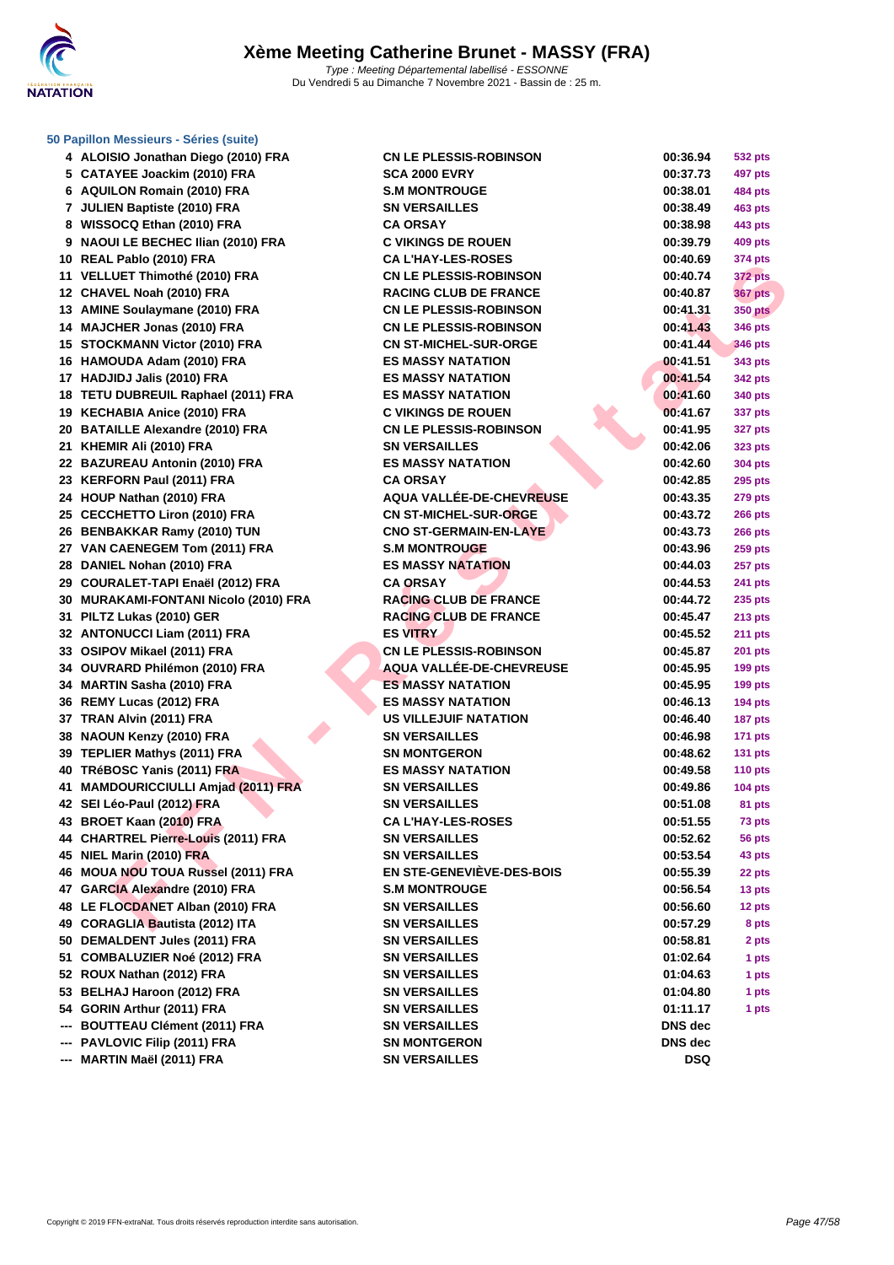

## **[50 Papillo](http://www.ffnatation.fr/webffn/index.php)n Messieurs - Séries (suite)**

|     | 4 ALOISIO Jonathan Diego (2010) FRA    | <b>CN LE PLESSIS-ROBINSON</b>                            | 00:36.94   | <b>532 pts</b> |
|-----|----------------------------------------|----------------------------------------------------------|------------|----------------|
|     | 5 CATAYEE Joackim (2010) FRA           | <b>SCA 2000 EVRY</b>                                     | 00:37.73   | 497 pts        |
|     | 6 AQUILON Romain (2010) FRA            | <b>S.M MONTROUGE</b>                                     | 00:38.01   | 484 pts        |
|     | 7 JULIEN Baptiste (2010) FRA           | <b>SN VERSAILLES</b>                                     | 00:38.49   | 463 pts        |
|     | 8 WISSOCQ Ethan (2010) FRA             | <b>CA ORSAY</b>                                          | 00:38.98   | 443 pts        |
|     | 9 NAOUI LE BECHEC Ilian (2010) FRA     | <b>C VIKINGS DE ROUEN</b>                                | 00:39.79   | 409 pts        |
|     | 10 REAL Pablo (2010) FRA               | <b>CA L'HAY-LES-ROSES</b>                                | 00:40.69   | 374 pts        |
|     | 11 VELLUET Thimothé (2010) FRA         | <b>CN LE PLESSIS-ROBINSON</b>                            | 00:40.74   | <b>372 pts</b> |
|     | 12 CHAVEL Noah (2010) FRA              | <b>RACING CLUB DE FRANCE</b>                             | 00:40.87   | <b>367 pts</b> |
|     | 13 AMINE Soulaymane (2010) FRA         | <b>CN LE PLESSIS-ROBINSON</b>                            | 00:41.31   | <b>350 pts</b> |
|     |                                        |                                                          | 00:41.43   |                |
|     | 14 MAJCHER Jonas (2010) FRA            | <b>CN LE PLESSIS-ROBINSON</b>                            |            | <b>346 pts</b> |
|     | 15 STOCKMANN Victor (2010) FRA         | <b>CN ST-MICHEL-SUR-ORGE</b><br><b>ES MASSY NATATION</b> | 00:41.44   | 346 pts        |
|     | 16 HAMOUDA Adam (2010) FRA             |                                                          | 00:41.51   | 343 pts        |
|     | 17 HADJIDJ Jalis (2010) FRA            | <b>ES MASSY NATATION</b>                                 | 00:41.54   | 342 pts        |
|     | 18 TETU DUBREUIL Raphael (2011) FRA    | <b>ES MASSY NATATION</b>                                 | 00:41.60   | 340 pts        |
|     | 19 KECHABIA Anice (2010) FRA           | <b>C VIKINGS DE ROUEN</b>                                | 00:41.67   | 337 pts        |
|     | 20 BATAILLE Alexandre (2010) FRA       | <b>CN LE PLESSIS-ROBINSON</b>                            | 00:41.95   | <b>327 pts</b> |
|     | 21 KHEMIR Ali (2010) FRA               | <b>SN VERSAILLES</b>                                     | 00:42.06   | 323 pts        |
|     | 22 BAZUREAU Antonin (2010) FRA         | <b>ES MASSY NATATION</b>                                 | 00:42.60   | 304 pts        |
|     | 23 KERFORN Paul (2011) FRA             | <b>CA ORSAY</b>                                          | 00:42.85   | 295 pts        |
|     | 24 HOUP Nathan (2010) FRA              | AQUA VALLÉE-DE-CHEVREUSE                                 | 00:43.35   | <b>279 pts</b> |
|     | 25 CECCHETTO Liron (2010) FRA          | <b>CN ST-MICHEL-SUR-ORGE</b>                             | 00:43.72   | <b>266 pts</b> |
|     | 26 BENBAKKAR Ramy (2010) TUN           | <b>CNO ST-GERMAIN-EN-LAYE</b>                            | 00:43.73   | <b>266 pts</b> |
|     | 27 VAN CAENEGEM Tom (2011) FRA         | <b>S.M MONTROUGE</b>                                     | 00:43.96   | <b>259 pts</b> |
|     | 28 DANIEL Nohan (2010) FRA             | <b>ES MASSY NATATION</b>                                 | 00:44.03   | 257 pts        |
|     | 29 COURALET-TAPI Enaël (2012) FRA      | <b>CA ORSAY</b>                                          | 00:44.53   | 241 pts        |
|     | 30 MURAKAMI-FONTANI Nicolo (2010) FRA  | <b>RACING CLUB DE FRANCE</b>                             | 00:44.72   | 235 pts        |
|     | 31 PILTZ Lukas (2010) GER              | <b>RACING CLUB DE FRANCE</b>                             | 00:45.47   | 213 pts        |
|     | 32 ANTONUCCI Liam (2011) FRA           | <b>ES VITRY</b>                                          | 00:45.52   | <b>211 pts</b> |
|     | 33 OSIPOV Mikael (2011) FRA            | <b>CN LE PLESSIS-ROBINSON</b>                            | 00:45.87   | <b>201 pts</b> |
|     | 34 OUVRARD Philémon (2010) FRA         | <b>AQUA VALLÉE-DE-CHEVREUSE</b>                          | 00:45.95   | <b>199 pts</b> |
|     | 34 MARTIN Sasha (2010) FRA             | <b>ES MASSY NATATION</b>                                 | 00:45.95   | <b>199 pts</b> |
|     | 36 REMY Lucas (2012) FRA               | <b>ES MASSY NATATION</b>                                 | 00:46.13   | <b>194 pts</b> |
|     | 37 TRAN Alvin (2011) FRA               | <b>US VILLEJUIF NATATION</b>                             | 00:46.40   | <b>187 pts</b> |
|     | 38 NAOUN Kenzy (2010) FRA              | <b>SN VERSAILLES</b>                                     | 00:46.98   | <b>171 pts</b> |
|     | 39 TEPLIER Mathys (2011) FRA           | <b>SN MONTGERON</b>                                      | 00:48.62   | $131$ pts      |
|     | 40 TRéBOSC Yanis (2011) FRA            | <b>ES MASSY NATATION</b>                                 | 00:49.58   | 110 $pts$      |
|     | 41 MAMDOURICCIULLI Amjad (2011) FRA    | <b>SN VERSAILLES</b>                                     | 00:49.86   | <b>104 pts</b> |
|     | 42 SEI Léo-Paul (2012) FRA             | <b>SN VERSAILLES</b>                                     | 00:51.08   | 81 pts         |
|     | 43 BROET Kaan (2010) FRA               | <b>CA L'HAY-LES-ROSES</b>                                | 00:51.55   | 73 pts         |
|     | 44 CHARTREL Pierre-Louis (2011) FRA    | <b>SN VERSAILLES</b>                                     | 00:52.62   | 56 pts         |
|     | 45 NIEL Marin (2010) FRA               | <b>SN VERSAILLES</b>                                     | 00:53.54   | 43 pts         |
| 46  | <b>MOUA NOU TOUA Russel (2011) FRA</b> | <b>EN STE-GENEVIÈVE-DES-BOIS</b>                         | 00:55.39   | 22 pts         |
|     | 47 GARCIA Alexandre (2010) FRA         | <b>S.M MONTROUGE</b>                                     | 00:56.54   | 13 pts         |
|     | 48 LE FLOCDANET Alban (2010) FRA       | <b>SN VERSAILLES</b>                                     | 00:56.60   | 12 pts         |
|     | 49 CORAGLIA Bautista (2012) ITA        | <b>SN VERSAILLES</b>                                     | 00:57.29   | 8 pts          |
|     | 50 DEMALDENT Jules (2011) FRA          | <b>SN VERSAILLES</b>                                     | 00:58.81   | 2 pts          |
|     | 51 COMBALUZIER Noé (2012) FRA          | <b>SN VERSAILLES</b>                                     | 01:02.64   | 1 pts          |
|     | 52 ROUX Nathan (2012) FRA              | <b>SN VERSAILLES</b>                                     | 01:04.63   | 1 pts          |
| 53. | <b>BELHAJ Haroon (2012) FRA</b>        | <b>SN VERSAILLES</b>                                     | 01:04.80   | 1 pts          |
|     | 54 GORIN Arthur (2011) FRA             | <b>SN VERSAILLES</b>                                     | 01:11.17   | 1 pts          |
|     | <b>BOUTTEAU Clément (2011) FRA</b>     | <b>SN VERSAILLES</b>                                     | DNS dec    |                |
| --- | PAVLOVIC Filip (2011) FRA              | <b>SN MONTGERON</b>                                      | DNS dec    |                |
| --- | MARTIN Maël (2011) FRA                 | <b>SN VERSAILLES</b>                                     | <b>DSQ</b> |                |
|     |                                        |                                                          |            |                |

| 00:36.94       | 532 pts        |
|----------------|----------------|
| 00:37.73       | 497 pts        |
| 00:38.01       | 484 pts        |
| 00:38.49       | 463 pts        |
| 00:38.98       | 443 pts        |
| 00:39.79       | 409 pts        |
| 00:40.69       | 374 pts        |
| 00:40.74       | 372 pts        |
| 00:40.87       | <b>367 pts</b> |
| 00:41.31       | <b>350 pts</b> |
| 00:41.43       | 346 pts        |
| 00:41.44       | 346 pts        |
| 00:41.51       | 343 pts        |
| 00:41.54       | 342 pts        |
| 00:41.60       | 340 pts        |
| 00:41.67       | 337 pts        |
| 00:41.95       | 327 pts        |
| 00:42.06       | 323 pts        |
| 00:42.60       | 304 pts        |
| 00:42.85       | 295 pts        |
| 00:43.35       | 279 pts        |
| 00:43.72       | 266 pts        |
| 00:43.73       | 266 pts        |
| 00:43.96       | <b>259 pts</b> |
| 00:44.03       | 257 pts        |
| 00:44.53       | 241 pts        |
| 00:44.72       | 235 pts        |
| 00:45.47       | 213 pts        |
| 00:45.52       | 211 pts        |
| 00:45.87       | 201 pts        |
| 00:45.95       | 199 pts        |
| 00:45.95       | 199 pts        |
| 00:46.13       | <b>194 pts</b> |
| 00:46.40       | 187 pts        |
| 00:46.98       | 171 pts        |
| 00:48.62       | <b>131 pts</b> |
| 00:49.58       | 110 pts        |
| 00:49.86       | <b>104 pts</b> |
| 00:51.08       | 81 pts         |
| 00:51.55       | 73 pts         |
| 00:52.62       | 56 pts         |
| 00:53.54       | 43 pts         |
| 00:55.39       | 22 pts         |
| 00:56.54       | 13 pts         |
| 00:56.60       | 12 pts         |
| 00:57.29       | 8 pts          |
| 00:58.81       | 2 pts          |
| 01:02.64       | 1 pts          |
| 01:04.63       | 1 pts          |
| 01:04.80       | 1 pts          |
| 01:11.17       |                |
| <b>DNS</b> dec | 1 pts          |
| <b>DNS</b> dec |                |
| <b>DSQ</b>     |                |
|                |                |
|                |                |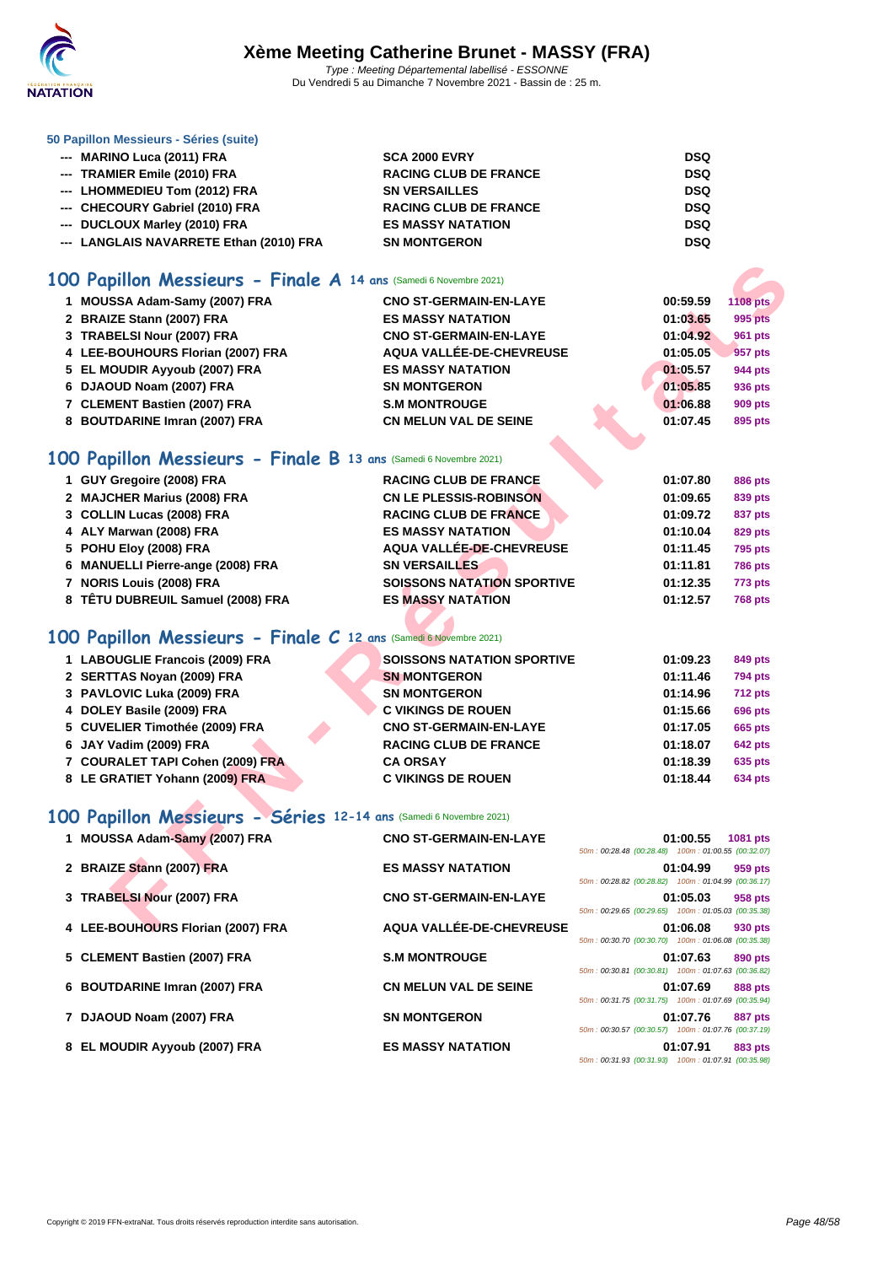

#### **[50 Papillo](http://www.ffnatation.fr/webffn/index.php)n Messieurs - Séries (suite)**

| --- MARINO Luca (2011) FRA              | <b>SCA 2000 EVRY</b>         | <b>DSQ</b> |
|-----------------------------------------|------------------------------|------------|
| --- TRAMIER Emile (2010) FRA            | <b>RACING CLUB DE FRANCE</b> | <b>DSQ</b> |
| --- LHOMMEDIEU Tom (2012) FRA           | <b>SN VERSAILLES</b>         | <b>DSQ</b> |
| --- CHECOURY Gabriel (2010) FRA         | <b>RACING CLUB DE FRANCE</b> | <b>DSQ</b> |
| --- DUCLOUX Marley (2010) FRA           | <b>ES MASSY NATATION</b>     | <b>DSQ</b> |
| --- LANGLAIS NAVARRETE Ethan (2010) FRA | <b>SN MONTGERON</b>          | <b>DSQ</b> |

#### **100 Papillon Messieurs - Finale A 14 ans** (Samedi 6 Novembre 2021)

| 00 Papillon Messieurs - Finale A 14 ans (Samedi 6 Novembre 2021)  |                                   |                                                                |                           |
|-------------------------------------------------------------------|-----------------------------------|----------------------------------------------------------------|---------------------------|
| 1 MOUSSA Adam-Samy (2007) FRA                                     | <b>CNO ST-GERMAIN-EN-LAYE</b>     | 00:59.59                                                       | <b>1108 pts</b>           |
| 2 BRAIZE Stann (2007) FRA                                         | <b>ES MASSY NATATION</b>          | 01:03.65                                                       | 995 pts                   |
| 3 TRABELSI Nour (2007) FRA                                        | <b>CNO ST-GERMAIN-EN-LAYE</b>     | 01:04.92                                                       | <b>961 pts</b>            |
| 4 LEE-BOUHOURS Florian (2007) FRA                                 | AQUA VALLÉE-DE-CHEVREUSE          | 01:05.05                                                       | 957 pts                   |
| 5 EL MOUDIR Ayyoub (2007) FRA                                     | <b>ES MASSY NATATION</b>          | 01:05.57                                                       | 944 pts                   |
| 6 DJAOUD Noam (2007) FRA                                          | <b>SN MONTGERON</b>               | 01:05.85                                                       | 936 pts                   |
| 7 CLEMENT Bastien (2007) FRA                                      | <b>S.M MONTROUGE</b>              | 01:06.88                                                       | 909 pts                   |
| 8 BOUTDARINE Imran (2007) FRA                                     | <b>CN MELUN VAL DE SEINE</b>      | 01:07.45                                                       | 895 pts                   |
| 00 Papillon Messieurs - Finale B 13 ans (Samedi 6 Novembre 2021)  |                                   |                                                                |                           |
| 1 GUY Gregoire (2008) FRA                                         | <b>RACING CLUB DE FRANCE</b>      |                                                                |                           |
| 2 MAJCHER Marius (2008) FRA                                       | <b>CN LE PLESSIS-ROBINSON</b>     | 01:07.80<br>01:09.65                                           | <b>886 pts</b><br>839 pts |
| 3 COLLIN Lucas (2008) FRA                                         | <b>RACING CLUB DE FRANCE</b>      | 01:09.72                                                       |                           |
| 4 ALY Marwan (2008) FRA                                           | <b>ES MASSY NATATION</b>          | 01:10.04                                                       | 837 pts<br>829 pts        |
| 5 POHU Eloy (2008) FRA                                            | <b>AQUA VALLÉE-DE-CHEVREUSE</b>   | 01:11.45                                                       | <b>795 pts</b>            |
| 6 MANUELLI Pierre-ange (2008) FRA                                 | <b>SN VERSAILLES</b>              | 01:11.81                                                       | <b>786 pts</b>            |
| 7 NORIS Louis (2008) FRA                                          | <b>SOISSONS NATATION SPORTIVE</b> | 01:12.35                                                       | <b>773 pts</b>            |
| 8 TÊTU DUBREUIL Samuel (2008) FRA                                 | <b>ES MASSY NATATION</b>          | 01:12.57                                                       | <b>768 pts</b>            |
|                                                                   |                                   |                                                                |                           |
| 00 Papillon Messieurs - Finale C 12 ans (Samedi 6 Novembre 2021)  |                                   |                                                                |                           |
| 1 LABOUGLIE Francois (2009) FRA                                   | <b>SOISSONS NATATION SPORTIVE</b> | 01:09.23                                                       | 849 pts                   |
| 2 SERTTAS Noyan (2009) FRA                                        | <b>SN MONTGERON</b>               | 01:11.46                                                       | <b>794 pts</b>            |
| 3 PAVLOVIC Luka (2009) FRA                                        | <b>SN MONTGERON</b>               | 01:14.96                                                       | 712 pts                   |
| 4 DOLEY Basile (2009) FRA                                         | <b>C VIKINGS DE ROUEN</b>         | 01:15.66                                                       | <b>696 pts</b>            |
| 5 CUVELIER Timothée (2009) FRA                                    | <b>CNO ST-GERMAIN-EN-LAYE</b>     | 01:17.05                                                       | 665 pts                   |
| 6 JAY Vadim (2009) FRA                                            | <b>RACING CLUB DE FRANCE</b>      | 01:18.07                                                       | <b>642 pts</b>            |
| 7 COURALET TAPI Cohen (2009) FRA                                  | <b>CA ORSAY</b>                   | 01:18.39                                                       | 635 pts                   |
| 8 LE GRATIET Yohann (2009) FRA                                    | <b>C VIKINGS DE ROUEN</b>         | 01:18.44                                                       | <b>634 pts</b>            |
| 00 Papillon Messieurs - Séries 12-14 ans (Samedi 6 Novembre 2021) |                                   |                                                                |                           |
|                                                                   |                                   |                                                                |                           |
| 1 MOUSSA Adam-Samy (2007) FRA                                     | <b>CNO ST-GERMAIN-EN-LAYE</b>     | 01:00.55<br>50m: 00:28.48 (00:28.48) 100m: 01:00.55 (00:32.07) | 1081 pts                  |
| 2 BRAIZE Stann (2007) FRA                                         | <b>ES MASSY NATATION</b>          | 01:04.99                                                       | 959 pts                   |
|                                                                   |                                   | 50m: 00:28.82 (00:28.82) 100m: 01:04.99 (00:36.17)             |                           |
| 3 TRABELSI Nour (2007) FRA                                        | <b>CNO ST-GERMAIN-EN-LAYE</b>     | 01:05.03                                                       | 958 pts                   |
|                                                                   |                                   | 50m: 00:29.65 (00:29.65) 100m: 01:05.03 (00:35.38)             |                           |
| 4 LEE-BOUHOURS Florian (2007) FRA                                 | AQUA VALLÉE-DE-CHEVREUSE          | 01:06.08                                                       | 930 pts                   |

## **100 Papillon Messieurs - Finale B 13 ans** (Samedi 6 Novembre 2021)

| 1 GUY Gregoire (2008) FRA         | <b>RACING CLUB DE FRANCE</b>      | 01:07.80 | <b>886 pts</b> |
|-----------------------------------|-----------------------------------|----------|----------------|
| 2 MAJCHER Marius (2008) FRA       | <b>CN LE PLESSIS-ROBINSON</b>     | 01:09.65 | 839 pts        |
| 3 COLLIN Lucas (2008) FRA         | <b>RACING CLUB DE FRANCE</b>      | 01:09.72 | 837 pts        |
| 4 ALY Marwan (2008) FRA           | <b>ES MASSY NATATION</b>          | 01:10.04 | 829 pts        |
| 5 POHU Eloy (2008) FRA            | AQUA VALLÉE-DE-CHEVREUSE          | 01:11.45 | <b>795 pts</b> |
| 6 MANUELLI Pierre-ange (2008) FRA | <b>SN VERSAILLES</b>              | 01:11.81 | <b>786 pts</b> |
| 7 NORIS Louis (2008) FRA          | <b>SOISSONS NATATION SPORTIVE</b> | 01:12.35 | <b>773 pts</b> |
| 8 TÊTU DUBREUIL Samuel (2008) FRA | <b>ES MASSY NATATION</b>          | 01:12.57 | <b>768 pts</b> |

## **100 Papillon Messieurs - Finale C 12 ans** (Samedi 6 Novembre 2021)

| 1 LABOUGLIE Francois (2009) FRA  | <b>SOISSONS NATATION SPORTIVE</b> | 01:09.23 | 849 pts        |
|----------------------------------|-----------------------------------|----------|----------------|
| 2 SERTTAS Novan (2009) FRA       | <b>SN MONTGERON</b>               | 01:11.46 | <b>794 pts</b> |
| 3 PAVLOVIC Luka (2009) FRA       | <b>SN MONTGERON</b>               | 01:14.96 | <b>712 pts</b> |
| 4 DOLEY Basile (2009) FRA        | <b>C VIKINGS DE ROUEN</b>         | 01:15.66 | <b>696 pts</b> |
| 5 CUVELIER Timothée (2009) FRA   | <b>CNO ST-GERMAIN-EN-LAYE</b>     | 01:17.05 | <b>665 pts</b> |
| 6 JAY Vadim (2009) FRA           | <b>RACING CLUB DE FRANCE</b>      | 01:18.07 | <b>642 pts</b> |
| 7 COURALET TAPI Cohen (2009) FRA | <b>CA ORSAY</b>                   | 01:18.39 | 635 pts        |
| 8 LE GRATIET Yohann (2009) FRA   | <b>C VIKINGS DE ROUEN</b>         | 01:18.44 | <b>634 pts</b> |

## **100 Papillon Messieurs - Séries 12-14 ans** (Samedi 6 Novembre 2021)

| 1 MOUSSA Adam-Samy (2007) FRA     | <b>CNO ST-GERMAIN-EN-LAYE</b> |                                                                                                          | 01:00.55 | 1081 pts       |
|-----------------------------------|-------------------------------|----------------------------------------------------------------------------------------------------------|----------|----------------|
| 2 BRAIZE Stann (2007) FRA         | <b>ES MASSY NATATION</b>      | 50m: 00:28.48 (00:28.48) 100m: 01:00.55 (00:32.07)                                                       | 01:04.99 | 959 pts        |
| 3 TRABELSI Nour (2007) FRA        | <b>CNO ST-GERMAIN-EN-LAYE</b> | 50m: 00:28.82 (00:28.82) 100m: 01:04.99 (00:36.17)                                                       | 01:05.03 | 958 pts        |
| 4 LEE-BOUHOURS Florian (2007) FRA | AQUA VALLÉE-DE-CHEVREUSE      | 50m: 00:29.65 (00:29.65) 100m: 01:05.03 (00:35.38)                                                       | 01:06.08 | 930 pts        |
| 5 CLEMENT Bastien (2007) FRA      | <b>S.M MONTROUGE</b>          | 50m: 00:30.70 (00:30.70) 100m: 01:06.08 (00:35.38)                                                       | 01:07.63 | 890 pts        |
| 6 BOUTDARINE Imran (2007) FRA     | <b>CN MELUN VAL DE SEINE</b>  | 50m: 00:30.81 (00:30.81) 100m: 01:07.63 (00:36.82)                                                       | 01:07.69 | <b>888 pts</b> |
| 7 DJAOUD Noam (2007) FRA          | <b>SN MONTGERON</b>           | 50m: 00:31.75 (00:31.75) 100m: 01:07.69 (00:35.94)                                                       | 01:07.76 | 887 pts        |
| 8 EL MOUDIR Ayyoub (2007) FRA     | <b>ES MASSY NATATION</b>      | 50m: 00:30.57 (00:30.57) 100m: 01:07.76 (00:37.19)<br>50m: 00:31.93 (00:31.93) 100m: 01:07.91 (00:35.98) | 01:07.91 | 883 pts        |
|                                   |                               |                                                                                                          |          |                |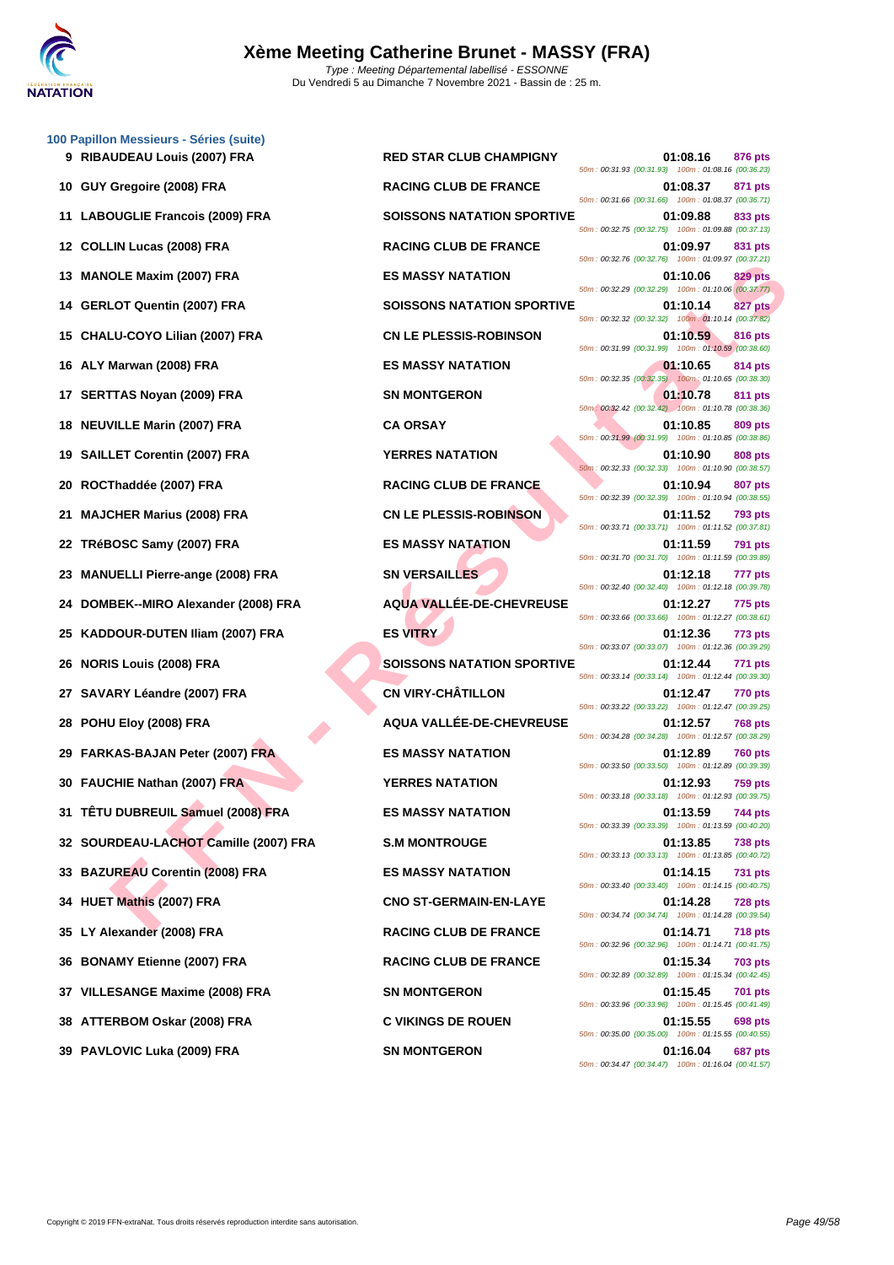

**[100 Papil](http://www.ffnatation.fr/webffn/index.php)lon Messieurs - Séries (suite)**

|    | 10 GUY Gregoire (2008) FRA             | <b>RACING CLUB DE FRANCE</b>      | 01:08.37<br>871 pts<br>50m: 00:31.66 (00:31.66) 100m: 01:08.37 (00:36.71)                                                              |
|----|----------------------------------------|-----------------------------------|----------------------------------------------------------------------------------------------------------------------------------------|
|    | 11 LABOUGLIE Francois (2009) FRA       | <b>SOISSONS NATATION SPORTIVE</b> | 01:09.88<br>833 pts<br>50m: 00:32.75 (00:32.75) 100m: 01:09.88 (00:37.13)                                                              |
|    | 12 COLLIN Lucas (2008) FRA             | <b>RACING CLUB DE FRANCE</b>      | 01:09.97<br>831 pts                                                                                                                    |
| 13 | <b>MANOLE Maxim (2007) FRA</b>         | <b>ES MASSY NATATION</b>          | 50m: 00:32.76 (00:32.76) 100m: 01:09.97 (00:37.21)<br>01:10.06<br>829 pts                                                              |
| 14 | <b>GERLOT Quentin (2007) FRA</b>       | <b>SOISSONS NATATION SPORTIVE</b> | 50m: 00:32.29 (00:32.29) 100m: 01:10.06 (00:37.77)<br>01:10.14<br>827 pts                                                              |
| 15 | CHALU-COYO Lilian (2007) FRA           | <b>CN LE PLESSIS-ROBINSON</b>     | 50m: 00:32.32 (00:32.32) 100m: 01:10.14 (00:37.82)<br>01:10.59<br>816 pts                                                              |
| 16 | ALY Marwan (2008) FRA                  | <b>ES MASSY NATATION</b>          | 50m: 00:31.99 (00:31.99) 100m: 01:10.59 (00:38.60)<br>01:10.65<br>814 pts                                                              |
| 17 | <b>SERTTAS Noyan (2009) FRA</b>        | <b>SN MONTGERON</b>               | 50m: 00:32.35 (00:32.35) 100m: 01:10.65 (00:38.30)<br>01:10.78<br>811 pts                                                              |
| 18 | <b>NEUVILLE Marin (2007) FRA</b>       | <b>CA ORSAY</b>                   | 50m: 00:32.42 (00:32.42) 100m: 01:10.78 (00:38.36)<br>01:10.85<br>809 pts                                                              |
| 19 | <b>SAILLET Corentin (2007) FRA</b>     | <b>YERRES NATATION</b>            | 50m : 00:31.99 (00:31.99) 100m : 01:10.85 (00:38.86)<br>01:10.90<br>808 pts                                                            |
| 20 | ROCThaddée (2007) FRA                  | <b>RACING CLUB DE FRANCE</b>      | 50m: 00:32.33 (00:32.33) 100m: 01:10.90 (00:38.57)<br>01:10.94<br>807 pts                                                              |
| 21 | <b>MAJCHER Marius (2008) FRA</b>       | <b>CN LE PLESSIS-ROBINSON</b>     | 50m: 00:32.39 (00:32.39) 100m: 01:10.94 (00:38.55)<br>01:11.52<br>793 pts                                                              |
| 22 | TRéBOSC Samy (2007) FRA                | <b>ES MASSY NATATION</b>          | 50m: 00:33.71 (00:33.71) 100m: 01:11.52 (00:37.81)<br>01:11.59<br>791 pts                                                              |
| 23 | <b>MANUELLI Pierre-ange (2008) FRA</b> | <b>SN VERSAILLES</b>              | 50m: 00:31.70 (00:31.70) 100m: 01:11.59 (00:39.89)<br>01:12.18<br>777 pts                                                              |
| 24 | DOMBEK--MIRO Alexander (2008) FRA      | <b>AQUA VALLÉE-DE-CHEVREUSE</b>   | 50m: 00:32.40 (00:32.40) 100m: 01:12.18 (00:39.78)<br>01:12.27<br>775 pts<br>50m: 00:33.66 (00:33.66) 100m: 01:12.27 (00:38.61)        |
| 25 | KADDOUR-DUTEN Iliam (2007) FRA         | <b>ES VITRY</b>                   | 01:12.36<br>773 pts<br>50m: 00:33.07 (00:33.07) 100m: 01:12.36 (00:39.29)                                                              |
| 26 | <b>NORIS Louis (2008) FRA</b>          | <b>SOISSONS NATATION SPORTIVE</b> | 01:12.44<br>771 pts                                                                                                                    |
| 27 | SAVARY Léandre (2007) FRA              | <b>CN VIRY-CHÂTILLON</b>          | 50m: 00:33.14 (00:33.14) 100m: 01:12.44 (00:39.30)<br>01:12.47<br><b>770 pts</b><br>50m: 00:33.22 (00:33.22) 100m: 01:12.47 (00:39.25) |
| 28 | POHU Eloy (2008) FRA                   | AQUA VALLÉE-DE-CHEVREUSE          | 01:12.57<br>768 pts<br>50m: 00:34.28 (00:34.28) 100m: 01:12.57 (00:38.29)                                                              |
| 29 | FARKAS-BAJAN Peter (2007) FRA          | <b>ES MASSY NATATION</b>          | 01:12.89<br>760 pts<br>50m: 00:33.50 (00:33.50) 100m: 01:12.89 (00:39.39)                                                              |
| 30 | <b>FAUCHIE Nathan (2007) FRA</b>       | <b>YERRES NATATION</b>            | 01:12.93<br>759 pts                                                                                                                    |
| 31 | TÊTU DUBREUIL Samuel (2008) FRA        | <b>ES MASSY NATATION</b>          | 50m: 00:33.18 (00:33.18) 100m: 01:12.93 (00:39.75)<br>01:13.59<br>744 pts<br>50m: 00:33.39 (00:33.39) 100m: 01:13.59 (00:40.20)        |
|    | 32 SOURDEAU-LACHOT Camille (2007) FRA  | <b>S.M MONTROUGE</b>              | 01:13.85<br><b>738 pts</b><br>50m: 00:33.13 (00:33.13) 100m: 01:13.85 (00:40.72)                                                       |
|    | 33 BAZUREAU Corentin (2008) FRA        | <b>ES MASSY NATATION</b>          | 01:14.15<br><b>731 pts</b><br>50m: 00:33.40 (00:33.40) 100m: 01:14.15 (00:40.75)                                                       |
|    | 34 HUET Mathis (2007) FRA              | <b>CNO ST-GERMAIN-EN-LAYE</b>     | 01:14.28<br>728 pts<br>50m: 00:34.74 (00:34.74) 100m: 01:14.28 (00:39.54)                                                              |
|    | 35 LY Alexander (2008) FRA             | <b>RACING CLUB DE FRANCE</b>      | 01:14.71<br>718 pts<br>50m: 00:32.96 (00:32.96) 100m: 01:14.71 (00:41.75)                                                              |
|    | 36 BONAMY Etienne (2007) FRA           | <b>RACING CLUB DE FRANCE</b>      | 01:15.34<br>703 pts<br>50m: 00:32.89 (00:32.89) 100m: 01:15.34 (00:42.45)                                                              |
|    | 37 VILLESANGE Maxime (2008) FRA        | <b>SN MONTGERON</b>               | 01:15.45<br>701 pts                                                                                                                    |
|    | 38 ATTERBOM Oskar (2008) FRA           | <b>C VIKINGS DE ROUEN</b>         | 50m: 00:33.96 (00:33.96) 100m: 01:15.45 (00:41.49)<br>01:15.55<br>698 pts<br>50m: 00:35.00 (00:35.00) 100m: 01:15.55 (00:40.55)        |
|    | 39 PAVLOVIC Luka (2009) FRA            | <b>SN MONTGERON</b>               | 01:16.04<br>687 pts                                                                                                                    |

**9 RIBAUDEAU Louis (2007) FRA RED STAR CLUB CHAMPIGNY 01:08.16 876 pts** 50m : 00:31.93 (00:31.93) 100m : 01:08.16 (00:36.23) **100 RACING CLUB DE FRANCE 101:08.37 871 pts** 50m : 00:31.66 (00:31.66) 100m : 01:08.37 (00:36.71) **11 LABOUGLIE Francois (2009) FRA SOISSONS NATATION SPORTIVE 01:09.88 833 pts** 50m : 00:32.75 (00:32.75) 100m : 01:09.88 (00:37.13) **12 COLUB DE FRANCE 12 COLUB DE FRANCE 01:09.97 831 pts** 50m : 00:32.76 (00:32.76) 100m : 01:09.97 (00:37.21) **13 MANOLE Maxim (2007) FRA ES MASSY NATATION 01:10.06 829 pts** 50m : 00:32.29 (00:32.29) 100m : 01:10.06 (00:37.77) **14 COISSONS NATATION SPORTIVE 01:10.14 827 pts** 50m : 00:32.32 (00:32.32) 100m : 01:10.14 (00:37.82) **15** CN LE PLESSIS-ROBINSON **15 CN** LE PLESSIS-ROBINSON 50m : 00:31.99 (00:31.99) 100m : 01:10.59 (00:38.60) **16 ALCOMENT MARK ES MASSY NATATION 16 CONSUMING DECISION 01:10.65 814 pts** 50m : 00:32.35 (00:32.35) 100m : 01:10.65 (00:38.30) **17 <b>SN MONTGERON 17 CONSUMPLER 01:10.78 811 pts** 50m : 00:32.42 (00:32.42) 100m : 01:10.78 (00:38.36) 50m : 00:31.99 (00:31.99) 100m : 01:10.85 (00:38.86) **199 199 199 199 199 199 199 199 199 10:10.90 808 pts** 50m : 00:32.33 (00:32.33) 100m : 01:10.90 (00:38.57) **2011000110.94 <b>2007 pts** 50m : 00:32.39 (00:32.39) 100m : 01:10.94 (00:38.55) **21.11.52 21.11.52 793 pts** 50m : 00:33.71 (00:33.71) 100m : 01:11.52 (00:37.81) **22 CS MASSY NATATION 01:11.59 791 pts** 50m : 00:31.70 (00:31.70) 100m : 01:11.59 (00:39.89) **23 23 23 24 24 25 26 26 26 26 277 2008 277 2018 2019 2019 2019 2019 2019 2019 2019 2019 2019 2019 2019 2019 2019 2019 2019 2019 2019 2019 2019 2019 2019** 50m : 00:32.40 (00:32.40) 100m : 01:12.18 (00:39.78) **24 DOMA VALLÉE-DE-CHEVREUSE 11:12.27 775 pts** 50m : 00:33.66 (00:33.66) 100m : 01:12.27 (00:38.61) 50m : 00:33.07 (00:33.07) 100m : 01:12.36 (00:39.29) **26 NORIS Louis (2008) FRA SOISSONS NATATION SPORTIVE 01:12.44 771 pts** 50m : 00:33.14 (00:33.14) 100m : 01:12.44 (00:39.30) **270 <b>CN** VIRY-CHÂTILLON **2770** pts 50m : 00:33.22 (00:33.22) 100m : 01:12.47 (00:39.25) **28 POHU Eloy (2008) FRA AQUA VALLÉE-DE-CHEVREUSE 01:12.57 768 pts** 50m : 00:34.28 (00:34.28) 100m : 01:12.57 (00:38.29) **29 FARKAS-BAJAN Peter (2007) FRA ES MASSY NATATION 01:12.89 760 pts** 50m : 00:33.50 (00:33.50) 100m : 01:12.89 (00:39.39) **30 FAUCHIE Nathan (2007) FRA YERRES NATATION 01:12.93 759 pts** 50m : 00:33.18 (00:33.18) 100m : 01:12.93 (00:39.75) **21.13.59 THE DUBREW SAMUEL SAMUEL SAMUEL SAMUEL SAMUEL SAMUEL SAMUEL SAMUEL SAMUEL SAMUEL SAMUEL SAMUEL SAMUEL SAMUEL SAMUEL SAMUEL SAMUEL SAMUEL SAMUEL SAMUEL SAMUEL SAMUEL SAMUEL SAMUEL SAMUEL SAMUEL SAMUEL SAMUEL SAMUE** 50m : 00:33.39 (00:33.39) 100m : 01:13.59 (00:40.20) **3.M MONTROUGE 01:13.85 738 pts** 50m : 00:33.13 (00:33.13) 100m : 01:13.85 (00:40.72) **33 BAZUREAU Corentin (2008) FRA ES MASSY NATATION 01:14.15 731 pts** 50m : 00:33.40 (00:33.40) 100m : 01:14.15 (00:40.75) **344 CNO ST-GERMAIN-EN-LAYE 114.28 728 pts** 50m : 00:34.74 (00:34.74) 100m : 01:14.28 (00:39.54) **35 LY Alexander (2008) FRA RACING CLUB DE FRANCE 01:14.71 718 pts** 50m : 00:32.96 (00:32.96) 100m : 01:14.71 (00:41.75) **36 BONAMY ETHER IN EXAMPLE 12007 FRACING CLUB DE FRANCE 01:15.34 703 pts** 50m : 00:32.89 (00:32.89) 100m : 01:15.34 (00:42.45) **37 VILLES 37 VILLES CONSUMING MAXIME (2008) FRA CONSUMING MAXIME (2008) FRA CONSUMING MAXIME (2008)**  $\frac{1}{2}$  **CONSUMING MAXIME (2008)**  $\frac{1}{2}$  **CONSUMING MAXIME (2008)**  $\frac{1}{2}$  **CONSUMING MAXIME (2008)** 50m : 00:33.96 (00:33.96) 100m : 01:15.45 (00:41.49) **38 ATTERBOM Oskar (2008) FRA C VIKINGS DE ROUEN 01:15.55 698 pts** 50m : 00:35.00 (00:35.00) 100m : 01:15.55 (00:40.55) **39 <b>PAVLOVIC LUXA (2009)** FRA<sup>2</sup> **CONS 01:16.04 687 pts** 50m : 00:34.47 (00:34.47) 100m : 01:16.04 (00:41.57)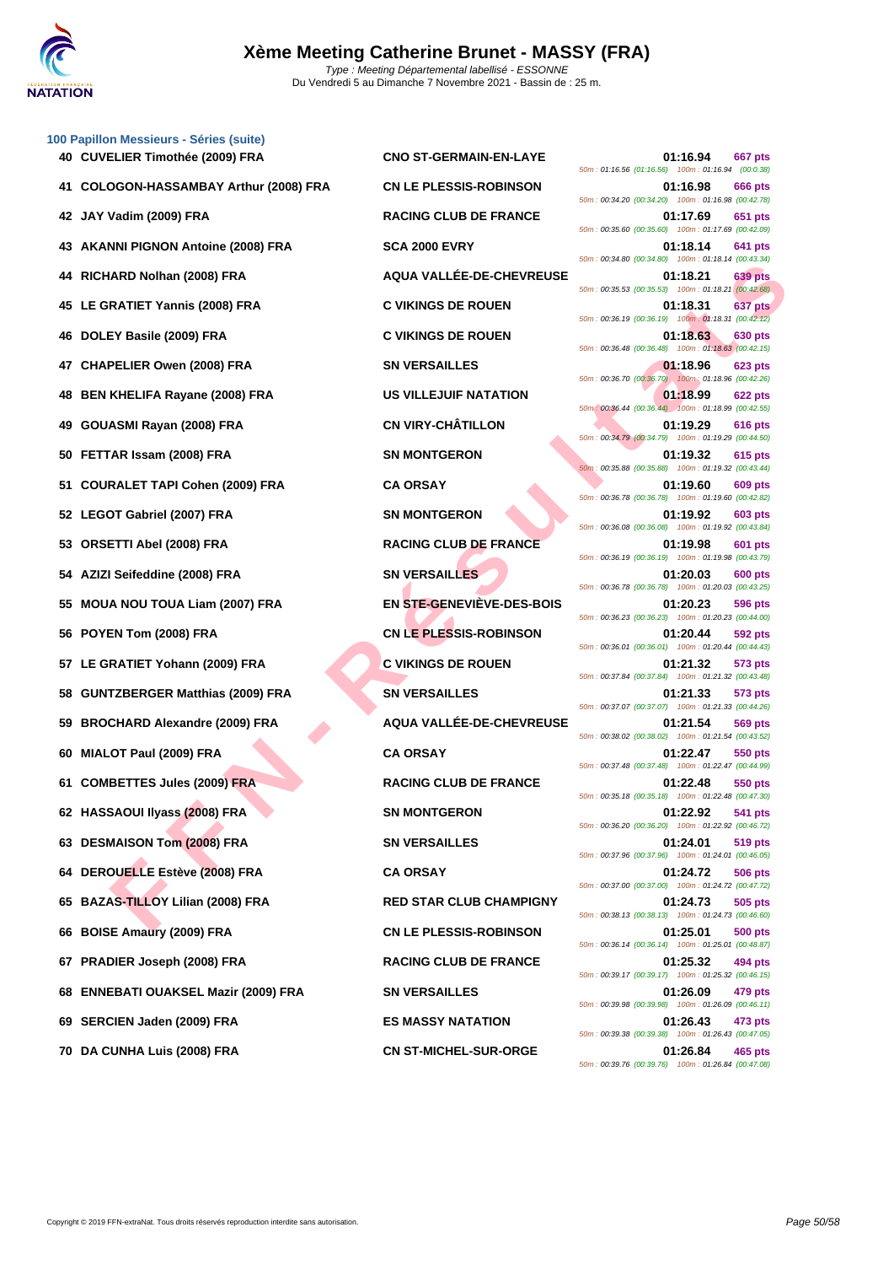

|    | 100 Papillon Messieurs - Séries (suite)  |                                  |                                                                                    |
|----|------------------------------------------|----------------------------------|------------------------------------------------------------------------------------|
|    | 40 CUVELIER Timothée (2009) FRA          | <b>CNO ST-GERMAIN-EN-LAYE</b>    | 01:16.94<br>667 pts<br>50m: 01:16.56 (01:16.56) 100m: 01:16.94 (00:0.38)           |
|    | COLOGON-HASSAMBAY Arthur (2008) FRA      | <b>CN LE PLESSIS-ROBINSON</b>    | 01:16.98<br>666 pts<br>50m: 00:34.20 (00:34.20) 100m: 01:16.98 (00:42.78)          |
|    | 42 JAY Vadim (2009) FRA                  | <b>RACING CLUB DE FRANCE</b>     | 01:17.69<br>651 pts<br>50m: 00:35.60 (00:35.60) 100m: 01:17.69 (00:42.09)          |
| 43 | <b>AKANNI PIGNON Antoine (2008) FRA</b>  | <b>SCA 2000 EVRY</b>             | 01:18.14<br>641 pts<br>50m: 00:34.80 (00:34.80) 100m: 01:18.14 (00:43.34)          |
| 44 | RICHARD Nolhan (2008) FRA                | AQUA VALLÉE-DE-CHEVREUSE         | 01:18.21<br>639 pts<br>50m: 00:35.53 (00:35.53) 100m: 01:18.21 (00:42.68)          |
| 45 | LE GRATIET Yannis (2008) FRA             | <b>C VIKINGS DE ROUEN</b>        | 01:18.31<br>637 pts<br>50m: 00:36.19 (00:36.19) 100m: 01:18.31 (00:42.12)          |
| 46 | DOLEY Basile (2009) FRA                  | <b>C VIKINGS DE ROUEN</b>        | 01:18.63<br>630 pts<br>50m: 00:36.48 (00:36.48) 100m: 01:18.63 (00:42.15)          |
| 47 | <b>CHAPELIER Owen (2008) FRA</b>         | <b>SN VERSAILLES</b>             | 01:18.96<br><b>623 pts</b><br>50m: 00:36.70 (00:36.70) 100m: 01:18.96 (00:42.26)   |
| 48 | <b>BEN KHELIFA Rayane (2008) FRA</b>     | US VILLEJUIF NATATION            | 01:18.99<br><b>622 pts</b><br>50m: 00:36.44 (00:36.44) 100m: 01:18.99 (00:42.55)   |
| 49 | GOUASMI Rayan (2008) FRA                 | <b>CN VIRY-CHÂTILLON</b>         | 01:19.29<br><b>616 pts</b><br>50m: 00:34.79 (00:34.79) 100m: 01:19.29 (00:44.50)   |
| 50 | FETTAR Issam (2008) FRA                  | <b>SN MONTGERON</b>              | 01:19.32<br>615 pts<br>50m: 00:35.88 (00:35.88) 100m: 01:19.32 (00:43.44)          |
| 51 | <b>COURALET TAPI Cohen (2009) FRA</b>    | <b>CA ORSAY</b>                  | 01:19.60<br><b>609 pts</b><br>50m : 00:36.78 (00:36.78) 100m : 01:19.60 (00:42.82) |
|    | 52 LEGOT Gabriel (2007) FRA              | <b>SN MONTGERON</b>              | 01:19.92<br><b>603 pts</b>                                                         |
| 53 | <b>ORSETTI Abel (2008) FRA</b>           | <b>RACING CLUB DE FRANCE</b>     | 50m: 00:36.08 (00:36.08) 100m: 01:19.92 (00:43.84)<br>01:19.98<br>601 pts          |
| 54 | AZIZI Seifeddine (2008) FRA              | <b>SN VERSAILLES</b>             | 50m: 00:36.19 (00:36.19) 100m: 01:19.98 (00:43.79)<br>01:20.03<br>600 pts          |
| 55 | <b>MOUA NOU TOUA Liam (2007) FRA</b>     | <b>EN STE-GENEVIÈVE-DES-BOIS</b> | 50m: 00:36.78 (00:36.78) 100m: 01:20.03 (00:43.25)<br>01:20.23<br>596 pts          |
| 56 | POYEN Tom (2008) FRA                     | <b>CN LE PLESSIS-ROBINSON</b>    | 50m: 00:36.23 (00:36.23) 100m: 01:20.23 (00:44.00)<br>01:20.44<br>592 pts          |
|    | 57 LE GRATIET Yohann (2009) FRA          | <b>C VIKINGS DE ROUEN</b>        | 50m: 00:36.01 (00:36.01) 100m: 01:20.44 (00:44.43)<br>01:21.32<br>573 pts          |
| 58 | <b>GUNTZBERGER Matthias (2009) FRA</b>   | <b>SN VERSAILLES</b>             | 50m: 00:37.84 (00:37.84) 100m: 01:21.32 (00:43.48)<br>01:21.33<br>573 pts          |
| 59 | <b>BROCHARD Alexandre (2009) FRA</b>     | AQUA VALLÉE-DE-CHEVREUSE         | 50m: 00:37.07 (00:37.07) 100m: 01:21.33 (00:44.26)<br>01:21.54<br>569 pts          |
| 60 | MIALOT Paul (2009) FRA                   | <b>CA ORSAY</b>                  | 50m: 00:38.02 (00:38.02) 100m: 01:21.54 (00:43.52)<br>01:22.47<br>550 pts          |
|    | 61 COMBETTES Jules (2009) FRA            | <b>RACING CLUB DE FRANCE</b>     | 50m: 00:37.48 (00:37.48) 100m: 01:22.47 (00:44.99)<br>01:22.48<br>550 pts          |
|    | 62 HASSAOUI Ilyass (2008) FRA            | <b>SN MONTGERON</b>              | 50m: 00:35.18 (00:35.18) 100m: 01:22.48 (00:47.30)<br>01:22.92<br>541 pts          |
|    | 63 DESMAISON Tom (2008) FRA              | <b>SN VERSAILLES</b>             | 50m: 00:36.20 (00:36.20) 100m: 01:22.92 (00:46.72)<br>01:24.01<br>519 pts          |
|    | 64 DEROUELLE Estève (2008) FRA           | <b>CA ORSAY</b>                  | 50m: 00:37.96 (00:37.96) 100m: 01:24.01 (00:46.05)<br>01:24.72<br><b>506 pts</b>   |
|    | 65 BAZAS-TILLOY Lilian (2008) FRA        | <b>RED STAR CLUB CHAMPIGNY</b>   | 50m: 00:37.00 (00:37.00) 100m: 01:24.72 (00:47.72)<br>01:24.73<br>505 pts          |
| 66 | <b>BOISE Amaury (2009) FRA</b>           | <b>CN LE PLESSIS-ROBINSON</b>    | 50m: 00:38.13 (00:38.13) 100m: 01:24.73 (00:46.60)<br>01:25.01<br>500 pts          |
|    | 67 PRADIER Joseph (2008) FRA             | <b>RACING CLUB DE FRANCE</b>     | 50m: 00:36.14 (00:36.14) 100m: 01:25.01 (00:48.87)<br>01:25.32<br>494 pts          |
| 68 | <b>ENNEBATI OUAKSEL Mazir (2009) FRA</b> | <b>SN VERSAILLES</b>             | 50m: 00:39.17 (00:39.17) 100m: 01:25.32 (00:46.15)<br>01:26.09<br>479 pts          |
| 69 | SERCIEN Jaden (2009) FRA                 | <b>ES MASSY NATATION</b>         | 50m: 00:39.98 (00:39.98) 100m: 01:26.09 (00:46.11)<br>01:26.43<br>473 pts          |
|    | 70 DA CUNHA Luis (2008) FRA              | <b>CN ST-MICHEL-SUR-ORGE</b>     | 50m: 00:39.38 (00:39.38) 100m: 01:26.43 (00:47.05)<br>01:26.84<br>465 pts          |
|    |                                          |                                  |                                                                                    |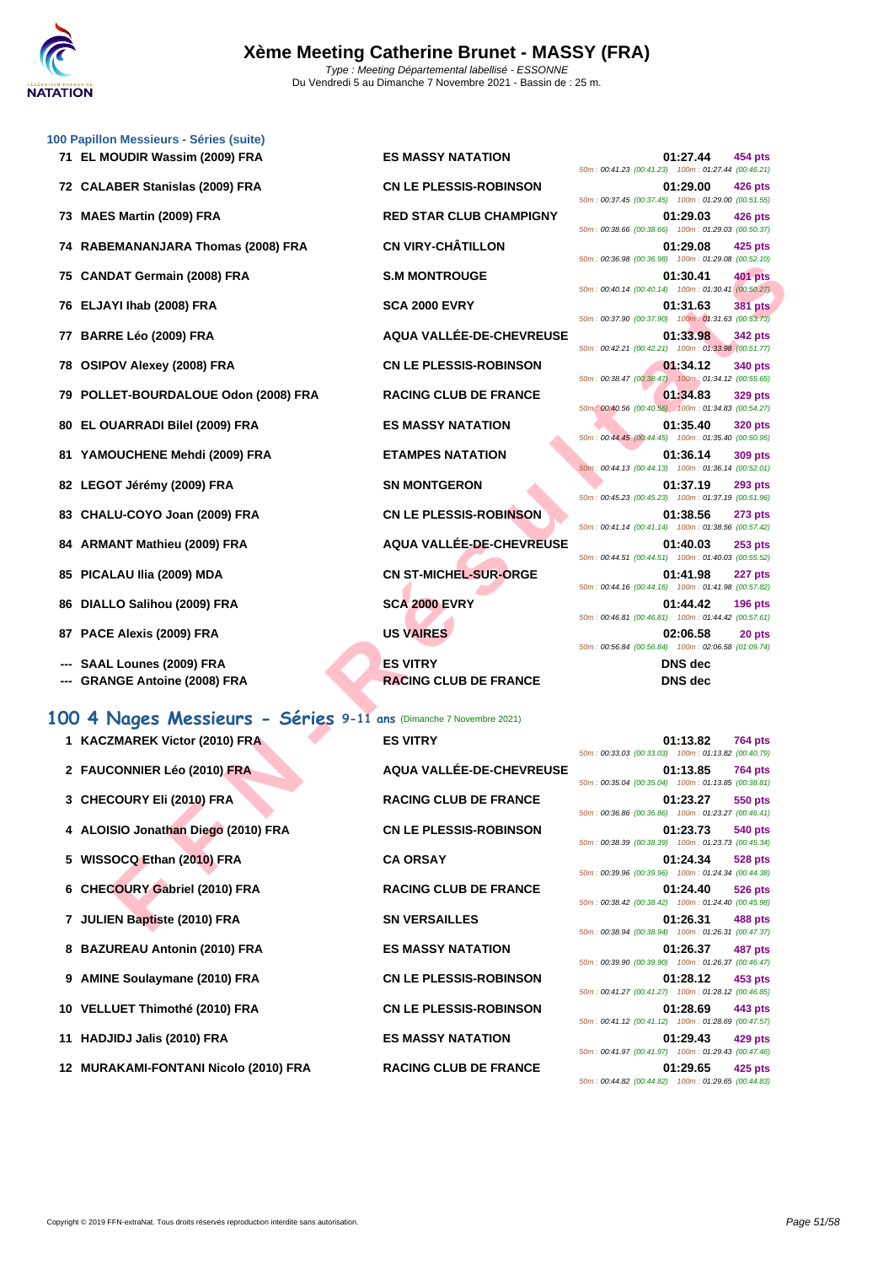

|    | 100 Papillon Messieurs - Séries (suite)                            |                                                 |                                                                                  |
|----|--------------------------------------------------------------------|-------------------------------------------------|----------------------------------------------------------------------------------|
|    | 71 EL MOUDIR Wassim (2009) FRA                                     | <b>ES MASSY NATATION</b>                        | 01:27.44<br>454 pts<br>50m: 00:41.23 (00:41.23) 100m: 01:27.44 (00:46.21)        |
|    | 72 CALABER Stanislas (2009) FRA                                    | <b>CN LE PLESSIS-ROBINSON</b>                   | 01:29.00<br>426 pts<br>50m: 00:37.45 (00:37.45) 100m: 01:29.00 (00:51.55)        |
| 73 | <b>MAES Martin (2009) FRA</b>                                      | <b>RED STAR CLUB CHAMPIGNY</b>                  | 01:29.03<br>426 pts<br>50m: 00:38.66 (00:38.66) 100m: 01:29.03 (00:50.37)        |
| 74 | RABEMANANJARA Thomas (2008) FRA                                    | <b>CN VIRY-CHÂTILLON</b>                        | 01:29.08<br>425 pts<br>50m: 00:36.98 (00:36.98) 100m: 01:29.08 (00:52.10)        |
| 75 | <b>CANDAT Germain (2008) FRA</b>                                   | <b>S.M MONTROUGE</b>                            | 01:30.41<br><b>401 pts</b><br>50m: 00:40.14 (00:40.14) 100m: 01:30.41 (00:50.27) |
|    | 76 ELJAYI Ihab (2008) FRA                                          | <b>SCA 2000 EVRY</b>                            | 01:31.63<br><b>381 pts</b><br>50m: 00:37.90 (00:37.90) 100m: 01:31.63 (00:53.73) |
| 77 | <b>BARRE Léo (2009) FRA</b>                                        | AQUA VALLÉE-DE-CHEVREUSE                        | 01:33.98<br><b>342 pts</b>                                                       |
| 78 | <b>OSIPOV Alexey (2008) FRA</b>                                    | <b>CN LE PLESSIS-ROBINSON</b>                   | 50m: 00:42.21 (00:42.21) 100m: 01:33.98 (00:51.77)<br>01:34.12<br>340 pts        |
|    | 79 POLLET-BOURDALOUE Odon (2008) FRA                               | <b>RACING CLUB DE FRANCE</b>                    | 50m: 00:38.47 (00:38.47) 100m: 01:34.12 (00:55.65)<br>01:34.83<br>329 pts        |
| 80 | EL OUARRADI Bilel (2009) FRA                                       | <b>ES MASSY NATATION</b>                        | 50m: 00:40.56 (00:40.56) 100m: 01:34.83 (00:54.27)<br>01:35.40<br><b>320 pts</b> |
|    | 81 YAMOUCHENE Mehdi (2009) FRA                                     | <b>ETAMPES NATATION</b>                         | 50m: 00:44.45 (00:44.45) 100m: 01:35.40 (00:50.95)<br>01:36.14<br><b>309 pts</b> |
|    | 82 LEGOT Jérémy (2009) FRA                                         | <b>SN MONTGERON</b>                             | 50m: 00:44.13 (00:44.13) 100m: 01:36.14 (00:52.01)<br>01:37.19<br><b>293 pts</b> |
|    | 83 CHALU-COYO Joan (2009) FRA                                      | <b>CN LE PLESSIS-ROBINSON</b>                   | 50m: 00:45.23 (00:45.23) 100m: 01:37.19 (00:51.96)<br>01:38.56<br><b>273 pts</b> |
| 84 | ARMANT Mathieu (2009) FRA                                          | AQUA VALLÉE-DE-CHEVREUSE                        | 50m: 00:41.14 (00:41.14) 100m: 01:38.56 (00:57.42)<br>01:40.03<br>$253$ pts      |
|    | 85 PICALAU IIia (2009) MDA                                         | <b>CN ST-MICHEL-SUR-ORGE</b>                    | 50m: 00:44.51 (00:44.51) 100m: 01:40.03 (00:55.52)<br>01:41.98<br>227 pts        |
| 86 | DIALLO Salihou (2009) FRA                                          | <b>SCA 2000 EVRY</b>                            | 50m: 00:44.16 (00:44.16) 100m: 01:41.98 (00:57.82)<br>01:44.42<br><b>196 pts</b> |
|    | 87 PACE Alexis (2009) FRA                                          | <b>US VAIRES</b>                                | 50m: 00:46.81 (00:46.81) 100m: 01:44.42 (00:57.61)<br>02:06.58<br>20 pts         |
|    |                                                                    |                                                 | 50m: 00:56.84 (00:56.84) 100m: 02:06.58 (01:09.74)                               |
|    | SAAL Lounes (2009) FRA<br><b>GRANGE Antoine (2008) FRA</b>         | <b>ES VITRY</b><br><b>RACING CLUB DE FRANCE</b> | <b>DNS</b> dec<br>DNS dec                                                        |
|    | 100 4 Nages Messieurs - Séries 9-11 ans (Dimanche 7 Novembre 2021) |                                                 |                                                                                  |
|    | 1 KACZMAREK Victor (2010) FRA                                      | <b>ES VITRY</b>                                 | 01:13.82<br>764 pts                                                              |
|    | 2 FAUCONNIER Léo (2010) FRA                                        | <b>AQUA VALLÉE-DE-CHEVREUSE</b>                 | 50m: 00:33.03 (00:33.03) 100m: 01:13.82 (00:40.79)<br>01:13.85<br>764 pts        |
|    | 3 CHECOURY Eli (2010) FRA                                          | <b>RACING CLUB DE FRANCE</b>                    | 50m: 00:35.04 (00:35.04) 100m: 01:13.85 (00:38.81)<br>01:23.27<br>550 pts        |
|    | 4 ALOISIO Jonathan Diego (2010) FRA                                | <b>CN LE PLESSIS-ROBINSON</b>                   | 50m: 00:36.86 (00:36.86) 100m: 01:23.27 (00:46.41)<br>01:23.73<br>540 pts        |
|    | 5 WISSOCQ Ethan (2010) FRA                                         | <b>CA ORSAY</b>                                 | 50m: 00:38.39 (00:38.39) 100m: 01:23.73 (00:45.34)<br>01:24.34<br>528 pts        |
|    | 6 CHECOURY Gabriel (2010) FRA                                      | <b>RACING CLUB DE FRANCE</b>                    | 50m: 00:39.96 (00:39.96) 100m: 01:24.34 (00:44.38)<br>01:24.40<br>526 pts        |
|    | 7 JULIEN Baptiste (2010) FRA                                       | <b>SN VERSAILLES</b>                            | 50m: 00:38.42 (00:38.42) 100m: 01:24.40 (00:45.98)<br>01:26.31<br>488 pts        |
|    |                                                                    |                                                 |                                                                                  |

- 
- 
- **4 ALOISIO Jonathan Diego (2010) FRA CN LE PLESSIS-ROBINSON 01:23.73 540 pts**
- **5 WISSOCQ Ethan (2010) FRA CA ORSAY**
- **6** CHECOURY Gabriel (2010) FRA **RACING CLUB DE FRANCE**
- **7 JULIEN Baptiste (2010) FRA SN VERSAILLES 01:26.31 488 pts**
- **8 BAZUREAU Antonin (2010) FRA ES MASSY NATATION 01:26.37 487 pts**
- **9 AMINE Soulaymane (2010) FRA CN LE PLESSIS-ROBINSON 01:28.12 453 pts**
- **10 VELLUET Thimothé (2010) FRA CN LE PLESSIS-ROBINSON 01:28.69 443 pts**
- **11 HADJIDJ Jalis (2010) FRA ES MASSY NATATION 01:29.43 429 pts**
- 12 **MURAKAMI-FONTANI Nicolo (2010) FRA** RACING CLUB DE FRANCE

**2 FAUCONNIER Léo (2010) FRA AQUA VALLÉE-DE-CHEVREUSE 3 CHECOURY Eli (2010) FRA RACING CLUB DE FRANCE 01:23.27 550 pts**

| 50m: 00:33.03 (00:33.03) 100m: 01:13.82 (00:40.79) | 01:13.82 764 pts |  |
|----------------------------------------------------|------------------|--|
|                                                    | 01:13.85 764 pts |  |
| 50m: 00:35.04 (00:35.04) 100m: 01:13.85 (00:38.81) |                  |  |
|                                                    | 01:23.27 550 pts |  |
| 50m: 00:36.86 (00:36.86) 100m: 01:23.27 (00:46.41) |                  |  |
|                                                    | 01:23.73 540 pts |  |
| 50m: 00:38.39 (00:38.39) 100m: 01:23.73 (00:45.34) |                  |  |
|                                                    | 01:24.34 528 pts |  |
| 50m: 00:39.96 (00:39.96) 100m: 01:24.34 (00:44.38) |                  |  |
|                                                    | 01:24.40 526 pts |  |
| 50m: 00:38.42 (00:38.42) 100m: 01:24.40 (00:45.98) |                  |  |
|                                                    | 01:26.31 488 pts |  |
| 50m: 00:38.94 (00:38.94) 100m: 01:26.31 (00:47.37) |                  |  |
|                                                    | 01:26.37 487 pts |  |
| 50m: 00:39.90 (00:39.90) 100m: 01:26.37 (00:46.47) |                  |  |
|                                                    | 01:28.12 453 pts |  |
| 50m: 00:41.27 (00:41.27) 100m: 01:28.12 (00:46.85) |                  |  |
|                                                    | 01:28.69 443 pts |  |
| 50m: 00:41.12 (00:41.12) 100m: 01:28.69 (00:47.57) |                  |  |
|                                                    | 01:29.43 429 pts |  |
| 50m: 00:41.97 (00:41.97) 100m: 01:29.43 (00:47.46) |                  |  |
|                                                    | 01:29.65 425 pts |  |
| 50m: 00:44.82 (00:44.82) 100m: 01:29.65 (00:44.83) |                  |  |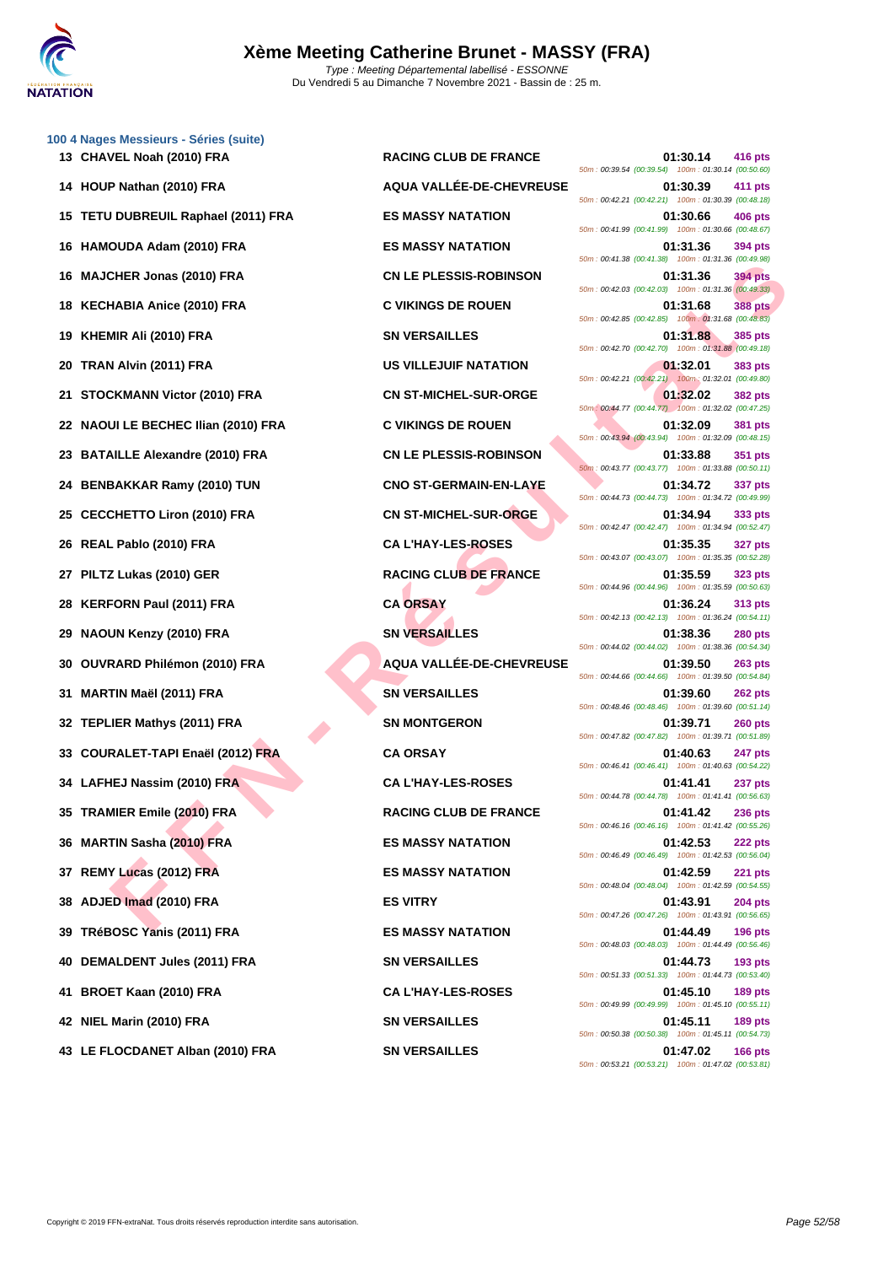

|    | 100 4 Nages Messieurs - Séries (suite)<br>13 CHAVEL Noah (2010) FRA | <b>RACING CLUB DE FRANCE</b>  | 01:30.14<br>416 pts                                                                                                                    |
|----|---------------------------------------------------------------------|-------------------------------|----------------------------------------------------------------------------------------------------------------------------------------|
|    |                                                                     | AQUA VALLÉE-DE-CHEVREUSE      | 50m: 00:39.54 (00:39.54) 100m: 01:30.14 (00:50.60)                                                                                     |
| 14 | HOUP Nathan (2010) FRA                                              |                               | 01:30.39<br>411 pts<br>50m: 00:42.21 (00:42.21) 100m: 01:30.39 (00:48.18)                                                              |
|    | 15 TETU DUBREUIL Raphael (2011) FRA                                 | <b>ES MASSY NATATION</b>      | 01:30.66<br><b>406 pts</b><br>50m: 00:41.99 (00:41.99) 100m: 01:30.66 (00:48.67)                                                       |
| 16 | HAMOUDA Adam (2010) FRA                                             | <b>ES MASSY NATATION</b>      | 01:31.36<br>394 pts<br>50m: 00:41.38 (00:41.38) 100m: 01:31.36 (00:49.98)                                                              |
| 16 | <b>MAJCHER Jonas (2010) FRA</b>                                     | <b>CN LE PLESSIS-ROBINSON</b> | 01:31.36<br><b>394 pts</b><br>50m: 00:42.03 (00:42.03) 100m: 01:31.36 (00:49.33)                                                       |
| 18 | <b>KECHABIA Anice (2010) FRA</b>                                    | <b>C VIKINGS DE ROUEN</b>     | 01:31.68<br><b>388 pts</b><br>50m: 00:42.85 (00:42.85) 100m: 01:31.68 (00:48.83)                                                       |
| 19 | KHEMIR Ali (2010) FRA                                               | <b>SN VERSAILLES</b>          | 01:31.88<br>385 pts                                                                                                                    |
| 20 | TRAN Alvin (2011) FRA                                               | <b>US VILLEJUIF NATATION</b>  | 50m: 00:42.70 (00:42.70) 100m: 01:31.88 (00:49.18)<br>01:32.01<br>383 pts<br>50m: 00:42.21 (00:42.21) 100m: 01:32.01 (00:49.80)        |
| 21 | <b>STOCKMANN Victor (2010) FRA</b>                                  | <b>CN ST-MICHEL-SUR-ORGE</b>  | 01:32.02<br><b>382 pts</b>                                                                                                             |
|    | 22 NAOUI LE BECHEC Ilian (2010) FRA                                 | <b>C VIKINGS DE ROUEN</b>     | 50m: 00:44.77 (00:44.77) 100m: 01:32.02 (00:47.25)<br>01:32.09<br>381 pts<br>50m: 00:43.94 (00:43.94) 100m: 01:32.09 (00:48.15)        |
|    | 23 BATAILLE Alexandre (2010) FRA                                    | <b>CN LE PLESSIS-ROBINSON</b> | 01:33.88<br>351 pts                                                                                                                    |
| 24 | <b>BENBAKKAR Ramy (2010) TUN</b>                                    | <b>CNO ST-GERMAIN-EN-LAYE</b> | 50m: 00:43.77 (00:43.77) 100m: 01:33.88 (00:50.11)<br>01:34.72<br>337 pts                                                              |
| 25 | <b>CECCHETTO Liron (2010) FRA</b>                                   | <b>CN ST-MICHEL-SUR-ORGE</b>  | 50m: 00:44.73 (00:44.73) 100m: 01:34.72 (00:49.99)<br>01:34.94<br>333 pts                                                              |
| 26 | REAL Pablo (2010) FRA                                               | <b>CA L'HAY-LES-ROSES</b>     | 50m: 00:42.47 (00:42.47) 100m: 01:34.94 (00:52.47)<br>01:35.35<br><b>327 pts</b>                                                       |
| 27 | PILTZ Lukas (2010) GER                                              | <b>RACING CLUB DE FRANCE</b>  | 50m: 00:43.07 (00:43.07) 100m: 01:35.35 (00:52.28)<br>01:35.59<br>323 pts<br>50m: 00:44.96 (00:44.96) 100m: 01:35.59 (00:50.63)        |
| 28 | <b>KERFORN Paul (2011) FRA</b>                                      | <b>CA ORSAY</b>               | 01:36.24<br>313 pts                                                                                                                    |
| 29 | <b>NAOUN Kenzy (2010) FRA</b>                                       | <b>SN VERSAILLES</b>          | 50m: 00:42.13 (00:42.13) 100m: 01:36.24 (00:54.11)<br>01:38.36<br><b>280 pts</b>                                                       |
| 30 | OUVRARD Philémon (2010) FRA                                         | AQUA VALLÉE-DE-CHEVREUSE      | 50m: 00:44.02 (00:44.02) 100m: 01:38.36 (00:54.34)<br>01:39.50<br><b>263 pts</b><br>50m: 00:44.66 (00:44.66) 100m: 01:39.50 (00:54.84) |
| 31 | MARTIN Maël (2011) FRA                                              | <b>SN VERSAILLES</b>          | 01:39.60<br><b>262 pts</b><br>50m : 00:48.46 (00:48.46) 100m : 01:39.60 (00:51.14)                                                     |
|    | 32 TEPLIER Mathys (2011) FRA                                        | <b>SN MONTGERON</b>           | 01:39.71<br><b>260 pts</b>                                                                                                             |
| 33 | <b>COURALET-TAPI Enaël (2012) FRA</b>                               | <b>CA ORSAY</b>               | 50m: 00:47.82 (00:47.82) 100m: 01:39.71 (00:51.89)<br>01:40.63<br><b>247 pts</b>                                                       |
|    | 34 LAFHEJ Nassim (2010) FRA                                         | <b>CA L'HAY-LES-ROSES</b>     | 50m: 00:46.41 (00:46.41) 100m: 01:40.63 (00:54.22)<br>01:41.41<br>237 pts                                                              |
|    | 35 TRAMIER Emile (2010) FRA                                         | <b>RACING CLUB DE FRANCE</b>  | 50m: 00:44.78 (00:44.78) 100m: 01:41.41 (00:56.63)<br>01:41.42<br><b>236 pts</b>                                                       |
|    | 36 MARTIN Sasha (2010) FRA                                          | <b>ES MASSY NATATION</b>      | 50m: 00:46.16 (00:46.16) 100m: 01:41.42 (00:55.26)<br>01:42.53<br>222 pts                                                              |
| 37 | REMY Lucas (2012) FRA                                               | <b>ES MASSY NATATION</b>      | 50m: 00:46.49 (00:46.49) 100m: 01:42.53 (00:56.04)<br>01:42.59<br><b>221 pts</b>                                                       |
| 38 | ADJED Imad (2010) FRA                                               | <b>ES VITRY</b>               | 50m: 00:48.04 (00:48.04) 100m: 01:42.59 (00:54.55)<br>01:43.91<br><b>204 pts</b>                                                       |
| 39 | TRéBOSC Yanis (2011) FRA                                            | <b>ES MASSY NATATION</b>      | 50m: 00:47.26 (00:47.26) 100m: 01:43.91 (00:56.65)<br>01:44.49<br><b>196 pts</b>                                                       |
| 40 | <b>DEMALDENT Jules (2011) FRA</b>                                   | <b>SN VERSAILLES</b>          | 50m: 00:48.03 (00:48.03) 100m: 01:44.49 (00:56.46)<br>01:44.73<br><b>193 pts</b>                                                       |
| 41 | BROET Kaan (2010) FRA                                               | <b>CA L'HAY-LES-ROSES</b>     | 50m: 00:51.33 (00:51.33) 100m: 01:44.73 (00:53.40)<br>01:45.10<br><b>189 pts</b>                                                       |
|    | 42 NIEL Marin (2010) FRA                                            | <b>SN VERSAILLES</b>          | 50m: 00:49.99 (00:49.99) 100m: 01:45.10 (00:55.11)<br>01:45.11<br>189 pts                                                              |
|    | 43 LE FLOCDANET Alban (2010) FRA                                    | <b>SN VERSAILLES</b>          | 50m: 00:50.38 (00:50.38) 100m: 01:45.11 (00:54.73)<br>01:47.02<br><b>166 pts</b>                                                       |
|    |                                                                     |                               | 50m : 00:53.21 (00:53.21) 100m : 01:47.02 (00:53.81)                                                                                   |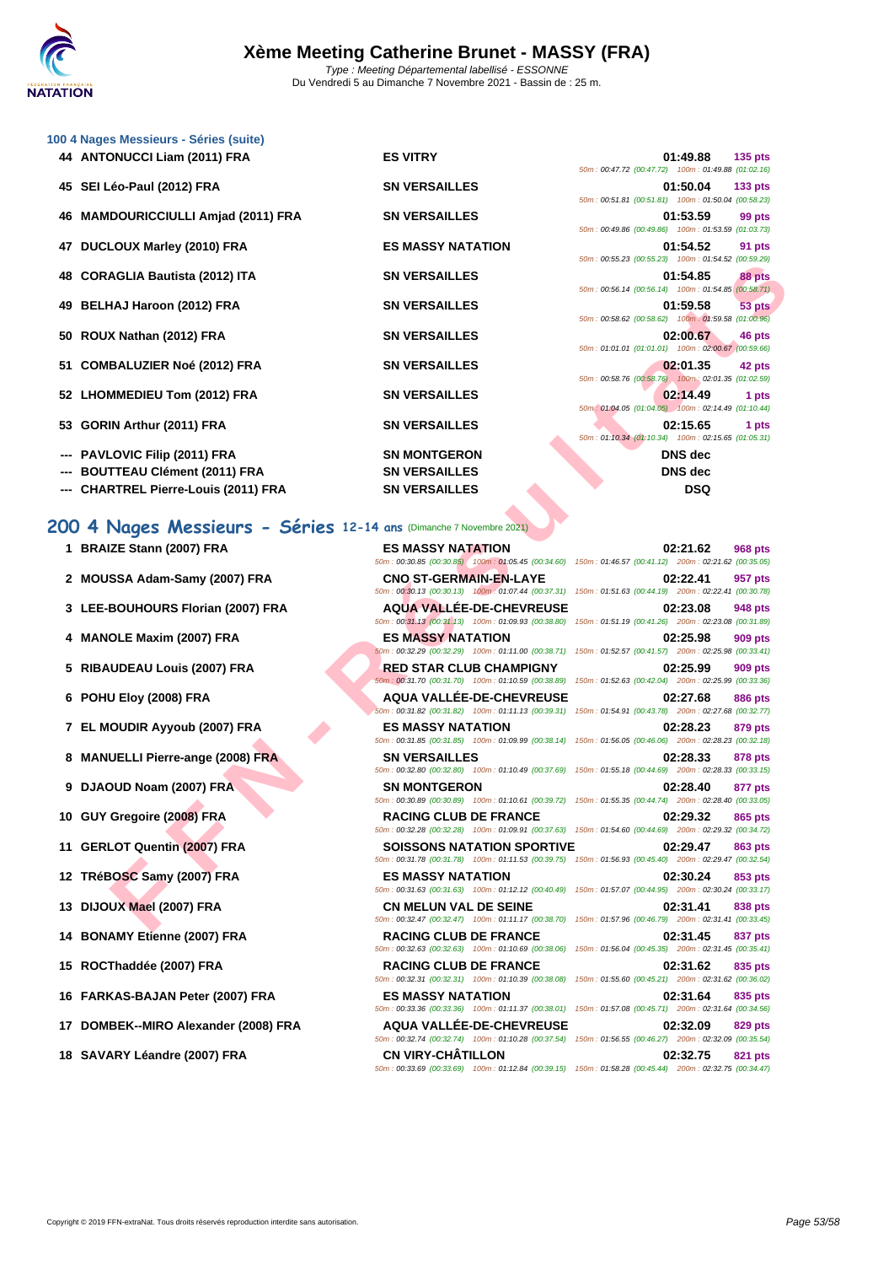|    | 100 4 Nages Messieurs - Séries (suite)                                                           |                                                                                |                                                                                                                                   |
|----|--------------------------------------------------------------------------------------------------|--------------------------------------------------------------------------------|-----------------------------------------------------------------------------------------------------------------------------------|
|    | 44 ANTONUCCI Liam (2011) FRA                                                                     | <b>ES VITRY</b>                                                                | 01:49.88<br>$135$ pts<br>50m: 00:47.72 (00:47.72) 100m: 01:49.88 (01:02.16)                                                       |
|    | 45 SEI Léo-Paul (2012) FRA                                                                       | <b>SN VERSAILLES</b>                                                           | 01:50.04<br>133 <sub>pts</sub><br>50m: 00:51.81 (00:51.81) 100m: 01:50.04 (00:58.23)                                              |
| 46 | <b>MAMDOURICCIULLI Amjad (2011) FRA</b>                                                          | <b>SN VERSAILLES</b>                                                           | 01:53.59<br>99 pts                                                                                                                |
|    | 47 DUCLOUX Marley (2010) FRA                                                                     | <b>ES MASSY NATATION</b>                                                       | 50m: 00:49.86 (00:49.86) 100m: 01:53.59 (01:03.73)<br>01:54.52<br>91 pts                                                          |
| 48 | <b>CORAGLIA Bautista (2012) ITA</b>                                                              | <b>SN VERSAILLES</b>                                                           | 50m: 00:55.23 (00:55.23) 100m: 01:54.52 (00:59.29)<br>01:54.85<br>88 pts                                                          |
|    | BELHAJ Haroon (2012) FRA                                                                         | <b>SN VERSAILLES</b>                                                           | 50m: 00:56.14 (00:56.14) 100m: 01:54.85 (00:58.71)<br>01:59.58<br>53 pts                                                          |
| 50 | ROUX Nathan (2012) FRA                                                                           | <b>SN VERSAILLES</b>                                                           | 50m : 00:58.62 (00:58.62) 100m : 01:59.58 (01:00.96)<br>02:00.67<br>46 pts                                                        |
| 51 | <b>COMBALUZIER Noé (2012) FRA</b>                                                                | <b>SN VERSAILLES</b>                                                           | 50m: 01:01.01 (01:01.01) 100m: 02:00.67 (00:59.66)<br>02:01.35<br>42 pts                                                          |
|    | 52 LHOMMEDIEU Tom (2012) FRA                                                                     | <b>SN VERSAILLES</b>                                                           | 50m: 00:58.76 (00:58.76) 100m: 02:01.35 (01:02.59)<br>02:14.49<br>1 pts                                                           |
| 53 | <b>GORIN Arthur (2011) FRA</b>                                                                   | <b>SN VERSAILLES</b>                                                           | 50m: 01:04.05 (01:04.05) 100m: 02:14.49 (01:10.44)<br>02:15.65<br>1 pts                                                           |
|    |                                                                                                  |                                                                                | 50m: 01:10.34 (01:10.34) 100m: 02:15.65 (01:05.31)                                                                                |
|    | PAVLOVIC Filip (2011) FRA                                                                        | <b>SN MONTGERON</b>                                                            | <b>DNS</b> dec                                                                                                                    |
|    | <b>BOUTTEAU Clément (2011) FRA</b><br><b>CHARTREL Pierre-Louis (2011) FRA</b>                    | <b>SN VERSAILLES</b><br><b>SN VERSAILLES</b>                                   | <b>DNS</b> dec<br><b>DSQ</b>                                                                                                      |
|    |                                                                                                  | <b>ES MASSY NATATION</b><br>50m: 00:30.85 (00:30.85) 100m: 01:05.45 (00:34.60) | 02:21.62<br><b>968 pts</b><br>150m: 01:46.57 (00:41.12) 200m: 02:21.62 (00:35.05)                                                 |
|    | 200 4 Nages Messieurs - Séries 12-14 ans (Dimanche 7 Novembre 2021)<br>1 BRAIZE Stann (2007) FRA |                                                                                |                                                                                                                                   |
|    | 2 MOUSSA Adam-Samy (2007) FRA                                                                    | <b>CNO ST-GERMAIN-EN-LAYE</b>                                                  | 02:22.41<br>957 pts                                                                                                               |
|    |                                                                                                  |                                                                                | 50m: 00:30.13 (00:30.13) 100m: 01:07.44 (00:37.31) 150m: 01:51.63 (00:44.19) 200m: 02:22.41 (00:30.78)                            |
|    | 3 LEE-BOUHOURS Florian (2007) FRA                                                                | <b>AQUA VALLEE-DE-CHEVREUSE</b>                                                | 02:23.08<br>948 pts<br>50m: 00:31.13 (00:31.13) 100m: 01:09.93 (00:38.80) 150m: 01:51.19 (00:41.26) 200m: 02:23.08 (00:31.89)     |
|    | 4 MANOLE Maxim (2007) FRA                                                                        | <b>ES MASSY NATATION</b>                                                       | 02:25.98<br>909 pts<br>50m: 00:32.29 (00:32.29) 100m: 01:11.00 (00:38.71) 150m: 01:52.57 (00:41.57) 200m: 02:25.98 (00:33.41)     |
|    | 5 RIBAUDEAU Louis (2007) FRA                                                                     | RED STAR CLUB CHAMPIGNY<br>50m: 00:31.70 (00:31.70) 100m: 01:10.59 (00:38.89)  | 02:25.99<br>909 pts<br>150m: 01:52.63 (00:42.04) 200m: 02:25.99 (00:33.36)                                                        |
|    | 6 POHU Eloy (2008) FRA                                                                           | <b>AQUA VALLEE-DE-CHEVREUSE</b>                                                | 02:27.68<br>886 pts<br>50m: 00:31.82 (00:31.82) 100m: 01:11.13 (00:39.31) 150m: 01:54.91 (00:43.78) 200m: 02:27.68 (00:32.77)     |
|    | 7 EL MOUDIR Ayyoub (2007) FRA                                                                    | <b>ES MASSY NATATION</b>                                                       | 02:28.23<br>879 pts<br>50m: 00:31.85 (00:31.85) 100m: 01:09.99 (00:38.14) 150m: 01:56.05 (00:46.06) 200m: 02:28.23 (00:32.18)     |
|    | 8 MANUELLI Pierre-ange (2008) FRA                                                                | <b>SN VERSAILLES</b>                                                           | 02:28.33<br>878 pts<br>50m : 00:32.80 (00:32.80) 100m : 01:10.49 (00:37.69) 150m : 01:55.18 (00:44.69) 200m : 02:28.33 (00:33.15) |
|    | 9 DJAOUD Noam (2007) FRA                                                                         | <b>SN MONTGERON</b>                                                            | 02:28.40<br>877 pts<br>50m : 00:30.89 (00:30.89) 100m : 01:10.61 (00:39.72) 150m : 01:55.35 (00:44.74) 200m : 02:28.40 (00:33.05) |
|    | 10 GUY Gregoire (2008) FRA                                                                       | <b>RACING CLUB DE FRANCE</b>                                                   | 02:29.32<br>865 pts                                                                                                               |
|    | 11 GERLOT Quentin (2007) FRA                                                                     | <b>SOISSONS NATATION SPORTIVE</b>                                              | 50m: 00:32.28 (00:32.28) 100m: 01:09.91 (00:37.63) 150m: 01:54.60 (00:44.69) 200m: 02:29.32 (00:34.72)<br>02:29.47<br>863 pts     |
|    | 12 TRéBOSC Samy (2007) FRA                                                                       | <b>ES MASSY NATATION</b>                                                       | 50m: 00:31.78 (00:31.78) 100m: 01:11.53 (00:39.75) 150m: 01:56.93 (00:45.40) 200m: 02:29.47 (00:32.54)<br>02:30.24<br>853 pts     |
|    | 13 DIJOUX Mael (2007) FRA                                                                        | <b>CN MELUN VAL DE SEINE</b>                                                   | 50m : 00:31.63 (00:31.63) 100m : 01:12.12 (00:40.49) 150m : 01:57.07 (00:44.95) 200m : 02:30.24 (00:33.17)<br>02:31.41<br>838 pts |
|    |                                                                                                  |                                                                                | 50m: 00:32.47 (00:32.47) 100m: 01:11.17 (00:38.70) 150m: 01:57.96 (00:46.79) 200m: 02:31.41 (00:33.45)                            |

#### **200 4 Nages Messieurs - Séries 12-14 ans** (Dimanche 7 Novembre 2021)

- 1 **BRAIZE Stann (2007) FRA ES MASSY NATATION**
- 2 **MOUSSA Adam-Samy (2007) FRA CNO ST-GERMAIN-EN-LAYE**
- **3 LEE-BOUHOURS Florian (2007) FRA AQUA VALLÉE-DE-CHEVREUSE 02:23.08 948 pts**
- **4 MANOLE Maxim (2007) FRA ES MASSY NATATION 02:25.98 909 pts**
- **5** RIBAUDEAU Louis (2007) FRA **RED STAR CLUB CHAMPIGNY**
- 
- **7 EL MOUDIR Ayyoub (2007) FRA ES MASSY NATATION 02:28.23 879 pts**
- **8 MANUELLI Pierre-ange (2008) FRA SN VERSAILLES**
- **9 DJAOUD Noam (2007) FRA SN MONTGERON**
- 
- 
- 12 **TRéBOSC Samy (2007) FRA ES MASSY NATATION**
- **13 DIJOUX Mael (2007) FRA CN MELUN VAL DE SEINE 02:31.41 838 pts**
- 14 **BONAMY Etienne (2007) FRA RACING CLUB DE FRANCE**
- 
- **16 FARKAS-BAJAN Peter (2007) FRA ES MASSY NATATION 02:31.64 835 pts**
- **17 DOMBEK--MIRO Alexander (2008) FRA AQUA VALLÉE-DE-CHEVREUSE 02:32.09 829 pts**
- **18 SAVARY Léandre (2007) FRA CN VIRY-CHÂTILLON 02:32.75 821 pts**

50m : 00:30.85 (00:30.85) 100m : 01:05.45 (00:34.60) 150m : 0 50m : 00:30.13 (00:30.13) 100m : 01:07.44 (00:37. 50m : 00:31.13 (00:31.13) 100m : 01:09.93 (00:38. 50m : 00:32.29 (00:32.29) 100m : 01:11.00 (00:38. 50m : 00:31.70 (00:31.70) 100m : 01:10.59 (00:38. **6 POHU Eloy (2008) FRA AQUA VALLÉE-DE-CHEVREUSE 02:27.68 886 pts** 50m : 00:31.82 (00:31.82) 100m : 01:11.13 (00:39. 50m : 00:31.85 (00:31.85) 100m : 01:09.99 (00:38. 50m : 00:32.80 (00:32.80) 100m : 01:10.49 (00:37. 50m : 00:30.89 (00:30.89) 100m : 01:10.61 (00:39. 10 **GUY Gregoire (2008) FRA RACING CLUB DE FRANCE** 50m : 00:32.28 (00:32.28) 100m : 01:09.91 (00:37.64) **11 GERLOT Quentin (2007) FRA SOISSONS NATATION SPORT** 50m : 00:31.78 (00:31.78) 100m : 01:11.53 (00:39. 50m : 00:31.63 (00:31.63) 100m : 01:12.12 (00:40. 50m : 00:32.47 (00:32.47) 100m : 01:11.17 (00:38.  $50m : 00:32.63 (00:32.63) 100m : 01:10.69 (00:38.$ 15 **ROCThaddée (2007) FRA RACING CLUB DE FRANCE** 50m : 00:32.31 (00:32.31) 100m : 01:10.39 (00:38. 50m : 00:33.36 (00:33.36) 100m : 01:11.37 (00:38. 50m : 00:32.74 (00:32.74) 100m : 01:10.28 (00:37.

|  | 01:54.85 88 pts                              |       |
|--|----------------------------------------------|-------|
|  | 0:56.14 (00:56.14) 100m: 01:54.85 (00:58.71) |       |
|  | 01:59.58 53 pts                              |       |
|  | 0:58.62 (00:58.62) 100m: 01:59.58 (01:00.96) |       |
|  | 02:00.67 46 pts                              |       |
|  | 1:01.01 (01:01.01) 100m: 02:00.67 (00:59.66) |       |
|  | $02:01.35$ 42 pts                            |       |
|  | 0:58.76 (00:58.76) 100m: 02:01.35 (01:02.59) |       |
|  | 02:14.49                                     | 1 pts |
|  | 1:04.05 (01:04.05) 100m: 02:14.49 (01:10.44) |       |
|  | 02:15.65                                     | 1 pts |
|  | 1:10.34 (01:10.34) 100m: 02:15.65 (01:05.31) |       |
|  | DNS dec                                      |       |
|  | DNS dec                                      |       |
|  | DSQ                                          |       |
|  |                                              |       |
|  |                                              |       |
|  |                                              |       |
|  | 02:21.62 968 pts                             |       |
|  | 1:46.57 (00:41.12) 200m: 02:21.62 (00:35.05) |       |
|  | 02:22.41 957 pts                             |       |
|  | 1:51.63 (00:44.19) 200m: 02:22.41 (00:30.78) |       |
|  | 02:23.08 948 pts                             |       |
|  | 1:51.19 (00:41.26) 200m: 02:23.08 (00:31.89) |       |
|  |                                              |       |

| 31)  |  | 150m: 01:51.63 (00:44.19) 200m: 02:22.41 (00:30.78)                         |                |
|------|--|-----------------------------------------------------------------------------|----------------|
| SЕ   |  | 02:23.08 948 pts                                                            |                |
|      |  | 80) 150m: 01:51.19 (00:41.26) 200m: 02:23.08 (00:31.89)                     |                |
|      |  | 02:25.98                                                                    | <b>909 pts</b> |
| 71)  |  | 150m: 01:52.57 (00:41.57) 200m: 02:25.98 (00:33.41)                         |                |
|      |  | 02:25.99                                                                    | <b>909 pts</b> |
| 89)  |  | 150m: 01:52.63 (00:42.04) 200m: 02:25.99 (00:33.36)                         |                |
| SЕ   |  | 02:27.68 886 pts                                                            |                |
|      |  | 31) 150m: 01:54.91 (00:43.78) 200m: 02:27.68 (00:32.77)                     |                |
|      |  | 02:28.23                                                                    | <b>879 pts</b> |
| (14) |  | 150m: 01:56.05 (00:46.06) 200m: 02:28.23 (00:32.18)                         |                |
|      |  | 02:28.33 878 pts                                                            |                |
|      |  | 69) 150m: 01:55.18 (00:44.69) 200m: 02:28.33 (00:33.15)                     |                |
|      |  | 02:28.40 877 pts                                                            |                |
|      |  | 72) 150m: 01:55.35 (00:44.74) 200m: 02:28.40 (00:33.05)                     |                |
|      |  | 02:29.32                                                                    | 865 pts        |
|      |  | 63) 150m : 01:54.60 (00:44.69) 200m : 02:29.32 (00:34.72)                   |                |
| IVE  |  | 02:29.47 863 pts<br>75) 150m: 01:56.93 (00:45.40) 200m: 02:29.47 (00:32.54) |                |
|      |  |                                                                             |                |
| 49)  |  | 02.30.24<br>150m: 01:57.07 (00:44.95) 200m: 02:30.24 (00:33.17)             | 853 pts        |
|      |  |                                                                             |                |
|      |  | 02:31.41 838 pts<br>70) 150m: 01:57.96 (00:46.79) 200m: 02:31.41 (00:33.45) |                |
|      |  | 02:31.45 837 pts                                                            |                |
| 06)  |  | 150m: 01:56.04 (00:45.35) 200m: 02:31.45 (00:35.41)                         |                |
|      |  | 02:31.62                                                                    | 835 pts        |
| 08)  |  | 150m: 01:55.60 (00:45.21) 200m: 02:31.62 (00:36.02)                         |                |
|      |  | 02:31.64 835 pts                                                            |                |
| 01)  |  | 150m: 01:57.08 (00:45.71) 200m: 02:31.64 (00:34.56)                         |                |
| SЕ   |  | 02:32.09 829 pts                                                            |                |
| 54)  |  | 150m: 01:56.55 (00:46.27) 200m: 02:32.09 (00:35.54)                         |                |
|      |  | $0.2275 - 0.21$ min                                                         |                |

50m : 00:33.69 (00:33.69) 100m : 01:12.84 (00:39.15) 150m : 01:58.28 (00:45.44) 200m : 02:32.75 (00:34.47)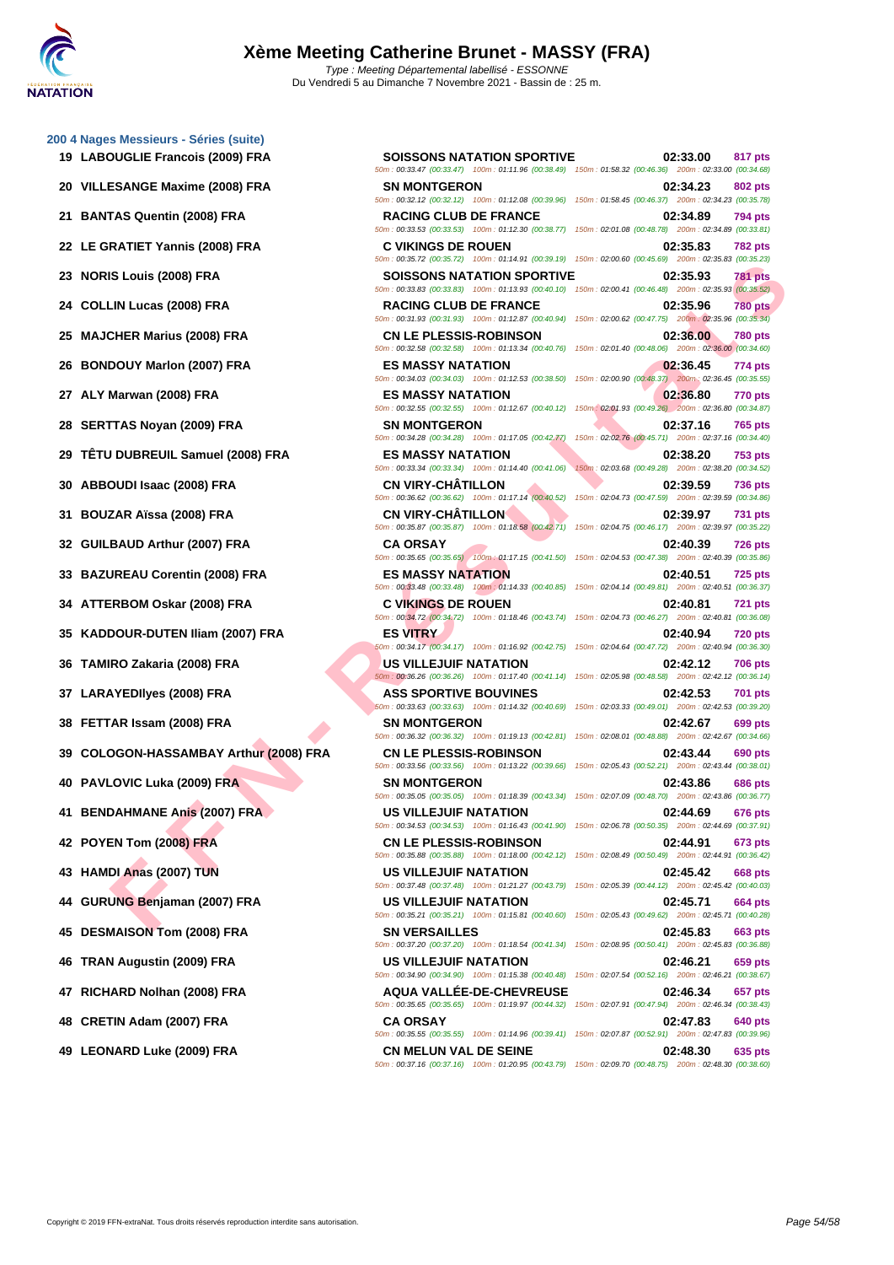**[200 4 Nag](http://www.ffnatation.fr/webffn/index.php)es Messieurs - Séries (suite) LABOUGLIE Francois (2009) FRA SOISSONS NATATION SPORTIVE 02:33.00 817 pts VILLESANGE Maxime (2008) FRA SN MONTGERON 02:34.23 802 pts BANTAS Quentin (2008) FRA RACING CLUB DE FRANCE 02:34.89 794 pts LE GRATIET Yannis (2008) FRA C VIKINGS DE ROUEN 02:35.83 782 pts NORIS Louis (2008) FRA SOISSONS NATATION SPORTIVE 02:35.93 781 pts COLLIN Lucas (2008) FRA RACING CLUB DE FRANCE 02:35.96 780 pts MAJCHER Marius (2008) FRA CN LE PLESSIS-ROBINSON 02:36.00 780 pts BONDOUY Marlon (2007) FRA ES MASSY NATATION 02:36.45 774 pts ALY Marwan (2008) FRA ES MASSY NATATION 02:36.80 770 pts SERTTAS Noyan (2009) FRA SN MONTGERON 02:37.16 765 pts TÊTU DUBREUIL Samuel (2008) FRA ES MASSY NATATION 02:38.20 753 pts ABBOUDI Isaac (2008) FRA CN VIRY-CHÂTILLON 02:39.59 736 pts BOUZAR Aïssa (2008) FRA CN VIRY-CHÂTILLON 02:39.97 731 pts GUILBAUD Arthur (2007) FRA CA ORSAY 02:40.39 726 pts BAZUREAU Corentin (2008) FRA ES MASSY NATATION 02:40.51 725 pts ATTERBOM Oskar (2008) FRA C VIKINGS DE ROUEN 02:40.81 721 pts KADDOUR-DUTEN Iliam (2007) FRA ES VITRY 02:40.94 720 pts TAMIRO Zakaria (2008) FRA US VILLEJUIF NATATION 02:42.12 706 pts LARAYEDIlyes (2008) FRA ASS SPORTIVE BOUVINES 02:42.53 701 pts FETTAR Issam (2008) FRA SN MONTGERON 02:42.67 699 pts COLOGON-HASSAMBAY Arthur (2008) FRA CN LE PLESSIS-ROBINSON 02:43.44 690 pts PAVLOVIC Luka (2009) FRA SN MONTGERON 02:43.86 686 pts BENDAHMANE Anis (2007) FRA US VILLEJUIF NATATION 02:44.69 676 pts**

- 
- 

- 
- 
- 

**FINING (2008) FRA**<br> **ESTADE AND ARTICULATE AND ARTICULATE AND ARTICULATE AND ARTICULATE AND ARTICULATE AND ARTICULATE AND ARTICULATE AND CLUBER AND CLUBER AND CLUBER AND CLUBER AND CLUBER AND CLUBER AND CLUBER AND CLUBER** 50m : 00:33.47 (00:33.47) 100m : 01:11.96 (00:38.49) 150m : 01:58.32 (00:46.36) 200m : 02:33.00 (00:34.68) 50m : 00:32.12 (00:32.12) 100m : 01:12.08 (00:39.96) 150m : 01:58.45 (00:46.37) 200m : 02:34.23 (00:35.78) 50m : 00:33.53 (00:33.53) 100m : 01:12.30 (00:38.77) 150m : 02:01.08 (00:48.78) 200m : 02:34.89 (00:33.81) 50m : 00:35.72 (00:35.72) 100m : 01:14.91 (00:39.19) 150m : 02:00.60 (00:45.69) 200m : 02:35.83 (00:35.23) 50m : 00:33.83 (00:33.83) 100m : 01:13.93 (00:40.10) 150m : 02:00.41 (00:46.48) 200m : 02:35.93 (00:35.52) 50m : 00:31.93 (00:31.93) 100m : 01:12.87 (00:40.94) 150m : 02:00.62 (00:47.75) 200m : 02:35.96 (00:35.34) 50m : 00:32.58 (00:32.58) 100m : 01:13.34 (00:40.76) 150m : 02:01.40 (00:48.06) 200m : 02:36.00 (00:34.60) 50m : 00:34.03 (00:34.03) 100m : 01:12.53 (00:38.50) 150m : 02:00.90 (00:48.37) 200m : 02:36.45 (00:35.55) 50m : 00:32.55 (00:32.55) 100m : 01:12.67 (00:40.12) 150m : 02:01.93 (00:49.26) 200m : 02:36.80 (00:34.87) 50m : 00:34.28 (00:34.28) 100m : 01:17.05 (00:42.77) 150m : 02:02.76 (00:45.71) 200m : 02:37.16 (00:34.40) 50m : 00:33.34 (00:33.34) 100m : 01:14.40 (00:41.06) 150m : 02:03.68 (00:49.28) 200m : 02:38.20 (00:34.52) 50m : 00:36.62 (00:36.62) 100m : 01:17.14 (00:40.52) 150m : 02:04.73 (00:47.59) 200m : 02:39.59 (00:34.86) 50m : 00:35.87 (00:35.87) 100m : 01:18.58 (00:42.71) 150m : 02:04.75 (00:46.17) 200m : 02:39.97 (00:35.22) 50m : 00:35.65 (00:35.65) 100m : 01:17.15 (00:41.50) 150m : 02:04.53 (00:47.38) 200m : 02:40.39 (00:35.86) 50m : 00:33.48 (00:33.48) 100m : 01:14.33 (00:40.85) 150m : 02:04.14 (00:49.81) 200m : 02:40.51 (00:36.37) 50m : 00:34.72 (00:34.72) 100m : 01:18.46 (00:43.74) 150m : 02:04.73 (00:46.27) 200m : 02:40.81 (00:36.08) 50m : 00:34.17 (00:34.17) 100m : 01:16.92 (00:42.75) 150m : 02:04.64 (00:47.72) 200m : 02:40.94 (00:36.30) 50m : 00:36.26 (00:36.26) 100m : 01:17.40 (00:41.14) 150m : 02:05.98 (00:48.58) 200m : 02:42.12 (00:36.14) 50m : 00:33.63 (00:33.63) 100m : 01:14.32 (00:40.69) 150m : 02:03.33 (00:49.01) 200m : 02:42.53 (00:39.20) 50m : 00:36.32 (00:36.32) 100m : 01:19.13 (00:42.81) 150m : 02:08.01 (00:48.88) 200m : 02:42.67 (00:34.66) 50m : 00:33.56 (00:33.56) 100m : 01:13.22 (00:39.66) 150m : 02:05.43 (00:52.21) 200m : 02:43.44 (00:38.01) 50m : 00:35.05 (00:35.05) 100m : 01:18.39 (00:43.34) 150m : 02:07.09 (00:48.70) 200m : 02:43.86 (00:36.77) 50m : 00:34.53 (00:34.53) 100m : 01:16.43 (00:41.90) 150m : 02:06.78 (00:50.35) 200m : 02:44.69 (00:37.91) **42 POYEN Tom (2008) FRA CN LE PLESSIS-ROBINSON 02:44.91 673 pts** 50m : 00:35.88 (00:35.88) 100m : 01:18.00 (00:42.12) 150m : 02:08.49 (00:50.49) 200m : 02:44.91 (00:36.42) **43 HAMDI Anas (2007) TUN US VILLEJUIF NATATION 02:45.42 668 pts** 50m : 00:37.48 (00:37.48) 100m : 01:21.27 (00:43.79) 150m : 02:05.39 (00:44.12) 200m : 02:45.42 (00:40.03) **44 GURUNG Benjaman (2007) FRA US VILLEJUIF NATATION 02:45.71 664 pts** 50m : 00:35.21 (00:35.21) 100m : 01:15.81 (00:40.60) 150m : 02:05.43 (00:49.62) 200m : 02:45.71 (00:40.28) **45 DESMAISON Tom (2008) FRA SN VERSAILLES 02:45.83 663 pts** 50m : 00:37.20 (00:37.20) 100m : 01:18.54 (00:41.34) 150m : 02:08.95 (00:50.41) 200m : 02:45.83 (00:36.88) **46 TRAN Augustin (2009) FRA US VILLEJUIF NATATION 02:46.21 659 pts** 50m : 00:34.90 (00:34.90) 100m : 01:15.38 (00:40.48) 150m : 02:07.54 (00:52.16) 200m : 02:46.21 (00:38.67) **47 RICHARD Nolhan (2008) FRA AQUA VALLÉE-DE-CHEVREUSE 02:46.34 657 pts** 50m : 00:35.65 (00:35.65) 100m : 01:19.97 (00:44.32) 150m : 02:07.91 (00:47.94) 200m : 02:46.34 (00:38.43) **48 CRETIN Adam (2007) FRA CA ORSAY 02:47.83 640 pts** 50m : 00:35.55 (00:35.55) 100m : 01:14.96 (00:39.41) 150m : 02:07.87 (00:52.91) 200m : 02:47.83 (00:39.96) **49 LEONARD Luke (2009) FRA CN MELUN VAL DE SEINE 02:48.30 635 pts**

50m : 00:37.16 (00:37.16) 100m : 01:20.95 (00:43.79) 150m : 02:09.70 (00:48.75) 200m : 02:48.30 (00:38.60)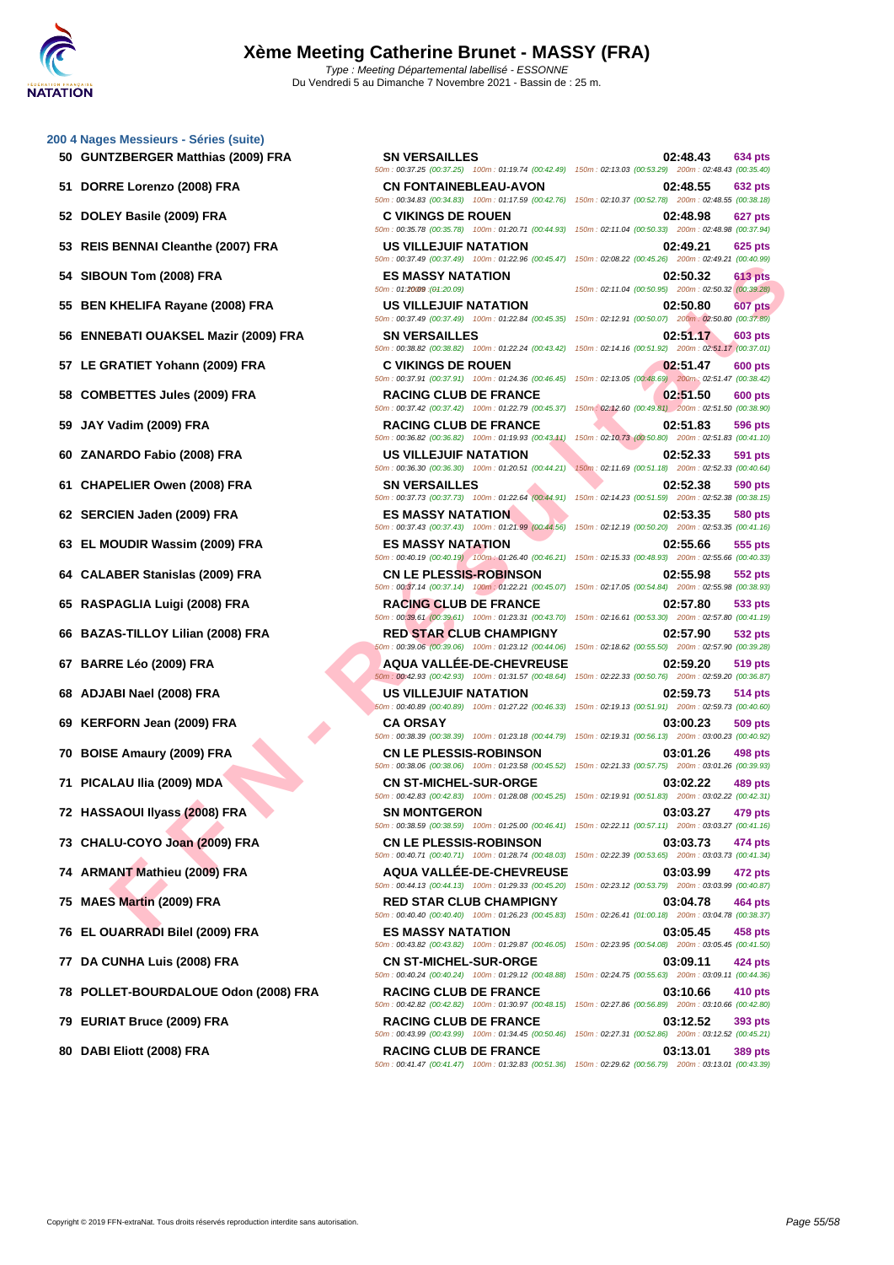**[200 4 Nag](http://www.ffnatation.fr/webffn/index.php)es Messieurs - Séries (suite)**

 **DOLEY Basile (2009) FRA C VIKINGS DE ROUEN 02:48.98 627 pts REIS BENNAI Cleanthe (2007) FRA US VILLEJUIF NATATION 02:49.21 625 pts SIBOUN Tom (2008) FRA ES MASSY NATATION 02:50.32 613 pts BEN KHELIFA Rayane (2008) FRA US VILLEJUIF NATATION 02:50.80 607 pts ENNEBATI OUAKSEL Mazir (2009) FRA SN VERSAILLES 02:51.17 603 pts LE GRATIET Yohann (2009) FRA C VIKINGS DE ROUEN 02:51.47 600 pts COMBETTES Jules (2009) FRA RACING CLUB DE FRANCE 02:51.50 600 pts JAY Vadim (2009) FRA RACING CLUB DE FRANCE 02:51.83 596 pts ZANARDO Fabio (2008) FRA US VILLEJUIF NATATION 02:52.33 591 pts CHAPELIER Owen (2008) FRA SN VERSAILLES 02:52.38 590 pts SERCIEN Jaden (2009) FRA ES MASSY NATATION 02:53.35 580 pts EL MOUDIR Wassim (2009) FRA ES MASSY NATATION 02:55.66 555 pts CALABER Stanislas (2009) FRA CN LE PLESSIS-ROBINSON 02:55.98 552 pts RASPAGLIA Luigi (2008) FRA RACING CLUB DE FRANCE 02:57.80 533 pts BAZAS-TILLOY Lilian (2008) FRA RED STAR CLUB CHAMPIGNY 02:57.90 532 pts BARRE Léo (2009) FRA AQUA VALLÉE-DE-CHEVREUSE 02:59.20 519 pts ADJABI Nael (2008) FRA US VILLEJUIF NATATION 02:59.73 514 pts KERFORN Jean (2009) FRA CA ORSAY 03:00.23 509 pts BOISE Amaury (2009) FRA CN LE PLESSIS-ROBINSON 03:01.26 498 pts PICALAU Ilia (2009) MDA CN ST-MICHEL-SUR-ORGE 03:02.22 489 pts HASSAOUI Ilyass (2008) FRA SN MONTGERON 03:03.27 479 pts CHALU-COYO Joan (2009) FRA CN LE PLESSIS-ROBINSON 03:03.73 474 pts ARMANT Mathieu (2009) FRA AQUA VALLÉE-DE-CHEVREUSE 03:03.99 472 pts MAES Martin (2009) FRA RED STAR CLUB CHAMPIGNY 03:04.78 464 pts EL OUARRADI Bilel (2009) FRA ES MASSY NATATION 03:05.45 458 pts DA CUNHA Luis (2008) FRA CN ST-MICHEL-SUR-ORGE 03:09.11 424 pts POLLET-BOURDALOUE Odon (2008) FRA RACING CLUB DE FRANCE 03:10.66 410 pts EURIAT Bruce (2009) FRA RACING CLUB DE FRANCE 03:12.52 393 pts**

50m : 00:41.47 (00:41.47) 100m : 01:32.83 (00:51.36) 150m : 02:29.62 (00:56.79) 200m : 03:13.01 (00:43.39)

UN Tom (2008) FRA<br> **FRIELIGE MASSY NATADON**<br> **FRIELIGE MASSY NATADON<br>
STRELLG A ROBIN COMPRANATION CONSULTED AND TRANSITY OF THE STRELL COMPRANATION<br>
<b>FATIET Yohann (2009) FRA**<br> **FATIET Yohann (2009) FRA**<br> **FRIEL TO UNING 50 GUNTZBERGER Matthias (2009) FRA SN VERSAILLES 02:48.43 634 pts** 50m : 00:37.25 (00:37.25) 100m : 01:19.74 (00:42.49) 150m : 02:13.03 (00:53.29) 200m : 02:48.43 (00:35.40) **51 DORRE Lorenzo (2008) FRA CN FONTAINEBLEAU-AVON 02:48.55 632 pts** 50m : 00:34.83 (00:34.83) 100m : 01:17.59 (00:42.76) 150m : 02:10.37 (00:52.78) 200m : 02:48.55 (00:38.18) 50m : 00:35.78 (00:35.78) 100m : 01:20.71 (00:44.93) 150m : 02:11.04 (00:50.33) 200m : 02:48.98 (00:37.94) 50m : 00:37.49 (00:37.49) 100m : 01:22.96 (00:45.47) 150m : 02:08.22 (00:45.26) 200m : 02:49.21 (00:40.99) 150m : 02:11.04 (00:50.95) 200m : 02:50.32 (00:39.28) 50m : 00:37.49 (00:37.49) 100m : 01:22.84 (00:45.35) 150m : 02:12.91 (00:50.07) 200m : 02:50.80 (00:37.89) 50m : 00:38.82 (00:38.82) 100m : 01:22.24 (00:43.42) 150m : 02:14.16 (00:51.92) 200m : 02:51.17 (00:37.01) 50m : 00:37.91 (00:37.91) 100m : 01:24.36 (00:46.45) 150m : 02:13.05 (00:48.69) 200m : 02:51.47 (00:38.42) 50m : 00:37.42 (00:37.42) 100m : 01:22.79 (00:45.37) 150m : 02:12.60 (00:49.81) 200m : 02:51.50 (00:38.90) 50m : 00:36.82 (00:36.82) 100m : 01:19.93 (00:43.11) 150m : 02:10.73 (00:50.80) 200m : 02:51.83 (00:41.10) 50m : 00:36.30 (00:36.30) 100m : 01:20.51 (00:44.21) 150m : 02:11.69 (00:51.18) 200m : 02:52.33 (00:40.64) 50m : 00:37.73 (00:37.73) 100m : 01:22.64 (00:44.91) 150m : 02:14.23 (00:51.59) 200m : 02:52.38 (00:38.15) 50m : 00:37.43 (00:37.43) 100m : 01:21.99 (00:44.56) 150m : 02:12.19 (00:50.20) 200m : 02:53.35 (00:41.16) 50m : 00:40.19 (00:40.19) 100m : 01:26.40 (00:46.21) 150m : 02:15.33 (00:48.93) 200m : 02:55.66 (00:40.33) 50m : 00:37.14 (00:37.14) 100m : 01:22.21 (00:45.07) 150m : 02:17.05 (00:54.84) 200m : 02:55.98 (00:38.93) 50m : 00:39.61 (00:39.61) 100m : 01:23.31 (00:43.70) 150m : 02:16.61 (00:53.30) 200m : 02:57.80 (00:41.19) 50m : 00:39.06 (00:39.06) 100m : 01:23.12 (00:44.06) 150m : 02:18.62 (00:55.50) 200m : 02:57.90 (00:39.28) 50m : 00:42.93 (00:42.93) 100m : 01:31.57 (00:48.64) 150m : 02:22.33 (00:50.76) 200m : 02:59.20 (00:36.87) 50m : 00:40.89 (00:40.89) 100m : 01:27.22 (00:46.33) 150m : 02:19.13 (00:51.91) 200m : 02:59.73 (00:40.60) 50m : 00:38.39 (00:38.39) 100m : 01:23.18 (00:44.79) 150m : 02:19.31 (00:56.13) 200m : 03:00.23 (00:40.92) 50m : 00:38.06 (00:38.06) 100m : 01:23.58 (00:45.52) 150m : 02:21.33 (00:57.75) 200m : 03:01.26 (00:39.93) 50m : 00:42.83 (00:42.83) 100m : 01:28.08 (00:45.25) 150m : 02:19.91 (00:51.83) 200m : 03:02.22 (00:42.31) 50m : 00:38.59 (00:38.59) 100m : 01:25.00 (00:46.41) 150m : 02:22.11 (00:57.11) 200m : 03:03.27 (00:41.16) 50m : 00:40.71 (00:40.71) 100m : 01:28.74 (00:48.03) 150m : 02:22.39 (00:53.65) 200m : 03:03.73 (00:41.34) 50m : 00:44.13 (00:44.13) 100m : 01:29.33 (00:45.20) 150m : 02:23.12 (00:53.79) 200m : 03:03.99 (00:40.87) 50m : 00:40.40 (00:40.40) 100m : 01:26.23 (00:45.83) 150m : 02:26.41 (01:00.18) 200m : 03:04.78 (00:38.37) 50m : 00:43.82 (00:43.82) 100m : 01:29.87 (00:46.05) 150m : 02:23.95 (00:54.08) 200m : 03:05.45 (00:41.50) 50m : 00:40.24 (00:40.24) 100m : 01:29.12 (00:48.88) 150m : 02:24.75 (00:55.63) 200m : 03:09.11 (00:44.36) 50m : 00:42.82 (00:42.82) 100m : 01:30.97 (00:48.15) 150m : 02:27.86 (00:56.89) 200m : 03:10.66 (00:42.80) 50m : 00:43.99 (00:43.99) 100m : 01:34.45 (00:50.46) 150m : 02:27.31 (00:52.86) 200m : 03:12.52 (00:45.21) **80 DABI Eliott (2008) FRA RACING CLUB DE FRANCE 03:13.01 389 pts**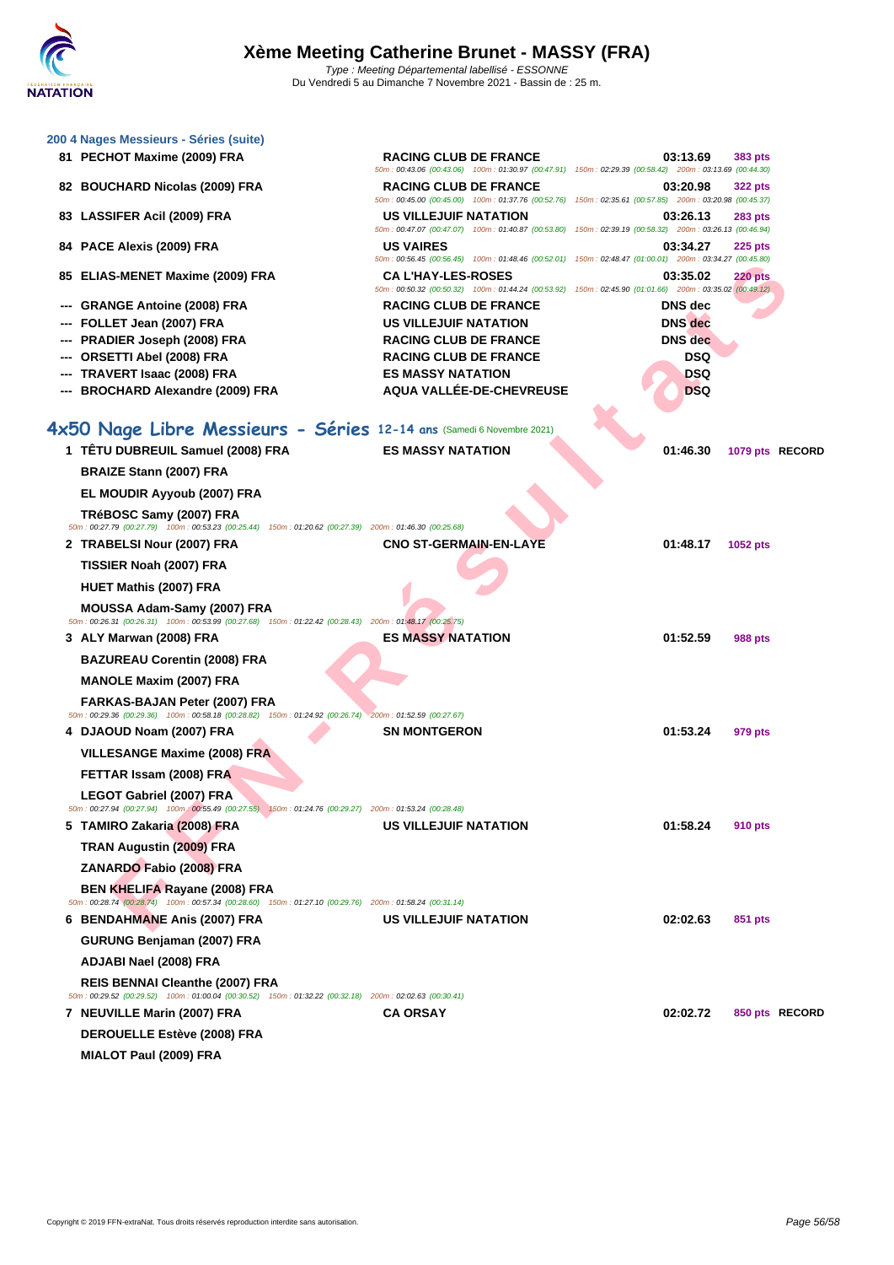| 200 4 Nages Messieurs - Séries (suite)                                                                                                             |                                                                                                                                                                                                                                                          |                |                 |  |
|----------------------------------------------------------------------------------------------------------------------------------------------------|----------------------------------------------------------------------------------------------------------------------------------------------------------------------------------------------------------------------------------------------------------|----------------|-----------------|--|
| 81 PECHOT Maxime (2009) FRA                                                                                                                        | <b>RACING CLUB DE FRANCE</b>                                                                                                                                                                                                                             | 03:13.69       | 383 pts         |  |
| 82 BOUCHARD Nicolas (2009) FRA                                                                                                                     | 50m : 00:43.06 (00:43.06) 100m : 01:30.97 (00:47.91) 150m : 02:29.39 (00:58.42) 200m : 03:13.69 (00:44.30)<br><b>RACING CLUB DE FRANCE</b><br>50m : 00:45.00 (00:45.00) 100m : 01:37.76 (00:52.76) 150m : 02:35.61 (00:57.85) 200m : 03:20.98 (00:45.37) | 03:20.98       | 322 pts         |  |
| 83 LASSIFER Acil (2009) FRA                                                                                                                        | US VILLEJUIF NATATION                                                                                                                                                                                                                                    | 03:26.13       | 283 pts         |  |
| 84 PACE Alexis (2009) FRA                                                                                                                          | 50m : 00:47.07 (00:47.07) 100m : 01:40.87 (00:53.80) 150m : 02:39.19 (00:58.32) 200m : 03:26.13 (00:46.94)<br><b>US VAIRES</b><br>50m : 00:56.45 (00:56.45) 100m : 01:48.46 (00:52.01) 150m : 02:48.47 (01:00.01) 200m : 03:34.27 (00:45.80)             | 03:34.27       | 225 pts         |  |
| 85 ELIAS-MENET Maxime (2009) FRA                                                                                                                   | <b>CA L'HAY-LES-ROSES</b><br>50m : 00:50.32 (00:50.32) 100m : 01:44.24 (00:53.92) 150m : 02:45.90 (01:01.66) 200m : 03:35.02 (00:49.12)                                                                                                                  | 03:35.02       | <b>220 pts</b>  |  |
| --- GRANGE Antoine (2008) FRA                                                                                                                      | <b>RACING CLUB DE FRANCE</b>                                                                                                                                                                                                                             | <b>DNS</b> dec |                 |  |
| FOLLET Jean (2007) FRA                                                                                                                             | <b>US VILLEJUIF NATATION</b>                                                                                                                                                                                                                             | <b>DNS</b> dec |                 |  |
| --- PRADIER Joseph (2008) FRA                                                                                                                      | <b>RACING CLUB DE FRANCE</b>                                                                                                                                                                                                                             | <b>DNS</b> dec |                 |  |
| ORSETTI Abel (2008) FRA                                                                                                                            | <b>RACING CLUB DE FRANCE</b>                                                                                                                                                                                                                             | <b>DSQ</b>     |                 |  |
| --- TRAVERT Isaac (2008) FRA                                                                                                                       | <b>ES MASSY NATATION</b>                                                                                                                                                                                                                                 | <b>DSQ</b>     |                 |  |
| --- BROCHARD Alexandre (2009) FRA                                                                                                                  | AQUA VALLÉE-DE-CHEVREUSE                                                                                                                                                                                                                                 | <b>DSQ</b>     |                 |  |
| 4x50 Nage Libre Messieurs - Séries 12-14 ans (Samedi 6 Novembre 2021)                                                                              |                                                                                                                                                                                                                                                          |                |                 |  |
| 1 TÊTU DUBREUIL Samuel (2008) FRA                                                                                                                  |                                                                                                                                                                                                                                                          |                |                 |  |
|                                                                                                                                                    | <b>ES MASSY NATATION</b>                                                                                                                                                                                                                                 | 01:46.30       | 1079 pts RECORD |  |
| <b>BRAIZE Stann (2007) FRA</b>                                                                                                                     |                                                                                                                                                                                                                                                          |                |                 |  |
| EL MOUDIR Ayyoub (2007) FRA                                                                                                                        |                                                                                                                                                                                                                                                          |                |                 |  |
| TRéBOSC Samy (2007) FRA<br>50m : 00:27.79 (00:27.79) 100m : 00:53.23 (00:25.44) 150m : 01:20.62 (00:27.39) 200m : 01:46.30 (00:25.68)              |                                                                                                                                                                                                                                                          |                |                 |  |
| 2 TRABELSI Nour (2007) FRA                                                                                                                         | <b>CNO ST-GERMAIN-EN-LAYE</b>                                                                                                                                                                                                                            | 01:48.17       | 1052 pts        |  |
| TISSIER Noah (2007) FRA                                                                                                                            |                                                                                                                                                                                                                                                          |                |                 |  |
| HUET Mathis (2007) FRA                                                                                                                             |                                                                                                                                                                                                                                                          |                |                 |  |
| MOUSSA Adam-Samy (2007) FRA<br>50m : 00:26.31 (00:26.31) 100m : 00:53.99 (00:27.68) 150m : 01:22.42 (00:28.43) 200m : 01:48.17 (00:25.75)          |                                                                                                                                                                                                                                                          |                |                 |  |
| 3 ALY Marwan (2008) FRA                                                                                                                            | <b>ES MASSY NATATION</b>                                                                                                                                                                                                                                 | 01:52.59       | 988 pts         |  |
| <b>BAZUREAU Corentin (2008) FRA</b>                                                                                                                |                                                                                                                                                                                                                                                          |                |                 |  |
| <b>MANOLE Maxim (2007) FRA</b>                                                                                                                     |                                                                                                                                                                                                                                                          |                |                 |  |
| FARKAS-BAJAN Peter (2007) FRA                                                                                                                      |                                                                                                                                                                                                                                                          |                |                 |  |
| 50m : 00:29.36 (00:29.36) 100m : 00:58.18 (00:28.82) 150m : 01:24.92 (00:26.74) 200m : 01:52.59 (00:27.67)                                         |                                                                                                                                                                                                                                                          |                |                 |  |
| 4 DJAOUD Noam (2007) FRA                                                                                                                           | <b>SN MONTGERON</b>                                                                                                                                                                                                                                      | 01:53.24       | 979 pts         |  |
| <b>VILLESANGE Maxime (2008) FRA</b>                                                                                                                |                                                                                                                                                                                                                                                          |                |                 |  |
| FETTAR Issam (2008) FRA                                                                                                                            |                                                                                                                                                                                                                                                          |                |                 |  |
| <b>LEGOT Gabriel (2007) FRA</b><br>50m : 00:27.94 (00:27.94) 100m : 00:55.49 (00:27.55) 150m : 01:24.76 (00:29.27) 200m : 01:53.24 (00:28.48)      |                                                                                                                                                                                                                                                          |                |                 |  |
| 5 TAMIRO Zakaria (2008) FRA                                                                                                                        | <b>US VILLEJUIF NATATION</b>                                                                                                                                                                                                                             | 01:58.24       | 910 pts         |  |
| TRAN Augustin (2009) FRA                                                                                                                           |                                                                                                                                                                                                                                                          |                |                 |  |
| ZANARDO Fabio (2008) FRA                                                                                                                           |                                                                                                                                                                                                                                                          |                |                 |  |
| <b>BEN KHELIFA Rayane (2008) FRA</b><br>50m : 00:28.74 (00:28.74) 100m : 00:57.34 (00:28.60) 150m : 01:27.10 (00:29.76) 200m : 01:58.24 (00:31.14) |                                                                                                                                                                                                                                                          |                |                 |  |
| 6 BENDAHMANE Anis (2007) FRA                                                                                                                       | US VILLEJUIF NATATION                                                                                                                                                                                                                                    | 02:02.63       | 851 pts         |  |
| GURUNG Benjaman (2007) FRA                                                                                                                         |                                                                                                                                                                                                                                                          |                |                 |  |
| ADJABI Nael (2008) FRA                                                                                                                             |                                                                                                                                                                                                                                                          |                |                 |  |
| REIS BENNAI Cleanthe (2007) FRA                                                                                                                    |                                                                                                                                                                                                                                                          |                |                 |  |
| 50m : 00:29.52 (00:29.52) 100m : 01:00.04 (00:30.52) 150m : 01:32.22 (00:32.18) 200m : 02:02.63 (00:30.41)                                         |                                                                                                                                                                                                                                                          |                |                 |  |
| 7 NEUVILLE Marin (2007) FRA                                                                                                                        | <b>CA ORSAY</b>                                                                                                                                                                                                                                          | 02:02.72       | 850 pts RECORD  |  |
| <b>DEROUELLE Estève (2008) FRA</b>                                                                                                                 |                                                                                                                                                                                                                                                          |                |                 |  |
| <b>MIALOT Paul (2009) FRA</b>                                                                                                                      |                                                                                                                                                                                                                                                          |                |                 |  |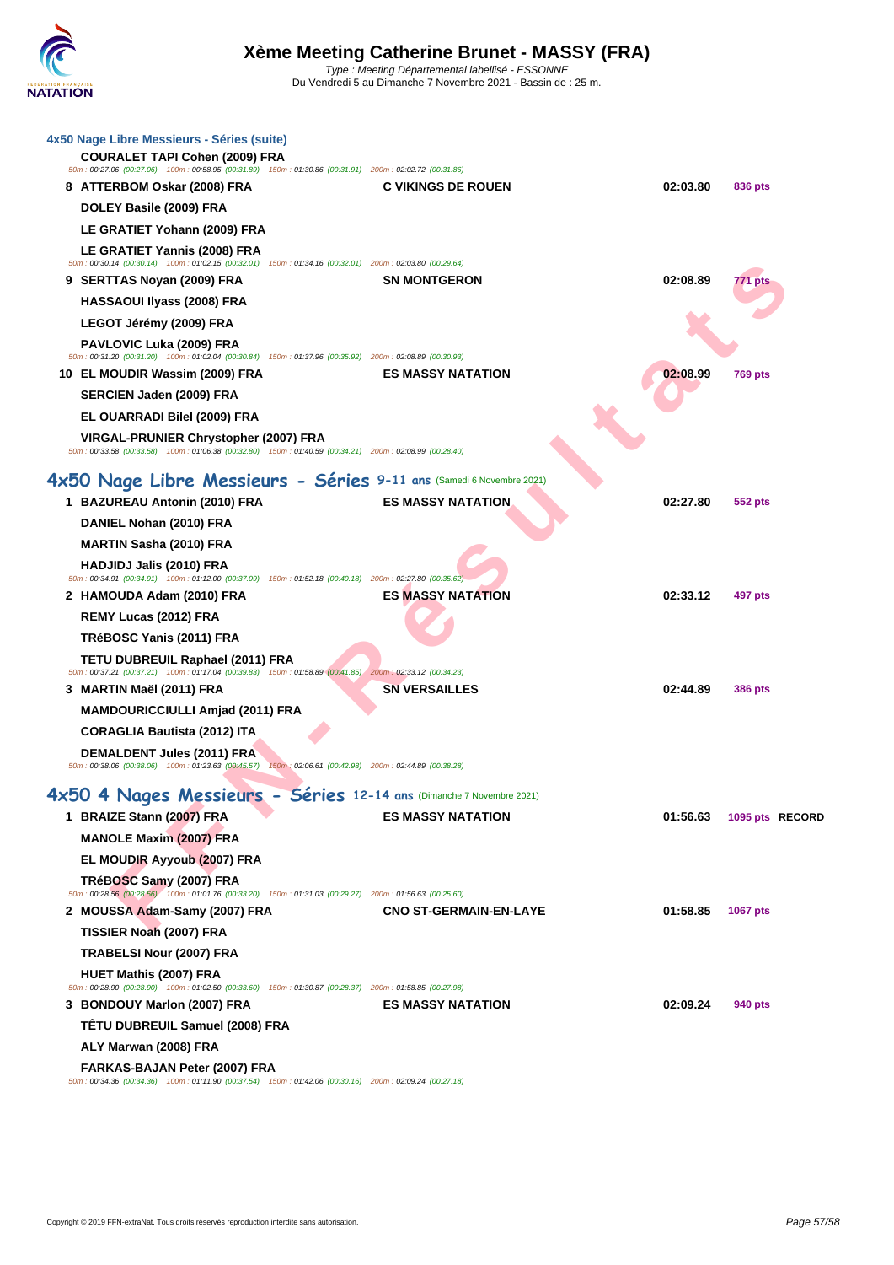| 4x50 Nage Libre Messieurs - Séries (suite)<br>COURALET TAPI Cohen (2009) FRA                                                                  | 50m : 00:27.06 (00:27.06) 100m : 00:58.95 (00:31.89) 150m : 01:30.86 (00:31.91) 200m : 02:02.72 (00:31.86) |          |                 |
|-----------------------------------------------------------------------------------------------------------------------------------------------|------------------------------------------------------------------------------------------------------------|----------|-----------------|
| 8 ATTERBOM Oskar (2008) FRA                                                                                                                   | <b>C VIKINGS DE ROUEN</b>                                                                                  | 02:03.80 | 836 pts         |
| DOLEY Basile (2009) FRA                                                                                                                       |                                                                                                            |          |                 |
| LE GRATIET Yohann (2009) FRA                                                                                                                  |                                                                                                            |          |                 |
| <b>LE GRATIET Yannis (2008) FRA</b>                                                                                                           | 50m : 00:30.14 (00:30.14) 100m : 01:02.15 (00:32.01) 150m : 01:34.16 (00:32.01) 200m : 02:03.80 (00:29.64) |          |                 |
| 9 SERTTAS Noyan (2009) FRA                                                                                                                    | <b>SN MONTGERON</b>                                                                                        | 02:08.89 | 771 pts         |
| <b>HASSAOUI Ilyass (2008) FRA</b>                                                                                                             |                                                                                                            |          |                 |
| LEGOT Jérémy (2009) FRA                                                                                                                       |                                                                                                            |          |                 |
| <b>PAVLOVIC Luka (2009) FRA</b>                                                                                                               | 50m : 00:31.20 (00:31.20) 100m : 01:02.04 (00:30.84) 150m : 01:37.96 (00:35.92) 200m : 02:08.89 (00:30.93) |          |                 |
| 10 EL MOUDIR Wassim (2009) FRA                                                                                                                | <b>ES MASSY NATATION</b>                                                                                   | 02:08.99 | <b>769 pts</b>  |
| SERCIEN Jaden (2009) FRA                                                                                                                      |                                                                                                            |          |                 |
| EL OUARRADI Bilel (2009) FRA                                                                                                                  |                                                                                                            |          |                 |
| VIRGAL-PRUNIER Chrystopher (2007) FRA                                                                                                         | 50m : 00:33.58 (00:33.58) 100m : 01:06.38 (00:32.80) 150m : 01:40.59 (00:34.21) 200m : 02:08.99 (00:28.40) |          |                 |
|                                                                                                                                               | 4x50 Nage Libre Messieurs - Séries 9-11 ans (Samedi 6 Novembre 2021)                                       |          |                 |
| 1 BAZUREAU Antonin (2010) FRA                                                                                                                 | <b>ES MASSY NATATION</b>                                                                                   | 02:27.80 | 552 pts         |
| DANIEL Nohan (2010) FRA                                                                                                                       |                                                                                                            |          |                 |
| <b>MARTIN Sasha (2010) FRA</b>                                                                                                                |                                                                                                            |          |                 |
| <b>HADJIDJ Jalis (2010) FRA</b><br>50m : 00:34.91 (00:34.91) 100m : 01:12.00 (00:37.09) 150m : 01:52.18 (00:40.18) 200m : 02:27.80 (00:35.62) |                                                                                                            |          |                 |
| 2 HAMOUDA Adam (2010) FRA                                                                                                                     | <b>ES MASSY NATATION</b>                                                                                   | 02:33.12 | 497 pts         |
| REMY Lucas (2012) FRA                                                                                                                         |                                                                                                            |          |                 |
| TRéBOSC Yanis (2011) FRA                                                                                                                      |                                                                                                            |          |                 |
| TETU DUBREUIL Raphael (2011) FRA                                                                                                              | 50m : 00:37.21 (00:37.21) 100m : 01:17.04 (00:39.83) 150m : 01:58.89 (00:41.85) 200m : 02:33.12 (00:34.23) |          |                 |
| 3 MARTIN Maël (2011) FRA                                                                                                                      | <b>SN VERSAILLES</b>                                                                                       | 02:44.89 | <b>386 pts</b>  |
| <b>MAMDOURICCIULLI Amjad (2011) FRA</b>                                                                                                       |                                                                                                            |          |                 |
| <b>CORAGLIA Bautista (2012) ITA</b>                                                                                                           |                                                                                                            |          |                 |
| <b>DEMALDENT Jules (2011) FRA</b>                                                                                                             | 50m : 00:38.06 (00:38.06) 100m : 01:23.63 (00:45.57) 150m : 02:06.61 (00:42.98) 200m : 02:44.89 (00:38.28) |          |                 |
|                                                                                                                                               | 4x50 4 Nages Messieurs - Séries 12-14 ans (Dimanche 7 Novembre 2021)                                       |          |                 |
| 1 BRAIZE Stann (2007) FRA                                                                                                                     | <b>ES MASSY NATATION</b>                                                                                   | 01:56.63 | 1095 pts RECORD |
| <b>MANOLE Maxim (2007) FRA</b>                                                                                                                |                                                                                                            |          |                 |
| EL MOUDIR Ayyoub (2007) FRA                                                                                                                   |                                                                                                            |          |                 |
| TRéBOSC Samy (2007) FRA                                                                                                                       | 50m : 00:28.56 (00:28.56) 100m : 01:01.76 (00:33.20) 150m : 01:31.03 (00:29.27) 200m : 01:56.63 (00:25.60) |          |                 |
| 2 MOUSSA Adam-Samy (2007) FRA                                                                                                                 | <b>CNO ST-GERMAIN-EN-LAYE</b>                                                                              | 01:58.85 | <b>1067 pts</b> |
| TISSIER Noah (2007) FRA                                                                                                                       |                                                                                                            |          |                 |
| <b>TRABELSI Nour (2007) FRA</b>                                                                                                               |                                                                                                            |          |                 |
| <b>HUET Mathis (2007) FRA</b>                                                                                                                 | 50m : 00:28.90 (00:28.90) 100m : 01:02.50 (00:33.60) 150m : 01:30.87 (00:28.37) 200m : 01:58.85 (00:27.98) |          |                 |
| 3 BONDOUY Marlon (2007) FRA                                                                                                                   | <b>ES MASSY NATATION</b>                                                                                   | 02:09.24 | 940 pts         |
| TÊTU DUBREUIL Samuel (2008) FRA                                                                                                               |                                                                                                            |          |                 |
| ALY Marwan (2008) FRA                                                                                                                         |                                                                                                            |          |                 |
| FARKAS-BAJAN Peter (2007) FRA                                                                                                                 | 50m: 00:34.36 (00:34.36) 100m: 01:11.90 (00:37.54) 150m: 01:42.06 (00:30.16) 200m: 02:09.24 (00:27.18)     |          |                 |